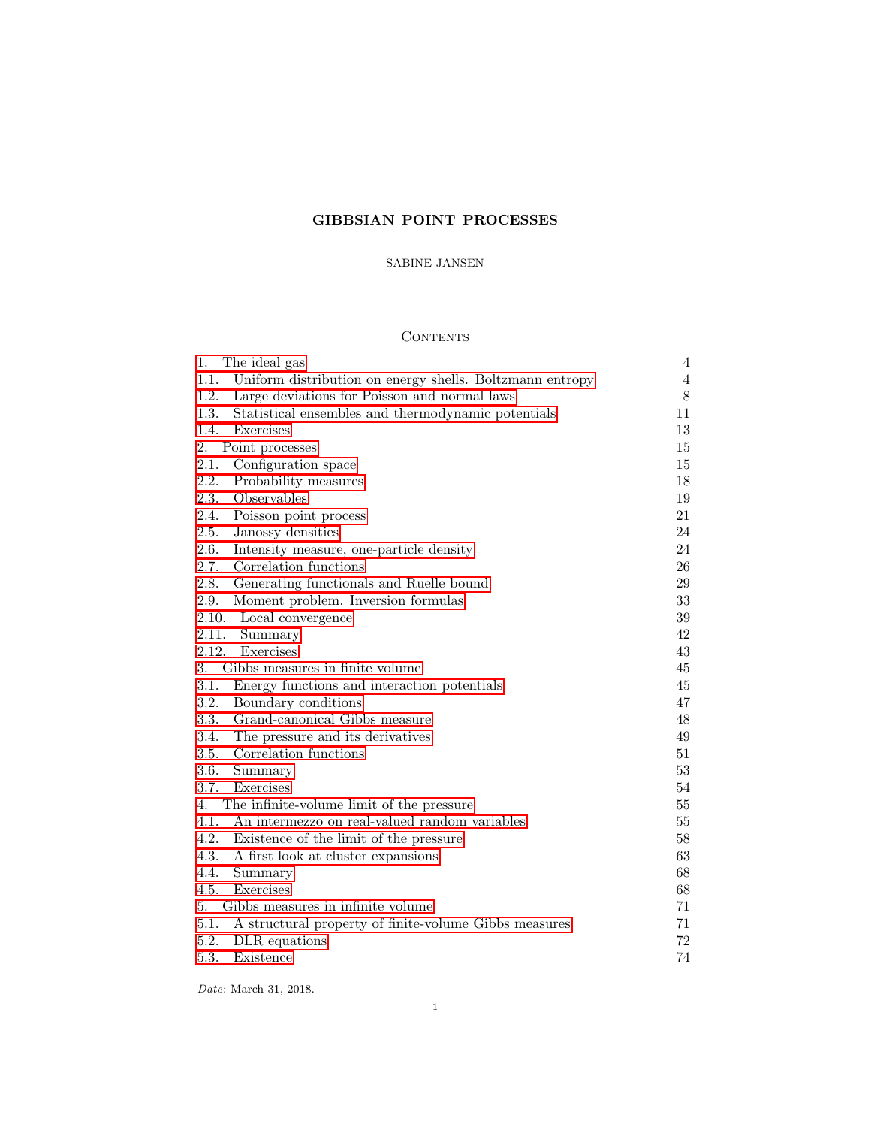# GIBBSIAN POINT PROCESSES

## SABINE JANSEN

# **CONTENTS**

| 1.<br>The ideal gas                                              | $\overline{4}$ |
|------------------------------------------------------------------|----------------|
| 1.1.<br>Uniform distribution on energy shells. Boltzmann entropy | $\overline{4}$ |
| 1.2.<br>Large deviations for Poisson and normal laws             | $8\,$          |
| 1.3.<br>Statistical ensembles and thermodynamic potentials       | 11             |
| 1.4.<br>Exercises                                                | 13             |
| 2.<br>Point processes                                            | 15             |
| 2.1.<br>Configuration space                                      | 15             |
| 2.2.<br>Probability measures                                     | 18             |
| 2.3.<br>Observables                                              | 19             |
| 2.4.<br>Poisson point process                                    | 21             |
| 2.5.<br>Janossy densities                                        | 24             |
| 2.6.<br>Intensity measure, one-particle density                  | 24             |
| 2.7.<br>Correlation functions                                    | 26             |
| 2.8.<br>Generating functionals and Ruelle bound                  | 29             |
| 2.9.<br>Moment problem. Inversion formulas                       | 33             |
| 2.10.<br>Local convergence                                       | 39             |
| 2.11.<br>Summary                                                 | 42             |
| 2.12.<br>Exercises                                               | 43             |
| 3.<br>Gibbs measures in finite volume                            | 45             |
| 3.1.<br>Energy functions and interaction potentials              | 45             |
| 3.2.<br>Boundary conditions                                      | 47             |
| 3.3.<br>Grand-canonical Gibbs measure                            | 48             |
| 3.4.<br>The pressure and its derivatives                         | 49             |
| 3.5.<br>Correlation functions                                    | 51             |
| 3.6.<br>Summary                                                  | 53             |
| 3.7.<br>Exercises                                                | 54             |
| The infinite-volume limit of the pressure<br>4.                  | 55             |
| 4.1.<br>An intermezzo on real-valued random variables            | $55\,$         |
| 4.2.<br>Existence of the limit of the pressure                   | 58             |
| 4.3.<br>A first look at cluster expansions                       | 63             |
| 4.4.<br>Summary                                                  | 68             |
| 4.5.<br>Exercises                                                | 68             |
| 5.<br>Gibbs measures in infinite volume                          | 71             |
| 5.1.<br>A structural property of finite-volume Gibbs measures    | 71             |
| 5.2.<br>DLR equations                                            | 72             |
| 5.3.<br>Existence                                                | 74             |

Date: March 31, 2018.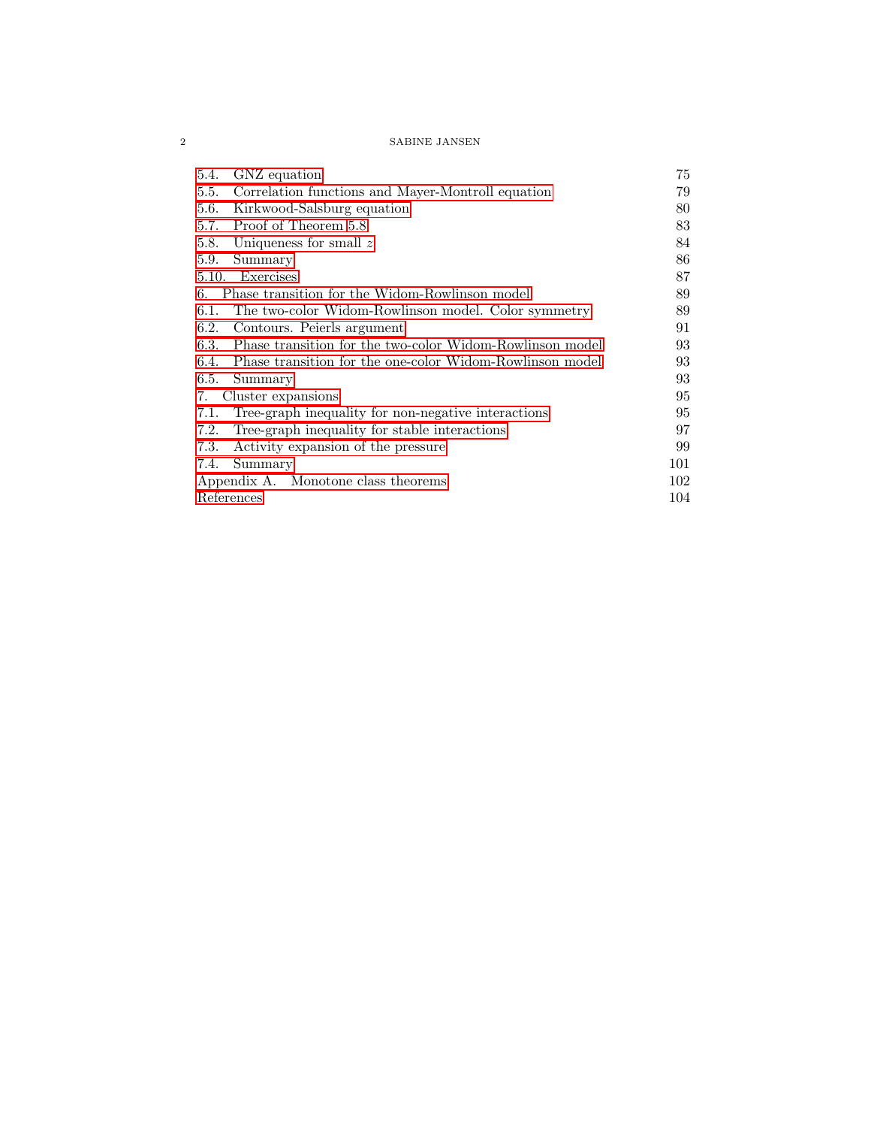# 2 SABINE JANSEN

| GNZ equation<br>5.4.                                             | 75  |  |  |  |
|------------------------------------------------------------------|-----|--|--|--|
| 5.5.<br>Correlation functions and Mayer-Montroll equation        | 79  |  |  |  |
| Kirkwood-Salsburg equation<br>5.6.                               |     |  |  |  |
| Proof of Theorem 5.8<br>5.7.                                     | 83  |  |  |  |
| Uniqueness for small $z$<br>5.8.                                 | 84  |  |  |  |
| 5.9.<br>Summary                                                  | 86  |  |  |  |
| 5.10.<br>Exercises                                               | 87  |  |  |  |
| Phase transition for the Widom-Rowlinson model<br>6.             | 89  |  |  |  |
| The two-color Widom-Rowlinson model. Color symmetry<br>6.1.      | 89  |  |  |  |
| 6.2.<br>Contours. Peierls argument                               | 91  |  |  |  |
| Phase transition for the two-color Widom-Rowlinson model<br>6.3. | 93  |  |  |  |
| Phase transition for the one-color Widom-Rowlinson model<br>6.4. | 93  |  |  |  |
| 6.5.<br>Summary                                                  | 93  |  |  |  |
| Cluster expansions<br>7.                                         | 95  |  |  |  |
| Tree-graph inequality for non-negative interactions<br>7.1.      | 95  |  |  |  |
| Tree-graph inequality for stable interactions<br>7.2.            | 97  |  |  |  |
| Activity expansion of the pressure<br>7.3.                       | 99  |  |  |  |
| Summary<br>7.4.                                                  | 101 |  |  |  |
| Appendix A. Monotone class theorems                              | 102 |  |  |  |
| References                                                       | 104 |  |  |  |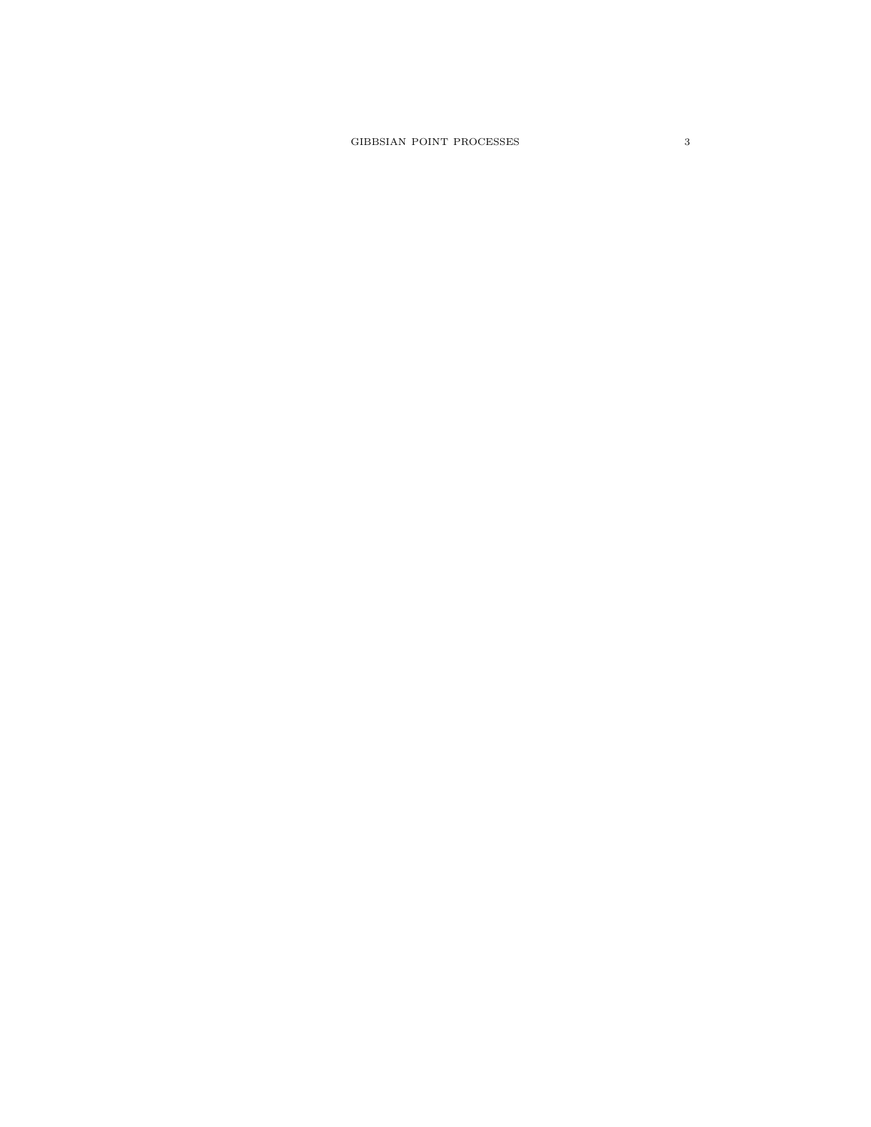GIBBSIAN POINT PROCESSES 3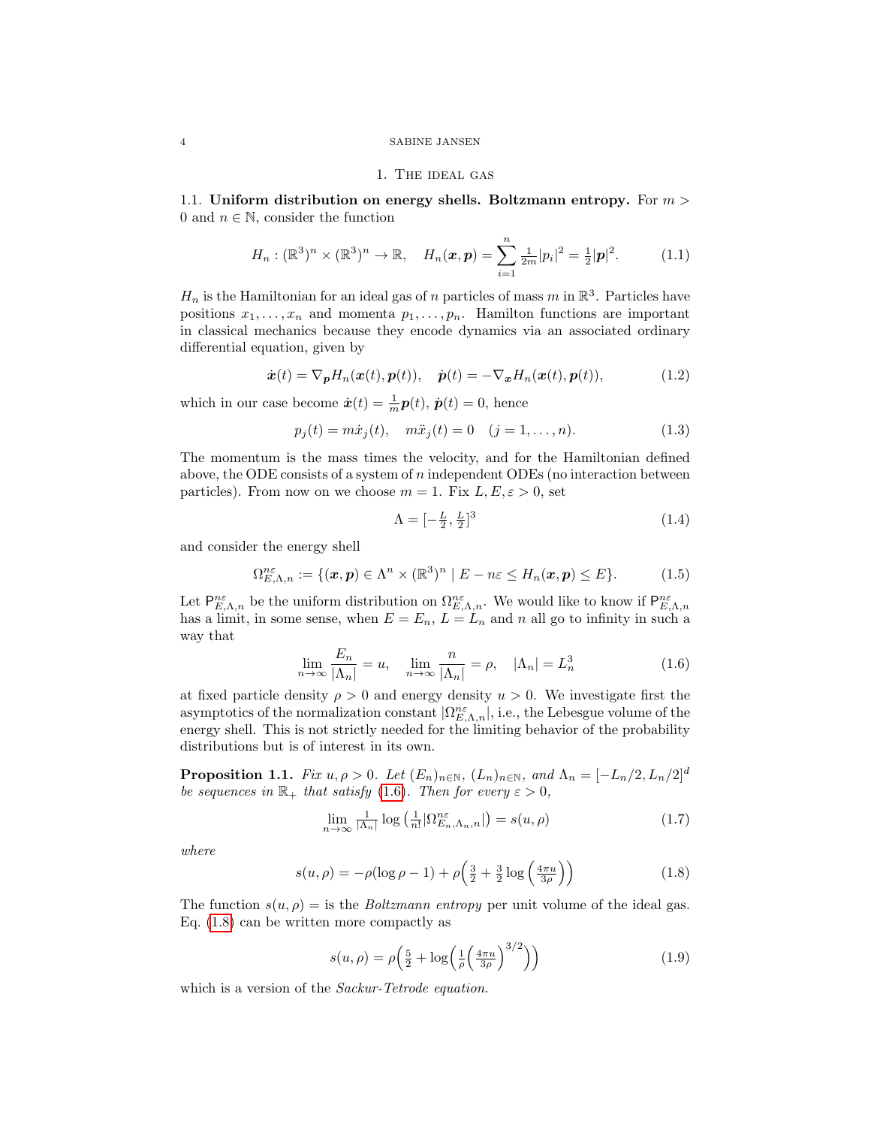#### <span id="page-3-0"></span>4 SABINE JANSEN

#### 1. The ideal gas

<span id="page-3-1"></span>1.1. Uniform distribution on energy shells. Boltzmann entropy. For  $m >$ 0 and  $n \in \mathbb{N}$ , consider the function

$$
H_n: (\mathbb{R}^3)^n \times (\mathbb{R}^3)^n \to \mathbb{R}, \quad H_n(\boldsymbol{x}, \boldsymbol{p}) = \sum_{i=1}^n \frac{1}{2m} |p_i|^2 = \frac{1}{2} |\boldsymbol{p}|^2. \tag{1.1}
$$

 $H_n$  is the Hamiltonian for an ideal gas of n particles of mass m in  $\mathbb{R}^3$ . Particles have positions  $x_1, \ldots, x_n$  and momenta  $p_1, \ldots, p_n$ . Hamilton functions are important in classical mechanics because they encode dynamics via an associated ordinary differential equation, given by

$$
\dot{\boldsymbol{x}}(t) = \nabla_{\boldsymbol{p}} H_n(\boldsymbol{x}(t), \boldsymbol{p}(t)), \quad \dot{\boldsymbol{p}}(t) = -\nabla_{\boldsymbol{x}} H_n(\boldsymbol{x}(t), \boldsymbol{p}(t)), \tag{1.2}
$$

which in our case become  $\dot{x}(t) = \frac{1}{m}p(t)$ ,  $\dot{p}(t) = 0$ , hence

$$
p_j(t) = m\dot{x}_j(t), \quad m\ddot{x}_j(t) = 0 \quad (j = 1, ..., n). \tag{1.3}
$$

The momentum is the mass times the velocity, and for the Hamiltonian defined above, the ODE consists of a system of  $n$  independent ODEs (no interaction between particles). From now on we choose  $m = 1$ . Fix  $L, E, \varepsilon > 0$ , set

$$
\Lambda = [-\frac{L}{2}, \frac{L}{2}]^3 \tag{1.4}
$$

and consider the energy shell

$$
\Omega_{E,\Lambda,n}^{n\varepsilon} := \{ (\boldsymbol{x},\boldsymbol{p}) \in \Lambda^n \times (\mathbb{R}^3)^n \mid E - n\varepsilon \le H_n(\boldsymbol{x},\boldsymbol{p}) \le E \}. \tag{1.5}
$$

Let  $\mathsf{P}_{E,\Lambda,n}^{n\varepsilon}$  be the uniform distribution on  $\Omega_{E,\Lambda,n}^{n\varepsilon}$ . We would like to know if  $\mathsf{P}_{E,\Lambda,n}^{n\varepsilon}$  has a limit, in some sense, when  $E = E_n$ ,  $L = L_n$  and n all go to infinity in such a way that

<span id="page-3-2"></span>
$$
\lim_{n \to \infty} \frac{E_n}{|\Lambda_n|} = u, \quad \lim_{n \to \infty} \frac{n}{|\Lambda_n|} = \rho, \quad |\Lambda_n| = L_n^3
$$
\n(1.6)

at fixed particle density  $\rho > 0$  and energy density  $u > 0$ . We investigate first the asymptotics of the normalization constant  $|\Omega_{E,\Lambda,n}^{n\epsilon}|$ , i.e., the Lebesgue volume of the energy shell. This is not strictly needed for the limiting behavior of the probability distributions but is of interest in its own.

<span id="page-3-4"></span>**Proposition 1.1.** Fix  $u, \rho > 0$ . Let  $(E_n)_{n \in \mathbb{N}}$ ,  $(L_n)_{n \in \mathbb{N}}$ , and  $\Lambda_n = [-L_n/2, L_n/2]^d$ be sequences in  $\mathbb{R}_+$  that satisfy [\(1.6\)](#page-3-2). Then for every  $\varepsilon > 0$ ,

$$
\lim_{n \to \infty} \frac{1}{|\Lambda_n|} \log \left( \frac{1}{n!} |\Omega_{E_n, \Lambda_n, n}^{n \varepsilon}| \right) = s(u, \rho) \tag{1.7}
$$

where

<span id="page-3-3"></span>
$$
s(u,\rho) = -\rho(\log \rho - 1) + \rho\left(\frac{3}{2} + \frac{3}{2}\log\left(\frac{4\pi u}{3\rho}\right)\right) \tag{1.8}
$$

The function  $s(u, \rho) =$  is the *Boltzmann entropy* per unit volume of the ideal gas. Eq. [\(1.8\)](#page-3-3) can be written more compactly as

$$
s(u,\rho) = \rho \left(\frac{5}{2} + \log\left(\frac{1}{\rho}\left(\frac{4\pi u}{3\rho}\right)^{3/2}\right)\right) \tag{1.9}
$$

which is a version of the *Sackur-Tetrode equation*.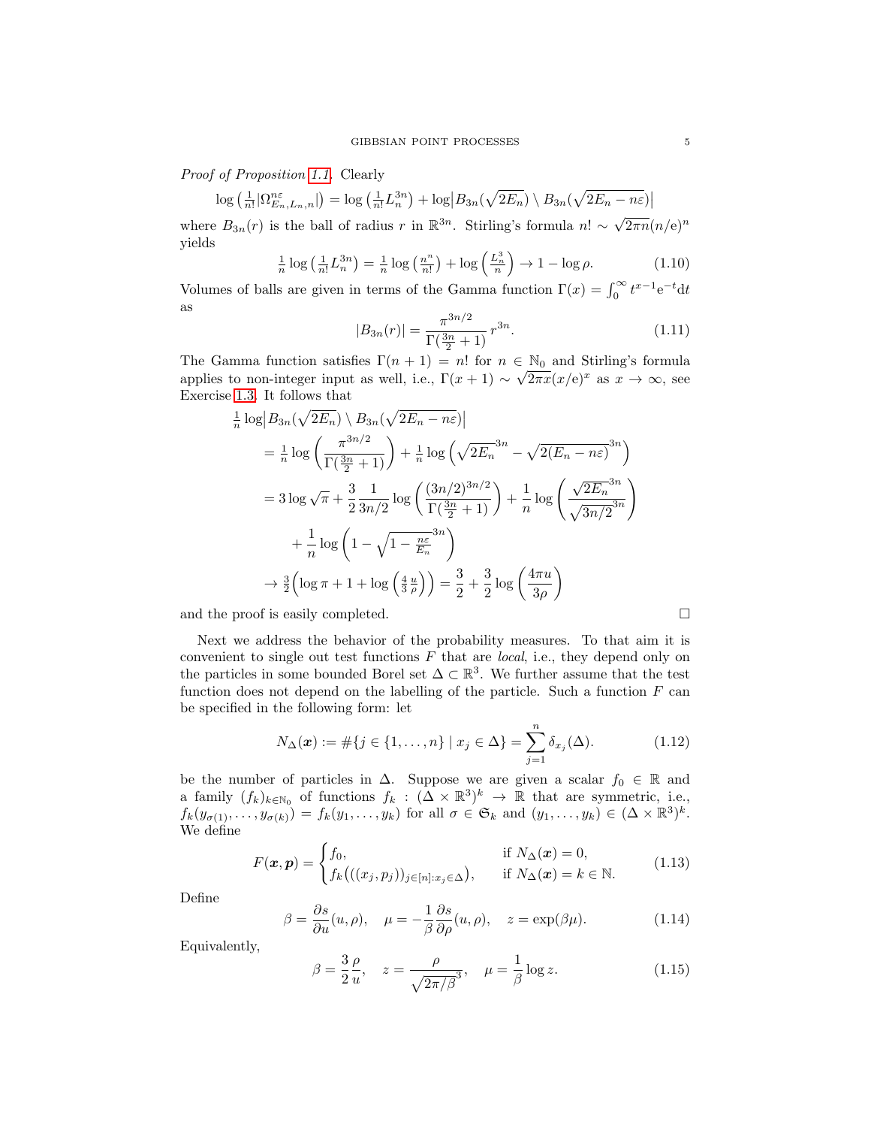Proof of Proposition [1.1.](#page-3-4) Clearly

 $\log\left(\frac{1}{n!}|\Omega_{E_n,L_n,n}^{n\varepsilon}| \right) = \log\left(\frac{1}{n!}L_n^{3n}\right) + \log\left|B_{3n}\left(\sqrt{2E_n}\right)\setminus B_{3n}\left(\sqrt{2E_n - n\varepsilon}\right)\right|$ 

where  $B_{3n}(r)$  is the ball of radius r in  $\mathbb{R}^{3n}$ . Stirling's formula  $n! \sim \sqrt{2\pi n} (n/e)^n$ yields

$$
\frac{1}{n}\log\left(\frac{1}{n!}L_n^{3n}\right) = \frac{1}{n}\log\left(\frac{n^n}{n!}\right) + \log\left(\frac{L_n^3}{n}\right) \to 1 - \log\rho. \tag{1.10}
$$

Volumes of balls are given in terms of the Gamma function  $\Gamma(x) = \int_0^\infty t^{x-1} e^{-t} dt$ as

$$
|B_{3n}(r)| = \frac{\pi^{3n/2}}{\Gamma(\frac{3n}{2} + 1)} r^{3n}.
$$
 (1.11)

The Gamma function satisfies  $\Gamma(n+1) = n!$  for  $n \in \mathbb{N}_0$  and Stirling's formula applies to non-integer input as well, i.e.,  $\Gamma(x+1) \sim \sqrt{2\pi x}(x/\mathrm{e})^x$  as  $x \to \infty$ , see Exercise [1.3.](#page-13-0) It follows that

$$
\frac{1}{n}\log |B_{3n}(\sqrt{2E_n}) \setminus B_{3n}(\sqrt{2E_n - n\varepsilon})|
$$
\n
$$
= \frac{1}{n}\log \left(\frac{\pi^{3n/2}}{\Gamma(\frac{3n}{2} + 1)}\right) + \frac{1}{n}\log \left(\sqrt{2E_n}^{3n} - \sqrt{2(E_n - n\varepsilon)}^{3n}\right)
$$
\n
$$
= 3\log \sqrt{\pi} + \frac{3}{2}\frac{1}{3n/2}\log \left(\frac{(3n/2)^{3n/2}}{\Gamma(\frac{3n}{2} + 1)}\right) + \frac{1}{n}\log \left(\frac{\sqrt{2E_n}^{3n}}{\sqrt{3n/2}^{3n}}\right)
$$
\n
$$
+ \frac{1}{n}\log \left(1 - \sqrt{1 - \frac{n\varepsilon}{E_n}^{3n}}\right)
$$
\n
$$
\to \frac{3}{2}\left(\log \pi + 1 + \log \left(\frac{4}{3}\frac{u}{\rho}\right)\right) = \frac{3}{2} + \frac{3}{2}\log \left(\frac{4\pi u}{3\rho}\right)
$$

and the proof is easily completed.  $\Box$ 

Next we address the behavior of the probability measures. To that aim it is convenient to single out test functions  $F$  that are *local*, i.e., they depend only on the particles in some bounded Borel set  $\Delta \subset \mathbb{R}^3$ . We further assume that the test function does not depend on the labelling of the particle. Such a function  $F$  can be specified in the following form: let

$$
N_{\Delta}(\boldsymbol{x}) := \#\{j \in \{1, ..., n\} \mid x_j \in \Delta\} = \sum_{j=1}^{n} \delta_{x_j}(\Delta). \tag{1.12}
$$

be the number of particles in  $\Delta$ . Suppose we are given a scalar  $f_0 \in \mathbb{R}$  and a family  $(f_k)_{k \in \mathbb{N}_0}$  of functions  $f_k : (\Delta \times \mathbb{R}^3)^k \to \mathbb{R}$  that are symmetric, i.e.,  $f_k(y_{\sigma(1)},\ldots,y_{\sigma(k)})=f_k(y_1,\ldots,y_k)$  for all  $\sigma\in\mathfrak{S}_k$  and  $(y_1,\ldots,y_k)\in (\Delta\times\mathbb{R}^3)^k$ . We define

<span id="page-4-1"></span>
$$
F(\boldsymbol{x}, \boldsymbol{p}) = \begin{cases} f_0, & \text{if } N_\Delta(\boldsymbol{x}) = 0, \\ f_k\big(((x_j, p_j))_{j \in [n]: x_j \in \Delta}\big), & \text{if } N_\Delta(\boldsymbol{x}) = k \in \mathbb{N}. \end{cases} \tag{1.13}
$$

Define

$$
\beta = \frac{\partial s}{\partial u}(u,\rho), \quad \mu = -\frac{1}{\beta} \frac{\partial s}{\partial \rho}(u,\rho), \quad z = \exp(\beta \mu). \tag{1.14}
$$

Equivalently,

<span id="page-4-0"></span>
$$
\beta = \frac{3}{2} \frac{\rho}{u}, \quad z = \frac{\rho}{\sqrt{2\pi/\beta^3}}, \quad \mu = \frac{1}{\beta} \log z.
$$
 (1.15)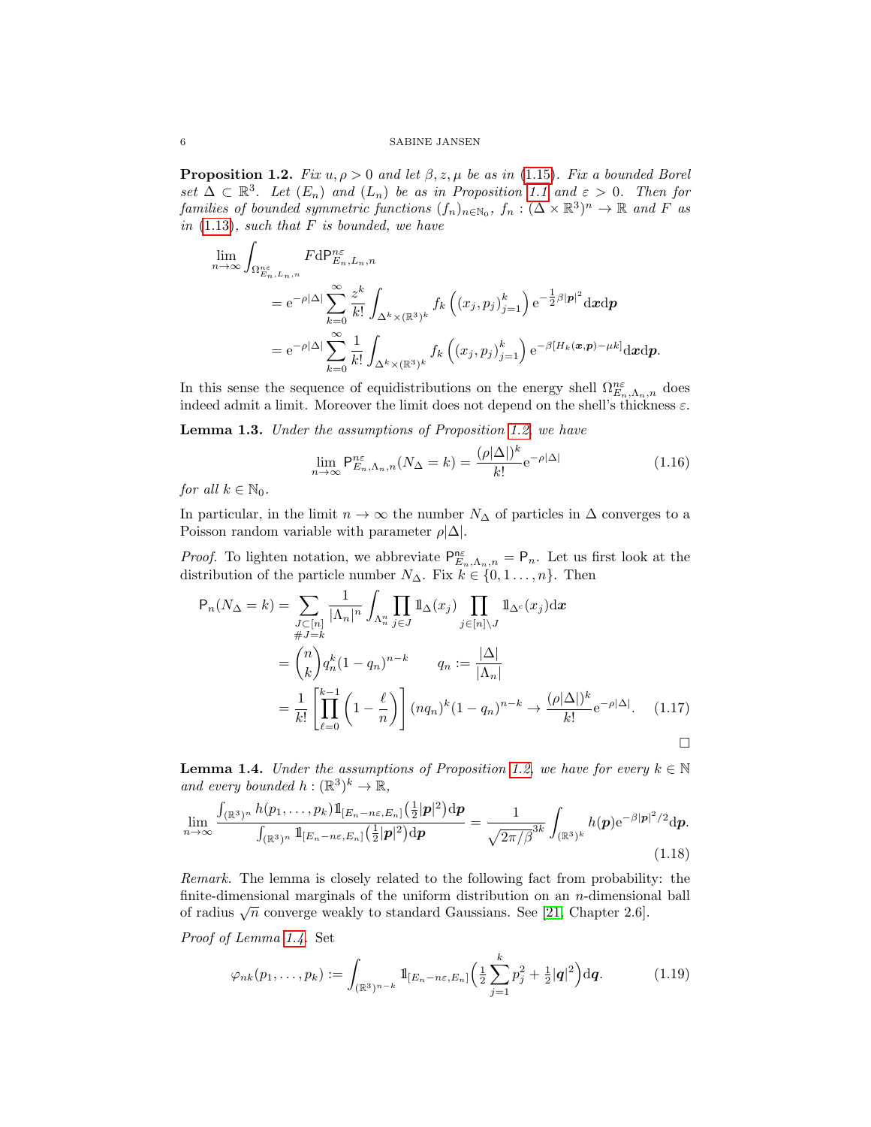<span id="page-5-0"></span>**Proposition 1.2.** Fix  $u, \rho > 0$  and let  $\beta, z, \mu$  be as in [\(1.15\)](#page-4-0). Fix a bounded Borel set  $\Delta \subset \mathbb{R}^3$ . Let  $(E_n)$  and  $(L_n)$  be as in Proposition [1.1](#page-3-4) and  $\varepsilon > 0$ . Then for families of bounded symmetric functions  $(f_n)_{n\in\mathbb{N}_0}$ ,  $f_n:(\Delta\times\mathbb{R}^3)^n\to\mathbb{R}$  and F as in  $(1.13)$ , such that  $F$  is bounded, we have

$$
\lim_{n \to \infty} \int_{\Omega_{E_n, L_n, n}^{n\varepsilon}} F \, dP_{E_n, L_n, n}^{n\varepsilon}
$$
\n
$$
= e^{-\rho |\Delta|} \sum_{k=0}^{\infty} \frac{z^k}{k!} \int_{\Delta^k \times (\mathbb{R}^3)^k} f_k \left( (x_j, p_j)_{j=1}^k \right) e^{-\frac{1}{2}\beta |\mathbf{p}|^2} \, d\mathbf{x} d\mathbf{p}
$$
\n
$$
= e^{-\rho |\Delta|} \sum_{k=0}^{\infty} \frac{1}{k!} \int_{\Delta^k \times (\mathbb{R}^3)^k} f_k \left( (x_j, p_j)_{j=1}^k \right) e^{-\beta [H_k(\mathbf{x}, \mathbf{p}) - \mu k]} \, d\mathbf{x} d\mathbf{p}.
$$

In this sense the sequence of equidistributions on the energy shell  $\Omega_{E_n,\Lambda_n,n}^{n\epsilon}$  does indeed admit a limit. Moreover the limit does not depend on the shell's thickness  $\varepsilon$ .

<span id="page-5-2"></span>Lemma 1.3. Under the assumptions of Proposition [1.2,](#page-5-0) we have

$$
\lim_{n \to \infty} \mathsf{P}_{E_n, \Lambda_n, n}^{n\varepsilon}(N_\Delta = k) = \frac{(\rho |\Delta|)^k}{k!} e^{-\rho |\Delta|} \tag{1.16}
$$

for all  $k \in \mathbb{N}_0$ .

In particular, in the limit  $n \to \infty$  the number  $N_{\Delta}$  of particles in  $\Delta$  converges to a Poisson random variable with parameter  $\rho|\Delta|$ .

*Proof.* To lighten notation, we abbreviate  $P_{E_n,\Lambda_n,n}^{\text{nc}} = P_n$ . Let us first look at the distribution of the particle number  $N_{\Delta}$ . Fix  $k \in \{0, 1, ..., n\}$ . Then

$$
P_n(N_{\Delta} = k) = \sum_{\substack{J \subset [n] \\ \#J=k}} \frac{1}{|\Lambda_n|^n} \int_{\Lambda_n^n} \prod_{j \in J} \mathbb{1}_{\Delta}(x_j) \prod_{j \in [n] \setminus J} \mathbb{1}_{\Delta^c}(x_j) dx
$$
  

$$
= {n \choose k} q_n^k (1 - q_n)^{n-k} \qquad q_n := \frac{|\Delta|}{|\Lambda_n|}
$$
  

$$
= \frac{1}{k!} \left[ \prod_{\ell=0}^{k-1} \left(1 - \frac{\ell}{n}\right) \right] (nq_n)^k (1 - q_n)^{n-k} \to \frac{(\rho |\Delta|)^k}{k!} e^{-\rho |\Delta|}. \qquad (1.17)
$$

<span id="page-5-1"></span>**Lemma 1.4.** Under the assumptions of Proposition [1.2,](#page-5-0) we have for every  $k \in \mathbb{N}$ and every bounded  $h: (\mathbb{R}^3)^k \to \mathbb{R}$ ,

$$
\lim_{n\to\infty}\frac{\int_{(\mathbb{R}^3)^n}h(p_1,\ldots,p_k)\mathbb{1}_{[E_n-n\varepsilon,E_n]}\left(\frac{1}{2}|\mathbf{p}|^2\right)\mathrm{d}\mathbf{p}}{\int_{(\mathbb{R}^3)^n}\mathbb{1}_{[E_n-n\varepsilon,E_n]}\left(\frac{1}{2}|\mathbf{p}|^2\right)\mathrm{d}\mathbf{p}}=\frac{1}{\sqrt{2\pi/\beta}^{3k}}\int_{(\mathbb{R}^3)^k}h(\mathbf{p})\mathrm{e}^{-\beta|\mathbf{p}|^2/2}\mathrm{d}\mathbf{p}.\tag{1.18}
$$

Remark. The lemma is closely related to the following fact from probability: the finite-dimensional marginals of the uniform distribution on an n-dimensional ball of radius  $\sqrt{n}$  converge weakly to standard Gaussians. See [\[21,](#page-103-1) Chapter 2.6].

Proof of Lemma [1.4.](#page-5-1) Set

$$
\varphi_{nk}(p_1,\ldots,p_k) := \int_{(\mathbb{R}^3)^{n-k}} 1\!\!1_{[E_n - n\varepsilon, E_n]} \left( \frac{1}{2} \sum_{j=1}^k p_j^2 + \frac{1}{2} |\mathbf{q}|^2 \right) d\mathbf{q}.
$$
 (1.19)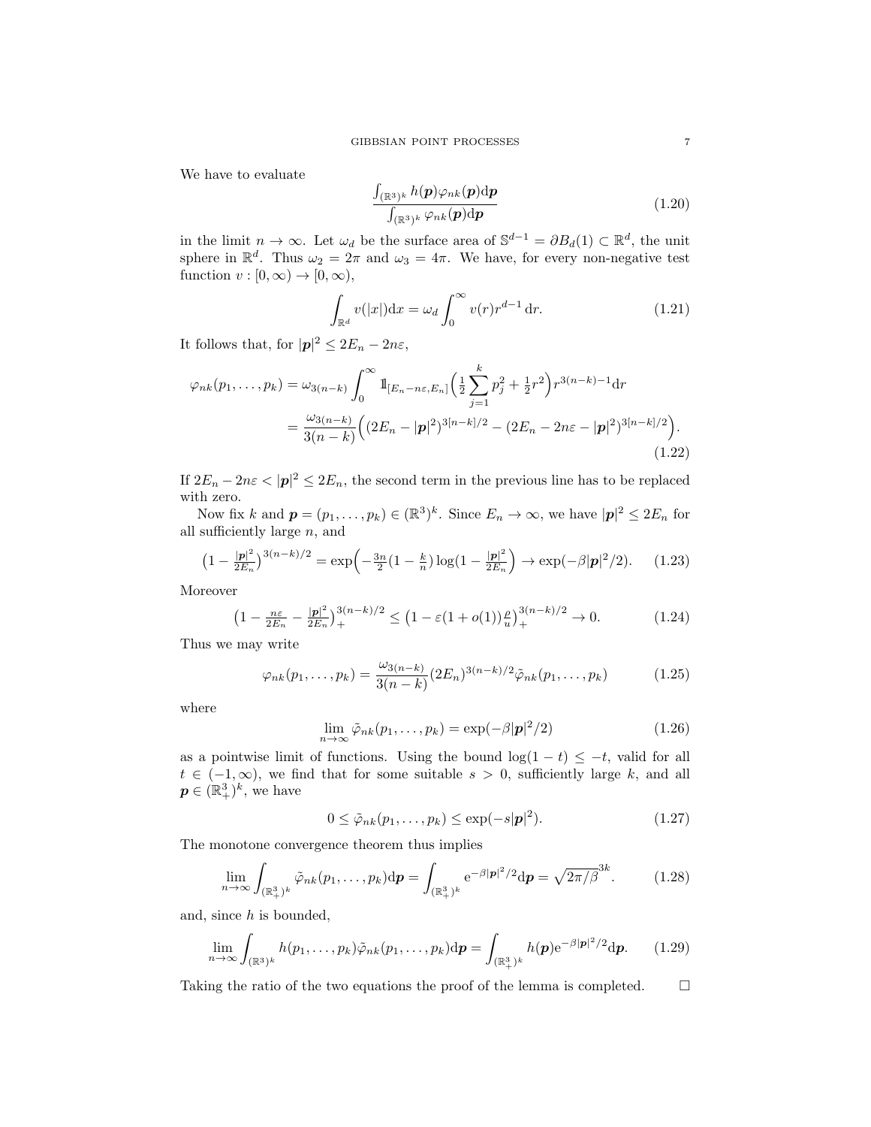We have to evaluate

$$
\frac{\int_{(\mathbb{R}^3)^k} h(\mathbf{p}) \varphi_{nk}(\mathbf{p}) \mathrm{d}\mathbf{p}}{\int_{(\mathbb{R}^3)^k} \varphi_{nk}(\mathbf{p}) \mathrm{d}\mathbf{p}}\tag{1.20}
$$

in the limit  $n \to \infty$ . Let  $\omega_d$  be the surface area of  $\mathbb{S}^{d-1} = \partial B_d(1) \subset \mathbb{R}^d$ , the unit sphere in  $\mathbb{R}^d$ . Thus  $\omega_2 = 2\pi$  and  $\omega_3 = 4\pi$ . We have, for every non-negative test function  $v : [0, \infty) \to [0, \infty)$ ,

$$
\int_{\mathbb{R}^d} v(|x|) dx = \omega_d \int_0^\infty v(r) r^{d-1} dr.
$$
\n(1.21)

It follows that, for  $|\mathbf{p}|^2 \leq 2E_n - 2n\varepsilon$ ,

$$
\varphi_{nk}(p_1,\ldots,p_k) = \omega_{3(n-k)} \int_0^\infty \mathbb{1}_{[E_n - n\varepsilon, E_n]} \left( \frac{1}{2} \sum_{j=1}^k p_j^2 + \frac{1}{2} r^2 \right) r^{3(n-k)-1} dr
$$
  
= 
$$
\frac{\omega_{3(n-k)}}{3(n-k)} \left( (2E_n - |\mathbf{p}|^2)^{3[n-k]/2} - (2E_n - 2n\varepsilon - |\mathbf{p}|^2)^{3[n-k]/2} \right). \tag{1.22}
$$

If  $2E_n - 2n\varepsilon < |p|^2 \le 2E_n$ , the second term in the previous line has to be replaced with zero.

Now fix k and  $p = (p_1, \ldots, p_k) \in (\mathbb{R}^3)^k$ . Since  $E_n \to \infty$ , we have  $|p|^2 \leq 2E_n$  for all sufficiently large  $n$ , and

$$
\left(1 - \frac{|\mathbf{p}|^2}{2E_n}\right)^{3(n-k)/2} = \exp\left(-\frac{3n}{2}(1 - \frac{k}{n})\log(1 - \frac{|\mathbf{p}|^2}{2E_n}\right) \to \exp(-\beta|\mathbf{p}|^2/2). \tag{1.23}
$$

Moreover

$$
\left(1 - \frac{n\varepsilon}{2E_n} - \frac{|p|^2}{2E_n}\right)_+^{3(n-k)/2} \le \left(1 - \varepsilon(1 + o(1))\frac{\rho}{u}\right)_+^{3(n-k)/2} \to 0. \tag{1.24}
$$

Thus we may write

$$
\varphi_{nk}(p_1,\ldots,p_k) = \frac{\omega_{3(n-k)}}{3(n-k)} (2E_n)^{3(n-k)/2} \tilde{\varphi}_{nk}(p_1,\ldots,p_k)
$$
(1.25)

where

$$
\lim_{n \to \infty} \tilde{\varphi}_{nk}(p_1, \dots, p_k) = \exp(-\beta |\mathbf{p}|^2 / 2)
$$
\n(1.26)

as a pointwise limit of functions. Using the bound  $log(1-t) \leq -t$ , valid for all  $t \in (-1,\infty)$ , we find that for some suitable  $s > 0$ , sufficiently large k, and all  $p \in (\mathbb{R}^3_+)^k$ , we have

$$
0 \le \tilde{\varphi}_{nk}(p_1,\ldots,p_k) \le \exp(-s|\mathbf{p}|^2). \tag{1.27}
$$

The monotone convergence theorem thus implies

$$
\lim_{n \to \infty} \int_{(\mathbb{R}^3_+)^k} \tilde{\varphi}_{nk}(p_1, \dots, p_k) d\mathbf{p} = \int_{(\mathbb{R}^3_+)^k} e^{-\beta |\mathbf{p}|^2/2} d\mathbf{p} = \sqrt{2\pi/\beta}^{3k}.
$$
 (1.28)

and, since  $h$  is bounded,

$$
\lim_{n\to\infty}\int_{(\mathbb{R}^3)^k}h(p_1,\ldots,p_k)\tilde{\varphi}_{nk}(p_1,\ldots,p_k)\mathrm{d}\boldsymbol{p}=\int_{(\mathbb{R}^3_+)^k}h(\boldsymbol{p})\mathrm{e}^{-\beta|\boldsymbol{p}|^2/2}\mathrm{d}\boldsymbol{p}.\qquad(1.29)
$$

Taking the ratio of the two equations the proof of the lemma is completed.  $\Box$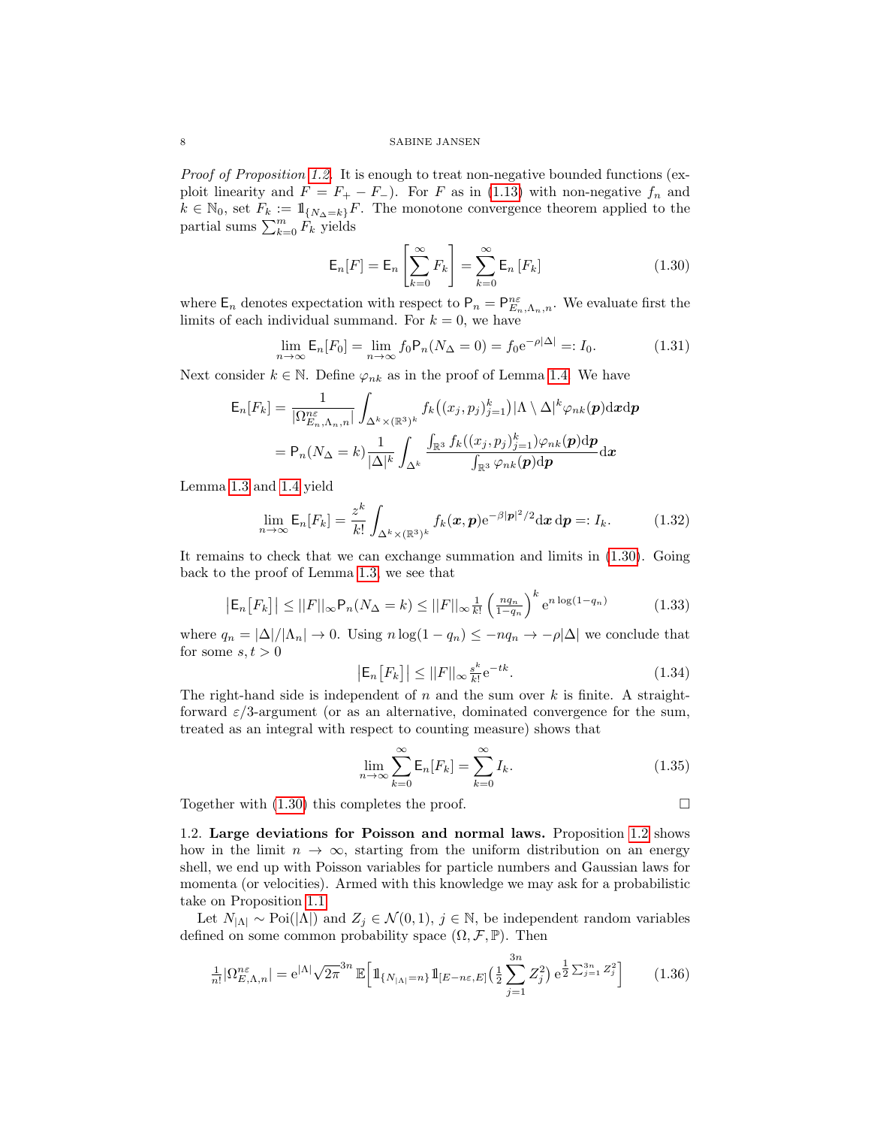Proof of Proposition [1.2.](#page-5-0) It is enough to treat non-negative bounded functions (exploit linearity and  $F = F_+ - F_-$ . For F as in [\(1.13\)](#page-4-1) with non-negative  $f_n$  and  $k \in \mathbb{N}_0$ , set  $F_k := 1\!\!1_{\{N_\Delta = k\}}F$ . The monotone convergence theorem applied to the partial sums  $\sum_{k=0}^{m} \overrightarrow{F_k}$  yields

<span id="page-7-1"></span>
$$
\mathsf{E}_n[F] = \mathsf{E}_n\left[\sum_{k=0}^{\infty} F_k\right] = \sum_{k=0}^{\infty} \mathsf{E}_n\left[F_k\right]
$$
 (1.30)

where  $\mathsf{E}_n$  denotes expectation with respect to  $\mathsf{P}_n = \mathsf{P}_{E_n,\Lambda_n,n}^{\text{nc}}$ . We evaluate first the limits of each individual summand. For  $k = 0$ , we have

$$
\lim_{n \to \infty} \mathsf{E}_n[F_0] = \lim_{n \to \infty} f_0 \mathsf{P}_n(N_\Delta = 0) = f_0 e^{-\rho |\Delta|} =: I_0. \tag{1.31}
$$

Next consider  $k \in \mathbb{N}$ . Define  $\varphi_{nk}$  as in the proof of Lemma [1.4.](#page-5-1) We have

$$
\mathsf{E}_{n}[F_{k}] = \frac{1}{|\Omega_{E_{n},\Lambda_{n},n}^{n\varepsilon}|} \int_{\Delta^{k}\times(\mathbb{R}^{3})^{k}} f_{k}((x_{j},p_{j})_{j=1}^{k}) |\Lambda \setminus \Delta|^{k} \varphi_{nk}(\boldsymbol{p}) \mathrm{d} \boldsymbol{x} \mathrm{d} \boldsymbol{p}
$$
\n
$$
= \mathsf{P}_{n}(N_{\Delta} = k) \frac{1}{|\Delta|^{k}} \int_{\Delta^{k}} \frac{\int_{\mathbb{R}^{3}} f_{k}((x_{j},p_{j})_{j=1}^{k}) \varphi_{nk}(\boldsymbol{p}) \mathrm{d} \boldsymbol{p}}{\int_{\mathbb{R}^{3}} \varphi_{nk}(\boldsymbol{p}) \mathrm{d} \boldsymbol{p}} \mathrm{d} \boldsymbol{x}
$$

Lemma [1.3](#page-5-2) and [1.4](#page-5-1) yield

$$
\lim_{n \to \infty} \mathsf{E}_n[F_k] = \frac{z^k}{k!} \int_{\Delta^k \times (\mathbb{R}^3)^k} f_k(\boldsymbol{x}, \boldsymbol{p}) e^{-\beta |\boldsymbol{p}|^2/2} d\boldsymbol{x} d\boldsymbol{p} =: I_k.
$$
 (1.32)

It remains to check that we can exchange summation and limits in [\(1.30\)](#page-7-1). Going back to the proof of Lemma [1.3,](#page-5-2) we see that

$$
\left|\mathsf{E}_n\big[F_k\big]\right| \leq ||F||_{\infty} \mathsf{P}_n(N_{\Delta} = k) \leq ||F||_{\infty} \frac{1}{k!} \left(\frac{nq_n}{1-q_n}\right)^k e^{n \log(1-q_n)} \tag{1.33}
$$

where  $q_n = |\Delta|/|\Lambda_n| \to 0$ . Using  $n \log(1 - q_n) \le -nq_n \to -\rho|\Delta|$  we conclude that for some  $s, t > 0$ 

$$
\left|\mathsf{E}_n\left[F_k\right]\right| \leq ||F||_{\infty} \frac{s^k}{k!} e^{-tk}.\tag{1.34}
$$

The right-hand side is independent of  $n$  and the sum over  $k$  is finite. A straightforward  $\varepsilon/3$ -argument (or as an alternative, dominated convergence for the sum, treated as an integral with respect to counting measure) shows that

$$
\lim_{n \to \infty} \sum_{k=0}^{\infty} \mathsf{E}_n[F_k] = \sum_{k=0}^{\infty} I_k.
$$
\n(1.35)

Together with [\(1.30\)](#page-7-1) this completes the proof.

<span id="page-7-0"></span>1.2. Large deviations for Poisson and normal laws. Proposition 1.2 shows how in the limit 
$$
n \to \infty
$$
, starting from the uniform distribution on an energy shell, we end up with Poisson variables for particle numbers and Gaussian laws for momenta (or velocities). Armed with this knowledge we may ask for a probabilistic take on Proposition 1.1.

Let  $N_{|\Lambda|} \sim \text{Poi}(|\Lambda|)$  and  $Z_j \in \mathcal{N}(0, 1)$ ,  $j \in \mathbb{N}$ , be independent random variables defined on some common probability space  $(\Omega, \mathcal{F}, \mathbb{P})$ . Then

<span id="page-7-2"></span>
$$
\frac{1}{n!} |\Omega_{E,\Lambda,n}^{n\varepsilon}| = e^{|\Lambda|} \sqrt{2\pi}^{3n} \mathbb{E} \Big[ \mathbb{1}_{\{N_{|\Lambda|=n}\}} \mathbb{1}_{[E-n\varepsilon,E]} \left( \frac{1}{2} \sum_{j=1}^{3n} Z_j^2 \right) e^{\frac{1}{2} \sum_{j=1}^{3n} Z_j^2} \Big] \tag{1.36}
$$

$$
\Box
$$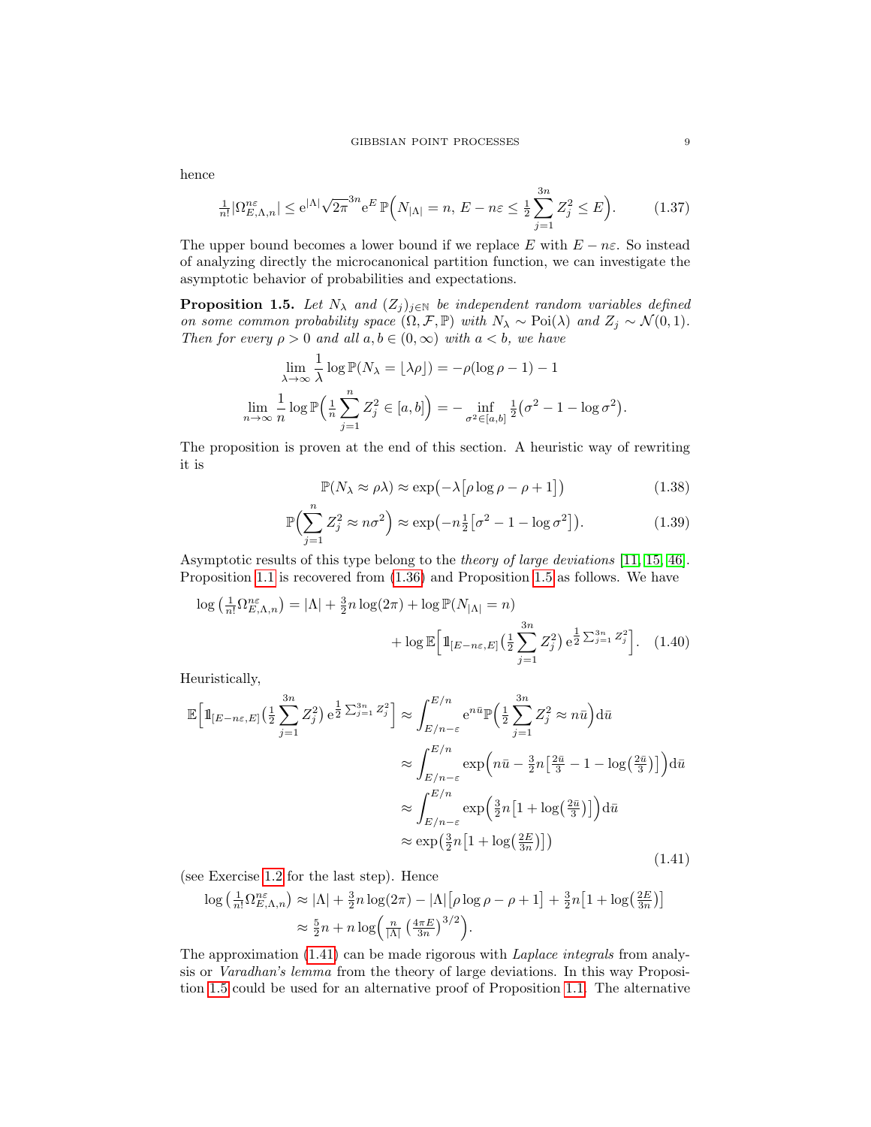#### GIBBSIAN POINT PROCESSES 9

hence

$$
\frac{1}{n!} |\Omega_{E,\Lambda,n}^{n\varepsilon}| \le e^{|\Lambda|} \sqrt{2\pi}^{3n} e^E \,\mathbb{P}\Big(N_{|\Lambda|} = n, \, E - n\varepsilon \le \frac{1}{2} \sum_{j=1}^{3n} Z_j^2 \le E\Big). \tag{1.37}
$$

The upper bound becomes a lower bound if we replace E with  $E - n\varepsilon$ . So instead of analyzing directly the microcanonical partition function, we can investigate the asymptotic behavior of probabilities and expectations.

<span id="page-8-0"></span>**Proposition 1.5.** Let  $N_{\lambda}$  and  $(Z_j)_{j\in\mathbb{N}}$  be independent random variables defined on some common probability space  $(\Omega, \mathcal{F}, \mathbb{P})$  with  $N_{\lambda} \sim \mathrm{Poi}(\lambda)$  and  $Z_i \sim \mathcal{N}(0, 1)$ . Then for every  $\rho > 0$  and all  $a, b \in (0, \infty)$  with  $a < b$ , we have

$$
\lim_{\lambda \to \infty} \frac{1}{\lambda} \log \mathbb{P}(N_{\lambda} = \lfloor \lambda \rho \rfloor) = -\rho(\log \rho - 1) - 1
$$
  

$$
\lim_{n \to \infty} \frac{1}{n} \log \mathbb{P}\left(\frac{1}{n} \sum_{j=1}^{n} Z_j^2 \in [a, b]\right) = -\inf_{\sigma^2 \in [a, b]} \frac{1}{2} (\sigma^2 - 1 - \log \sigma^2).
$$

The proposition is proven at the end of this section. A heuristic way of rewriting it is

$$
\mathbb{P}(N_{\lambda} \approx \rho \lambda) \approx \exp(-\lambda \left[\rho \log \rho - \rho + 1\right])
$$
 (1.38)

$$
\mathbb{P}\left(\sum_{j=1}^{n} Z_j^2 \approx n\sigma^2\right) \approx \exp\left(-n\frac{1}{2} \left[\sigma^2 - 1 - \log \sigma^2\right]\right). \tag{1.39}
$$

Asymptotic results of this type belong to the theory of large deviations [\[11,](#page-103-2) [15,](#page-103-3) [46\]](#page-104-0). Proposition [1.1](#page-3-4) is recovered from [\(1.36\)](#page-7-2) and Proposition [1.5](#page-8-0) as follows. We have

$$
\log\left(\frac{1}{n!}\Omega_{E,\Lambda,n}^{\eta\varepsilon}\right) = |\Lambda| + \frac{3}{2}n\log(2\pi) + \log \mathbb{P}(N_{|\Lambda|} = n)
$$

$$
+ \log \mathbb{E}\left[\mathbb{1}_{[E-n\varepsilon,E]}\left(\frac{1}{2}\sum_{j=1}^{3n} Z_j^2\right) e^{\frac{1}{2}\sum_{j=1}^{3n} Z_j^2}\right]. \quad (1.40)
$$

Heuristically,

<span id="page-8-1"></span>
$$
\mathbb{E}\Big[\mathbb{1}_{[E-n\varepsilon,E]}\big(\frac{1}{2}\sum_{j=1}^{3n}Z_j^2\big)e^{\frac{1}{2}\sum_{j=1}^{3n}Z_j^2}\Big] \approx \int_{E/n-\varepsilon}^{E/n} e^{n\bar{u}}\mathbb{P}\Big(\frac{1}{2}\sum_{j=1}^{3n}Z_j^2\approx n\bar{u}\Big)d\bar{u}
$$

$$
\approx \int_{E/n-\varepsilon}^{E/n} \exp\Big(n\bar{u}-\frac{3}{2}n\big[\frac{2\bar{u}}{3}-1-\log\big(\frac{2\bar{u}}{3}\big)\big]\Big)d\bar{u}
$$

$$
\approx \int_{E/n-\varepsilon}^{E/n} \exp\Big(\frac{3}{2}n\big[1+\log\big(\frac{2\bar{u}}{3}\big)\big]\Big)d\bar{u}
$$

$$
\approx \exp\big(\frac{3}{2}n\big[1+\log\big(\frac{2E}{3n}\big)\big]\Big)
$$
(1.41)

(see Exercise [1.2](#page-12-1) for the last step). Hence

$$
\log\left(\frac{1}{n!}\Omega_{E,\Lambda,n}^{n\varepsilon}\right) \approx |\Lambda| + \frac{3}{2}n\log(2\pi) - |\Lambda|\left[\rho\log\rho - \rho + 1\right] + \frac{3}{2}n\left[1 + \log\left(\frac{2E}{3n}\right)\right]
$$

$$
\approx \frac{5}{2}n + n\log\left(\frac{n}{|\Lambda|}\left(\frac{4\pi E}{3n}\right)^{3/2}\right).
$$

The approximation  $(1.41)$  can be made rigorous with *Laplace integrals* from analysis or Varadhan's lemma from the theory of large deviations. In this way Proposition [1.5](#page-8-0) could be used for an alternative proof of Proposition [1.1.](#page-3-4) The alternative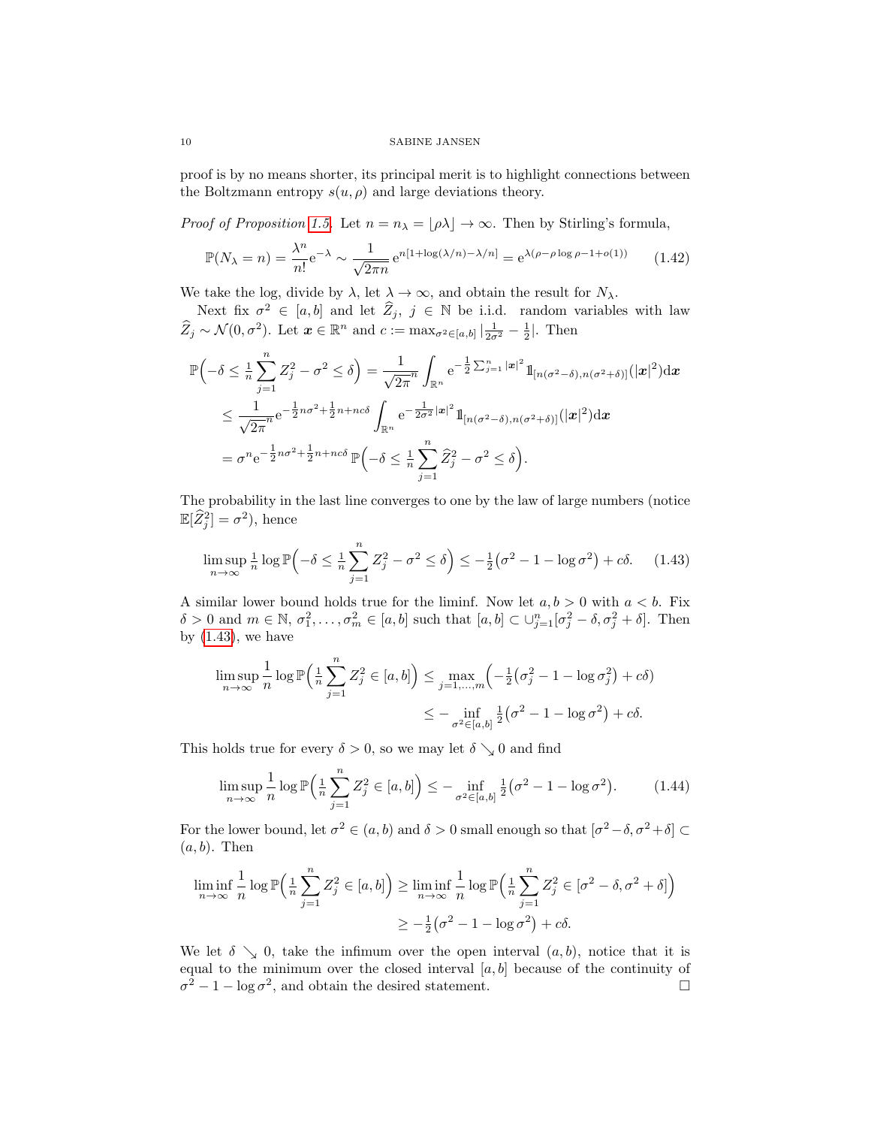proof is by no means shorter, its principal merit is to highlight connections between the Boltzmann entropy  $s(u, \rho)$  and large deviations theory.

*Proof of Proposition [1.5.](#page-8-0)* Let  $n = n_{\lambda} = \lfloor \rho \lambda \rfloor \rightarrow \infty$ . Then by Stirling's formula,

$$
\mathbb{P}(N_{\lambda}=n) = \frac{\lambda^n}{n!} e^{-\lambda} \sim \frac{1}{\sqrt{2\pi n}} e^{n[1+\log(\lambda/n)-\lambda/n]} = e^{\lambda(\rho-\rho\log\rho-1+o(1))}
$$
(1.42)

We take the log, divide by  $\lambda$ , let  $\lambda \to \infty$ , and obtain the result for  $N_{\lambda}$ .

Next fix  $\sigma^2 \in [a, b]$  and let  $\hat{Z}_j$ ,  $j \in \mathbb{N}$  be i.i.d. random variables with law  $\widehat{Z}_j \sim \mathcal{N}(0, \sigma^2)$ . Let  $\boldsymbol{x} \in \mathbb{R}^n$  and  $c := \max_{\sigma^2 \in [a, b]} |\frac{1}{2\sigma^2} - \frac{1}{2}|$ . Then

$$
\mathbb{P}\left(-\delta \leq \frac{1}{n}\sum_{j=1}^{n} Z_j^2 - \sigma^2 \leq \delta\right) = \frac{1}{\sqrt{2\pi}^n} \int_{\mathbb{R}^n} e^{-\frac{1}{2}\sum_{j=1}^n |\mathbf{x}|^2} \mathbb{1}_{[n(\sigma^2-\delta), n(\sigma^2+\delta)]}(|\mathbf{x}|^2) d\mathbf{x}
$$
  
\n
$$
\leq \frac{1}{\sqrt{2\pi}^n} e^{-\frac{1}{2}n\sigma^2 + \frac{1}{2}n + n\sigma\delta} \int_{\mathbb{R}^n} e^{-\frac{1}{2\sigma^2}|\mathbf{x}|^2} \mathbb{1}_{[n(\sigma^2-\delta), n(\sigma^2+\delta)]}(|\mathbf{x}|^2) d\mathbf{x}
$$
  
\n
$$
= \sigma^n e^{-\frac{1}{2}n\sigma^2 + \frac{1}{2}n + n\sigma\delta} \mathbb{P}\left(-\delta \leq \frac{1}{n}\sum_{j=1}^{n} \widehat{Z}_j^2 - \sigma^2 \leq \delta\right).
$$

The probability in the last line converges to one by the law of large numbers (notice  $\mathbb{E}[\widehat{Z}_{j}^{2}]=\sigma^{2}$ ), hence

<span id="page-9-0"></span>
$$
\limsup_{n \to \infty} \frac{1}{n} \log \mathbb{P}\left(-\delta \le \frac{1}{n} \sum_{j=1}^n Z_j^2 - \sigma^2 \le \delta\right) \le -\frac{1}{2} (\sigma^2 - 1 - \log \sigma^2) + c\delta. \tag{1.43}
$$

A similar lower bound holds true for the liminf. Now let  $a, b > 0$  with  $a < b$ . Fix  $\delta > 0$  and  $m \in \mathbb{N}$ ,  $\sigma_1^2, \ldots, \sigma_m^2 \in [a, b]$  such that  $[a, b] \subset \bigcup_{j=1}^n [\sigma_j^2 - \delta, \sigma_j^2 + \delta].$  Then by  $(1.43)$ , we have

$$
\limsup_{n \to \infty} \frac{1}{n} \log \mathbb{P}\left(\frac{1}{n} \sum_{j=1}^{n} Z_j^2 \in [a, b]\right) \le \max_{j=1,\dots,m} \left(-\frac{1}{2} \left(\sigma_j^2 - 1 - \log \sigma_j^2\right) + c\delta\right)
$$

$$
\le -\inf_{\sigma^2 \in [a, b]} \frac{1}{2} \left(\sigma^2 - 1 - \log \sigma^2\right) + c\delta.
$$

This holds true for every  $\delta > 0$ , so we may let  $\delta \searrow 0$  and find

$$
\limsup_{n \to \infty} \frac{1}{n} \log \mathbb{P}\left(\frac{1}{n} \sum_{j=1}^{n} Z_j^2 \in [a, b]\right) \le - \inf_{\sigma^2 \in [a, b]} \frac{1}{2} (\sigma^2 - 1 - \log \sigma^2). \tag{1.44}
$$

For the lower bound, let  $\sigma^2 \in (a, b)$  and  $\delta > 0$  small enough so that  $[\sigma^2 - \delta, \sigma^2 + \delta] \subset$  $(a, b)$ . Then

$$
\liminf_{n \to \infty} \frac{1}{n} \log \mathbb{P}\left(\frac{1}{n} \sum_{j=1}^{n} Z_j^2 \in [a, b]\right) \ge \liminf_{n \to \infty} \frac{1}{n} \log \mathbb{P}\left(\frac{1}{n} \sum_{j=1}^{n} Z_j^2 \in [\sigma^2 - \delta, \sigma^2 + \delta]\right)
$$

$$
\ge -\frac{1}{2} (\sigma^2 - 1 - \log \sigma^2) + c\delta.
$$

We let  $\delta \searrow 0$ , take the infimum over the open interval  $(a, b)$ , notice that it is equal to the minimum over the closed interval  $[a, b]$  because of the continuity of  $\sigma^2 - 1 - \log \sigma^2$ , and obtain the desired statement.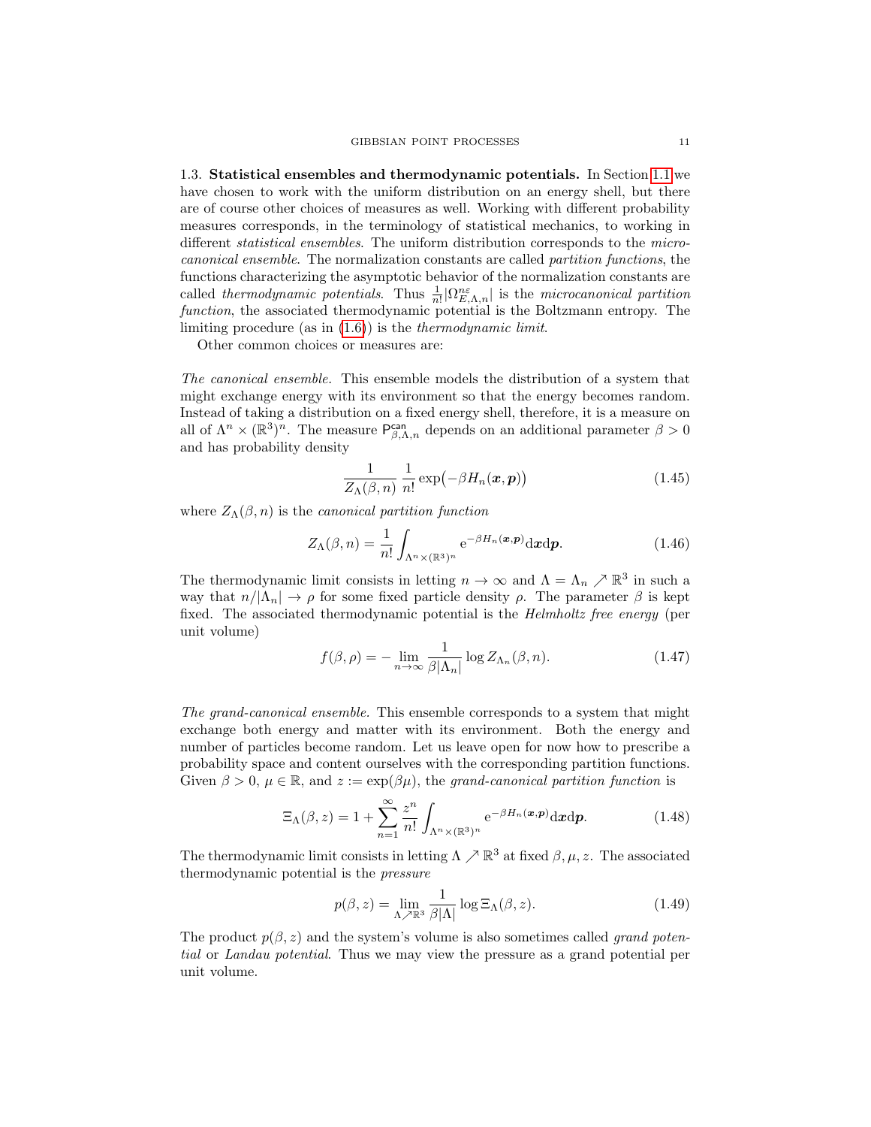<span id="page-10-0"></span>1.3. Statistical ensembles and thermodynamic potentials. In Section [1.1](#page-3-1) we have chosen to work with the uniform distribution on an energy shell, but there are of course other choices of measures as well. Working with different probability measures corresponds, in the terminology of statistical mechanics, to working in different statistical ensembles. The uniform distribution corresponds to the microcanonical ensemble. The normalization constants are called partition functions, the functions characterizing the asymptotic behavior of the normalization constants are called thermodynamic potentials. Thus  $\frac{1}{n!} |\Omega_{E,\Lambda,n}^{n\epsilon}|$  is the microcanonical partition function, the associated thermodynamic potential is the Boltzmann entropy. The limiting procedure (as in  $(1.6)$ ) is the *thermodynamic limit.* 

Other common choices or measures are:

The canonical ensemble. This ensemble models the distribution of a system that might exchange energy with its environment so that the energy becomes random. Instead of taking a distribution on a fixed energy shell, therefore, it is a measure on all of  $\Lambda^n \times (\mathbb{R}^3)^n$ . The measure  $P_{\beta,\Lambda,n}^{can}$  depends on an additional parameter  $\beta > 0$ and has probability density

$$
\frac{1}{Z_{\Lambda}(\beta,n)}\frac{1}{n!}\exp(-\beta H_n(\boldsymbol{x},\boldsymbol{p}))\tag{1.45}
$$

where  $Z_{\Lambda}(\beta, n)$  is the *canonical partition function* 

<span id="page-10-2"></span>
$$
Z_{\Lambda}(\beta, n) = \frac{1}{n!} \int_{\Lambda^n \times (\mathbb{R}^3)^n} e^{-\beta H_n(\boldsymbol{x}, \boldsymbol{p})} d\boldsymbol{x} d\boldsymbol{p}.
$$
 (1.46)

The thermodynamic limit consists in letting  $n \to \infty$  and  $\Lambda = \Lambda_n \nearrow \mathbb{R}^3$  in such a way that  $n/|\Lambda_n| \to \rho$  for some fixed particle density  $\rho$ . The parameter  $\beta$  is kept fixed. The associated thermodynamic potential is the Helmholtz free energy (per unit volume)

$$
f(\beta,\rho) = -\lim_{n \to \infty} \frac{1}{\beta |\Lambda_n|} \log Z_{\Lambda_n}(\beta,n). \tag{1.47}
$$

The grand-canonical ensemble. This ensemble corresponds to a system that might exchange both energy and matter with its environment. Both the energy and number of particles become random. Let us leave open for now how to prescribe a probability space and content ourselves with the corresponding partition functions. Given  $\beta > 0$ ,  $\mu \in \mathbb{R}$ , and  $z := \exp(\beta \mu)$ , the *grand-canonical partition function* is

$$
\Xi_{\Lambda}(\beta, z) = 1 + \sum_{n=1}^{\infty} \frac{z^n}{n!} \int_{\Lambda^n \times (\mathbb{R}^3)^n} e^{-\beta H_n(\boldsymbol{x}, \boldsymbol{p})} d\boldsymbol{x} d\boldsymbol{p}.
$$
 (1.48)

The thermodynamic limit consists in letting  $\Lambda \nearrow \mathbb{R}^3$  at fixed  $\beta, \mu, z$ . The associated thermodynamic potential is the pressure

<span id="page-10-1"></span>
$$
p(\beta, z) = \lim_{\Lambda \nearrow \mathbb{R}^3} \frac{1}{\beta |\Lambda|} \log \Xi_{\Lambda}(\beta, z). \tag{1.49}
$$

The product  $p(\beta, z)$  and the system's volume is also sometimes called grand potential or Landau potential. Thus we may view the pressure as a grand potential per unit volume.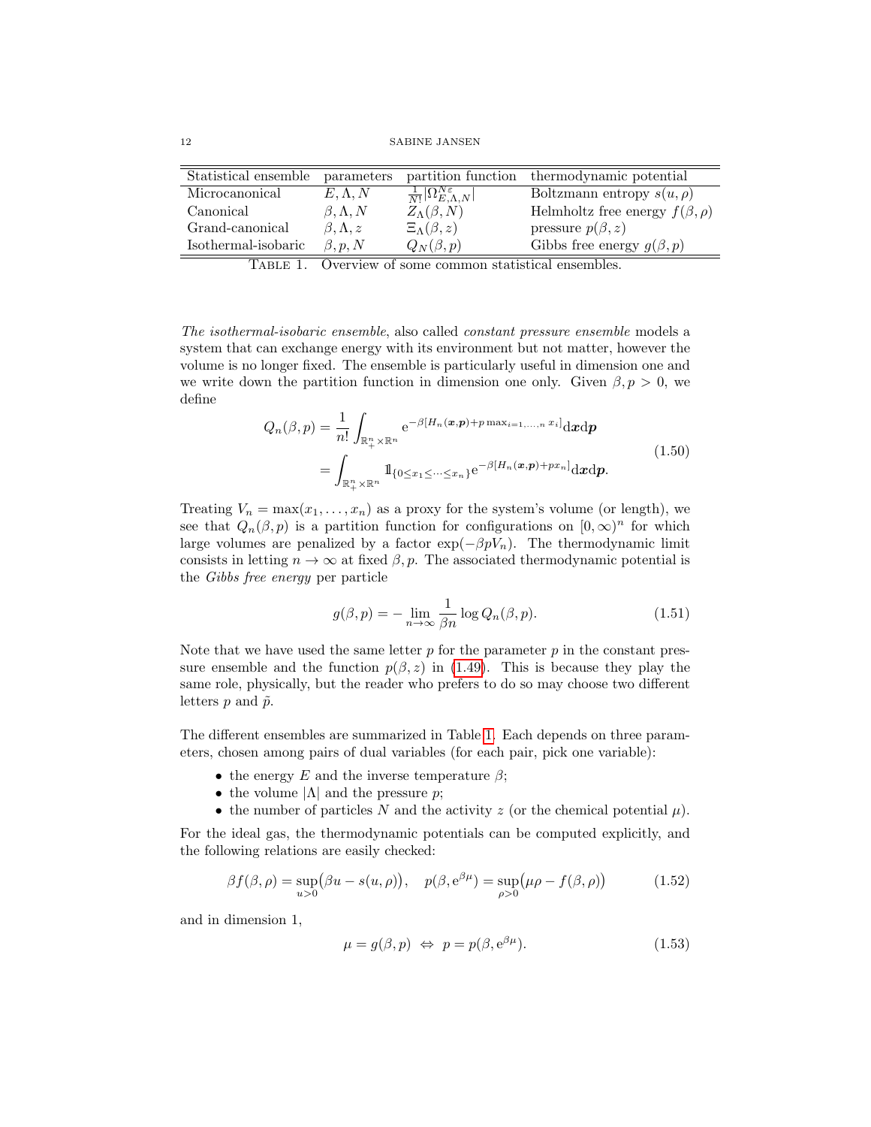12 SABINE JANSEN

| Statistical ensemble | parameters          | partition function                                  | thermodynamic potential                |
|----------------------|---------------------|-----------------------------------------------------|----------------------------------------|
| Microcanonical       | $E, \Lambda, N$     | $\frac{1}{N!} \Omega_{E,\Lambda,N}^{N\varepsilon} $ | Boltzmann entropy $s(u, \rho)$         |
| Canonical            | $\beta, \Lambda, N$ | $Z_{\Lambda}(\beta,N)$                              | Helmholtz free energy $f(\beta, \rho)$ |
| Grand-canonical      | $\beta, \Lambda, z$ | $\Xi_{\Lambda}(\beta,z)$                            | pressure $p(\beta, z)$                 |
| Isothermal-isobaric  | $\beta, p, N$       | $Q_N(\beta,p)$                                      | Gibbs free energy $g(\beta, p)$        |

<span id="page-11-0"></span>TABLE 1. Overview of some common statistical ensembles.

The isothermal-isobaric ensemble, also called constant pressure ensemble models a system that can exchange energy with its environment but not matter, however the volume is no longer fixed. The ensemble is particularly useful in dimension one and we write down the partition function in dimension one only. Given  $\beta, p > 0$ , we define

$$
Q_n(\beta, p) = \frac{1}{n!} \int_{\mathbb{R}_+^n \times \mathbb{R}^n} e^{-\beta [H_n(\boldsymbol{x}, \boldsymbol{p}) + p \max_{i=1,\dots,n} x_i]} d\boldsymbol{x} d\boldsymbol{p}
$$
  
= 
$$
\int_{\mathbb{R}_+^n \times \mathbb{R}^n} \mathbb{1}_{\{0 \le x_1 \le \dots \le x_n\}} e^{-\beta [H_n(\boldsymbol{x}, \boldsymbol{p}) + px_n]} d\boldsymbol{x} d\boldsymbol{p}.
$$
 (1.50)

Treating  $V_n = \max(x_1, \ldots, x_n)$  as a proxy for the system's volume (or length), we see that  $Q_n(\beta, p)$  is a partition function for configurations on  $[0, \infty)^n$  for which large volumes are penalized by a factor  $exp(-\beta pV_n)$ . The thermodynamic limit consists in letting  $n \to \infty$  at fixed  $\beta$ ,  $p$ . The associated thermodynamic potential is the Gibbs free energy per particle

$$
g(\beta, p) = -\lim_{n \to \infty} \frac{1}{\beta n} \log Q_n(\beta, p). \tag{1.51}
$$

Note that we have used the same letter  $p$  for the parameter  $p$  in the constant pressure ensemble and the function  $p(\beta, z)$  in [\(1.49\)](#page-10-1). This is because they play the same role, physically, but the reader who prefers to do so may choose two different letters  $p$  and  $\tilde{p}$ .

The different ensembles are summarized in Table [1.](#page-11-0) Each depends on three parameters, chosen among pairs of dual variables (for each pair, pick one variable):

- the energy E and the inverse temperature  $\beta$ ;
- the volume  $|\Lambda|$  and the pressure p;
- the number of particles N and the activity z (or the chemical potential  $\mu$ ).

For the ideal gas, the thermodynamic potentials can be computed explicitly, and the following relations are easily checked:

<span id="page-11-1"></span>
$$
\beta f(\beta, \rho) = \sup_{u>0} (\beta u - s(u, \rho)), \quad p(\beta, e^{\beta \mu}) = \sup_{\rho>0} (\mu \rho - f(\beta, \rho)) \tag{1.52}
$$

and in dimension 1,

$$
\mu = g(\beta, p) \iff p = p(\beta, e^{\beta \mu}). \tag{1.53}
$$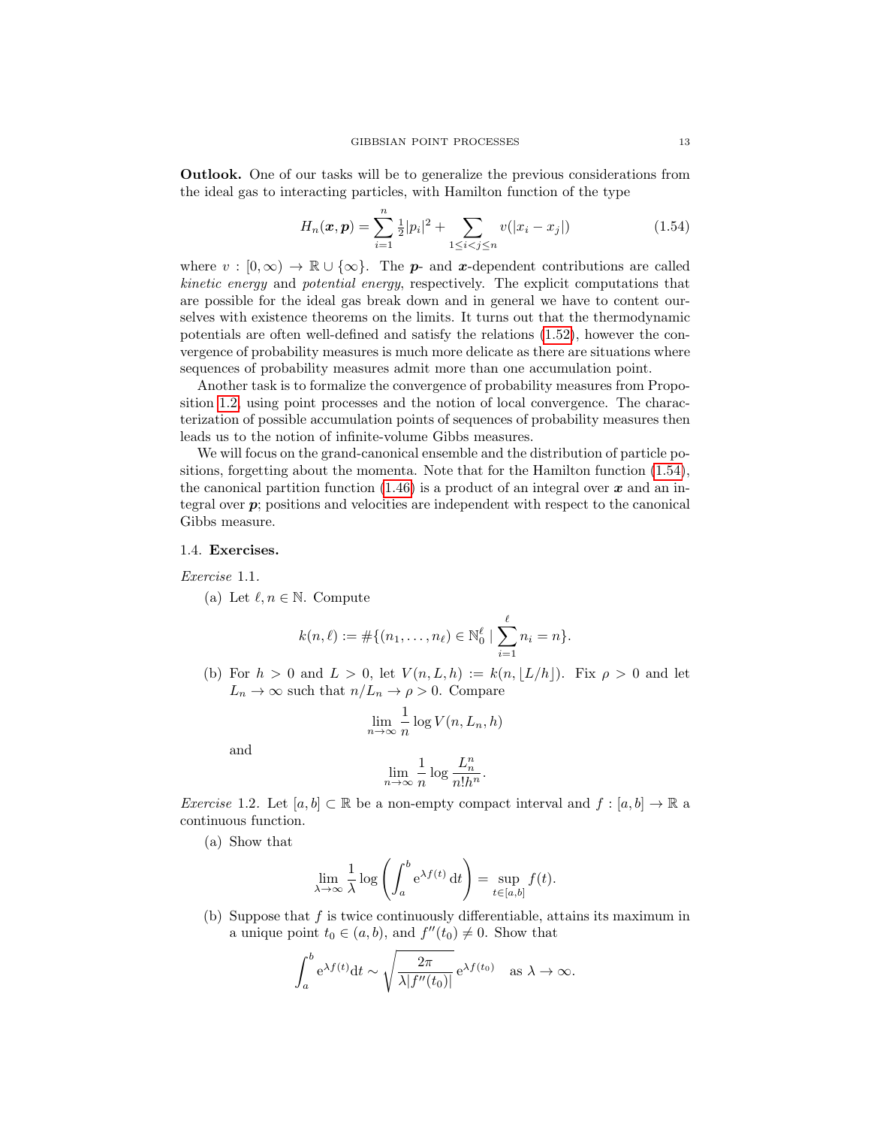Outlook. One of our tasks will be to generalize the previous considerations from the ideal gas to interacting particles, with Hamilton function of the type

<span id="page-12-2"></span>
$$
H_n(\boldsymbol{x}, \boldsymbol{p}) = \sum_{i=1}^n \frac{1}{2} |p_i|^2 + \sum_{1 \le i < j \le n} v(|x_i - x_j|) \tag{1.54}
$$

where  $v : [0, \infty) \to \mathbb{R} \cup {\infty}$ . The **p**- and **x**-dependent contributions are called kinetic energy and potential energy, respectively. The explicit computations that are possible for the ideal gas break down and in general we have to content ourselves with existence theorems on the limits. It turns out that the thermodynamic potentials are often well-defined and satisfy the relations [\(1.52\)](#page-11-1), however the convergence of probability measures is much more delicate as there are situations where sequences of probability measures admit more than one accumulation point.

Another task is to formalize the convergence of probability measures from Proposition [1.2,](#page-5-0) using point processes and the notion of local convergence. The characterization of possible accumulation points of sequences of probability measures then leads us to the notion of infinite-volume Gibbs measures.

We will focus on the grand-canonical ensemble and the distribution of particle positions, forgetting about the momenta. Note that for the Hamilton function [\(1.54\)](#page-12-2), the canonical partition function  $(1.46)$  is a product of an integral over x and an integral over  $\boldsymbol{p}$ ; positions and velocities are independent with respect to the canonical Gibbs measure.

## <span id="page-12-0"></span>1.4. Exercises.

Exercise 1.1.

(a) Let  $\ell, n \in \mathbb{N}$ . Compute

$$
k(n,\ell) := \#\{(n_1,\ldots,n_\ell) \in \mathbb{N}_0^\ell \mid \sum_{i=1}^\ell n_i = n\}.
$$

(b) For  $h > 0$  and  $L > 0$ , let  $V(n, L, h) := k(n, |L/h|)$ . Fix  $\rho > 0$  and let  $L_n \to \infty$  such that  $n/L_n \to \rho > 0$ . Compare

$$
\lim_{n \to \infty} \frac{1}{n} \log V(n, L_n, h)
$$

and

$$
\lim_{n \to \infty} \frac{1}{n} \log \frac{L_n^n}{n! h^n}.
$$

<span id="page-12-1"></span>*Exercise* 1.2. Let  $[a, b] \subset \mathbb{R}$  be a non-empty compact interval and  $f : [a, b] \to \mathbb{R}$  a continuous function.

(a) Show that

$$
\lim_{\lambda \to \infty} \frac{1}{\lambda} \log \left( \int_a^b e^{\lambda f(t)} dt \right) = \sup_{t \in [a, b]} f(t).
$$

(b) Suppose that  $f$  is twice continuously differentiable, attains its maximum in a unique point  $t_0 \in (a, b)$ , and  $f''(t_0) \neq 0$ . Show that

$$
\int_a^b e^{\lambda f(t)} dt \sim \sqrt{\frac{2\pi}{\lambda |f''(t_0)|}} e^{\lambda f(t_0)} \quad \text{as } \lambda \to \infty.
$$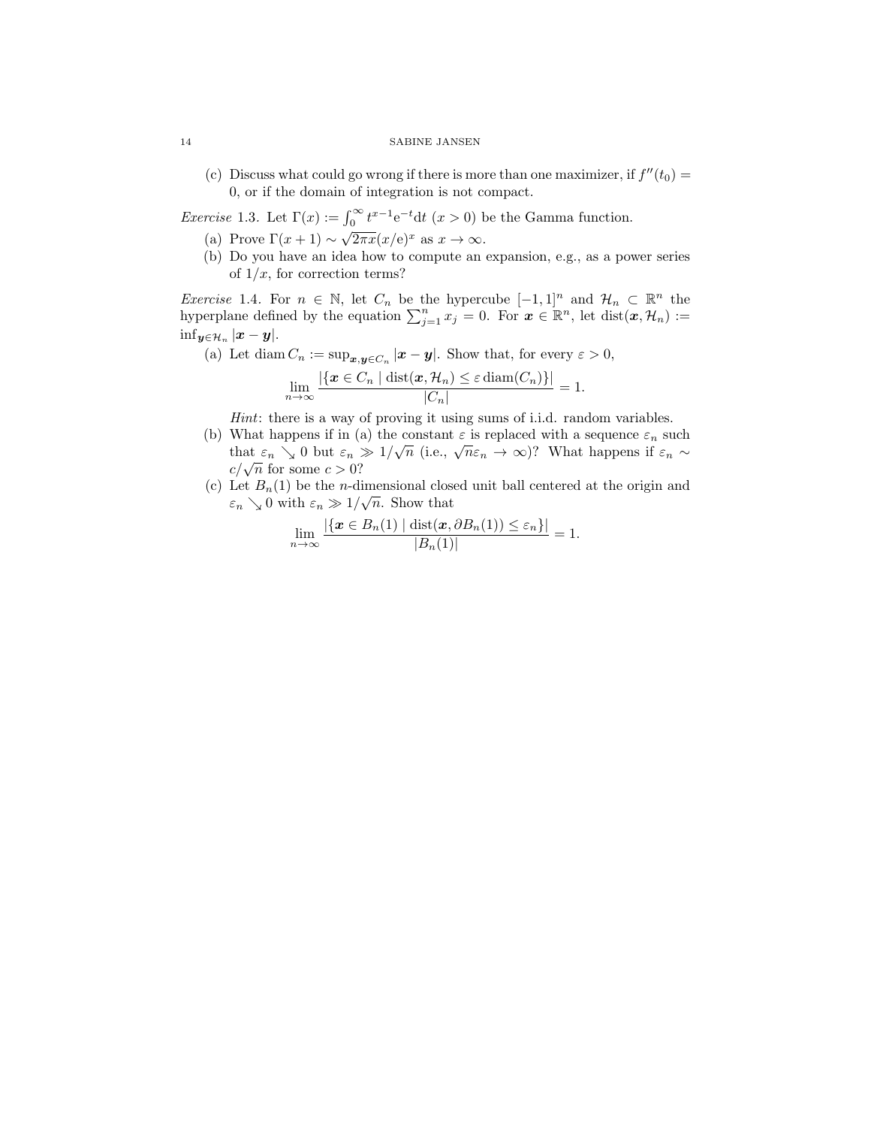### 14 SABINE JANSEN

(c) Discuss what could go wrong if there is more than one maximizer, if  $f''(t_0) =$ 0, or if the domain of integration is not compact.

<span id="page-13-0"></span>Exercise 1.3. Let  $\Gamma(x) := \int_0^\infty t^{x-1} e^{-t} dt$   $(x > 0)$  be the Gamma function.

- (a) Prove  $\Gamma(x+1) \sim \sqrt{2\pi x} (x/e)^x$  as  $x \to \infty$ .
- (b) Do you have an idea how to compute an expansion, e.g., as a power series of  $1/x$ , for correction terms?

*Exercise* 1.4. For  $n \in \mathbb{N}$ , let  $C_n$  be the hypercube  $[-1,1]^n$  and  $\mathcal{H}_n \subset \mathbb{R}^n$  the hyperplane defined by the equation  $\sum_{j=1}^{n} x_j = 0$ . For  $x \in \mathbb{R}^n$ , let  $dist(x, \mathcal{H}_n) :=$  $\inf_{\bm{y} \in \mathcal{H}_n} |\bm{x} - \bm{y}|.$ 

(a) Let  $\text{diam } C_n := \sup_{\bm{x}, \bm{y} \in C_n} |\bm{x} - \bm{y}|$ . Show that, for every  $\varepsilon > 0$ ,

$$
\lim_{n\to\infty} \frac{|\{\boldsymbol{x}\in C_n \mid \text{dist}(\boldsymbol{x},\mathcal{H}_n)\leq \varepsilon \text{diam}(C_n)\}|}{|C_n|}=1.
$$

Hint: there is a way of proving it using sums of i.i.d. random variables.

- (b) What happens if in (a) the constant  $\varepsilon$  is replaced with a sequence  $\varepsilon_n$  such What happens if in (a) the constant  $\varepsilon$  is replaced with a sequence  $\varepsilon_n$  such that  $\varepsilon_n \searrow 0$  but  $\varepsilon_n \gg 1/\sqrt{n}$  (i.e.,  $\sqrt{n}\varepsilon_n \to \infty$ )? What happens if  $\varepsilon_n \sim c/\sqrt{n}$  for some  $c > 0$ ?
- (c) Let  $B_n(1)$  be the *n*-dimensional closed unit ball centered at the origin and  $\varepsilon_n \searrow 0$  with  $\varepsilon_n \gg 1/\sqrt{n}$ . Show that

$$
\lim_{n\to\infty}\frac{|\{\boldsymbol{x}\in B_n(1)\mid \text{dist}(\boldsymbol{x},\partial B_n(1))\leq \varepsilon_n\}|}{|B_n(1)|}=1.
$$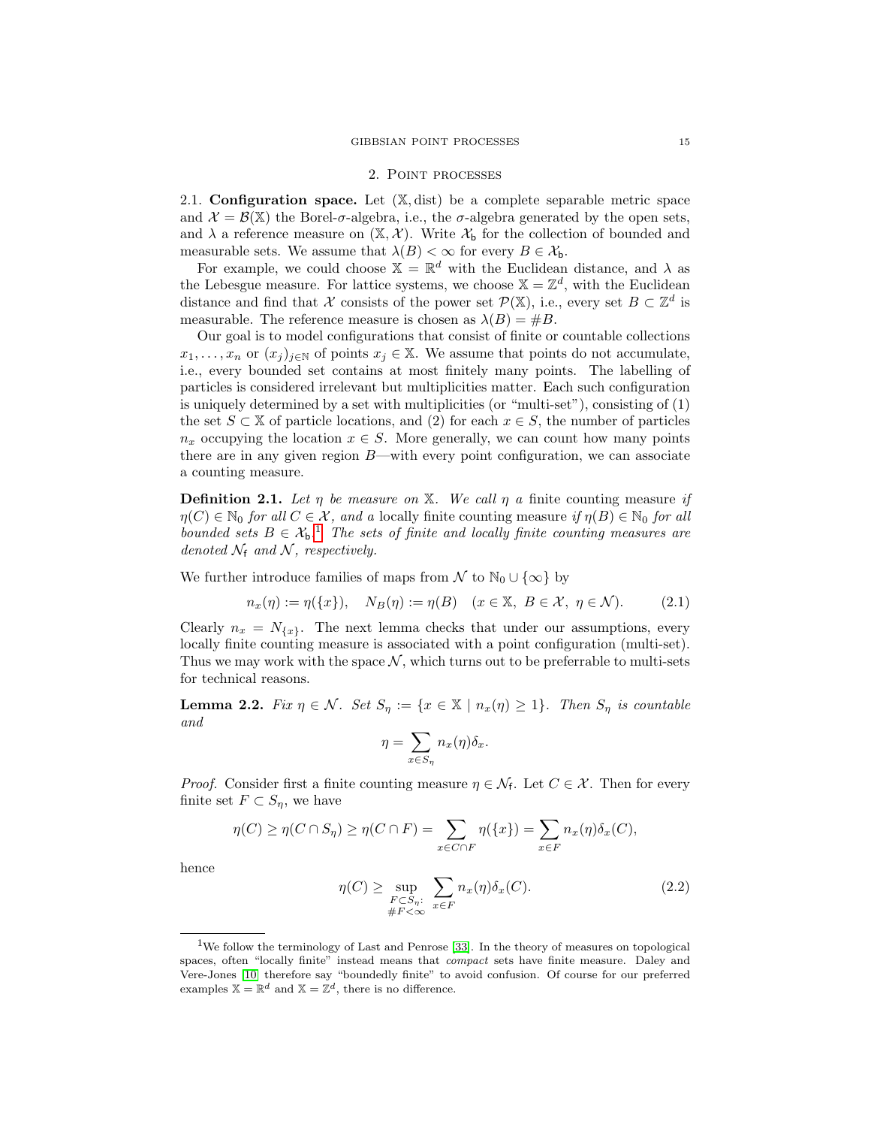### 2. Point processes

<span id="page-14-1"></span><span id="page-14-0"></span>2.1. **Configuration space.** Let  $(X, dist)$  be a complete separable metric space and  $\mathcal{X} = \mathcal{B}(\mathbb{X})$  the Borel- $\sigma$ -algebra, i.e., the  $\sigma$ -algebra generated by the open sets, and  $\lambda$  a reference measure on  $(\mathbb{X}, \mathcal{X})$ . Write  $\mathcal{X}_{\mathbf{b}}$  for the collection of bounded and measurable sets. We assume that  $\lambda(B) < \infty$  for every  $B \in \mathcal{X}_{\mathbf{b}}$ .

For example, we could choose  $\mathbb{X} = \mathbb{R}^d$  with the Euclidean distance, and  $\lambda$  as the Lebesgue measure. For lattice systems, we choose  $\mathbb{X} = \mathbb{Z}^d$ , with the Euclidean distance and find that X consists of the power set  $\mathcal{P}(\mathbb{X})$ , i.e., every set  $B \subset \mathbb{Z}^d$  is measurable. The reference measure is chosen as  $\lambda(B) = \#B$ .

Our goal is to model configurations that consist of finite or countable collections  $x_1, \ldots, x_n$  or  $(x_i)_{i\in\mathbb{N}}$  of points  $x_i \in \mathbb{X}$ . We assume that points do not accumulate, i.e., every bounded set contains at most finitely many points. The labelling of particles is considered irrelevant but multiplicities matter. Each such configuration is uniquely determined by a set with multiplicities (or "multi-set"), consisting of (1) the set  $S \subset \mathbb{X}$  of particle locations, and (2) for each  $x \in S$ , the number of particles  $n_x$  occupying the location  $x \in S$ . More generally, we can count how many points there are in any given region  $B$ —with every point configuration, we can associate a counting measure.

**Definition 2.1.** Let  $\eta$  be measure on X. We call  $\eta$  a finite counting measure if  $\eta(C) \in \mathbb{N}_0$  for all  $C \in \mathcal{X}$ , and a locally finite counting measure if  $\eta(B) \in \mathbb{N}_0$  for all bounded sets  $B \in \mathcal{X}_{b}$ .<sup>[1](#page-14-2)</sup> The sets of finite and locally finite counting measures are denoted  $\mathcal{N}_f$  and  $\mathcal{N}_f$ , respectively.

We further introduce families of maps from N to  $\mathbb{N}_0 \cup \{\infty\}$  by

$$
n_x(\eta) := \eta(\{x\}), \quad N_B(\eta) := \eta(B) \quad (x \in \mathbb{X}, \ B \in \mathcal{X}, \ \eta \in \mathcal{N}). \tag{2.1}
$$

Clearly  $n_x = N_{\{x\}}$ . The next lemma checks that under our assumptions, every locally finite counting measure is associated with a point configuration (multi-set). Thus we may work with the space  $\mathcal{N}$ , which turns out to be preferrable to multi-sets for technical reasons.

<span id="page-14-4"></span>**Lemma 2.2.** Fix  $\eta \in \mathcal{N}$ . Set  $S_{\eta} := \{x \in \mathbb{X} \mid n_x(\eta) \geq 1\}$ . Then  $S_{\eta}$  is countable and

$$
\eta = \sum_{x \in S_{\eta}} n_x(\eta) \delta_x.
$$

*Proof.* Consider first a finite counting measure  $\eta \in \mathcal{N}_f$ . Let  $C \in \mathcal{X}$ . Then for every finite set  $F \subset S_{\eta}$ , we have

$$
\eta(C) \ge \eta(C \cap S_{\eta}) \ge \eta(C \cap F) = \sum_{x \in C \cap F} \eta(\{x\}) = \sum_{x \in F} n_x(\eta) \delta_x(C),
$$

hence

<span id="page-14-3"></span>
$$
\eta(C) \ge \sup_{\substack{F \subset S_{\eta}: \\ \#F < \infty}} \sum_{x \in F} n_x(\eta) \delta_x(C). \tag{2.2}
$$

<span id="page-14-2"></span><sup>1</sup>We follow the terminology of Last and Penrose [\[33\]](#page-104-1). In the theory of measures on topological spaces, often "locally finite" instead means that compact sets have finite measure. Daley and Vere-Jones [\[10\]](#page-103-4) therefore say "boundedly finite" to avoid confusion. Of course for our preferred examples  $\mathbb{X} = \mathbb{R}^d$  and  $\mathbb{X} = \mathbb{Z}^d$ , there is no difference.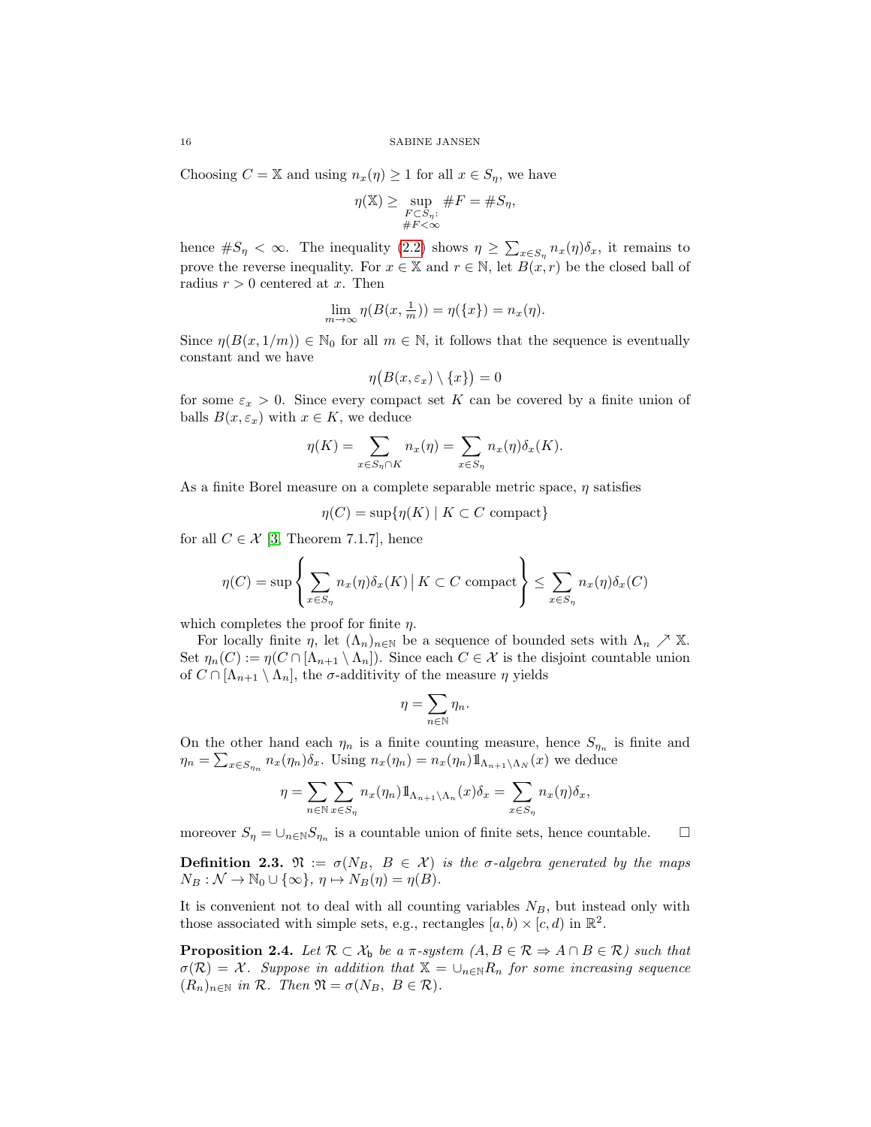Choosing  $C = \mathbb{X}$  and using  $n_x(\eta) \geq 1$  for all  $x \in S_\eta$ , we have

$$
\eta(\mathbb{X}) \ge \sup_{\substack{F \subset S_{\eta}: \\ \#F < \infty}} \#F = \#S_{\eta},
$$

hence  $\#S_{\eta} < \infty$ . The inequality [\(2.2\)](#page-14-3) shows  $\eta \geq \sum_{x \in S_{\eta}} n_x(\eta) \delta_x$ , it remains to prove the reverse inequality. For  $x \in \mathbb{X}$  and  $r \in \mathbb{N}$ , let  $B(x, r)$  be the closed ball of radius  $r > 0$  centered at x. Then

$$
\lim_{m \to \infty} \eta(B(x, \frac{1}{m})) = \eta(\lbrace x \rbrace) = n_x(\eta).
$$

Since  $\eta(B(x, 1/m)) \in \mathbb{N}_0$  for all  $m \in \mathbb{N}$ , it follows that the sequence is eventually constant and we have

$$
\eta(B(x, \varepsilon_x) \setminus \{x\}) = 0
$$

for some  $\varepsilon_x > 0$ . Since every compact set K can be covered by a finite union of balls  $B(x, \varepsilon_x)$  with  $x \in K$ , we deduce

$$
\eta(K) = \sum_{x \in S_{\eta} \cap K} n_x(\eta) = \sum_{x \in S_{\eta}} n_x(\eta) \delta_x(K).
$$

As a finite Borel measure on a complete separable metric space,  $\eta$  satisfies

 $\eta(C) = \sup \{ \eta(K) \mid K \subset C \text{ compact} \}$ 

for all  $C \in \mathcal{X}$  [\[3,](#page-103-5) Theorem 7.1.7], hence

$$
\eta(C) = \sup \left\{ \sum_{x \in S_{\eta}} n_x(\eta) \delta_x(K) \mid K \subset C \text{ compact} \right\} \le \sum_{x \in S_{\eta}} n_x(\eta) \delta_x(C)
$$

which completes the proof for finite  $\eta$ .

For locally finite  $\eta$ , let  $(\Lambda_n)_{n\in\mathbb{N}}$  be a sequence of bounded sets with  $\Lambda_n \nearrow \mathbb{X}$ . Set  $\eta_n(C) := \eta(C \cap [\Lambda_{n+1} \setminus \Lambda_n])$ . Since each  $C \in \mathcal{X}$  is the disjoint countable union of  $C \cap [\Lambda_{n+1} \setminus \Lambda_n]$ , the  $\sigma$ -additivity of the measure  $\eta$  yields

$$
\eta = \sum_{n \in \mathbb{N}} \eta_n.
$$

On the other hand each  $\eta_n$  is a finite counting measure, hence  $S_{\eta_n}$  is finite and  $\eta_n = \sum_{x \in S_{\eta_n}} n_x(\eta_n) \delta_x$ . Using  $n_x(\eta_n) = n_x(\eta_n) 1\!\!1_{\Lambda_{n+1} \setminus \Lambda_N}(x)$  we deduce

$$
\eta = \sum_{n \in \mathbb{N}} \sum_{x \in S_n} n_x(\eta_n) 1\!\!1_{\Lambda_{n+1} \setminus \Lambda_n}(x) \delta_x = \sum_{x \in S_n} n_x(\eta) \delta_x,
$$

moreover  $S_{\eta} = \bigcup_{n \in \mathbb{N}} S_{\eta_n}$  is a countable union of finite sets, hence countable.  $\Box$ 

**Definition 2.3.**  $\mathfrak{N} := \sigma(N_B, B \in \mathcal{X})$  is the  $\sigma$ -algebra generated by the maps  $N_B : \mathcal{N} \to \mathbb{N}_0 \cup \{\infty\}, \eta \mapsto N_B(\eta) = \eta(B).$ 

It is convenient not to deal with all counting variables  $N_B$ , but instead only with those associated with simple sets, e.g., rectangles  $[a, b) \times [c, d)$  in  $\mathbb{R}^2$ .

<span id="page-15-0"></span>**Proposition 2.4.** Let  $\mathcal{R} \subset \mathcal{X}_b$  be a  $\pi$ -system  $(A, B \in \mathcal{R} \Rightarrow A \cap B \in \mathcal{R})$  such that  $\sigma(\mathcal{R}) = \mathcal{X}$ . Suppose in addition that  $\mathbb{X} = \bigcup_{n \in \mathbb{N}} R_n$  for some increasing sequence  $(R_n)_{n \in \mathbb{N}}$  in  $\mathcal{R}$ . Then  $\mathfrak{N} = \sigma(N_B, B \in \mathcal{R})$ .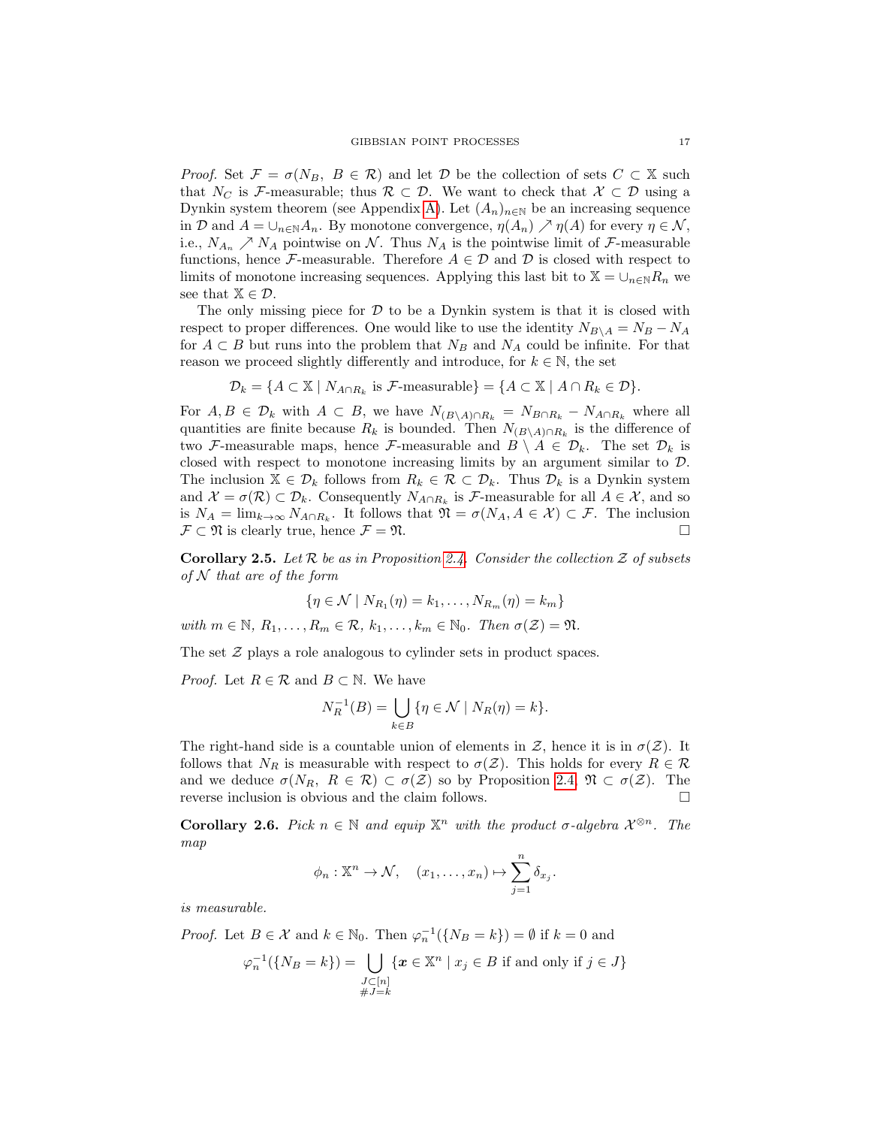*Proof.* Set  $\mathcal{F} = \sigma(N_B, B \in \mathcal{R})$  and let  $\mathcal{D}$  be the collection of sets  $C \subset \mathbb{X}$  such that  $N_C$  is F-measurable; thus  $\mathcal{R} \subset \mathcal{D}$ . We want to check that  $\mathcal{X} \subset \mathcal{D}$  using a Dynkin system theorem (see Appendix [A\)](#page-101-0). Let  $(A_n)_{n\in\mathbb{N}}$  be an increasing sequence in D and  $A = \bigcup_{n \in \mathbb{N}} A_n$ . By monotone convergence,  $\eta(A_n) \nearrow \eta(A)$  for every  $\eta \in \mathcal{N}$ , i.e.,  $N_{A_n} \nearrow N_A$  pointwise on N. Thus  $N_A$  is the pointwise limit of F-measurable functions, hence F-measurable. Therefore  $A \in \mathcal{D}$  and  $\mathcal{D}$  is closed with respect to limits of monotone increasing sequences. Applying this last bit to  $X = \bigcup_{n \in \mathbb{N}} R_n$  we see that  $\mathbb{X} \in \mathcal{D}$ .

The only missing piece for  $\mathcal D$  to be a Dynkin system is that it is closed with respect to proper differences. One would like to use the identity  $N_{B\setminus A} = N_B - N_A$ for  $A \subset B$  but runs into the problem that  $N_B$  and  $N_A$  could be infinite. For that reason we proceed slightly differently and introduce, for  $k \in \mathbb{N}$ , the set

$$
\mathcal{D}_k = \{ A \subset \mathbb{X} \mid N_{A \cap R_k} \text{ is } \mathcal{F}\text{-measurable}\} = \{ A \subset \mathbb{X} \mid A \cap R_k \in \mathcal{D} \}.
$$

For  $A, B \in \mathcal{D}_k$  with  $A \subset B$ , we have  $N_{(B \setminus A) \cap R_k} = N_{B \cap R_k} - N_{A \cap R_k}$  where all quantities are finite because  $R_k$  is bounded. Then  $N_{(B \setminus A) \cap R_k}$  is the difference of two F-measurable maps, hence F-measurable and  $B \setminus A \in \mathcal{D}_k$ . The set  $\mathcal{D}_k$  is closed with respect to monotone increasing limits by an argument similar to D. The inclusion  $\mathbb{X} \in \mathcal{D}_k$  follows from  $R_k \in \mathcal{R} \subset \mathcal{D}_k$ . Thus  $\mathcal{D}_k$  is a Dynkin system and  $\mathcal{X} = \sigma(\mathcal{R}) \subset \mathcal{D}_k$ . Consequently  $N_{A \cap R_k}$  is *F*-measurable for all  $A \in \mathcal{X}$ , and so is  $N_A = \lim_{k \to \infty} N_{A \cap R_k}$ . It follows that  $\mathfrak{N} = \sigma(N_A, A \in \mathcal{X}) \subset \mathcal{F}$ . The inclusion  $\mathcal{F} \subset \mathfrak{N}$  is clearly true, hence  $\mathcal{F} = \mathfrak{N}$ .

<span id="page-16-0"></span>**Corollary 2.5.** Let R be as in Proposition [2.4.](#page-15-0) Consider the collection Z of subsets of  $N$  that are of the form

$$
\{\eta \in \mathcal{N} \mid N_{R_1}(\eta) = k_1, \ldots, N_{R_m}(\eta) = k_m\}
$$

with  $m \in \mathbb{N}, R_1, \ldots, R_m \in \mathcal{R}, k_1, \ldots, k_m \in \mathbb{N}_0$ . Then  $\sigma(\mathcal{Z}) = \mathfrak{N}$ .

The set  $\mathcal Z$  plays a role analogous to cylinder sets in product spaces.

*Proof.* Let  $R \in \mathcal{R}$  and  $B \subset \mathbb{N}$ . We have

$$
N_R^{-1}(B) = \bigcup_{k \in B} \{ \eta \in \mathcal{N} \mid N_R(\eta) = k \}.
$$

The right-hand side is a countable union of elements in  $\mathcal{Z}$ , hence it is in  $\sigma(\mathcal{Z})$ . It follows that  $N_R$  is measurable with respect to  $\sigma(\mathcal{Z})$ . This holds for every  $R \in \mathcal{R}$ and we deduce  $\sigma(N_R, R \in \mathcal{R}) \subset \sigma(\mathcal{Z})$  so by Proposition [2.4,](#page-15-0)  $\mathfrak{N} \subset \sigma(\mathcal{Z})$ . The reverse inclusion is obvious and the claim follows.  $\hfill \Box$ 

<span id="page-16-1"></span>**Corollary 2.6.** Pick  $n \in \mathbb{N}$  and equip  $\mathbb{X}^n$  with the product  $\sigma$ -algebra  $\mathcal{X}^{\otimes n}$ . The map

$$
\phi_n : \mathbb{X}^n \to \mathcal{N}, \quad (x_1, \ldots, x_n) \mapsto \sum_{j=1}^n \delta_{x_j}.
$$

is measurable.

*Proof.* Let  $B \in \mathcal{X}$  and  $k \in \mathbb{N}_0$ . Then  $\varphi_n^{-1}(\{N_B = k\}) = \emptyset$  if  $k = 0$  and

$$
\varphi_n^{-1}(\{N_B = k\}) = \bigcup_{\substack{J \subset [n] \\ \#J = k}} \{ \mathbf{x} \in \mathbb{X}^n \mid x_j \in B \text{ if and only if } j \in J \}
$$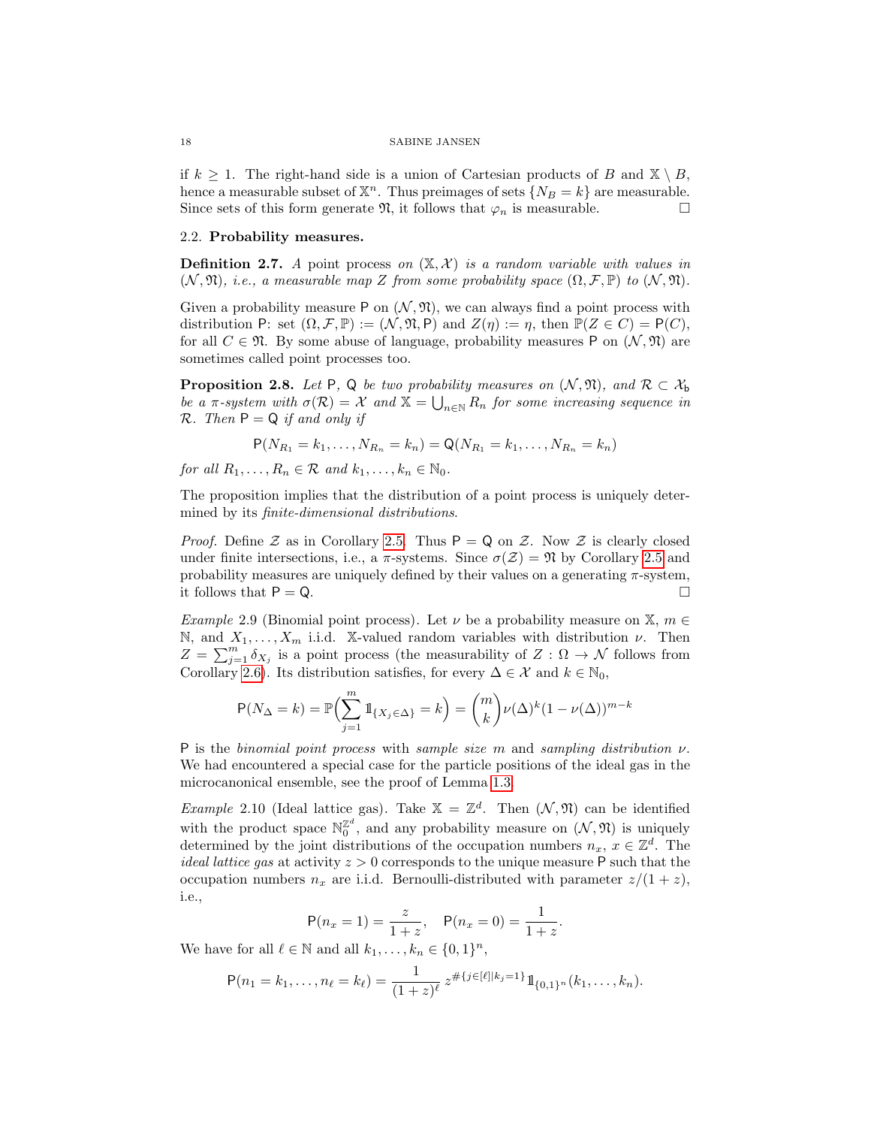if  $k \geq 1$ . The right-hand side is a union of Cartesian products of B and  $\mathbb{X} \setminus B$ , hence a measurable subset of  $X^n$ . Thus preimages of sets  $\{N_B = k\}$  are measurable. Since sets of this form generate  $\mathfrak{N}$ , it follows that  $\varphi_n$  is measurable.

### <span id="page-17-0"></span>2.2. Probability measures.

**Definition 2.7.** A point process on  $(X, \mathcal{X})$  is a random variable with values in  $(N, \mathfrak{N}),$  i.e., a measurable map Z from some probability space  $(\Omega, \mathcal{F}, \mathbb{P})$  to  $(N, \mathfrak{N}).$ 

Given a probability measure P on  $(N, \mathfrak{N})$ , we can always find a point process with distribution P: set  $(\Omega, \mathcal{F}, \mathbb{P}) := (\mathcal{N}, \mathfrak{N}, P)$  and  $Z(\eta) := \eta$ , then  $\mathbb{P}(Z \in C) = P(C)$ , for all  $C \in \mathfrak{N}$ . By some abuse of language, probability measures P on  $(\mathcal{N}, \mathfrak{N})$  are sometimes called point processes too.

<span id="page-17-1"></span>**Proposition 2.8.** Let P, Q be two probability measures on  $(\mathcal{N}, \mathfrak{N})$ , and  $\mathcal{R} \subset \mathcal{X}_b$ be a  $\pi$ -system with  $\sigma(\mathcal{R}) = \mathcal{X}$  and  $\mathbb{X} = \bigcup_{n \in \mathbb{N}} R_n$  for some increasing sequence in  $\mathcal{R}$ . Then  $P = Q$  if and only if

$$
P(N_{R_1} = k_1, \dots, N_{R_n} = k_n) = Q(N_{R_1} = k_1, \dots, N_{R_n} = k_n)
$$

for all  $R_1, \ldots, R_n \in \mathcal{R}$  and  $k_1, \ldots, k_n \in \mathbb{N}_0$ .

The proposition implies that the distribution of a point process is uniquely determined by its *finite-dimensional distributions*.

*Proof.* Define Z as in Corollary [2.5.](#page-16-0) Thus  $P = Q$  on Z. Now Z is clearly closed under finite intersections, i.e., a  $\pi$ -systems. Since  $\sigma(\mathcal{Z}) = \mathfrak{N}$  by Corollary [2.5](#page-16-0) and probability measures are uniquely defined by their values on a generating  $\pi$ -system, it follows that  $P = Q$ .

Example 2.9 (Binomial point process). Let  $\nu$  be a probability measure on X,  $m \in$ N, and  $X_1, \ldots, X_m$  i.i.d. X-valued random variables with distribution  $\nu$ . Then  $Z = \sum_{j=1}^{m} \delta_{X_j}$  is a point process (the measurability of  $Z : \Omega \to \mathcal{N}$  follows from Corollary [2.6\)](#page-16-1). Its distribution satisfies, for every  $\Delta \in \mathcal{X}$  and  $k \in \mathbb{N}_0$ ,

$$
\mathsf{P}(N_{\Delta}=k) = \mathbb{P}\Bigl(\sum_{j=1}^{m} \mathbb{1}_{\{X_j \in \Delta\}} = k\Bigr) = \binom{m}{k} \nu(\Delta)^k (1 - \nu(\Delta))^{m-k}
$$

P is the binomial point process with sample size m and sampling distribution  $\nu$ . We had encountered a special case for the particle positions of the ideal gas in the microcanonical ensemble, see the proof of Lemma [1.3.](#page-5-2)

*Example* 2.10 (Ideal lattice gas). Take  $X = \mathbb{Z}^d$ . Then  $(\mathcal{N}, \mathfrak{N})$  can be identified with the product space  $\mathbb{N}_0^{\mathbb{Z}^d}$ , and any probability measure on  $(\mathcal{N}, \mathfrak{N})$  is uniquely determined by the joint distributions of the occupation numbers  $n_x, x \in \mathbb{Z}^d$ . The *ideal lattice gas* at activity  $z > 0$  corresponds to the unique measure P such that the occupation numbers  $n_x$  are i.i.d. Bernoulli-distributed with parameter  $z/(1+z)$ , i.e.,

$$
P(n_x = 1) = \frac{z}{1+z}, \quad P(n_x = 0) = \frac{1}{1+z}.
$$

We have for all  $\ell \in \mathbb{N}$  and all  $k_1, \ldots, k_n \in \{0, 1\}^n$ ,

$$
P(n_1 = k_1, \ldots, n_\ell = k_\ell) = \frac{1}{(1+z)^\ell} z^{\# \{j \in [\ell] | k_j = 1\}} 1\!\!1_{\{0,1\}^n} (k_1, \ldots, k_n).
$$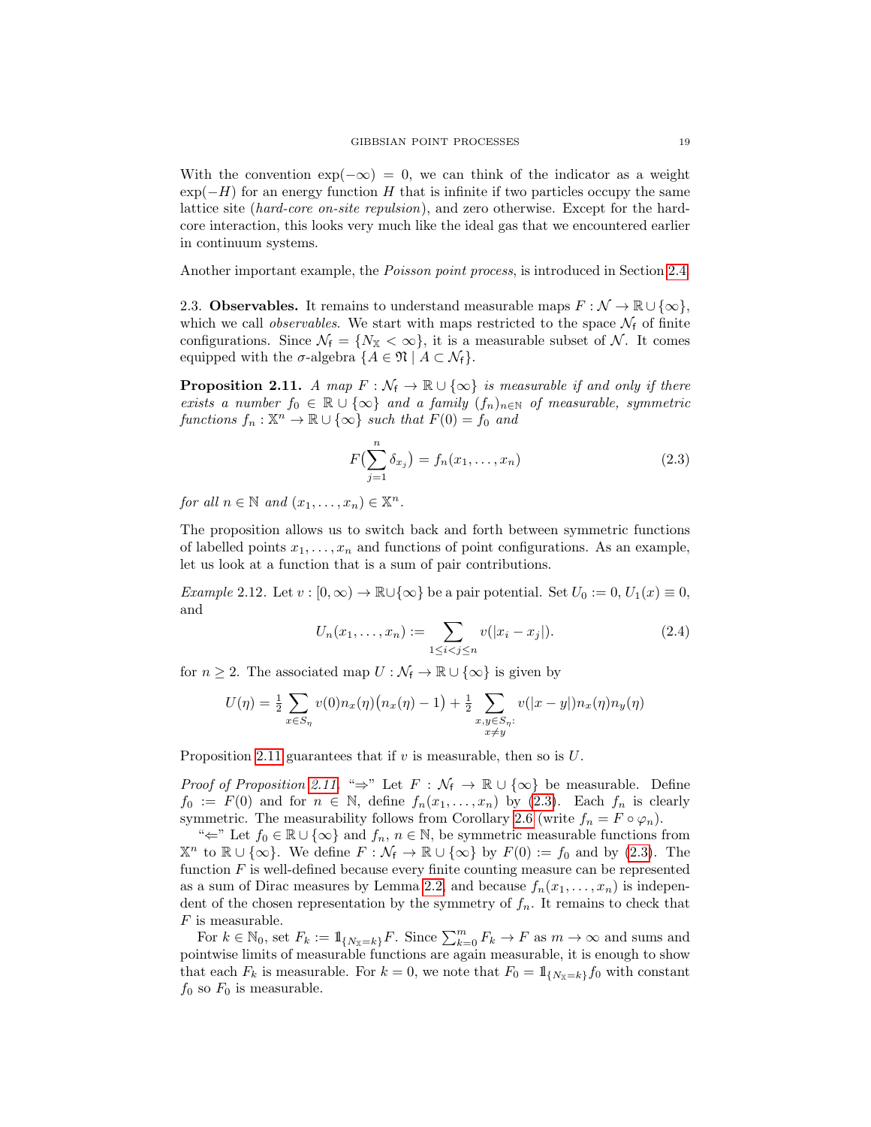With the convention  $\exp(-\infty) = 0$ , we can think of the indicator as a weight  $\exp(-H)$  for an energy function H that is infinite if two particles occupy the same lattice site (hard-core on-site repulsion), and zero otherwise. Except for the hardcore interaction, this looks very much like the ideal gas that we encountered earlier in continuum systems.

Another important example, the *Poisson point process*, is introduced in Section [2.4.](#page-20-0)

<span id="page-18-0"></span>2.3. Observables. It remains to understand measurable maps  $F : \mathcal{N} \to \mathbb{R} \cup \{\infty\},\$ which we call *observables*. We start with maps restricted to the space  $\mathcal{N}_f$  of finite configurations. Since  $\mathcal{N}_f = \{N_{\mathbb{X}} < \infty\}$ , it is a measurable subset of N. It comes equipped with the  $\sigma$ -algebra  $\{A \in \mathfrak{N} \mid A \subset \mathcal{N}_f\}.$ 

<span id="page-18-1"></span>**Proposition 2.11.** A map  $F : \mathcal{N}_f \to \mathbb{R} \cup {\infty}$  is measurable if and only if there exists a number  $f_0 \in \mathbb{R} \cup \{\infty\}$  and a family  $(f_n)_{n \in \mathbb{N}}$  of measurable, symmetric functions  $f_n : \mathbb{X}^n \to \mathbb{R} \cup {\infty}$  such that  $F(0) = f_0$  and

<span id="page-18-2"></span>
$$
F\left(\sum_{j=1}^{n} \delta_{x_j}\right) = f_n(x_1, \dots, x_n)
$$
\n(2.3)

for all  $n \in \mathbb{N}$  and  $(x_1, \ldots, x_n) \in \mathbb{X}^n$ .

The proposition allows us to switch back and forth between symmetric functions of labelled points  $x_1, \ldots, x_n$  and functions of point configurations. As an example, let us look at a function that is a sum of pair contributions.

Example 2.12. Let  $v : [0, \infty) \to \mathbb{R} \cup \{\infty\}$  be a pair potential. Set  $U_0 := 0, U_1(x) \equiv 0$ , and

<span id="page-18-3"></span>
$$
U_n(x_1, \dots, x_n) := \sum_{1 \le i < j \le n} v(|x_i - x_j|). \tag{2.4}
$$

for  $n \geq 2$ . The associated map  $U : \mathcal{N}_f \to \mathbb{R} \cup \{\infty\}$  is given by

$$
U(\eta) = \frac{1}{2} \sum_{x \in S_{\eta}} v(0) n_x(\eta) (n_x(\eta) - 1) + \frac{1}{2} \sum_{\substack{x, y \in S_{\eta}: \\ x \neq y}} v(|x - y|) n_x(\eta) n_y(\eta)
$$

Proposition [2.11](#page-18-1) guarantees that if v is measurable, then so is  $U$ .

*Proof of Proposition [2.11.](#page-18-1)* "⇒" Let  $F : \mathcal{N}_f \to \mathbb{R} \cup {\infty}$  be measurable. Define  $f_0 := F(0)$  and for  $n \in \mathbb{N}$ , define  $f_n(x_1, \ldots, x_n)$  by  $(2.3)$ . Each  $f_n$  is clearly symmetric. The measurability follows from Corollary [2.6](#page-16-1) (write  $f_n = F \circ \varphi_n$ ).

" $\Leftarrow$ " Let  $f_0 \in \mathbb{R} \cup \{\infty\}$  and  $f_n, n \in \mathbb{N}$ , be symmetric measurable functions from  $\mathbb{X}^n$  to  $\mathbb{R} \cup \{\infty\}$ . We define  $F : \mathcal{N}_f \to \mathbb{R} \cup \{\infty\}$  by  $F(0) := f_0$  and by [\(2.3\)](#page-18-2). The function  $F$  is well-defined because every finite counting measure can be represented as a sum of Dirac measures by Lemma [2.2,](#page-14-4) and because  $f_n(x_1, \ldots, x_n)$  is independent of the chosen representation by the symmetry of  $f_n$ . It remains to check that F is measurable.

For  $k \in \mathbb{N}_0$ , set  $F_k := 1\!\!1_{\{N_\mathbb{X}=k\}}F$ . Since  $\sum_{k=0}^m F_k \to F$  as  $m \to \infty$  and sums and pointwise limits of measurable functions are again measurable, it is enough to show that each  $F_k$  is measurable. For  $k = 0$ , we note that  $F_0 = 1_{\{N_{\mathbf{x}} = k\}} f_0$  with constant  $f_0$  so  $F_0$  is measurable.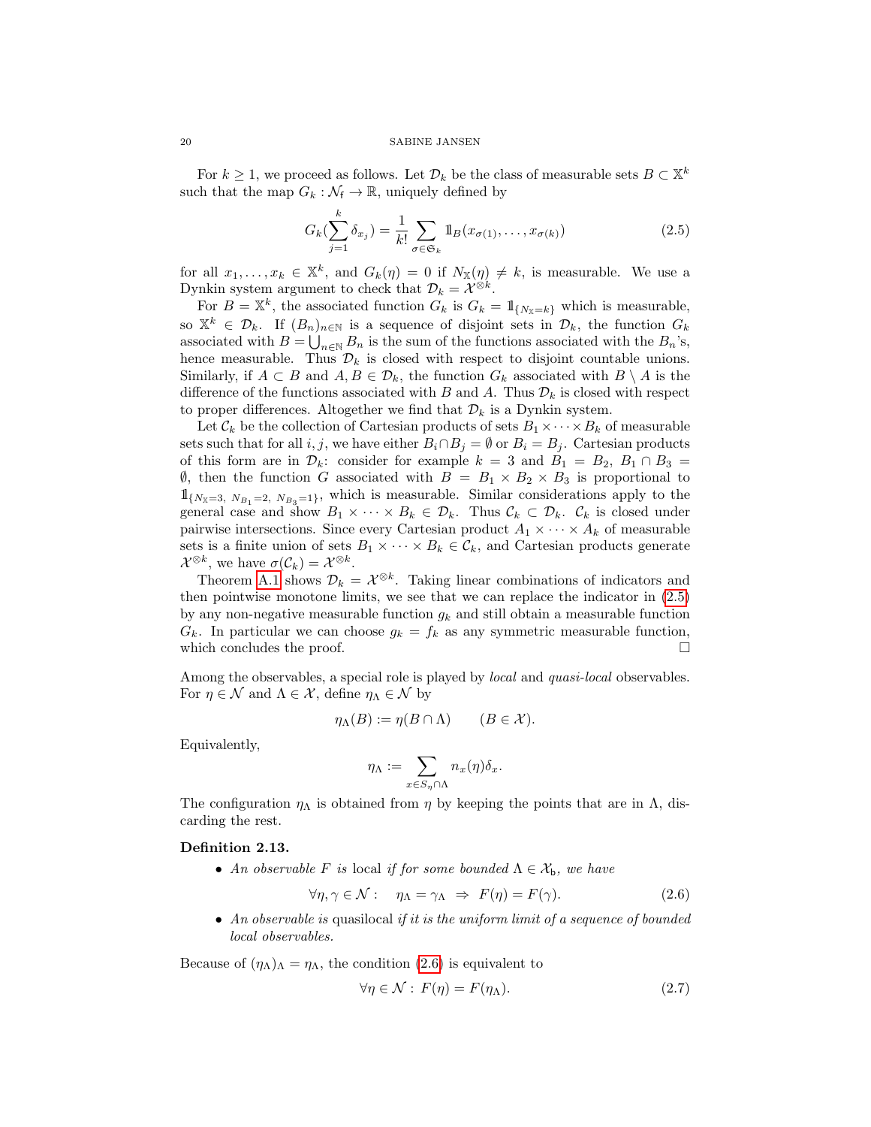For  $k \geq 1$ , we proceed as follows. Let  $\mathcal{D}_k$  be the class of measurable sets  $B \subset \mathbb{X}^k$ such that the map  $G_k : \mathcal{N}_f \to \mathbb{R}$ , uniquely defined by

<span id="page-19-0"></span>
$$
G_k\left(\sum_{j=1}^k \delta_{x_j}\right) = \frac{1}{k!} \sum_{\sigma \in \mathfrak{S}_k} \mathbb{1}_B(x_{\sigma(1)}, \dots, x_{\sigma(k)})
$$
\n(2.5)

for all  $x_1, \ldots, x_k \in \mathbb{X}^k$ , and  $G_k(\eta) = 0$  if  $N_{\mathbb{X}}(\eta) \neq k$ , is measurable. We use a Dynkin system argument to check that  $\mathcal{D}_k = \mathcal{X}^{\otimes k}$ .

For  $B = \mathbb{X}^k$ , the associated function  $G_k$  is  $G_k = \mathbb{1}_{\{N_{\mathbb{X}}=k\}}$  which is measurable, so  $\mathbb{X}^k \in \mathcal{D}_k$ . If  $(B_n)_{n \in \mathbb{N}}$  is a sequence of disjoint sets in  $\mathcal{D}_k$ , the function  $G_k$ associated with  $B = \bigcup_{n \in \mathbb{N}} B_n$  is the sum of the functions associated with the  $B_n$ 's, hence measurable. Thus  $\mathcal{D}_k$  is closed with respect to disjoint countable unions. Similarly, if  $A \subset B$  and  $A, B \in \mathcal{D}_k$ , the function  $G_k$  associated with  $B \setminus A$  is the difference of the functions associated with B and A. Thus  $\mathcal{D}_k$  is closed with respect to proper differences. Altogether we find that  $\mathcal{D}_k$  is a Dynkin system.

Let  $\mathcal{C}_k$  be the collection of Cartesian products of sets  $B_1 \times \cdots \times B_k$  of measurable sets such that for all *i*, *j*, we have either  $B_i \cap B_j = \emptyset$  or  $B_i = B_j$ . Cartesian products of this form are in  $\mathcal{D}_k$ : consider for example  $k = 3$  and  $B_1 = B_2, B_1 \cap B_3 =$  $\emptyset$ , then the function G associated with  $B = B_1 \times B_2 \times B_3$  is proportional to  $\mathbb{1}_{\{N_{\mathbb{X}}=3, N_{B_1}=2, N_{B_3}=1\}}$ , which is measurable. Similar considerations apply to the general case and show  $B_1 \times \cdots \times B_k \in \mathcal{D}_k$ . Thus  $\mathcal{C}_k \subset \mathcal{D}_k$ .  $\mathcal{C}_k$  is closed under pairwise intersections. Since every Cartesian product  $A_1 \times \cdots \times A_k$  of measurable sets is a finite union of sets  $B_1 \times \cdots \times B_k \in \mathcal{C}_k$ , and Cartesian products generate  $\mathcal{X}^{\otimes k}$ , we have  $\sigma(\mathcal{C}_k) = \mathcal{X}^{\otimes k}$ .

Theorem [A.1](#page-101-1) shows  $\mathcal{D}_k = \mathcal{X}^{\otimes k}$ . Taking linear combinations of indicators and then pointwise monotone limits, we see that we can replace the indicator in [\(2.5\)](#page-19-0) by any non-negative measurable function  $g_k$  and still obtain a measurable function  $G_k$ . In particular we can choose  $g_k = f_k$  as any symmetric measurable function, which concludes the proof.  $\Box$ 

Among the observables, a special role is played by local and quasi-local observables. For  $\eta \in \mathcal{N}$  and  $\Lambda \in \mathcal{X}$ , define  $\eta_{\Lambda} \in \mathcal{N}$  by

$$
\eta_{\Lambda}(B) := \eta(B \cap \Lambda) \qquad (B \in \mathcal{X}).
$$

Equivalently,

$$
\eta_{\Lambda}:=\sum_{x\in S_{\eta}\cap \Lambda}n_x(\eta)\delta_x.
$$

The configuration  $\eta_{\Lambda}$  is obtained from  $\eta$  by keeping the points that are in  $\Lambda$ , discarding the rest.

### Definition 2.13.

• An observable F is local if for some bounded  $\Lambda \in \mathcal{X}_{b}$ , we have

<span id="page-19-1"></span>
$$
\forall \eta, \gamma \in \mathcal{N}: \quad \eta_{\Lambda} = \gamma_{\Lambda} \Rightarrow F(\eta) = F(\gamma). \tag{2.6}
$$

• An observable is quasilocal if it is the uniform limit of a sequence of bounded local observables.

Because of  $(\eta_\Lambda)_\Lambda = \eta_\Lambda$ , the condition [\(2.6\)](#page-19-1) is equivalent to

$$
\forall \eta \in \mathcal{N} : F(\eta) = F(\eta_{\Lambda}). \tag{2.7}
$$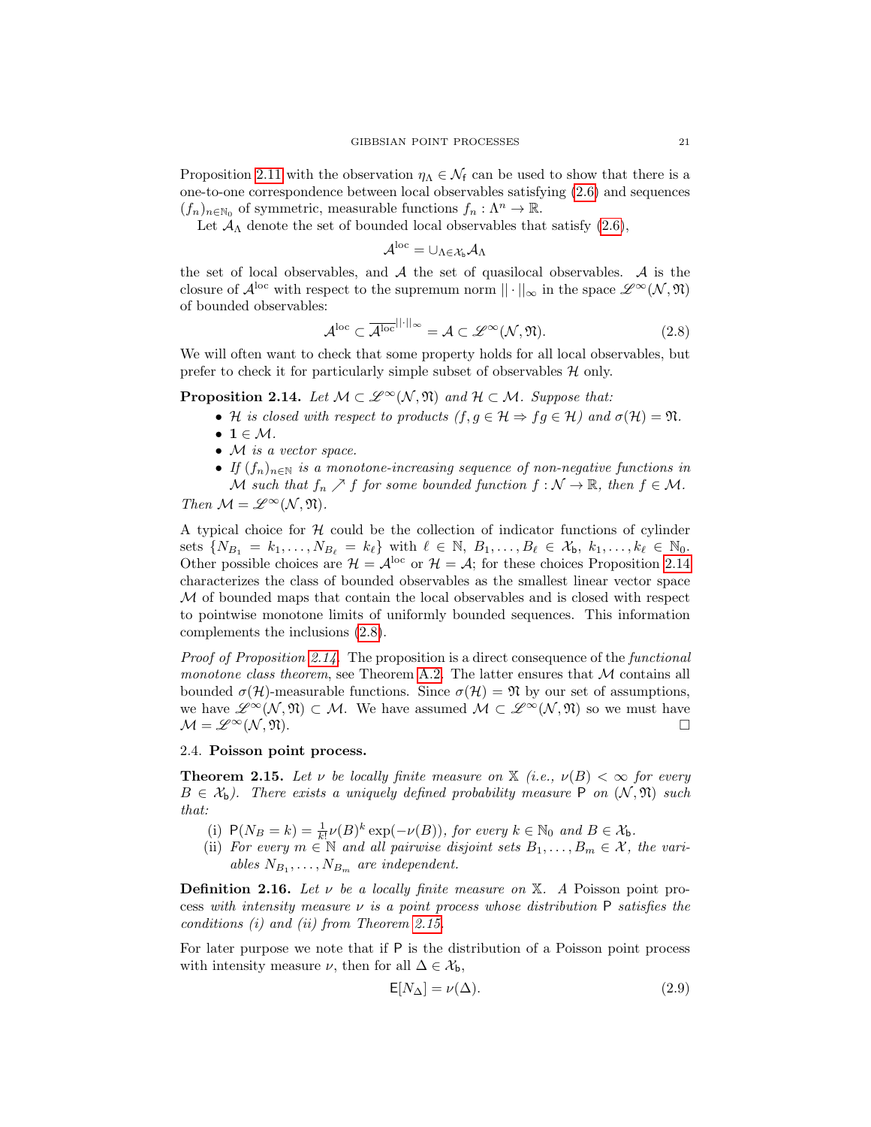Proposition [2.11](#page-18-1) with the observation  $\eta_{\Lambda} \in \mathcal{N}_f$  can be used to show that there is a one-to-one correspondence between local observables satisfying [\(2.6\)](#page-19-1) and sequences  $(f_n)_{n\in\mathbb{N}_0}$  of symmetric, measurable functions  $f_n: \Lambda^n \to \mathbb{R}$ .

Let  $A_{\Lambda}$  denote the set of bounded local observables that satisfy [\(2.6\)](#page-19-1),

$$
\mathcal{A}^{\rm loc}=\cup_{\Lambda\in\mathcal{X}_b}\mathcal{A}_\Lambda
$$

the set of local observables, and  $A$  the set of quasilocal observables.  $A$  is the closure of  $\mathcal{A}^{\text{loc}}$  with respect to the supremum norm  $\|\cdot\|_{\infty}$  in the space  $\mathscr{L}^{\infty}(\mathcal{N}, \mathfrak{N})$ of bounded observables:

<span id="page-20-2"></span>
$$
\mathcal{A}^{\text{loc}} \subset \overline{\mathcal{A}^{\text{loc}}}^{\|\cdot\|_{\infty}} = \mathcal{A} \subset \mathscr{L}^{\infty}(\mathcal{N}, \mathfrak{N}).
$$
\n(2.8)

We will often want to check that some property holds for all local observables, but prefer to check it for particularly simple subset of observables  $H$  only.

<span id="page-20-1"></span>**Proposition 2.14.** Let  $M \subset \mathcal{L}^{\infty}(\mathcal{N}, \mathfrak{N})$  and  $\mathcal{H} \subset \mathcal{M}$ . Suppose that:

- H is closed with respect to products  $(f, g \in \mathcal{H} \Rightarrow fg \in \mathcal{H})$  and  $\sigma(\mathcal{H}) = \mathfrak{N}$ .
- $1 \in \mathcal{M}$ .
- $M$  is a vector space.
- If  $(f_n)_{n\in\mathbb{N}}$  is a monotone-increasing sequence of non-negative functions in M such that  $f_n \nearrow f$  for some bounded function  $f : \mathcal{N} \to \mathbb{R}$ , then  $f \in \mathcal{M}$ .

Then  $\mathcal{M} = \mathscr{L}^{\infty}(\mathcal{N}, \mathfrak{N}).$ 

A typical choice for  $H$  could be the collection of indicator functions of cylinder sets  $\{N_{B_1} = k_1, \ldots, N_{B_\ell} = k_\ell\}$  with  $\ell \in \mathbb{N}, B_1, \ldots, B_\ell \in \mathcal{X}_b, k_1, \ldots, k_\ell \in \mathbb{N}_0$ . Other possible choices are  $\mathcal{H} = \mathcal{A}^{\text{loc}}$  or  $\mathcal{H} = \mathcal{A}$ ; for these choices Proposition [2.14](#page-20-1) characterizes the class of bounded observables as the smallest linear vector space M of bounded maps that contain the local observables and is closed with respect to pointwise monotone limits of uniformly bounded sequences. This information complements the inclusions [\(2.8\)](#page-20-2).

*Proof of Proposition [2.14.](#page-20-1)* The proposition is a direct consequence of the *functional* monotone class theorem, see Theorem [A.2.](#page-101-2) The latter ensures that M contains all bounded  $\sigma(\mathcal{H})$ -measurable functions. Since  $\sigma(\mathcal{H}) = \mathfrak{N}$  by our set of assumptions, we have  $\mathscr{L}^{\infty}(\mathcal{N}, \mathfrak{N}) \subset \mathcal{M}$ . We have assumed  $\mathcal{M} \subset \mathscr{L}^{\infty}(\mathcal{N}, \mathfrak{N})$  so we must have  $\mathcal{M} = \mathscr{L}^{\infty}(\mathcal{N}, \mathfrak{N}).$ 

### <span id="page-20-0"></span>2.4. Poisson point process.

<span id="page-20-3"></span>**Theorem 2.15.** Let v be locally finite measure on  $\mathbb{X}$  (i.e.,  $\nu(B) < \infty$  for every  $B \in \mathcal{X}_b$ ). There exists a uniquely defined probability measure P on  $(\mathcal{N}, \mathfrak{N})$  such that:

- (i)  $P(N_B = k) = \frac{1}{k!} \nu(B)^k \exp(-\nu(B)),$  for every  $k \in \mathbb{N}_0$  and  $B \in \mathcal{X}_b$ .
- (ii) For every  $m \in \mathbb{N}$  and all pairwise disjoint sets  $B_1, \ldots, B_m \in \mathcal{X}$ , the variables  $N_{B_1}, \ldots, N_{B_m}$  are independent.

**Definition 2.16.** Let  $\nu$  be a locally finite measure on X. A Poisson point process with intensity measure  $\nu$  is a point process whose distribution P satisfies the conditions (i) and (ii) from Theorem [2.15.](#page-20-3)

For later purpose we note that if P is the distribution of a Poisson point process with intensity measure  $\nu$ , then for all  $\Delta \in \mathcal{X}_b$ ,

<span id="page-20-4"></span>
$$
\mathsf{E}[N_{\Delta}] = \nu(\Delta). \tag{2.9}
$$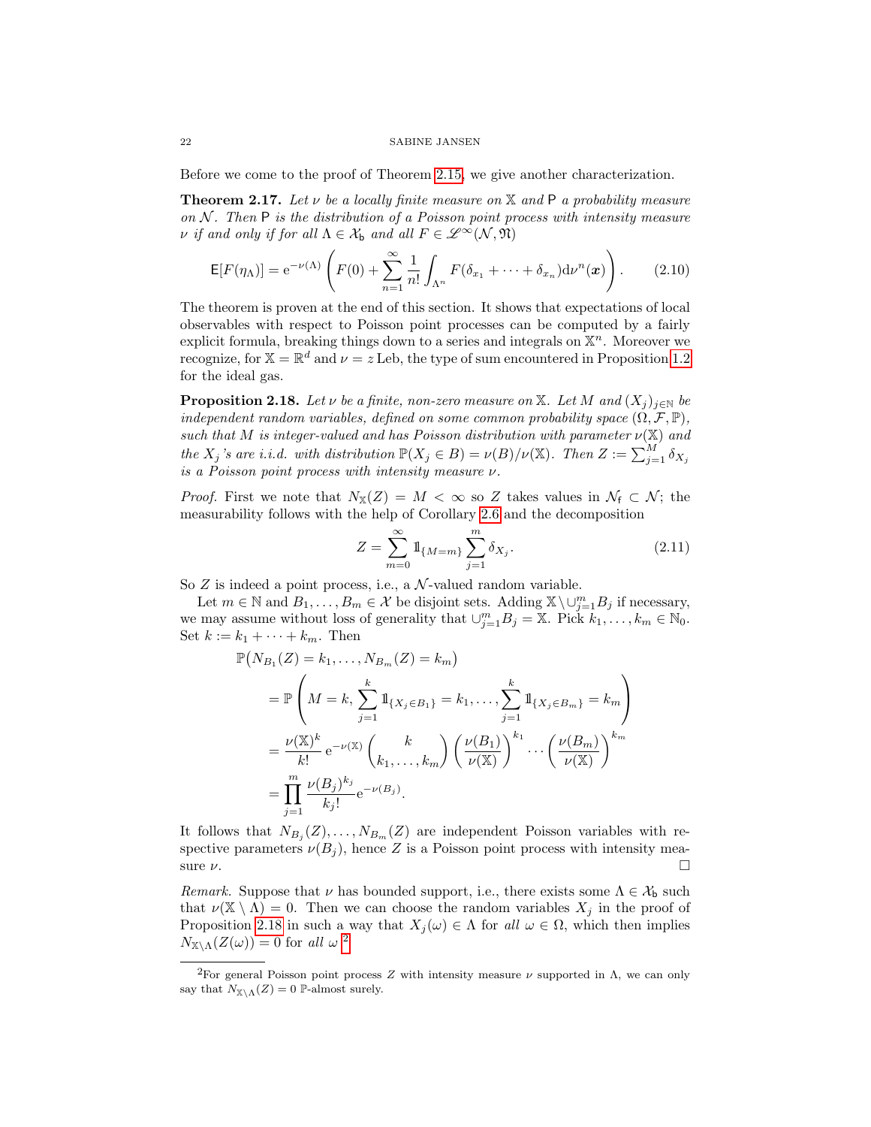#### 22 SABINE JANSEN

Before we come to the proof of Theorem [2.15,](#page-20-3) we give another characterization.

<span id="page-21-2"></span>**Theorem 2.17.** Let  $\nu$  be a locally finite measure on  $\mathbb{X}$  and  $P$  a probability measure on  $N$ . Then  $P$  is the distribution of a Poisson point process with intensity measure  $\nu$  if and only if for all  $\Lambda \in \mathcal{X}_{\mathsf{b}}$  and all  $F \in \mathscr{L}^{\infty}(\mathcal{N}, \mathfrak{N})$ 

<span id="page-21-3"></span>
$$
\mathsf{E}[F(\eta_{\Lambda})] = e^{-\nu(\Lambda)} \left( F(0) + \sum_{n=1}^{\infty} \frac{1}{n!} \int_{\Lambda^n} F(\delta_{x_1} + \dots + \delta_{x_n}) d\nu^n(\boldsymbol{x}) \right). \tag{2.10}
$$

The theorem is proven at the end of this section. It shows that expectations of local observables with respect to Poisson point processes can be computed by a fairly explicit formula, breaking things down to a series and integrals on  $\mathbb{X}^n$ . Moreover we recognize, for  $X = \mathbb{R}^d$  and  $\nu = z$  Leb, the type of sum encountered in Proposition [1.2](#page-5-0) for the ideal gas.

<span id="page-21-0"></span>**Proposition 2.18.** Let  $\nu$  be a finite, non-zero measure on X. Let M and  $(X_i)_{i\in\mathbb{N}}$  be independent random variables, defined on some common probability space  $(\Omega, \mathcal{F}, \mathbb{P}),$ such that M is integer-valued and has Poisson distribution with parameter  $\nu(\mathbb{X})$  and the  $X_j$ 's are i.i.d. with distribution  $\mathbb{P}(X_j \in B) = \nu(B)/\nu(\mathbb{X})$ . Then  $Z := \sum_{j=1}^M \delta_{X_j}$ is a Poisson point process with intensity measure  $\nu$ .

*Proof.* First we note that  $N_{\mathbb{X}}(Z) = M < \infty$  so Z takes values in  $\mathcal{N}_f \subset \mathcal{N}$ ; the measurability follows with the help of Corollary [2.6](#page-16-1) and the decomposition

$$
Z = \sum_{m=0}^{\infty} 1 \mathbb{1}_{\{M=m\}} \sum_{j=1}^{m} \delta_{X_j}.
$$
 (2.11)

So  $Z$  is indeed a point process, i.e., a  $\mathcal N$ -valued random variable.

Let  $m \in \mathbb{N}$  and  $B_1, \ldots, B_m \in \mathcal{X}$  be disjoint sets. Adding  $\mathbb{X} \setminus \cup_{j=1}^m B_j$  if necessary, we may assume without loss of generality that  $\cup_{j=1}^{m} B_j = \mathbb{X}$ . Pick  $k_1, \ldots, k_m \in \mathbb{N}_0$ . Set  $k := k_1 + \cdots + k_m$ . Then

$$
\mathbb{P}(N_{B_1}(Z) = k_1, ..., N_{B_m}(Z) = k_m)
$$
\n
$$
= \mathbb{P}\left(M = k, \sum_{j=1}^k 1\!\!1_{\{X_j \in B_1\}} = k_1, ..., \sum_{j=1}^k 1\!\!1_{\{X_j \in B_m\}} = k_m\right)
$$
\n
$$
= \frac{\nu(\mathbb{X})^k}{k!} e^{-\nu(\mathbb{X})} {k \choose k_1, ..., k_m} \left(\frac{\nu(B_1)}{\nu(\mathbb{X})}\right)^{k_1} \cdots \left(\frac{\nu(B_m)}{\nu(\mathbb{X})}\right)^{k_m}
$$
\n
$$
= \prod_{j=1}^m \frac{\nu(B_j)^{k_j}}{k_j!} e^{-\nu(B_j)}.
$$

It follows that  $N_{B_j}(Z), \ldots, N_{B_m}(Z)$  are independent Poisson variables with respective parameters  $\nu(B_i)$ , hence Z is a Poisson point process with intensity measure  $\nu$ .

Remark. Suppose that  $\nu$  has bounded support, i.e., there exists some  $\Lambda \in \mathcal{X}_b$  such that  $\nu(\mathbb{X} \setminus \Lambda) = 0$ . Then we can choose the random variables  $X_j$  in the proof of Proposition [2.18](#page-21-0) in such a way that  $X_j(\omega) \in \Lambda$  for all  $\omega \in \Omega$ , which then implies  $N_{\mathbb{X}\backslash\Lambda}(Z(\omega))=0$  for all  $\omega^2$  $\omega^2$ 

<span id="page-21-1"></span><sup>&</sup>lt;sup>2</sup>For general Poisson point process Z with intensity measure  $\nu$  supported in Λ, we can only say that  $N_{\mathbb{X}\setminus\Lambda}(Z)=0$  P-almost surely.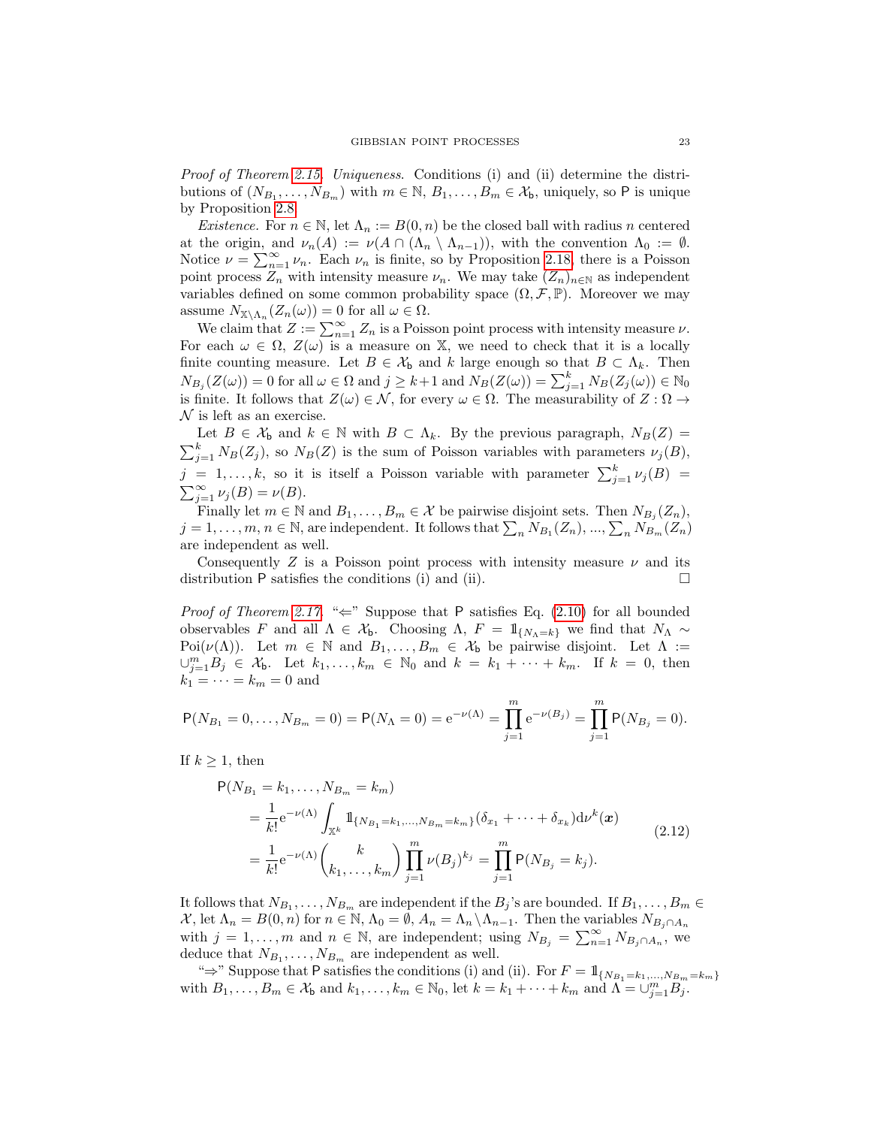Proof of Theorem [2.15.](#page-20-3) Uniqueness. Conditions (i) and (ii) determine the distributions of  $(N_{B_1},...,N_{B_m})$  with  $m \in \mathbb{N}, B_1,...,B_m \in \mathcal{X}_b$ , uniquely, so P is unique by Proposition [2.8.](#page-17-1)

*Existence.* For  $n \in \mathbb{N}$ , let  $\Lambda_n := B(0, n)$  be the closed ball with radius n centered at the origin, and  $\nu_n(A) := \nu(A \cap (\Lambda_n \setminus \Lambda_{n-1}))$ , with the convention  $\Lambda_0 := \emptyset$ . Notice  $\nu = \sum_{n=1}^{\infty} \nu_n$ . Each  $\nu_n$  is finite, so by Proposition [2.18,](#page-21-0) there is a Poisson point process  $Z_n$  with intensity measure  $\nu_n$ . We may take  $(Z_n)_{n\in\mathbb{N}}$  as independent variables defined on some common probability space  $(\Omega, \mathcal{F}, \mathbb{P})$ . Moreover we may assume  $N_{\mathbb{X}\backslash\Lambda_n}(Z_n(\omega))=0$  for all  $\omega \in \Omega$ .

We claim that  $Z := \sum_{n=1}^{\infty} Z_n$  is a Poisson point process with intensity measure  $\nu$ . For each  $\omega \in \Omega$ ,  $Z(\omega)$  is a measure on X, we need to check that it is a locally finite counting measure. Let  $B \in \mathcal{X}_b$  and k large enough so that  $B \subset \Lambda_k$ . Then  $N_{B_j}(Z(\omega)) = 0$  for all  $\omega \in \Omega$  and  $j \geq k+1$  and  $N_B(Z(\omega)) = \sum_{j=1}^k N_B(Z_j(\omega)) \in \mathbb{N}_0$ is finite. It follows that  $Z(\omega) \in \mathcal{N}$ , for every  $\omega \in \Omega$ . The measurability of  $Z : \Omega \to$  $\mathcal N$  is left as an exercise.

Let  $B \in \mathcal{X}_{\mathbf{b}}$  and  $k \in \mathbb{N}$  with  $B \subset \Lambda_k$ . By the previous paragraph,  $N_B(Z)$  =  $\sum_{j=1}^{k} N_B(Z_j)$ , so  $N_B(Z)$  is the sum of Poisson variables with parameters  $\nu_j(B)$ ,  $j = 1, \ldots, k$ , so it is itself a Poisson variable with parameter  $\sum_{j=1}^{k} \nu_j(B) =$  $\sum_{j=1}^{\infty} \nu_j(B) = \nu(B).$ 

Finally let  $m \in \mathbb{N}$  and  $B_1, \ldots, B_m \in \mathcal{X}$  be pairwise disjoint sets. Then  $N_{B_j}(Z_n)$ ,  $j = 1, \ldots, m, n \in \mathbb{N}$ , are independent. It follows that  $\sum_{n} N_{B_1}(Z_n), \ldots, \sum_{n} N_{B_m}(Z_n)$ are independent as well.

Consequently Z is a Poisson point process with intensity measure  $\nu$  and its distribution P satisfies the conditions (i) and (ii).  $\Box$ 

*Proof of Theorem [2.17.](#page-21-2)* " $\Leftarrow$ " Suppose that P satisfies Eq. [\(2.10\)](#page-21-3) for all bounded observables F and all  $\Lambda \in \mathcal{X}_{b}$ . Choosing  $\Lambda$ ,  $F = \mathbb{1}_{\{N_{\Lambda}=k\}}$  we find that  $N_{\Lambda} \sim$ Poi $(\nu(\Lambda))$ . Let  $m \in \mathbb{N}$  and  $B_1, \ldots, B_m \in \mathcal{X}_b$  be pairwise disjoint. Let  $\Lambda :=$  $\cup_{j=1}^m B_j \in \mathcal{X}_{\mathbf{b}}$ . Let  $k_1, \ldots, k_m \in \mathbb{N}_0$  and  $k = k_1 + \cdots + k_m$ . If  $k = 0$ , then  $k_1 = \cdots = k_m = 0$  and

$$
P(N_{B_1} = 0, ..., N_{B_m} = 0) = P(N_{\Lambda} = 0) = e^{-\nu(\Lambda)} = \prod_{j=1}^m e^{-\nu(B_j)} = \prod_{j=1}^m P(N_{B_j} = 0).
$$

If  $k \geq 1$ , then

<span id="page-22-0"></span>
$$
P(N_{B_1} = k_1, ..., N_{B_m} = k_m)
$$
  
=  $\frac{1}{k!} e^{-\nu(\Lambda)} \int_{\mathbb{X}^k} 1\!\!1_{\{N_{B_1} = k_1, ..., N_{B_m} = k_m\}} (\delta_{x_1} + \cdots + \delta_{x_k}) d\nu^k(\boldsymbol{x})$   
=  $\frac{1}{k!} e^{-\nu(\Lambda)} \binom{k}{k_1, ..., k_m} \prod_{j=1}^m \nu(B_j)^{k_j} = \prod_{j=1}^m P(N_{B_j} = k_j).$  (2.12)

It follows that  $N_{B_1}, \ldots, N_{B_m}$  are independent if the  $B_j$ 's are bounded. If  $B_1, \ldots, B_m \in$  $\mathcal{X}$ , let  $\Lambda_n = B(0, n)$  for  $n \in \mathbb{N}$ ,  $\Lambda_0 = \emptyset$ ,  $A_n = \Lambda_n \setminus \Lambda_{n-1}$ . Then the variables  $N_{B_j \cap A_n}$ with  $j = 1, ..., m$  and  $n \in \mathbb{N}$ , are independent; using  $N_{B_j} = \sum_{n=1}^{\infty} N_{B_j \cap A_n}$ , we deduce that  $N_{B_1}, \ldots, N_{B_m}$  are independent as well.

" $\Rightarrow$ " Suppose that P satisfies the conditions (i) and (ii). For  $F = 1\!\!1_{\{N_{B_1} = k_1, ..., N_{B_m} = k_m\}}$ with  $B_1, \ldots, B_m \in \mathcal{X}_b$  and  $k_1, \ldots, k_m \in \mathbb{N}_0$ , let  $k = k_1 + \cdots + k_m$  and  $\overline{\Lambda} = \bigcup_{j=1}^m \overline{B_j}$ .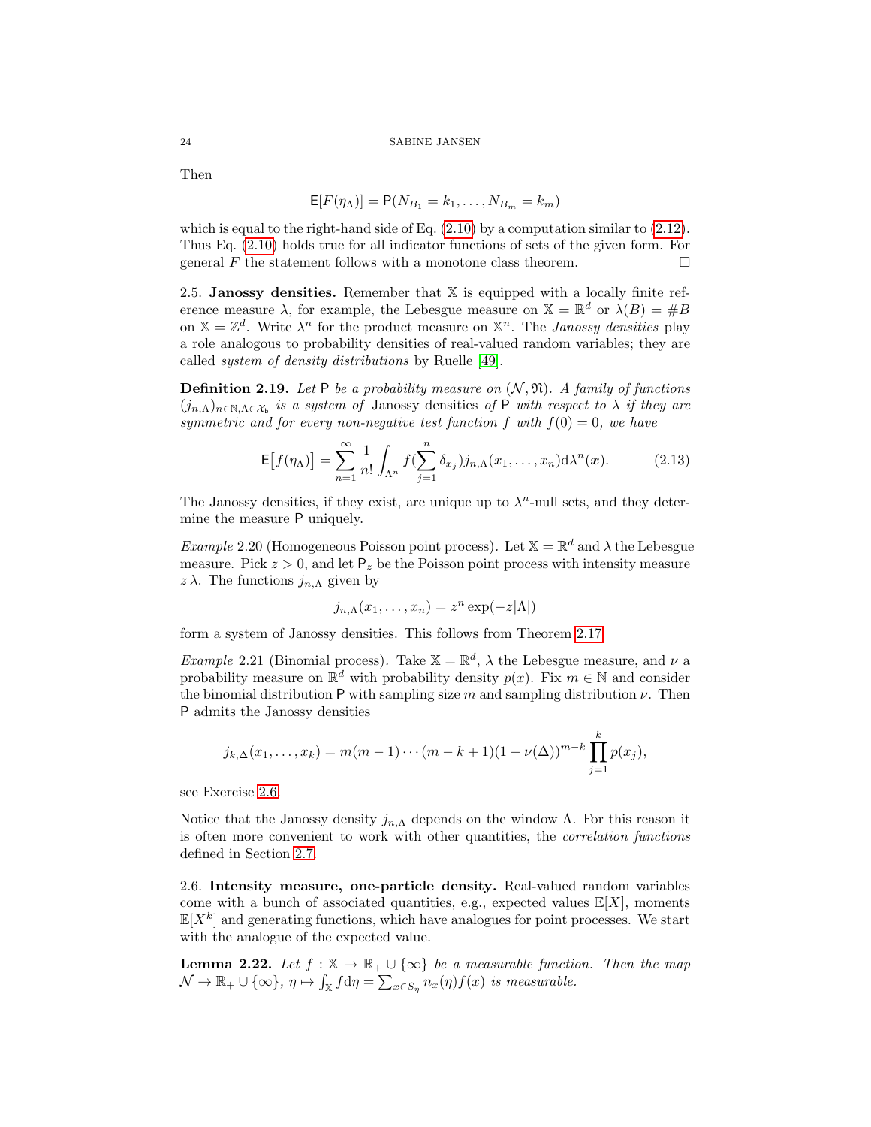Then

$$
\mathsf{E}[F(\eta_{\Lambda})] = \mathsf{P}(N_{B_1} = k_1, \ldots, N_{B_m} = k_m)
$$

which is equal to the right-hand side of Eq.  $(2.10)$  by a computation similar to  $(2.12)$ . Thus Eq. [\(2.10\)](#page-21-3) holds true for all indicator functions of sets of the given form. For general F the statement follows with a monotone class theorem.  $\Box$ 

<span id="page-23-0"></span>2.5. **Janossy densities.** Remember that  $X$  is equipped with a locally finite reference measure  $\lambda$ , for example, the Lebesgue measure on  $\mathbb{X} = \mathbb{R}^d$  or  $\lambda(B) = \#B$ on  $X = \mathbb{Z}^d$ . Write  $\lambda^n$  for the product measure on  $X^n$ . The *Janossy densities* play a role analogous to probability densities of real-valued random variables; they are called system of density distributions by Ruelle [\[49\]](#page-104-2).

<span id="page-23-3"></span>**Definition 2.19.** Let P be a probability measure on  $(\mathcal{N}, \mathfrak{N})$ . A family of functions  $(j_{n,\Lambda})_{n\in\mathbb{N},\Lambda\in\mathcal{X}_b}$  is a system of Janossy densities of P with respect to  $\lambda$  if they are symmetric and for every non-negative test function f with  $f(0) = 0$ , we have

<span id="page-23-4"></span>
$$
\mathsf{E}\big[f(\eta_{\Lambda})\big] = \sum_{n=1}^{\infty} \frac{1}{n!} \int_{\Lambda^n} f\big(\sum_{j=1}^n \delta_{x_j}\big) j_{n,\Lambda}(x_1,\ldots,x_n) \mathrm{d}\lambda^n(\boldsymbol{x}). \tag{2.13}
$$

The Janossy densities, if they exist, are unique up to  $\lambda^n$ -null sets, and they determine the measure P uniquely.

*Example* 2.20 (Homogeneous Poisson point process). Let  $\mathbb{X} = \mathbb{R}^d$  and  $\lambda$  the Lebesgue measure. Pick  $z > 0$ , and let  $P_z$  be the Poisson point process with intensity measure z  $\lambda$ . The functions  $j_{n,\Lambda}$  given by

$$
j_{n,\Lambda}(x_1,\ldots,x_n)=z^n\exp(-z|\Lambda|)
$$

form a system of Janossy densities. This follows from Theorem [2.17.](#page-21-2)

*Example* 2.21 (Binomial process). Take  $X = \mathbb{R}^d$ ,  $\lambda$  the Lebesgue measure, and  $\nu$  a probability measure on  $\mathbb{R}^d$  with probability density  $p(x)$ . Fix  $m \in \mathbb{N}$  and consider the binomial distribution P with sampling size m and sampling distribution  $\nu$ . Then P admits the Janossy densities

$$
j_{k,\Delta}(x_1,\ldots,x_k) = m(m-1)\cdots(m-k+1)(1-\nu(\Delta))^{m-k}\prod_{j=1}^k p(x_j),
$$

see Exercise [2.6.](#page-43-0)

Notice that the Janossy density  $j_{n,\Lambda}$  depends on the window  $\Lambda$ . For this reason it is often more convenient to work with other quantities, the correlation functions defined in Section [2.7.](#page-25-0)

<span id="page-23-1"></span>2.6. Intensity measure, one-particle density. Real-valued random variables come with a bunch of associated quantities, e.g., expected values  $\mathbb{E}[X]$ , moments  $\mathbb{E}[X^k]$  and generating functions, which have analogues for point processes. We start with the analogue of the expected value.

<span id="page-23-2"></span>**Lemma 2.22.** Let  $f : \mathbb{X} \to \mathbb{R}_+ \cup \{\infty\}$  be a measurable function. Then the map  $\mathcal{N} \to \mathbb{R}_+ \cup {\infty}$ ,  $\eta \mapsto \int_{\mathbb{X}} f d\eta = \sum_{x \in S_{\eta}} n_x(\eta) f(x)$  is measurable.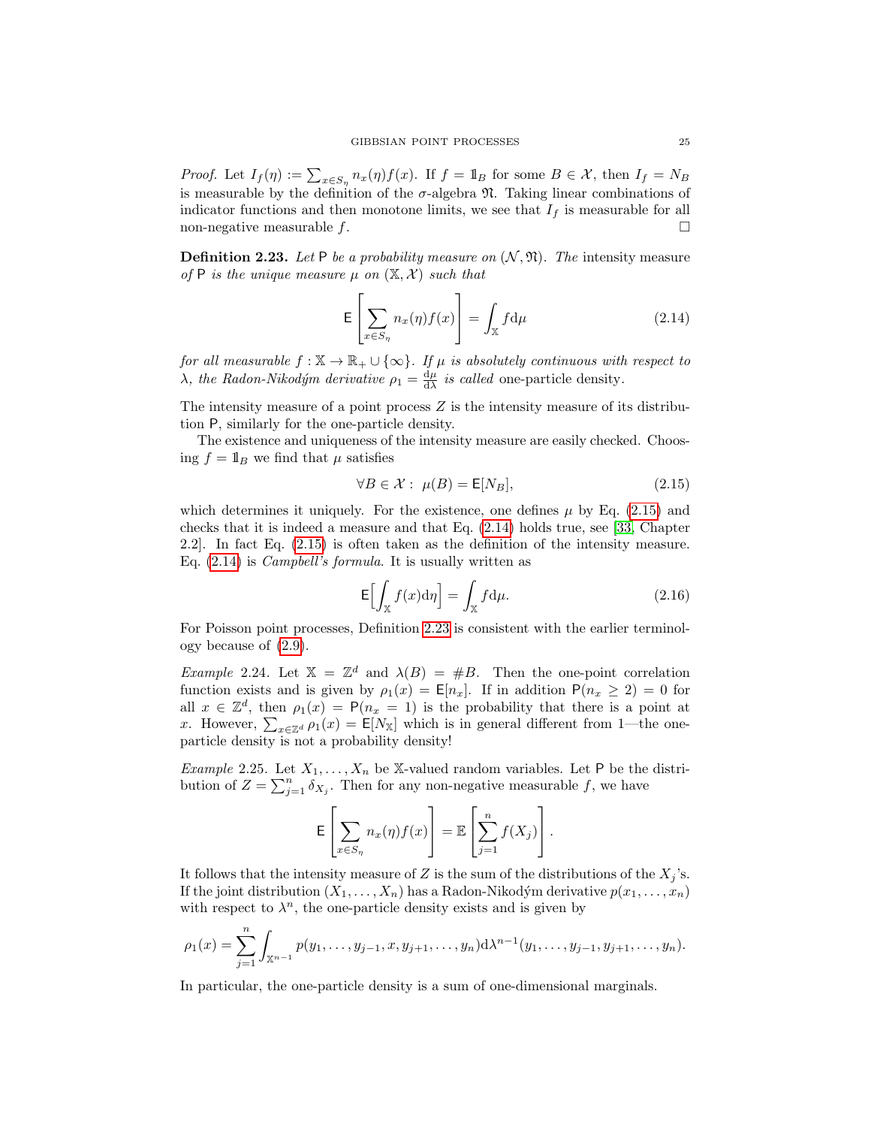*Proof.* Let  $I_f(\eta) := \sum_{x \in S_\eta} n_x(\eta) f(x)$ . If  $f = 1\!\!1_B$  for some  $B \in \mathcal{X}$ , then  $I_f = N_B$ is measurable by the definition of the  $\sigma$ -algebra  $\mathfrak{N}$ . Taking linear combinations of indicator functions and then monotone limits, we see that  $I_f$  is measurable for all non-negative measurable  $f$ .

<span id="page-24-2"></span>**Definition 2.23.** Let P be a probability measure on  $(N, \mathfrak{N})$ . The intensity measure of P is the unique measure  $\mu$  on  $(\mathbb{X}, \mathcal{X})$  such that

<span id="page-24-1"></span>
$$
\mathsf{E}\left[\sum_{x\in S_{\eta}}n_{x}(\eta)f(x)\right]=\int_{\mathbb{X}}f\mathrm{d}\mu\tag{2.14}
$$

for all measurable  $f : \mathbb{X} \to \mathbb{R}_+ \cup \{\infty\}$ . If  $\mu$  is absolutely continuous with respect to λ, the Radon-Nikodým derivative  $ρ_1 = \frac{dμ}{dλ}$  is called one-particle density.

The intensity measure of a point process  $Z$  is the intensity measure of its distribution P, similarly for the one-particle density.

The existence and uniqueness of the intensity measure are easily checked. Choosing  $f = 1$ <sub>B</sub> we find that  $\mu$  satisfies

<span id="page-24-0"></span>
$$
\forall B \in \mathcal{X} : \ \mu(B) = \mathsf{E}[N_B], \tag{2.15}
$$

which determines it uniquely. For the existence, one defines  $\mu$  by Eq. [\(2.15\)](#page-24-0) and checks that it is indeed a measure and that Eq. [\(2.14\)](#page-24-1) holds true, see [\[33,](#page-104-1) Chapter 2.2]. In fact Eq. [\(2.15\)](#page-24-0) is often taken as the definition of the intensity measure. Eq.  $(2.14)$  is *Campbell's formula*. It is usually written as

$$
\mathsf{E}\Big[\int_{\mathbb{X}} f(x) \mathrm{d}\eta\Big] = \int_{\mathbb{X}} f \mathrm{d}\mu. \tag{2.16}
$$

For Poisson point processes, Definition [2.23](#page-24-2) is consistent with the earlier terminology because of [\(2.9\)](#page-20-4).

Example 2.24. Let  $\mathbb{X} = \mathbb{Z}^d$  and  $\lambda(B) = \#B$ . Then the one-point correlation function exists and is given by  $\rho_1(x) = \mathsf{E}[n_x]$ . If in addition  $\mathsf{P}(n_x \geq 2) = 0$  for all  $x \in \mathbb{Z}^d$ , then  $\rho_1(x) = P(n_x = 1)$  is the probability that there is a point at x. However,  $\sum_{x \in \mathbb{Z}^d} \rho_1(x) = \mathsf{E}[N_{\mathbb{X}}]$  which is in general different from 1—the oneparticle density is not a probability density!

Example 2.25. Let  $X_1, \ldots, X_n$  be X-valued random variables. Let P be the distribution of  $Z = \sum_{j=1}^{n} \delta_{X_j}$ . Then for any non-negative measurable f, we have

$$
\mathsf{E}\left[\sum_{x\in S_{\eta}}n_x(\eta)f(x)\right]=\mathbb{E}\left[\sum_{j=1}^n f(X_j)\right].
$$

It follows that the intensity measure of Z is the sum of the distributions of the  $X_i$ 's. If the joint distribution  $(X_1, \ldots, X_n)$  has a Radon-Nikodým derivative  $p(x_1, \ldots, x_n)$ with respect to  $\lambda^n$ , the one-particle density exists and is given by

$$
\rho_1(x) = \sum_{j=1}^n \int_{\mathbb{X}^{n-1}} p(y_1, \dots, y_{j-1}, x, y_{j+1}, \dots, y_n) d\lambda^{n-1}(y_1, \dots, y_{j-1}, y_{j+1}, \dots, y_n).
$$

In particular, the one-particle density is a sum of one-dimensional marginals.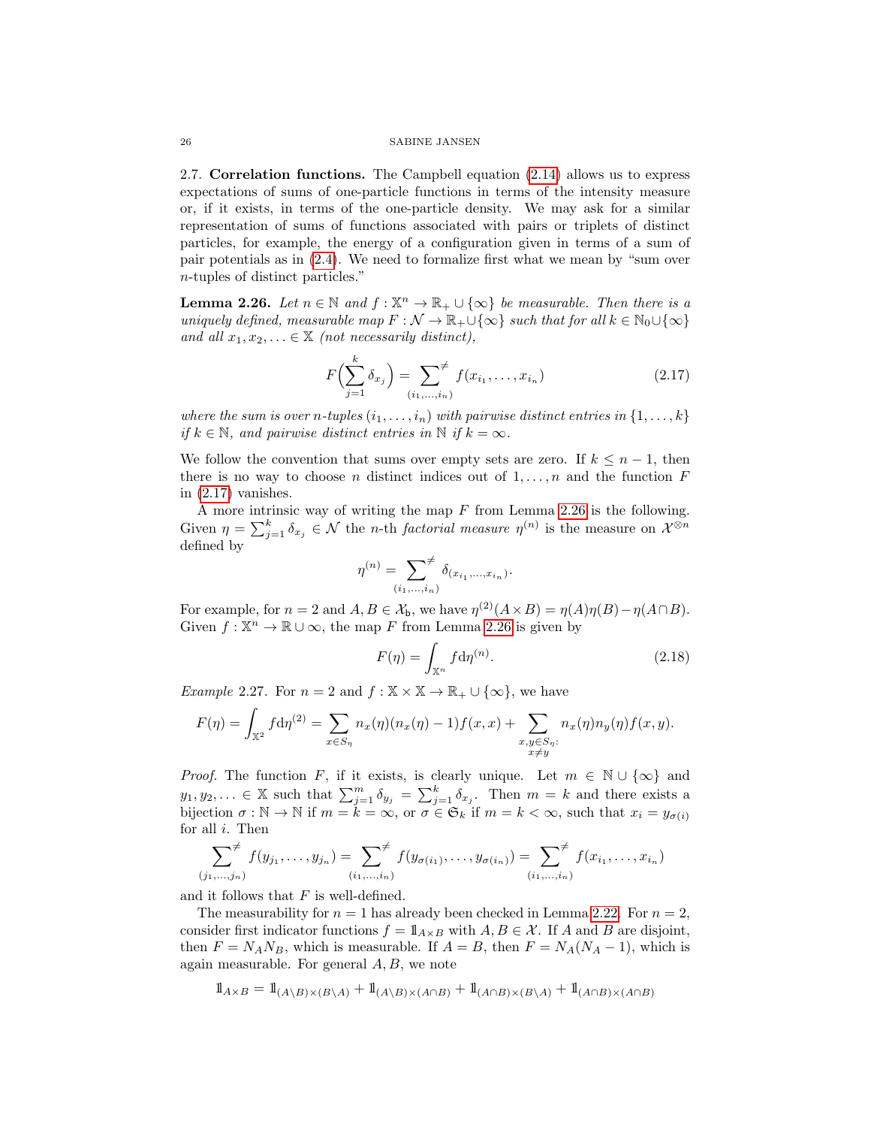#### 26 SABINE JANSEN

<span id="page-25-0"></span>2.7. Correlation functions. The Campbell equation [\(2.14\)](#page-24-1) allows us to express expectations of sums of one-particle functions in terms of the intensity measure or, if it exists, in terms of the one-particle density. We may ask for a similar representation of sums of functions associated with pairs or triplets of distinct particles, for example, the energy of a configuration given in terms of a sum of pair potentials as in [\(2.4\)](#page-18-3). We need to formalize first what we mean by "sum over n-tuples of distinct particles."

<span id="page-25-2"></span>**Lemma 2.26.** Let  $n \in \mathbb{N}$  and  $f : \mathbb{X}^n \to \mathbb{R}_+ \cup \{\infty\}$  be measurable. Then there is a uniquely defined, measurable map  $F : \mathcal{N} \to \mathbb{R}_+ \cup \{\infty\}$  such that for all  $k \in \mathbb{N}_0 \cup \{\infty\}$ and all  $x_1, x_2, \ldots \in \mathbb{X}$  (not necessarily distinct),

<span id="page-25-1"></span>
$$
F\left(\sum_{j=1}^{k} \delta_{x_j}\right) = \sum_{(i_1, \dots, i_n)} f(x_{i_1}, \dots, x_{i_n})
$$
\n(2.17)

where the sum is over n-tuples  $(i_1, \ldots, i_n)$  with pairwise distinct entries in  $\{1, \ldots, k\}$ if  $k \in \mathbb{N}$ , and pairwise distinct entries in  $\mathbb{N}$  if  $k = \infty$ .

We follow the convention that sums over empty sets are zero. If  $k \leq n-1$ , then there is no way to choose n distinct indices out of  $1, \ldots, n$  and the function F in [\(2.17\)](#page-25-1) vanishes.

A more intrinsic way of writing the map  $F$  from Lemma [2.26](#page-25-2) is the following. Given  $\eta = \sum_{j=1}^k \delta_{x_j} \in \mathcal{N}$  the *n*-th *factorial measure*  $\eta^{(n)}$  is the measure on  $\mathcal{X}^{\otimes n}$ defined by

$$
\eta^{(n)} = \sum_{(i_1, ..., i_n)}^{\neq} \delta_{(x_{i_1}, ..., x_{i_n})}.
$$

For example, for  $n = 2$  and  $A, B \in \mathcal{X}_b$ , we have  $\eta^{(2)}(A \times B) = \eta(A)\eta(B) - \eta(A \cap B)$ . Given  $f: \mathbb{X}^n \to \mathbb{R} \cup \infty$ , the map F from Lemma [2.26](#page-25-2) is given by

$$
F(\eta) = \int_{\mathbb{X}^n} f \mathrm{d}\eta^{(n)}.
$$
 (2.18)

*Example 2.27.* For  $n = 2$  and  $f : \mathbb{X} \times \mathbb{X} \to \mathbb{R}_+ \cup \{\infty\}$ , we have

$$
F(\eta) = \int_{\mathbb{X}^2} f d\eta^{(2)} = \sum_{x \in S_{\eta}} n_x(\eta)(n_x(\eta) - 1) f(x, x) + \sum_{\substack{x, y \in S_{\eta}: \\ x \neq y}} n_x(\eta) n_y(\eta) f(x, y).
$$

*Proof.* The function F, if it exists, is clearly unique. Let  $m \in \mathbb{N} \cup \{\infty\}$  and  $y_1, y_2, \ldots \in \mathbb{X}$  such that  $\sum_{j=1}^m \delta_{y_j} = \sum_{j=1}^k \delta_{x_j}$ . Then  $m = k$  and there exists a bijection  $\sigma : \mathbb{N} \to \mathbb{N}$  if  $m = k = \infty$ , or  $\sigma \in \mathfrak{S}_k$  if  $m = k < \infty$ , such that  $x_i = y_{\sigma(i)}$ for all  $i$ . Then

$$
\sum_{(j_1,...,j_n)} f(y_{j_1},...,y_{j_n}) = \sum_{(i_1,...,i_n)} f(y_{\sigma(i_1)},...,y_{\sigma(i_n)}) = \sum_{(i_1,...,i_n)} f(x_{i_1},...,x_{i_n})
$$

and it follows that  $F$  is well-defined.

The measurability for  $n = 1$  has already been checked in Lemma [2.22.](#page-23-2) For  $n = 2$ , consider first indicator functions  $f = \mathbb{1}_{A \times B}$  with  $A, B \in \mathcal{X}$ . If A and B are disjoint, then  $F = N_A N_B$ , which is measurable. If  $A = B$ , then  $F = N_A(N_A - 1)$ , which is again measurable. For general  $A, B$ , we note

$$
1\!\!1_{A\times B} = 1\!\!1_{(A\setminus B)\times (B\setminus A)} + 1\!\!1_{(A\setminus B)\times (A\cap B)} + 1\!\!1_{(A\cap B)\times (B\setminus A)} + 1\!\!1_{(A\cap B)\times (A\cap B)}
$$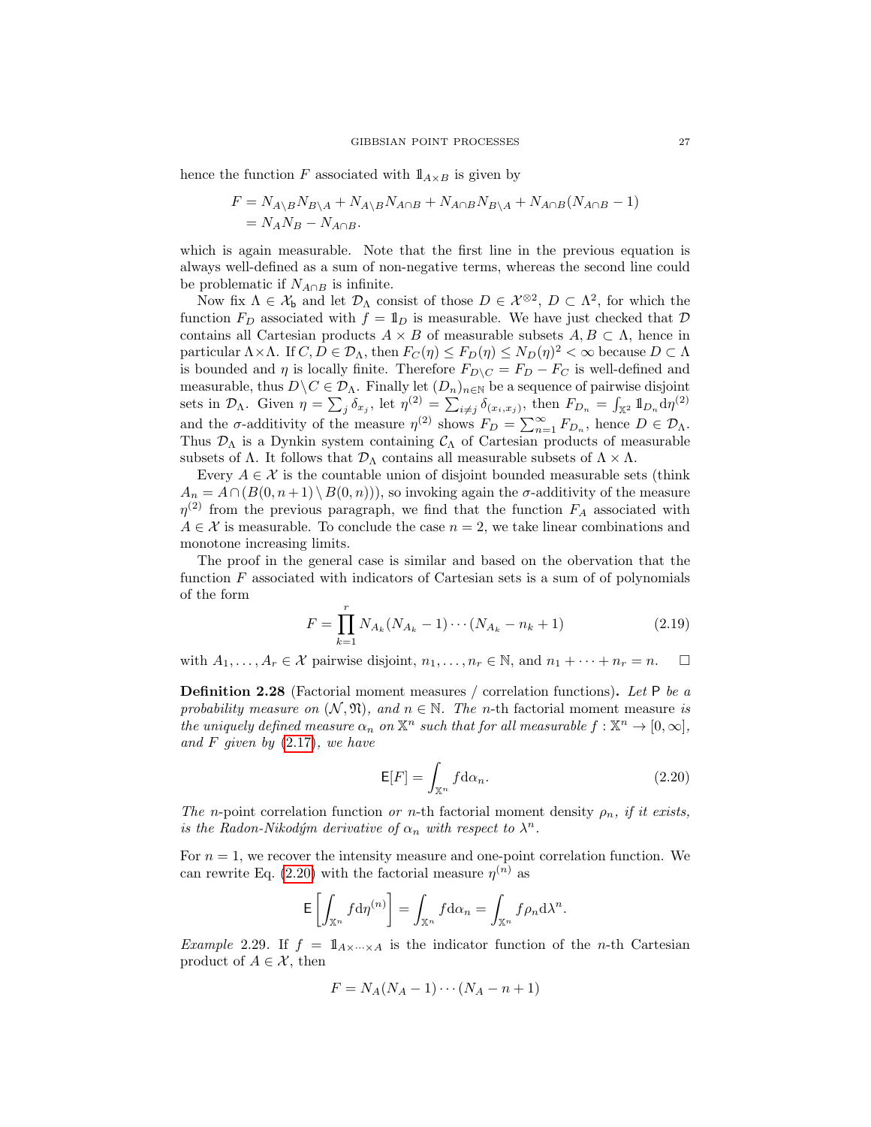hence the function F associated with  $1_{A\times B}$  is given by

$$
F = N_{A\setminus B} N_{B\setminus A} + N_{A\setminus B} N_{A\cap B} + N_{A\cap B} N_{B\setminus A} + N_{A\cap B} (N_{A\cap B} - 1)
$$
  
=  $N_A N_B - N_{A\cap B}$ .

which is again measurable. Note that the first line in the previous equation is always well-defined as a sum of non-negative terms, whereas the second line could be problematic if  $N_{A\cap B}$  is infinite.

Now fix  $\Lambda \in \mathcal{X}_{\mathsf{b}}$  and let  $\mathcal{D}_{\Lambda}$  consist of those  $D \in \mathcal{X}^{\otimes 2}$ ,  $D \subset \Lambda^2$ , for which the function  $F_D$  associated with  $f = 1_D$  is measurable. We have just checked that D contains all Cartesian products  $A \times B$  of measurable subsets  $A, B \subset \Lambda$ , hence in particular  $\Lambda \times \Lambda$ . If  $C, D \in \mathcal{D}_{\Lambda}$ , then  $F_C(\eta) \leq F_D(\eta) \leq N_D(\eta)^2 < \infty$  because  $D \subset \Lambda$ is bounded and  $\eta$  is locally finite. Therefore  $F_{D\setminus C} = F_D - F_C$  is well-defined and measurable, thus  $D \setminus C \in \mathcal{D}_\Lambda$ . Finally let  $(D_n)_{n \in \mathbb{N}}$  be a sequence of pairwise disjoint sets in  $\mathcal{D}_\Lambda$ . Given  $\eta = \sum_j \delta_{x_j}$ , let  $\eta^{(2)} = \sum_{i \neq j} \delta_{(x_i, x_j)}$ , then  $F_{D_n} = \int_{\mathbb{X}^2} \mathbb{1}_{D_n} d\eta^{(2)}$ and the  $\sigma$ -additivity of the measure  $\eta^{(2)}$  shows  $F_D = \sum_{n=1}^{\infty} F_{D_n}$ , hence  $D \in \mathcal{D}_{\Lambda}$ . Thus  $\mathcal{D}_{\Lambda}$  is a Dynkin system containing  $\mathcal{C}_{\Lambda}$  of Cartesian products of measurable subsets of  $\Lambda.$  It follows that  $\mathcal{D}_{\Lambda}$  contains all measurable subsets of  $\Lambda\times\Lambda.$ 

Every  $A \in \mathcal{X}$  is the countable union of disjoint bounded measurable sets (think  $A_n = A \cap (B(0, n+1) \setminus B(0, n)))$ , so invoking again the  $\sigma$ -additivity of the measure  $\eta^{(2)}$  from the previous paragraph, we find that the function  $F_A$  associated with  $A \in \mathcal{X}$  is measurable. To conclude the case  $n = 2$ , we take linear combinations and monotone increasing limits.

The proof in the general case is similar and based on the obervation that the function  $F$  associated with indicators of Cartesian sets is a sum of of polynomials of the form

<span id="page-26-1"></span>
$$
F = \prod_{k=1}^{r} N_{A_k} (N_{A_k} - 1) \cdots (N_{A_k} - n_k + 1)
$$
\n(2.19)

with  $A_1, \ldots, A_r \in \mathcal{X}$  pairwise disjoint,  $n_1, \ldots, n_r \in \mathbb{N}$ , and  $n_1 + \cdots + n_r = n$ .  $\Box$ 

**Definition 2.28** (Factorial moment measures / correlation functions). Let P be a probability measure on  $(N, \mathfrak{N})$ , and  $n \in \mathbb{N}$ . The n-th factorial moment measure is the uniquely defined measure  $\alpha_n$  on  $\mathbb{X}^n$  such that for all measurable  $f : \mathbb{X}^n \to [0, \infty]$ , and  $F$  given by  $(2.17)$ , we have

<span id="page-26-0"></span>
$$
\mathsf{E}[F] = \int_{\mathbb{X}^n} f \mathrm{d}\alpha_n. \tag{2.20}
$$

The n-point correlation function or n-th factorial moment density  $\rho_n$ , if it exists, is the Radon-Nikodým derivative of  $\alpha_n$  with respect to  $\lambda^n$ .

For  $n = 1$ , we recover the intensity measure and one-point correlation function. We can rewrite Eq. [\(2.20\)](#page-26-0) with the factorial measure  $\eta^{(n)}$  as

$$
\mathsf{E}\left[\int_{\mathbb{X}^n} f \mathrm{d} \eta^{(n)}\right] = \int_{\mathbb{X}^n} f \mathrm{d} \alpha_n = \int_{\mathbb{X}^n} f \rho_n \mathrm{d} \lambda^n.
$$

Example 2.29. If  $f = 1_{A \times \cdots \times A}$  is the indicator function of the *n*-th Cartesian product of  $A \in \mathcal{X}$ , then

$$
F = N_A(N_A - 1) \cdots (N_A - n + 1)
$$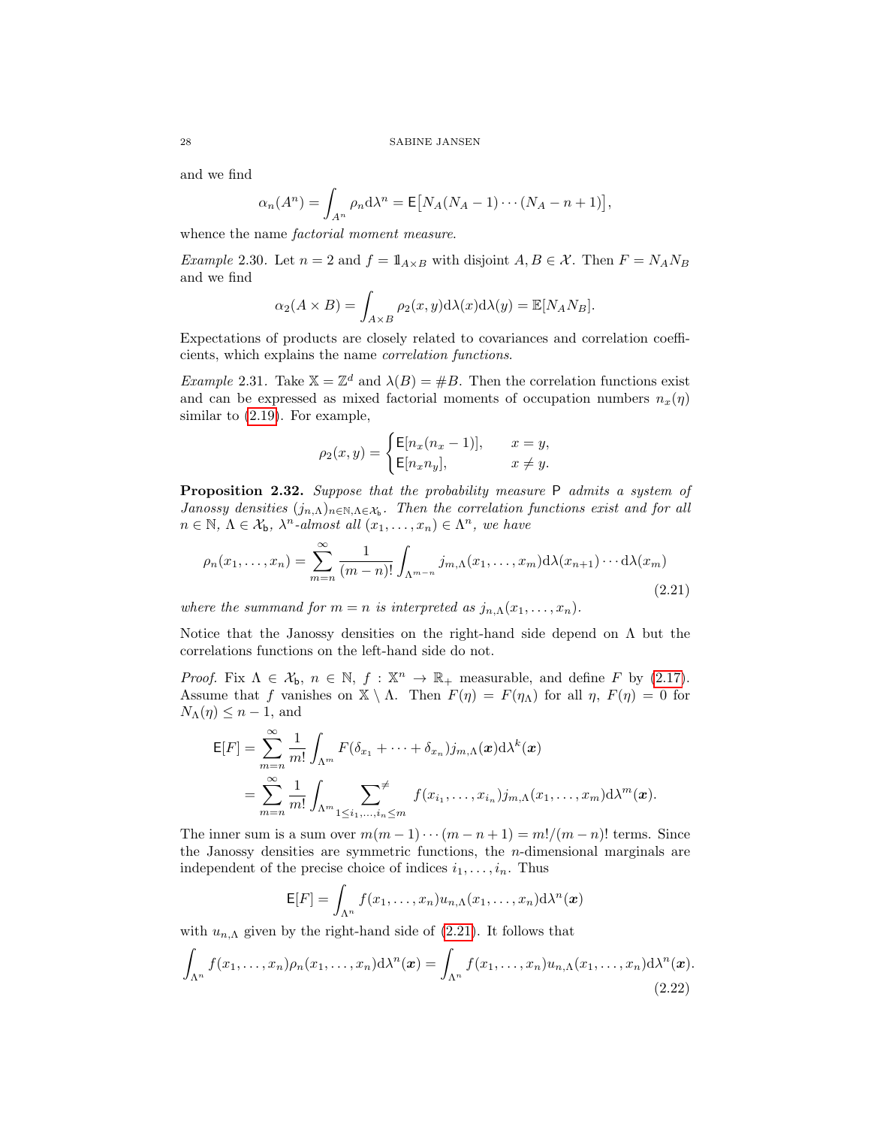and we find

$$
\alpha_n(A^n) = \int_{A^n} \rho_n d\lambda^n = \mathsf{E}\big[ N_A(N_A - 1) \cdots (N_A - n + 1) \big],
$$

whence the name factorial moment measure.

Example 2.30. Let  $n = 2$  and  $f = 1<sub>A\times B</sub>$  with disjoint  $A, B \in \mathcal{X}$ . Then  $F = N_A N_B$ and we find

$$
\alpha_2(A \times B) = \int_{A \times B} \rho_2(x, y) d\lambda(x) d\lambda(y) = \mathbb{E}[N_A N_B].
$$

Expectations of products are closely related to covariances and correlation coefficients, which explains the name correlation functions.

*Example* 2.31. Take  $X = \mathbb{Z}^d$  and  $\lambda(B) = \#B$ . Then the correlation functions exist and can be expressed as mixed factorial moments of occupation numbers  $n_x(\eta)$ similar to [\(2.19\)](#page-26-1). For example,

$$
\rho_2(x, y) = \begin{cases} \mathsf{E}[n_x(n_x - 1)], & x = y, \\ \mathsf{E}[n_x n_y], & x \neq y. \end{cases}
$$

<span id="page-27-1"></span>Proposition 2.32. Suppose that the probability measure P admits a system of Janossy densities  $(j_{n,\Lambda})_{n \in \mathbb{N}, \Lambda \in \mathcal{X}_b}$ . Then the correlation functions exist and for all  $n \in \mathbb{N}, \ \Lambda \in \mathcal{X}_{\mathsf{b}}, \ \lambda^n$ -almost all  $(x_1, \ldots, x_n) \in \Lambda^n$ , we have

<span id="page-27-0"></span>
$$
\rho_n(x_1,\ldots,x_n) = \sum_{m=n}^{\infty} \frac{1}{(m-n)!} \int_{\Lambda^{m-n}} j_{m,\Lambda}(x_1,\ldots,x_m) d\lambda(x_{n+1}) \cdots d\lambda(x_m)
$$
\n(2.21)

where the summand for  $m = n$  is interpreted as  $j_{n,\Lambda}(x_1,\ldots,x_n)$ .

Notice that the Janossy densities on the right-hand side depend on  $\Lambda$  but the correlations functions on the left-hand side do not.

*Proof.* Fix  $\Lambda \in \mathcal{X}_b$ ,  $n \in \mathbb{N}$ ,  $f : \mathbb{X}^n \to \mathbb{R}_+$  measurable, and define F by [\(2.17\)](#page-25-1). Assume that f vanishes on  $\mathbb{X} \setminus \Lambda$ . Then  $F(\eta) = F(\eta_\Lambda)$  for all  $\eta$ ,  $F(\eta) = 0$  for  $N_{\Lambda}(\eta) \leq n-1$ , and

$$
\mathsf{E}[F] = \sum_{m=n}^{\infty} \frac{1}{m!} \int_{\Lambda^m} F(\delta_{x_1} + \dots + \delta_{x_n}) j_{m,\Lambda}(\boldsymbol{x}) \mathrm{d}\lambda^k(\boldsymbol{x}) \n= \sum_{m=n}^{\infty} \frac{1}{m!} \int_{\Lambda^m} \sum_{1 \leq i_1, \dots, i_n \leq m} f(x_{i_1}, \dots, x_{i_n}) j_{m,\Lambda}(x_1, \dots, x_m) \mathrm{d}\lambda^m(\boldsymbol{x}).
$$

The inner sum is a sum over  $m(m-1)\cdots(m-n+1) = m!/(m-n)!$  terms. Since the Janossy densities are symmetric functions, the  $n$ -dimensional marginals are independent of the precise choice of indices  $i_1, \ldots, i_n$ . Thus

$$
\mathsf{E}[F] = \int_{\Lambda^n} f(x_1,\ldots,x_n) u_{n,\Lambda}(x_1,\ldots,x_n) \mathrm{d}\lambda^n(\boldsymbol{x})
$$

with  $u_{n,\Lambda}$  given by the right-hand side of [\(2.21\)](#page-27-0). It follows that

$$
\int_{\Lambda^n} f(x_1,\ldots,x_n)\rho_n(x_1,\ldots,x_n) d\lambda^n(\boldsymbol{x}) = \int_{\Lambda^n} f(x_1,\ldots,x_n) u_{n,\Lambda}(x_1,\ldots,x_n) d\lambda^n(\boldsymbol{x}).
$$
\n(2.22)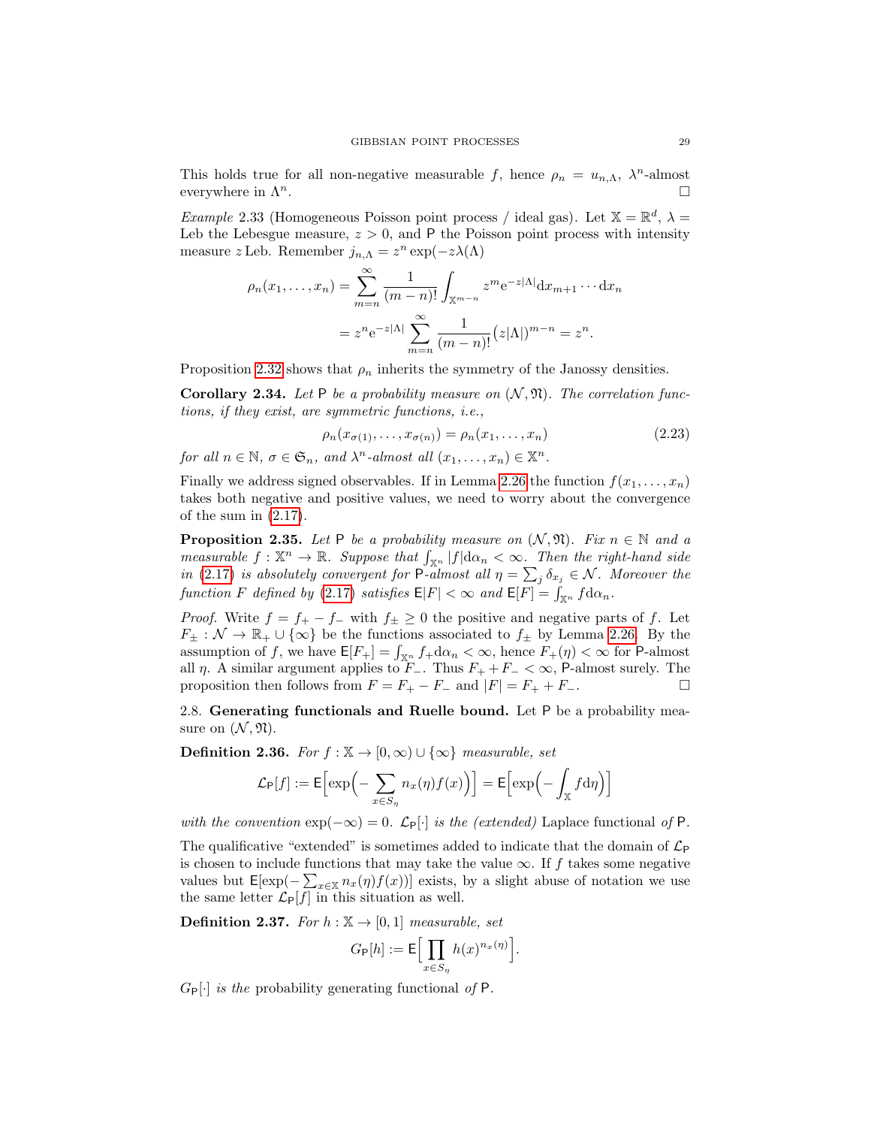This holds true for all non-negative measurable f, hence  $\rho_n = u_{n,\Lambda}$ ,  $\lambda^n$ -almost everywhere in  $\Lambda^n$ .

*Example* 2.33 (Homogeneous Poisson point process / ideal gas). Let  $\mathbb{X} = \mathbb{R}^d$ ,  $\lambda =$ Leb the Lebesgue measure,  $z > 0$ , and P the Poisson point process with intensity measure z Leb. Remember  $j_{n,\Lambda} = z^n \exp(-z\lambda(\Lambda))$ 

$$
\rho_n(x_1, ..., x_n) = \sum_{m=n}^{\infty} \frac{1}{(m-n)!} \int_{\mathbb{X}^{m-n}} z^m e^{-z|\Lambda|} dx_{m+1} \cdots dx_n
$$
  
=  $z^n e^{-z|\Lambda|} \sum_{m=n}^{\infty} \frac{1}{(m-n)!} (z|\Lambda|)^{m-n} = z^n.$ 

Proposition [2.32](#page-27-1) shows that  $\rho_n$  inherits the symmetry of the Janossy densities.

**Corollary 2.34.** Let P be a probability measure on  $(N, \mathfrak{N})$ . The correlation functions, if they exist, are symmetric functions, i.e.,

$$
\rho_n(x_{\sigma(1)}, \dots, x_{\sigma(n)}) = \rho_n(x_1, \dots, x_n) \tag{2.23}
$$

for all  $n \in \mathbb{N}$ ,  $\sigma \in \mathfrak{S}_n$ , and  $\lambda^n$ -almost all  $(x_1, \ldots, x_n) \in \mathbb{X}^n$ .

Finally we address signed observables. If in Lemma [2.26](#page-25-2) the function  $f(x_1, \ldots, x_n)$ takes both negative and positive values, we need to worry about the convergence of the sum in [\(2.17\)](#page-25-1).

<span id="page-28-1"></span>**Proposition 2.35.** Let P be a probability measure on  $(\mathcal{N}, \mathfrak{N})$ . Fix  $n \in \mathbb{N}$  and a measurable  $f: \mathbb{X}^n \to \mathbb{R}$ . Suppose that  $\int_{\mathbb{X}^n} |f| \, d\alpha_n < \infty$ . Then the right-hand side in [\(2.17\)](#page-25-1) is absolutely convergent for P-almost all  $\eta = \sum_j \delta_{x_j} \in \mathcal{N}$ . Moreover the function F defined by [\(2.17\)](#page-25-1) satisfies  $E|F| < \infty$  and  $E[F] = \int_{\mathbb{X}^n} f d\alpha_n$ .

*Proof.* Write  $f = f_{+} - f_{-}$  with  $f_{+} \geq 0$  the positive and negative parts of f. Let  $F_{\pm}: \mathcal{N} \to \mathbb{R}_{+} \cup {\infty}$  be the functions associated to  $f_{\pm}$  by Lemma [2.26.](#page-25-2) By the assumption of f, we have  $\mathsf{E}[F_+] = \int_{\mathbb{X}^n} f_+ \, \mathrm{d}a_n < \infty$ , hence  $F_+(\eta) < \infty$  for P-almost all  $\eta$ . A similar argument applies to F<sub>-</sub>. Thus  $F_+ + F_- < \infty$ , P-almost surely. The proposition then follows from  $F = F_+ - F_-$  and  $|F| = F_+ + F_-$ .

<span id="page-28-0"></span>2.8. Generating functionals and Ruelle bound. Let P be a probability measure on  $(\mathcal{N}, \mathfrak{N}).$ 

**Definition 2.36.** For  $f : \mathbb{X} \to [0, \infty) \cup \{\infty\}$  measurable, set

$$
\mathcal{L}_{\mathsf{P}}[f] := \mathsf{E}\Big[\exp\Big(-\sum_{x \in S_{\eta}} n_x(\eta) f(x)\Big)\Big] = \mathsf{E}\Big[\exp\Big(-\int_{\mathbb{X}} f \mathrm{d}\eta\Big)\Big]
$$

with the convention  $\exp(-\infty) = 0$ .  $\mathcal{L}_{\mathsf{P}}[\cdot]$  is the (extended) Laplace functional of P.

The qualificative "extended" is sometimes added to indicate that the domain of  $\mathcal{L}_{P}$ is chosen to include functions that may take the value  $\infty$ . If f takes some negative values but  $\mathsf{E}[\exp(-\sum_{x\in\mathbb{X}}n_x(\eta)f(x))]$  exists, by a slight abuse of notation we use the same letter  $\mathcal{L}_{\mathsf{P}}[f]$  in this situation as well.

**Definition 2.37.** For  $h : \mathbb{X} \to [0,1]$  measurable, set

$$
G_{\mathsf{P}}[h] := \mathsf{E} \Big[ \prod_{x \in S_{\eta}} h(x)^{n_x(\eta)} \Big].
$$

 $G_{\rm P}[\cdot]$  is the probability generating functional of P.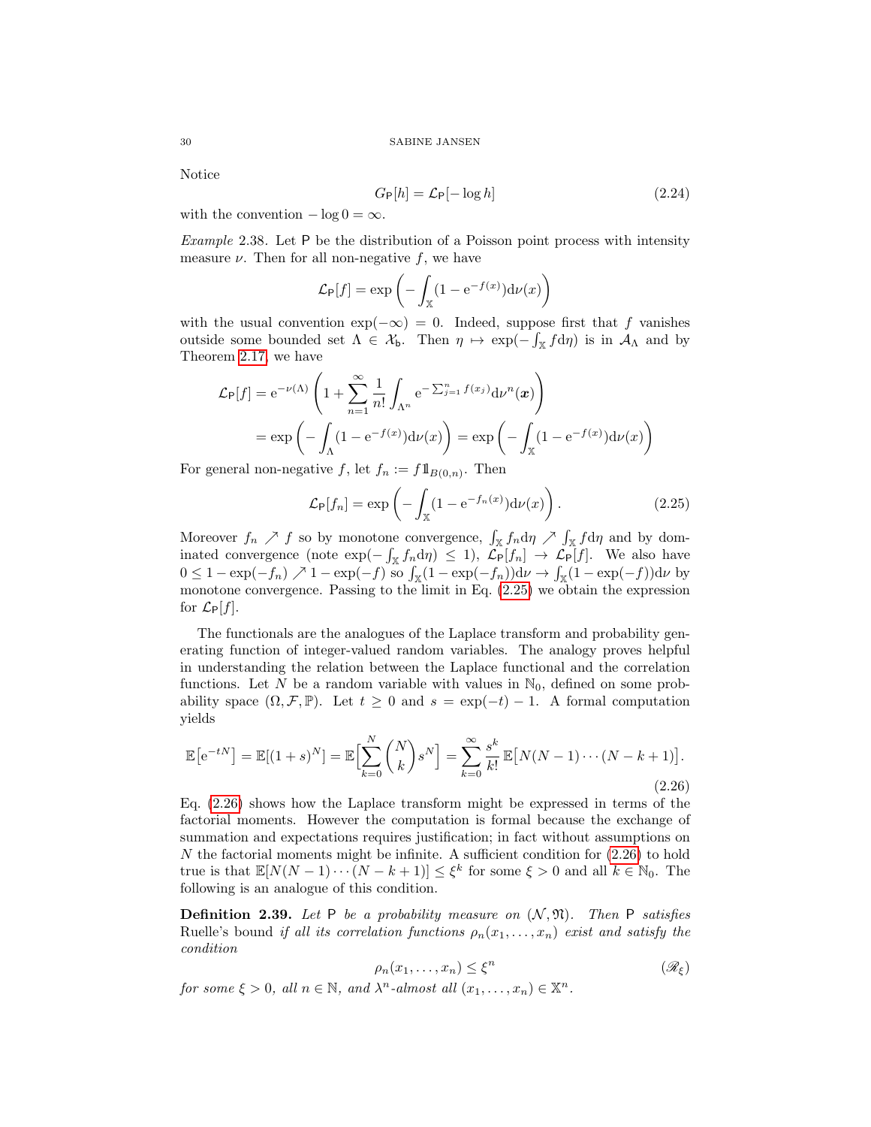Notice

$$
G_{\mathsf{P}}[h] = \mathcal{L}_{\mathsf{P}}[-\log h] \tag{2.24}
$$

with the convention  $-\log 0 = \infty$ .

Example 2.38. Let P be the distribution of a Poisson point process with intensity measure  $\nu$ . Then for all non-negative f, we have

$$
\mathcal{L}_{\mathsf{P}}[f] = \exp\left(-\int_{\mathbb{X}} (1 - e^{-f(x)}) \mathrm{d}\nu(x)\right)
$$

with the usual convention  $\exp(-\infty) = 0$ . Indeed, suppose first that f vanishes outside some bounded set  $\Lambda \in \mathcal{X}_{\mathbf{b}}$ . Then  $\eta \mapsto \exp(-\int_{\mathbb{X}} f d\eta)$  is in  $\mathcal{A}_{\Lambda}$  and by Theorem [2.17,](#page-21-2) we have

$$
\mathcal{L}_{\mathsf{P}}[f] = e^{-\nu(\Lambda)} \left( 1 + \sum_{n=1}^{\infty} \frac{1}{n!} \int_{\Lambda^n} e^{-\sum_{j=1}^n f(x_j)} \mathrm{d} \nu^n(\boldsymbol{x}) \right)
$$
  
=  $\exp \left( - \int_{\Lambda} (1 - e^{-f(x)}) \mathrm{d} \nu(x) \right) = \exp \left( - \int_{\mathbb{X}} (1 - e^{-f(x)}) \mathrm{d} \nu(x) \right)$ 

For general non-negative f, let  $f_n := f1_{B(0,n)}$ . Then

<span id="page-29-0"></span>
$$
\mathcal{L}_{\mathsf{P}}[f_n] = \exp\left(-\int_{\mathbb{X}} (1 - e^{-f_n(x)}) \mathrm{d}\nu(x)\right). \tag{2.25}
$$

Moreover  $f_n \nearrow f$  so by monotone convergence,  $\int_{\mathbb{X}} f_n d\eta \nearrow \int_{\mathbb{X}} f d\eta$  and by dominated convergence (note  $\exp(-\int_{\mathbb{X}} f_n d\eta) \leq 1$ ),  $\mathcal{L}_{\mathsf{P}}[f_n] \to \mathcal{L}_{\mathsf{P}}[f]$ . We also have  $0 \leq 1 - \exp(-f_n) \nearrow 1 - \exp(-f)$  so  $\int_{\mathbb{X}} (1 - \exp(-f_n)) \mathrm{d} \nu \to \int_{\mathbb{X}} (1 - \exp(-f)) \mathrm{d} \nu$  by monotone convergence. Passing to the limit in Eq. [\(2.25\)](#page-29-0) we obtain the expression for  $\mathcal{L}_{\mathsf{P}}[f]$ .

The functionals are the analogues of the Laplace transform and probability generating function of integer-valued random variables. The analogy proves helpful in understanding the relation between the Laplace functional and the correlation functions. Let N be a random variable with values in  $\mathbb{N}_0$ , defined on some probability space  $(\Omega, \mathcal{F}, \mathbb{P})$ . Let  $t \geq 0$  and  $s = \exp(-t) - 1$ . A formal computation yields

<span id="page-29-1"></span>
$$
\mathbb{E}\left[e^{-tN}\right] = \mathbb{E}[(1+s)^N] = \mathbb{E}\left[\sum_{k=0}^N \binom{N}{k} s^N\right] = \sum_{k=0}^\infty \frac{s^k}{k!} \mathbb{E}\left[N(N-1)\cdots(N-k+1)\right].\tag{2.26}
$$

Eq. [\(2.26\)](#page-29-1) shows how the Laplace transform might be expressed in terms of the factorial moments. However the computation is formal because the exchange of summation and expectations requires justification; in fact without assumptions on  $N$  the factorial moments might be infinite. A sufficient condition for  $(2.26)$  to hold true is that  $\mathbb{E}[N(N-1)\cdots(N-k+1)] \leq \xi^k$  for some  $\xi > 0$  and all  $k \in \mathbb{N}_0$ . The following is an analogue of this condition.

**Definition 2.39.** Let P be a probability measure on  $(\mathcal{N}, \mathfrak{N})$ . Then P satisfies Ruelle's bound if all its correlation functions  $\rho_n(x_1, \ldots, x_n)$  exist and satisfy the condition

<span id="page-29-3"></span><span id="page-29-2"></span>
$$
\rho_n(x_1,\ldots,x_n) \le \xi^n \tag{R_{\xi}}
$$

for some  $\xi > 0$ , all  $n \in \mathbb{N}$ , and  $\lambda^n$ -almost all  $(x_1, \ldots, x_n) \in \mathbb{X}^n$ .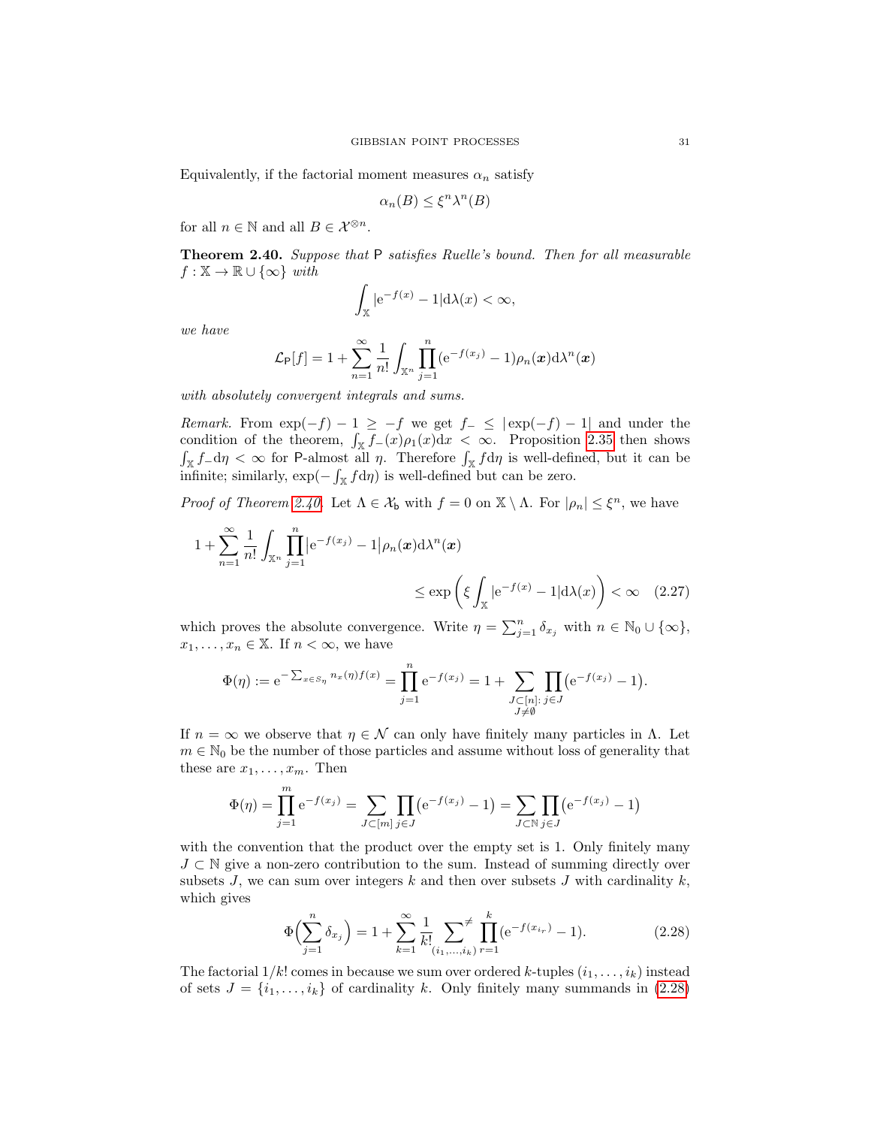Equivalently, if the factorial moment measures  $\alpha_n$  satisfy

$$
\alpha_n(B) \le \xi^n \lambda^n(B)
$$

for all  $n \in \mathbb{N}$  and all  $B \in \mathcal{X}^{\otimes n}$ .

<span id="page-30-0"></span>Theorem 2.40. Suppose that P satisfies Ruelle's bound. Then for all measurable  $f : \mathbb{X} \to \mathbb{R} \cup {\infty}$  with

$$
\int_{\mathbb{X}} |e^{-f(x)} - 1| d\lambda(x) < \infty,
$$

we have

$$
\mathcal{L}_{\mathsf{P}}[f] = 1 + \sum_{n=1}^{\infty} \frac{1}{n!} \int_{\mathbb{X}^n} \prod_{j=1}^n (e^{-f(x_j)} - 1) \rho_n(\boldsymbol{x}) d\lambda^n(\boldsymbol{x})
$$

with absolutely convergent integrals and sums.

Remark. From  $\exp(-f) - 1 \geq -f$  we get  $f_{-} \leq |\exp(-f) - 1|$  and under the condition of the theorem,  $\int_{\mathbb{X}} f_-(x) \rho_1(x) dx < \infty$ . Proposition [2.35](#page-28-1) then shows  $\int_{\mathbb{X}} f_{-} d\eta < \infty$  for P-almost all  $\eta$ . Therefore  $\int_{\mathbb{X}} f d\eta$  is well-defined, but it can be infinite; similarly,  $\exp(-\int_X f d\eta)$  is well-defined but can be zero.

Proof of Theorem [2.40.](#page-30-0) Let  $\Lambda \in \mathcal{X}_{\mathbf{b}}$  with  $f = 0$  on  $\mathbb{X} \setminus \Lambda$ . For  $|\rho_n| \leq \xi^n$ , we have

$$
1 + \sum_{n=1}^{\infty} \frac{1}{n!} \int_{\mathbb{X}^n} \prod_{j=1}^n \left| e^{-f(x_j)} - 1 \right| \rho_n(x) d\lambda^n(x)
$$
  
\$\leq\$ exp\$  $\left( \xi \int_{\mathbb{X}} \left| e^{-f(x)} - 1 \right| d\lambda(x) \right) < \infty$  (2.27)

which proves the absolute convergence. Write  $\eta = \sum_{j=1}^n \delta_{x_j}$  with  $n \in \mathbb{N}_0 \cup \{\infty\},\$  $x_1, \ldots, x_n \in \mathbb{X}$ . If  $n < \infty$ , we have

$$
\Phi(\eta) := e^{-\sum_{x \in S_{\eta}} n_x(\eta) f(x)} = \prod_{j=1}^n e^{-f(x_j)} = 1 + \sum_{\substack{J \subset [n]: \\ J \neq \emptyset}} \prod_{j \in J} (e^{-f(x_j)} - 1).
$$

If  $n = \infty$  we observe that  $\eta \in \mathcal{N}$  can only have finitely many particles in  $\Lambda$ . Let  $m \in \mathbb{N}_0$  be the number of those particles and assume without loss of generality that these are  $x_1, \ldots, x_m$ . Then

$$
\Phi(\eta) = \prod_{j=1}^{m} e^{-f(x_j)} = \sum_{J \subset [m]} \prod_{j \in J} (e^{-f(x_j)} - 1) = \sum_{J \subset \mathbb{N}} \prod_{j \in J} (e^{-f(x_j)} - 1)
$$

with the convention that the product over the empty set is 1. Only finitely many  $J \subset \mathbb{N}$  give a non-zero contribution to the sum. Instead of summing directly over subsets  $J$ , we can sum over integers  $k$  and then over subsets  $J$  with cardinality  $k$ , which gives

<span id="page-30-1"></span>
$$
\Phi\left(\sum_{j=1}^{n} \delta_{x_j}\right) = 1 + \sum_{k=1}^{\infty} \frac{1}{k!} \sum_{(i_1, \dots, i_k)} \prod_{r=1}^{k} (e^{-f(x_{i_r})} - 1).
$$
\n(2.28)

The factorial  $1/k!$  comes in because we sum over ordered k-tuples  $(i_1, \ldots, i_k)$  instead of sets  $J = \{i_1, \ldots, i_k\}$  of cardinality k. Only finitely many summands in [\(2.28\)](#page-30-1)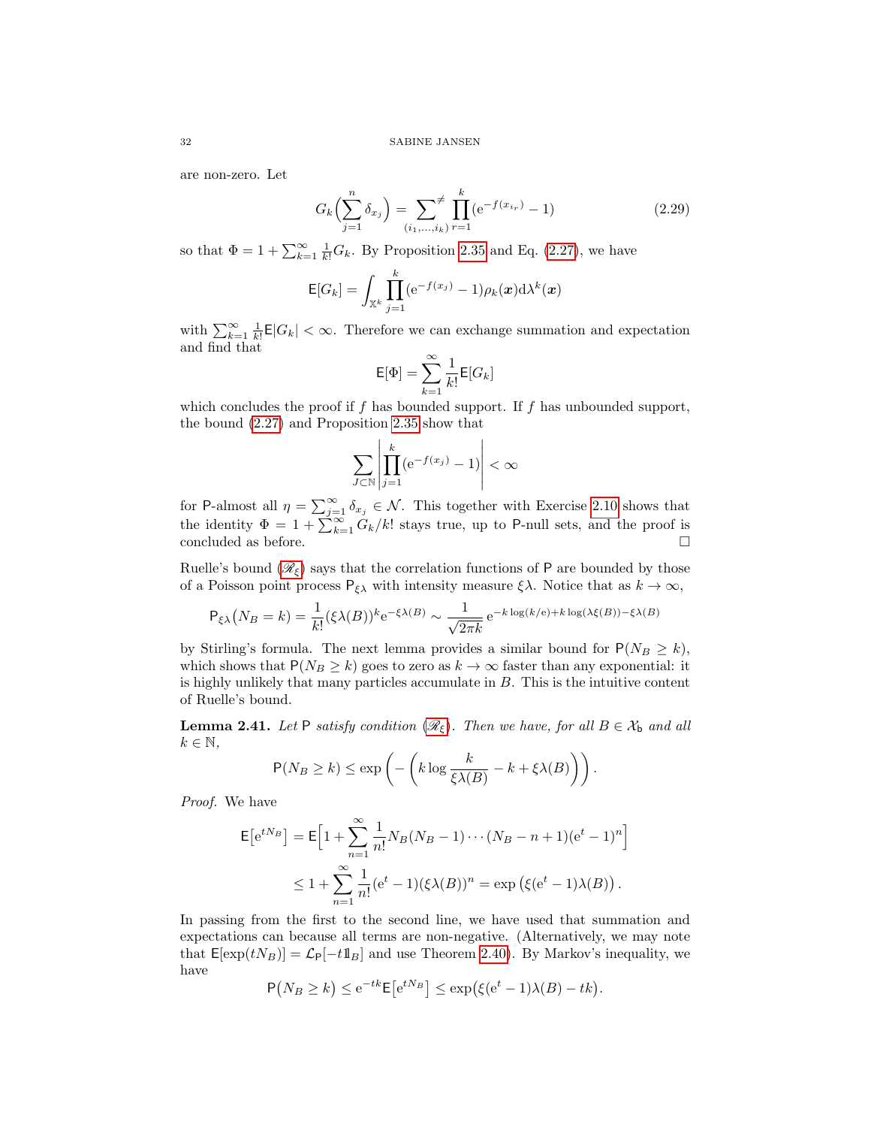are non-zero. Let

$$
G_k\left(\sum_{j=1}^n \delta_{x_j}\right) = \sum_{(i_1,\dots,i_k)} \prod_{r=1}^k \left(e^{-f(x_{i_r})} - 1\right)
$$
\n(2.29)

so that  $\Phi = 1 + \sum_{k=1}^{\infty} \frac{1}{k!} G_k$ . By Proposition [2.35](#page-28-1) and Eq. [\(2.27\)](#page-29-2), we have

$$
\mathsf{E}[G_k] = \int_{\mathbb{X}^k} \prod_{j=1}^k (\mathrm{e}^{-f(x_j)} - 1) \rho_k(\boldsymbol{x}) \mathrm{d}\lambda^k(\boldsymbol{x})
$$

with  $\sum_{k=1}^{\infty} \frac{1}{k!} \mathsf{E} |G_k| < \infty$ . Therefore we can exchange summation and expectation and find that

$$
\mathsf{E}[\Phi]=\sum_{k=1}^\infty \frac{1}{k!} \mathsf{E}[G_k]
$$

which concludes the proof if  $f$  has bounded support. If  $f$  has unbounded support, the bound [\(2.27\)](#page-29-2) and Proposition [2.35](#page-28-1) show that

$$
\sum_{J \subset \mathbb{N}} \left| \prod_{j=1}^{k} (e^{-f(x_j)} - 1) \right| < \infty
$$

for P-almost all  $\eta = \sum_{j=1}^{\infty} \delta_{x_j} \in \mathcal{N}$ . This together with Exercise [2.10](#page-43-1) shows that the identity  $\Phi = 1 + \sum_{k=1}^{\infty} G_k/k!$  stays true, up to P-null sets, and the proof is concluded as before.  $\Box$ 

[R](#page-29-3)uelle's bound  $(\mathcal{R}_{\xi})$  says that the correlation functions of P are bounded by those of a Poisson point process  $P_{\xi\lambda}$  with intensity measure  $\xi\lambda$ . Notice that as  $k \to \infty$ ,

$$
\mathsf{P}_{\xi\lambda}\big(N_B = k\big) = \frac{1}{k!}(\xi\lambda(B))^k e^{-\xi\lambda(B)} \sim \frac{1}{\sqrt{2\pi k}} e^{-k\log(k/e) + k\log(\lambda\xi(B)) - \xi\lambda(B)}
$$

by Stirling's formula. The next lemma provides a similar bound for  $P(N_B \ge k)$ , which shows that  $P(N_B \ge k)$  goes to zero as  $k \to \infty$  faster than any exponential: it is highly unlikely that many particles accumulate in  $B$ . This is the intuitive content of Ruelle's bound.

**Lemma 2.41.** Let P satisfy condition  $(\mathcal{R}_{\xi})$  $(\mathcal{R}_{\xi})$  $(\mathcal{R}_{\xi})$ . Then we have, for all  $B \in \mathcal{X}_{\mathbf{b}}$  and all  $k \in \mathbb{N}$ ,

$$
\mathsf{P}(N_B \ge k) \le \exp\left(-\left(k\log\frac{k}{\xi\lambda(B)} - k + \xi\lambda(B)\right)\right).
$$

Proof. We have

$$
\mathsf{E}\left[e^{tN_B}\right] = \mathsf{E}\left[1 + \sum_{n=1}^{\infty} \frac{1}{n!} N_B (N_B - 1) \cdots (N_B - n + 1)(e^t - 1)^n\right]
$$
  
 
$$
\leq 1 + \sum_{n=1}^{\infty} \frac{1}{n!} (e^t - 1) (\xi \lambda(B))^n = \exp\left(\xi (e^t - 1) \lambda(B)\right).
$$

In passing from the first to the second line, we have used that summation and expectations can because all terms are non-negative. (Alternatively, we may note that  $\mathsf{E}[\exp(tN_B)] = \mathcal{L}_{\mathsf{P}}[-t\mathbb{1}_B]$  and use Theorem [2.40\)](#page-30-0). By Markov's inequality, we have

$$
\mathsf{P}(N_B \ge k) \le e^{-tk} \mathsf{E}\left[e^{tN_B}\right] \le \exp\big(\xi(e^t-1)\lambda(B)-tk\big).
$$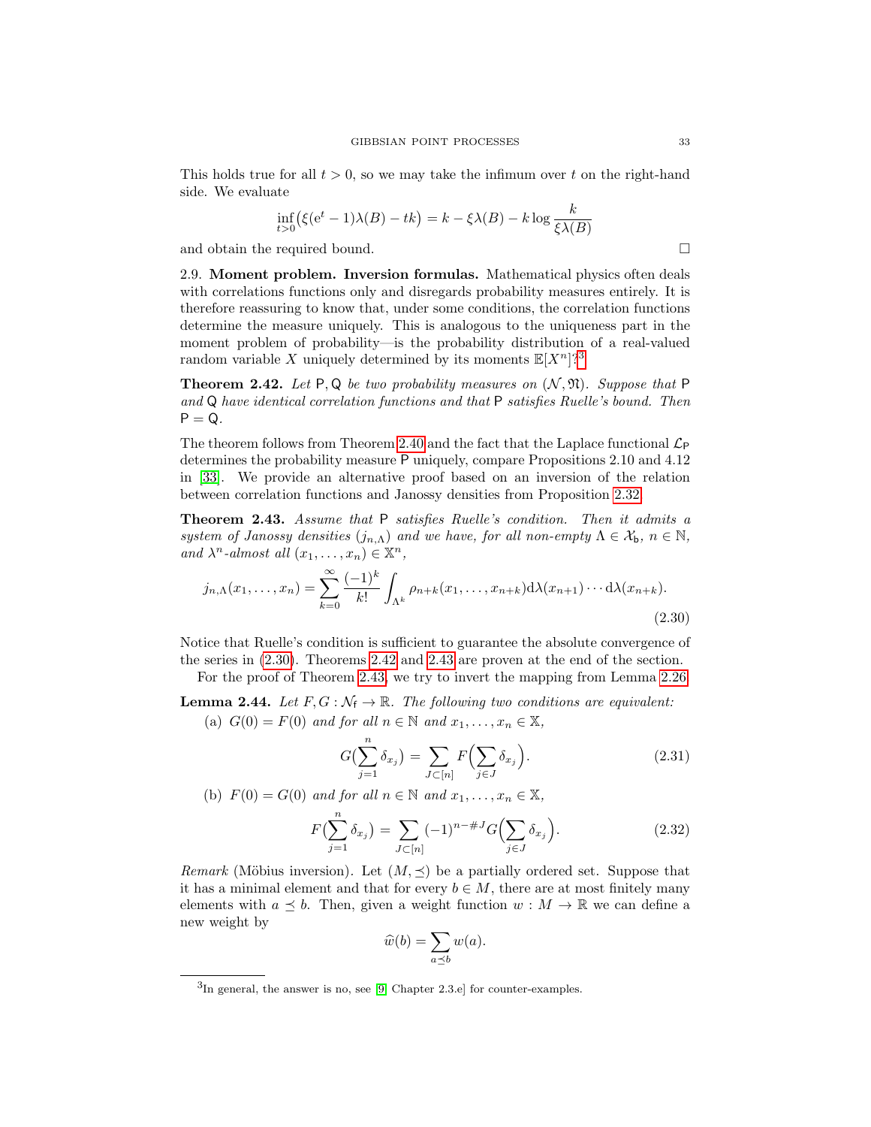This holds true for all  $t > 0$ , so we may take the infimum over t on the right-hand side. We evaluate

$$
\inf_{t>0} (\xi(e^t - 1)\lambda(B) - tk) = k - \xi \lambda(B) - k \log \frac{k}{\xi \lambda(B)}
$$

and obtain the required bound.  $\hfill \square$ 

<span id="page-32-0"></span>2.9. Moment problem. Inversion formulas. Mathematical physics often deals with correlations functions only and disregards probability measures entirely. It is therefore reassuring to know that, under some conditions, the correlation functions determine the measure uniquely. This is analogous to the uniqueness part in the moment problem of probability—is the probability distribution of a real-valued random variable X uniquely determined by its moments  $\mathbb{E}[X^n]$ ?<sup>[3](#page-32-1)</sup>

<span id="page-32-3"></span>**Theorem 2.42.** Let P, Q be two probability measures on  $(N, \mathfrak{N})$ . Suppose that P and Q have identical correlation functions and that P satisfies Ruelle's bound. Then  $P = Q$ .

The theorem follows from Theorem [2.40](#page-30-0) and the fact that the Laplace functional  $\mathcal{L}_{\mathsf{P}}$ determines the probability measure P uniquely, compare Propositions 2.10 and 4.12 in [\[33\]](#page-104-1). We provide an alternative proof based on an inversion of the relation between correlation functions and Janossy densities from Proposition [2.32.](#page-27-1)

<span id="page-32-4"></span>Theorem 2.43. Assume that P satisfies Ruelle's condition. Then it admits a system of Janossy densities  $(j_{n,\Lambda})$  and we have, for all non-empty  $\Lambda \in \mathcal{X}_{\mathsf{b}}$ ,  $n \in \mathbb{N}$ , and  $\lambda^n$ -almost all  $(x_1, \ldots, x_n) \in \mathbb{X}^n$ ,

<span id="page-32-2"></span>
$$
j_{n,\Lambda}(x_1,\ldots,x_n) = \sum_{k=0}^{\infty} \frac{(-1)^k}{k!} \int_{\Lambda^k} \rho_{n+k}(x_1,\ldots,x_{n+k}) \mathrm{d}\lambda(x_{n+1}) \cdots \mathrm{d}\lambda(x_{n+k}).
$$
\n(2.30)

Notice that Ruelle's condition is sufficient to guarantee the absolute convergence of the series in [\(2.30\)](#page-32-2). Theorems [2.42](#page-32-3) and [2.43](#page-32-4) are proven at the end of the section.

For the proof of Theorem [2.43,](#page-32-4) we try to invert the mapping from Lemma [2.26.](#page-25-2)

<span id="page-32-5"></span>**Lemma 2.44.** Let  $F, G: \mathcal{N}_f \to \mathbb{R}$ . The following two conditions are equivalent: (a)  $G(0) = F(0)$  and for all  $n \in \mathbb{N}$  and  $x_1, \ldots, x_n \in \mathbb{X}$ ,

<span id="page-32-7"></span>
$$
G\left(\sum_{j=1}^{n} \delta_{x_j}\right) = \sum_{J \subset [n]} F\left(\sum_{j \in J} \delta_{x_j}\right). \tag{2.31}
$$

(b)  $F(0) = G(0)$  and for all  $n \in \mathbb{N}$  and  $x_1, \ldots, x_n \in \mathbb{X}$ ,

<span id="page-32-6"></span>
$$
F\left(\sum_{j=1}^{n} \delta_{x_j}\right) = \sum_{J \subset [n]} (-1)^{n-\#J} G\left(\sum_{j \in J} \delta_{x_j}\right).
$$
 (2.32)

*Remark* (Möbius inversion). Let  $(M, \preceq)$  be a partially ordered set. Suppose that it has a minimal element and that for every  $b \in M$ , there are at most finitely many elements with  $a \preceq b$ . Then, given a weight function  $w : M \to \mathbb{R}$  we can define a new weight by

$$
\widehat{w}(b) = \sum_{a \preceq b} w(a).
$$

<span id="page-32-1"></span> ${}^{3}$ In general, the answer is no, see [\[9,](#page-103-6) Chapter 2.3.e] for counter-examples.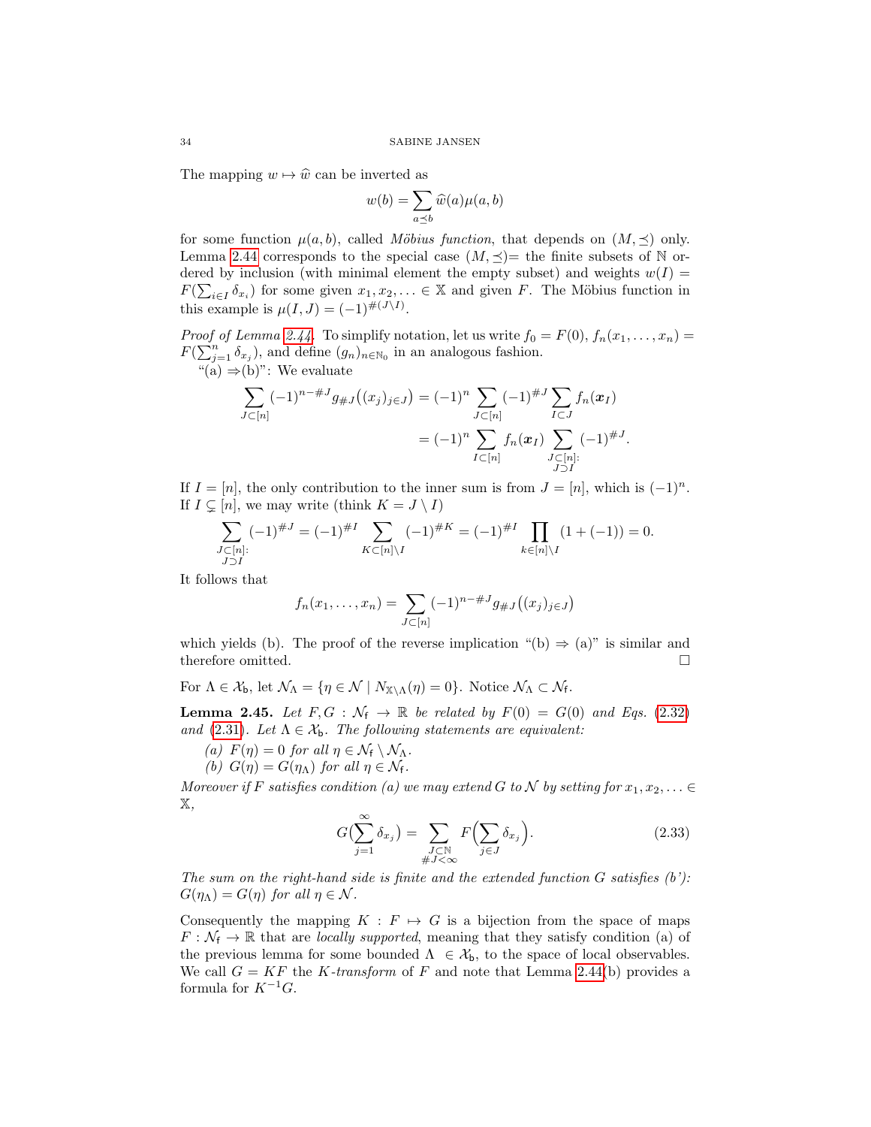The mapping  $w \mapsto \hat{w}$  can be inverted as

$$
w(b) = \sum_{a \preceq b} \widehat{w}(a) \mu(a, b)
$$

for some function  $\mu(a, b)$ , called Möbius function, that depends on  $(M, \preceq)$  only. Lemma [2.44](#page-32-5) corresponds to the special case  $(M, \preceq)$  the finite subsets of N ordered by inclusion (with minimal element the empty subset) and weights  $w(I)$  =  $F(\sum_{i\in I} \delta_{x_i})$  for some given  $x_1, x_2, \ldots \in \mathbb{X}$  and given F. The Möbius function in this example is  $\mu(I, J) = (-1)^{\#(J \setminus I)}$ .

*Proof of Lemma [2.44.](#page-32-5)* To simplify notation, let us write  $f_0 = F(0)$ ,  $f_n(x_1, \ldots, x_n)$  $F(\sum_{j=1}^{n} \delta_{x_j})$ , and define  $(g_n)_{n \in \mathbb{N}_0}$  in an analogous fashion.  $\mathbf{H}^{\mu}(\mathbf{a}) \Rightarrow (\mathbf{b})$ ": We evaluate

$$
\sum_{J \subset [n]} (-1)^{n-\#J} g_{\#J}((x_j)_{j \in J}) = (-1)^n \sum_{J \subset [n]} (-1)^{\#J} \sum_{I \subset J} f_n(x_I)
$$
  
= 
$$
(-1)^n \sum_{I \subset [n]} f_n(x_I) \sum_{\substack{J \subset [n]: \\ J \supset I}} (-1)^{\#J}.
$$

If  $I = [n]$ , the only contribution to the inner sum is from  $J = [n]$ , which is  $(-1)^n$ . If  $I \subseteq [n]$ , we may write (think  $K = J \setminus I$ )

$$
\sum_{\substack{J \subset [n]: \\ J \supset I}} (-1)^{\#J} = (-1)^{\#I} \sum_{K \subset [n] \setminus I} (-1)^{\#K} = (-1)^{\#I} \prod_{k \in [n] \setminus I} (1 + (-1)) = 0.
$$

It follows that

$$
f_n(x_1,...,x_n) = \sum_{J \subset [n]} (-1)^{n-\#J} g_{\#J}((x_j)_{j \in J})
$$

which yields (b). The proof of the reverse implication "(b)  $\Rightarrow$  (a)" is similar and therefore omitted.  $\Box$ 

For  $\Lambda \in \mathcal{X}_{\mathbf{b}}$ , let  $\mathcal{N}_{\Lambda} = \{ \eta \in \mathcal{N} \mid N_{\mathbb{X} \setminus \Lambda}(\eta) = 0 \}$ . Notice  $\mathcal{N}_{\Lambda} \subset \mathcal{N}_{\mathbf{f}}$ .

<span id="page-33-0"></span>**Lemma 2.45.** Let  $F, G : \mathcal{N}_f \to \mathbb{R}$  be related by  $F(0) = G(0)$  and Eqs. [\(2.32\)](#page-32-6) and [\(2.31\)](#page-32-7). Let  $\Lambda \in \mathcal{X}_{\mathsf{b}}$ . The following statements are equivalent:

- (a)  $F(\eta) = 0$  for all  $\eta \in \mathcal{N}_f \setminus \mathcal{N}_\Lambda$ .
- (b)  $G(\eta) = G(\eta_{\Lambda})$  for all  $\eta \in \mathcal{N}_{f}$ .

Moreover if F satisfies condition (a) we may extend G to N by setting for  $x_1, x_2, \ldots \in$ X,

<span id="page-33-1"></span>
$$
G\left(\sum_{j=1}^{\infty} \delta_{x_j}\right) = \sum_{\substack{J \subset \mathbb{N} \\ \#J < \infty}} F\left(\sum_{j \in J} \delta_{x_j}\right). \tag{2.33}
$$

The sum on the right-hand side is finite and the extended function  $G$  satisfies  $(b')$ :  $G(\eta_{\Lambda}) = G(\eta)$  for all  $\eta \in \mathcal{N}$ .

Consequently the mapping  $K : F \mapsto G$  is a bijection from the space of maps  $F: \mathcal{N}_f \to \mathbb{R}$  that are *locally supported*, meaning that they satisfy condition (a) of the previous lemma for some bounded  $\Lambda \in \mathcal{X}_b$ , to the space of local observables. We call  $G = KF$  the K-transform of F and note that Lemma [2.44\(](#page-32-5)b) provides a formula for  $K^{-1}G$ .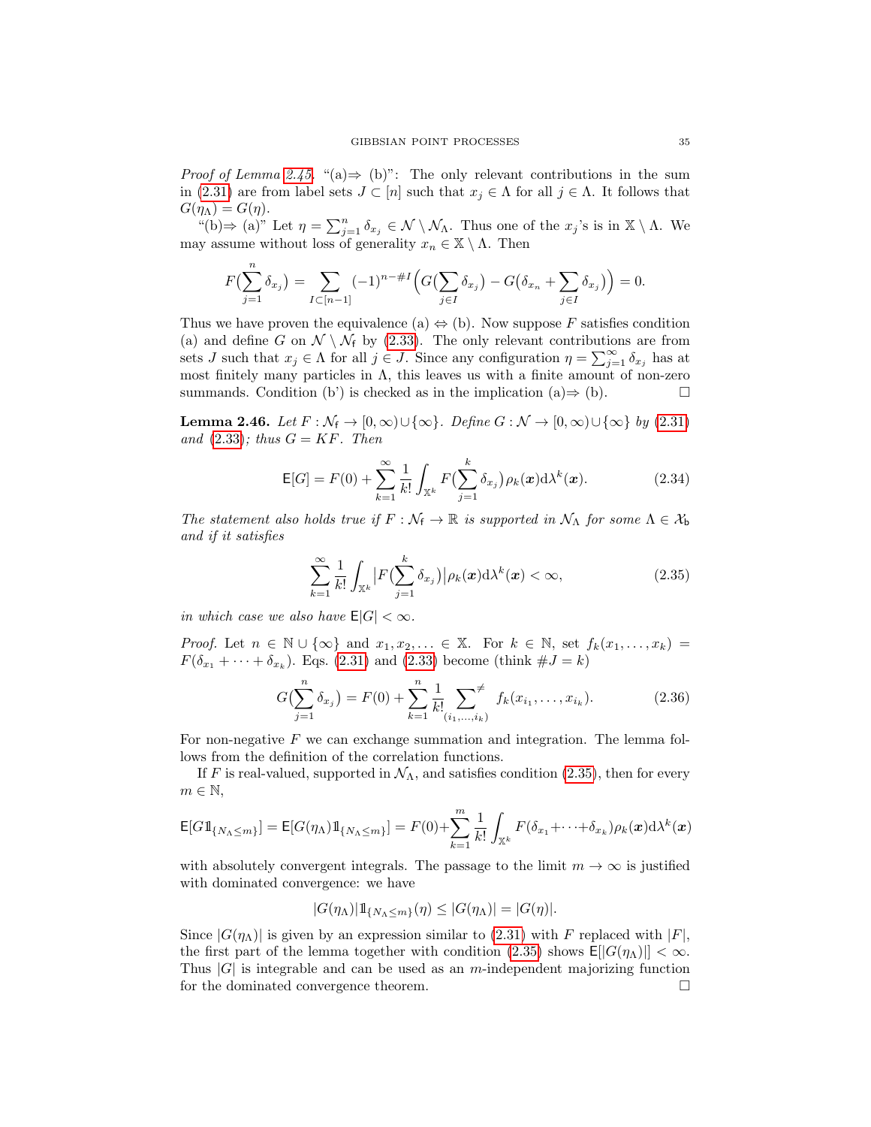*Proof of Lemma [2.45.](#page-33-0)* "(a) $\Rightarrow$  (b)": The only relevant contributions in the sum in [\(2.31\)](#page-32-7) are from label sets  $J \subset [n]$  such that  $x_j \in \Lambda$  for all  $j \in \Lambda$ . It follows that  $G(\eta_{\Lambda}) = G(\eta).$ 

 $\widetilde{\Phi}(b) \Rightarrow (a)$ <sup>n</sup> Let  $\eta = \sum_{j=1}^n \delta_{x_j} \in \mathcal{N} \setminus \mathcal{N}_\Lambda$ . Thus one of the  $x_j$ 's is in  $\mathbb{X} \setminus \Lambda$ . We may assume without loss of generality  $x_n \in \mathbb{X} \setminus \Lambda$ . Then

$$
F(\sum_{j=1}^{n} \delta_{x_j}) = \sum_{I \subset [n-1]} (-1)^{n-\#I} \Big( G(\sum_{j \in I} \delta_{x_j}) - G(\delta_{x_n} + \sum_{j \in I} \delta_{x_j}) \Big) = 0.
$$

Thus we have proven the equivalence (a)  $\Leftrightarrow$  (b). Now suppose F satisfies condition (a) and define G on  $\mathcal{N} \setminus \mathcal{N}_f$  by [\(2.33\)](#page-33-1). The only relevant contributions are from sets J such that  $x_j \in \Lambda$  for all  $j \in J$ . Since any configuration  $\eta = \sum_{j=1}^{\infty} \delta_{x_j}$  has at most finitely many particles in  $\Lambda$ , this leaves us with a finite amount of non-zero summands. Condition (b') is checked as in the implication (a) $\Rightarrow$  (b).

<span id="page-34-1"></span>**Lemma 2.46.** Let  $F : \mathcal{N}_f \to [0, \infty) \cup \{\infty\}$ . Define  $G : \mathcal{N} \to [0, \infty) \cup \{\infty\}$  by  $(2.31)$ and  $(2.33)$ ; thus  $G = KF$ . Then

$$
\mathsf{E}[G] = F(0) + \sum_{k=1}^{\infty} \frac{1}{k!} \int_{\mathbb{X}^k} F\left(\sum_{j=1}^k \delta_{x_j}\right) \rho_k(\boldsymbol{x}) \mathrm{d}\lambda^k(\boldsymbol{x}). \tag{2.34}
$$

The statement also holds true if  $F : \mathcal{N}_f \to \mathbb{R}$  is supported in  $\mathcal{N}_\Lambda$  for some  $\Lambda \in \mathcal{X}_b$ and if it satisfies

<span id="page-34-0"></span>
$$
\sum_{k=1}^{\infty} \frac{1}{k!} \int_{\mathbb{X}^k} \left| F\left(\sum_{j=1}^k \delta_{x_j}\right) \right| \rho_k(x) \mathrm{d}\lambda^k(x) < \infty,\tag{2.35}
$$

in which case we also have  $\mathsf{E}|G| < \infty$ .

*Proof.* Let  $n \in \mathbb{N} \cup \{\infty\}$  and  $x_1, x_2, \ldots \in \mathbb{X}$ . For  $k \in \mathbb{N}$ , set  $f_k(x_1, \ldots, x_k) =$  $F(\delta_{x_1} + \cdots + \delta_{x_k})$ . Eqs. [\(2.31\)](#page-32-7) and [\(2.33\)](#page-33-1) become (think  $\#J = k$ )

$$
G\left(\sum_{j=1}^{n} \delta_{x_j}\right) = F(0) + \sum_{k=1}^{n} \frac{1}{k!} \sum_{(i_1, \dots, i_k)}^{\neq} f_k(x_{i_1}, \dots, x_{i_k}).
$$
 (2.36)

For non-negative  $F$  we can exchange summation and integration. The lemma follows from the definition of the correlation functions.

If F is real-valued, supported in  $\mathcal{N}_\Lambda$ , and satisfies condition [\(2.35\)](#page-34-0), then for every  $m\in\mathbb{N},$ 

$$
\mathsf{E}[G1_{\{N_{\Lambda}\leq m\}}] = \mathsf{E}[G(\eta_{\Lambda})1_{\{N_{\Lambda}\leq m\}}] = F(0) + \sum_{k=1}^{m} \frac{1}{k!} \int_{\mathbb{X}^k} F(\delta_{x_1} + \dots + \delta_{x_k}) \rho_k(\boldsymbol{x}) \mathrm{d}\lambda^k(\boldsymbol{x})
$$

with absolutely convergent integrals. The passage to the limit  $m \to \infty$  is justified with dominated convergence: we have

$$
|G(\eta_{\Lambda})|\mathbb{1}_{\{N_{\Lambda}\leq m\}}(\eta) \leq |G(\eta_{\Lambda})| = |G(\eta)|.
$$

Since  $|G(\eta_{\Lambda})|$  is given by an expression similar to [\(2.31\)](#page-32-7) with F replaced with  $|F|$ , the first part of the lemma together with condition [\(2.35\)](#page-34-0) shows  $E[|G(\eta_{\Lambda})|] < \infty$ . Thus  $|G|$  is integrable and can be used as an m-independent majorizing function for the dominated convergence theorem.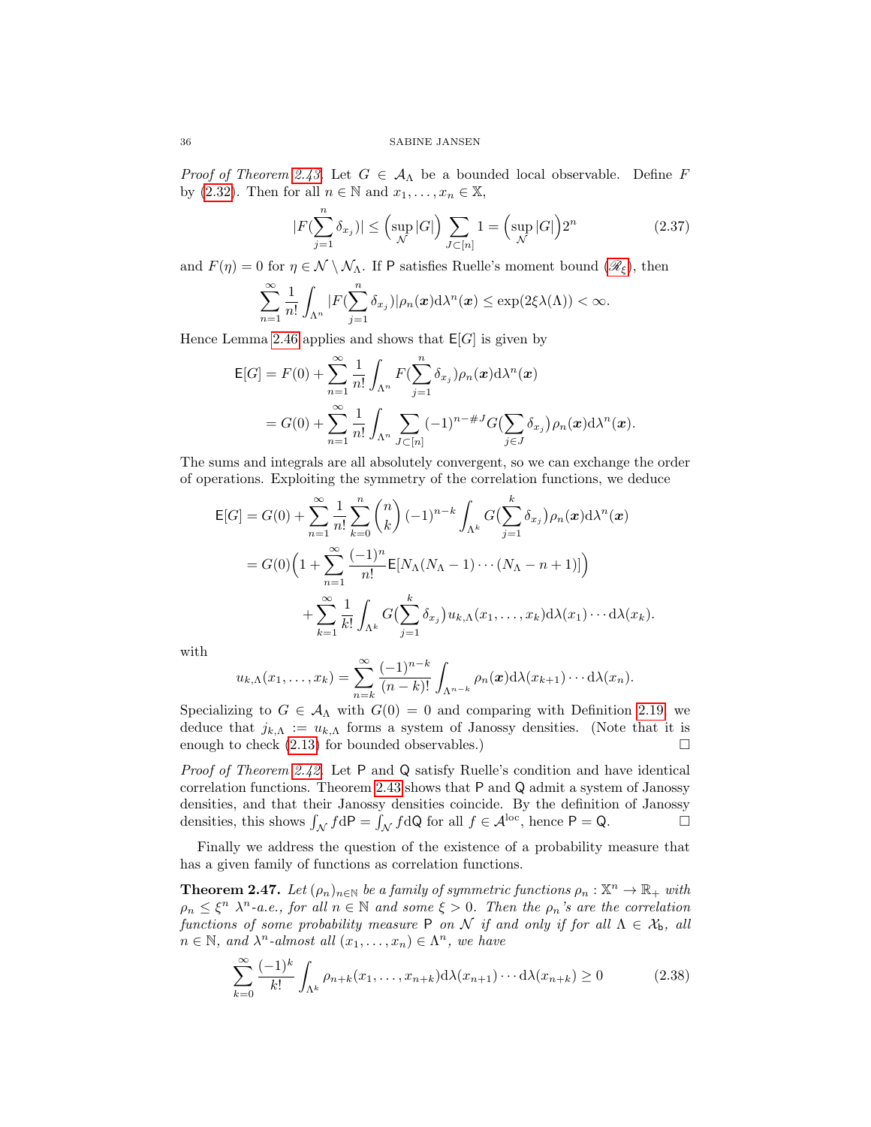*Proof of Theorem [2.43.](#page-32-4)* Let  $G \in A_{\Lambda}$  be a bounded local observable. Define F by [\(2.32\)](#page-32-6). Then for all  $n \in \mathbb{N}$  and  $x_1, \ldots, x_n \in \mathbb{X}$ ,

$$
|F(\sum_{j=1}^{n} \delta_{x_j})| \le \left(\sup_{\mathcal{N}} |G|\right) \sum_{J \subset [n]} 1 = \left(\sup_{\mathcal{N}} |G|\right) 2^n \tag{2.37}
$$

and  $F(\eta) = 0$  for  $\eta \in \mathcal{N} \setminus \mathcal{N}_{\Lambda}$ . If P satisfies [R](#page-29-3)uelle's moment bound  $(\mathcal{R}_{\xi})$ , then

$$
\sum_{n=1}^{\infty} \frac{1}{n!} \int_{\Lambda^n} |F(\sum_{j=1}^n \delta_{x_j})| \rho_n(\boldsymbol{x}) \mathrm{d}\lambda^n(\boldsymbol{x}) \leq \exp(2\xi \lambda(\Lambda)) < \infty.
$$

Hence Lemma [2.46](#page-34-1) applies and shows that  $E[G]$  is given by

$$
\mathsf{E}[G] = F(0) + \sum_{n=1}^{\infty} \frac{1}{n!} \int_{\Lambda^n} F(\sum_{j=1}^n \delta_{x_j}) \rho_n(\boldsymbol{x}) \mathrm{d}\lambda^n(\boldsymbol{x})
$$
  
=  $G(0) + \sum_{n=1}^{\infty} \frac{1}{n!} \int_{\Lambda^n} \sum_{J \subset [n]} (-1)^{n-\#J} G(\sum_{j \in J} \delta_{x_j}) \rho_n(\boldsymbol{x}) \mathrm{d}\lambda^n(\boldsymbol{x}).$ 

The sums and integrals are all absolutely convergent, so we can exchange the order of operations. Exploiting the symmetry of the correlation functions, we deduce

$$
\mathsf{E}[G] = G(0) + \sum_{n=1}^{\infty} \frac{1}{n!} \sum_{k=0}^{n} {n \choose k} (-1)^{n-k} \int_{\Lambda^k} G(\sum_{j=1}^k \delta_{x_j}) \rho_n(\boldsymbol{x}) \mathrm{d}\lambda^n(\boldsymbol{x})
$$
  
=  $G(0) \Big( 1 + \sum_{n=1}^{\infty} \frac{(-1)^n}{n!} \mathsf{E}[N_\Lambda(N_\Lambda - 1) \cdots (N_\Lambda - n + 1)] \Big)$   
+  $\sum_{k=1}^{\infty} \frac{1}{k!} \int_{\Lambda^k} G(\sum_{j=1}^k \delta_{x_j}) u_{k,\Lambda}(x_1, \ldots, x_k) \mathrm{d}\lambda(x_1) \cdots \mathrm{d}\lambda(x_k).$ 

with

$$
u_{k,\Lambda}(x_1,\ldots,x_k)=\sum_{n=k}^{\infty}\frac{(-1)^{n-k}}{(n-k)!}\int_{\Lambda^{n-k}}\rho_n(\boldsymbol{x})d\lambda(x_{k+1})\cdots d\lambda(x_n).
$$

Specializing to  $G \in A_{\Lambda}$  with  $G(0) = 0$  and comparing with Definition [2.19,](#page-23-3) we deduce that  $j_{k,\Lambda} := u_{k,\Lambda}$  forms a system of Janossy densities. (Note that it is enough to check  $(2.13)$  for bounded observables.)

Proof of Theorem [2.42.](#page-32-3) Let P and Q satisfy Ruelle's condition and have identical correlation functions. Theorem [2.43](#page-32-4) shows that P and Q admit a system of Janossy densities, and that their Janossy densities coincide. By the definition of Janossy densities, this shows  $\int_{\mathcal{N}} f dP = \int_{\mathcal{N}} f dQ$  for all  $f \in \mathcal{A}^{\text{loc}}$ , hence  $P = Q$ .

Finally we address the question of the existence of a probability measure that has a given family of functions as correlation functions.

**Theorem 2.47.** Let  $(\rho_n)_{n \in \mathbb{N}}$  be a family of symmetric functions  $\rho_n : \mathbb{X}^n \to \mathbb{R}_+$  with  $\rho_n \leq \xi^n$   $\lambda^n$ -a.e., for all  $n \in \mathbb{N}$  and some  $\xi > 0$ . Then the  $\rho_n$ 's are the correlation functions of some probability measure P on N if and only if for all  $\Lambda \in \mathcal{X}_{\mathsf{b}}$ , all  $n \in \mathbb{N}$ , and  $\lambda^n$ -almost all  $(x_1, \ldots, x_n) \in \Lambda^n$ , we have

$$
\sum_{k=0}^{\infty} \frac{(-1)^k}{k!} \int_{\Lambda^k} \rho_{n+k}(x_1,\ldots,x_{n+k}) \mathrm{d}\lambda(x_{n+1}) \cdots \mathrm{d}\lambda(x_{n+k}) \ge 0 \tag{2.38}
$$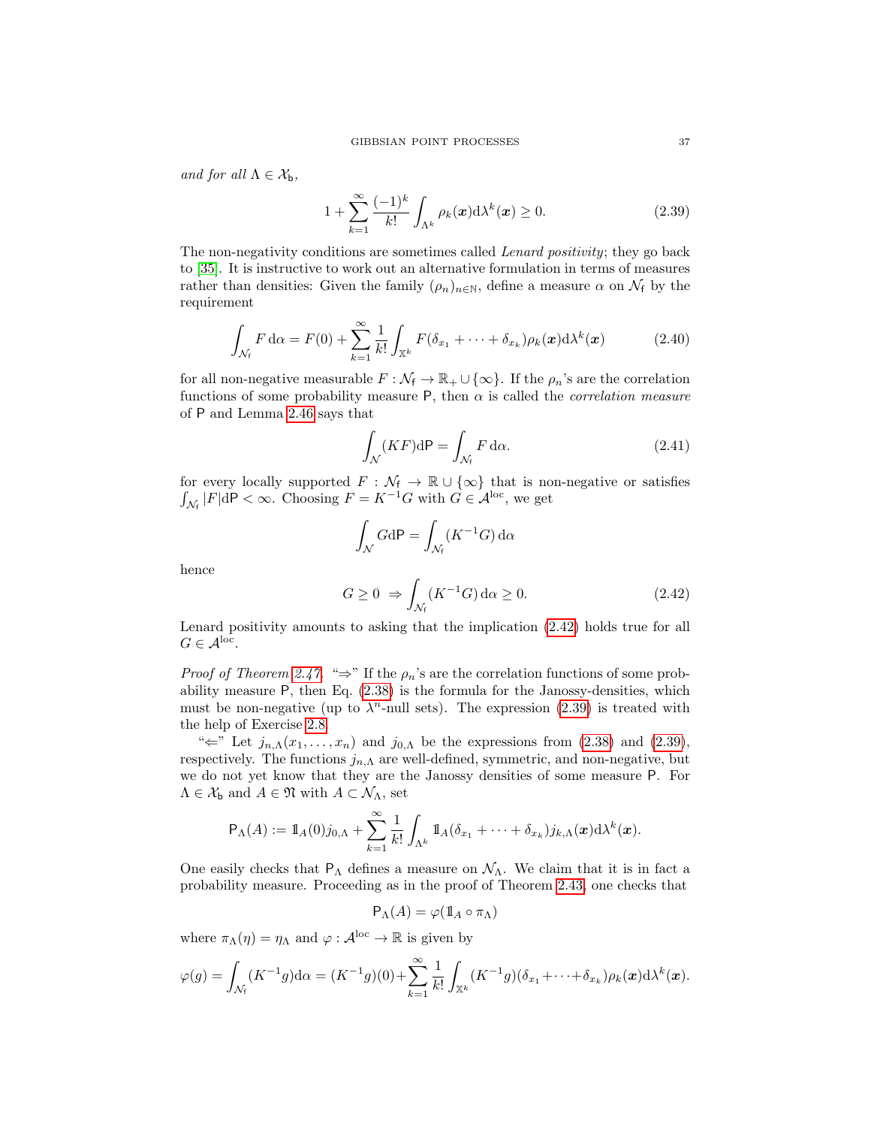and for all  $\Lambda \in \mathcal{X}_{\mathsf{b}}$ ,

<span id="page-36-1"></span>
$$
1 + \sum_{k=1}^{\infty} \frac{(-1)^k}{k!} \int_{\Lambda^k} \rho_k(x) d\lambda^k(x) \ge 0.
$$
 (2.39)

The non-negativity conditions are sometimes called Lenard positivity; they go back to [\[35\]](#page-104-0). It is instructive to work out an alternative formulation in terms of measures rather than densities: Given the family  $(\rho_n)_{n\in\mathbb{N}}$ , define a measure  $\alpha$  on  $\mathcal{N}_f$  by the requirement

<span id="page-36-2"></span>
$$
\int_{\mathcal{N}_{\mathsf{f}}} F \, \mathrm{d}\alpha = F(0) + \sum_{k=1}^{\infty} \frac{1}{k!} \int_{\mathbb{X}^k} F(\delta_{x_1} + \dots + \delta_{x_k}) \rho_k(\boldsymbol{x}) \mathrm{d}\lambda^k(\boldsymbol{x}) \tag{2.40}
$$

for all non-negative measurable  $F : \mathcal{N}_f \to \mathbb{R}_+ \cup \{ \infty \}$ . If the  $\rho_n$ 's are the correlation functions of some probability measure P, then  $\alpha$  is called the *correlation measure* of P and Lemma [2.46](#page-34-0) says that

$$
\int_{\mathcal{N}} (KF) d\mathsf{P} = \int_{\mathcal{N}_{\mathsf{f}}} F d\alpha.
$$
\n(2.41)

for every locally supported  $F : \mathcal{N}_f \to \mathbb{R} \cup \{\infty\}$  that is non-negative or satisfies  $\int_{\mathcal{N}_{\mathsf{f}}} |F| d\mathsf{P} < \infty$ . Choosing  $F = K^{-1}G$  with  $G \in \mathcal{A}^{\text{loc}}$ , we get

$$
\int_{\mathcal{N}} G \mathrm{d}P = \int_{\mathcal{N}_{\mathrm{f}}} (K^{-1}G) \, \mathrm{d}\alpha
$$

hence

<span id="page-36-0"></span>
$$
G \ge 0 \Rightarrow \int_{\mathcal{N}_f} (K^{-1}G) \, \mathrm{d}\alpha \ge 0. \tag{2.42}
$$

Lenard positivity amounts to asking that the implication [\(2.42\)](#page-36-0) holds true for all  $G \in \mathcal{A}^{\rm loc}.$ 

*Proof of Theorem [2.47.](#page-35-0)* " $\Rightarrow$ " If the  $\rho_n$ 's are the correlation functions of some probability measure P, then Eq. [\(2.38\)](#page-35-1) is the formula for the Janossy-densities, which must be non-negative (up to  $\lambda^n$ -null sets). The expression [\(2.39\)](#page-36-1) is treated with the help of Exercise [2.8.](#page-43-0)

" $\Leftarrow$ " Let  $j_{n,\Lambda}(x_1,\ldots,x_n)$  and  $j_{0,\Lambda}$  be the expressions from [\(2.38\)](#page-35-1) and [\(2.39\)](#page-36-1), respectively. The functions  $j_{n,\Lambda}$  are well-defined, symmetric, and non-negative, but we do not yet know that they are the Janossy densities of some measure P. For  $\Lambda \in \mathcal{X}_{\mathsf{b}}$  and  $A \in \mathfrak{N}$  with  $A \subset \mathcal{N}_{\Lambda}$ , set

$$
\mathsf{P}_{\Lambda}(A) := \mathbb{1}_{A}(0)j_{0,\Lambda} + \sum_{k=1}^{\infty} \frac{1}{k!} \int_{\Lambda^k} \mathbb{1}_{A}(\delta_{x_1} + \cdots + \delta_{x_k})j_{k,\Lambda}(\boldsymbol{x}) \mathrm{d}\lambda^k(\boldsymbol{x}).
$$

One easily checks that  $P_{\Lambda}$  defines a measure on  $\mathcal{N}_{\Lambda}$ . We claim that it is in fact a probability measure. Proceeding as in the proof of Theorem [2.43,](#page-32-0) one checks that

$$
\mathsf{P}_{\Lambda}(A) = \varphi(\mathbb{1}_A \circ \pi_{\Lambda})
$$

where  $\pi_{\Lambda}(\eta) = \eta_{\Lambda}$  and  $\varphi : A^{\text{loc}} \to \mathbb{R}$  is given by

$$
\varphi(g) = \int_{\mathcal{N}_f} (K^{-1}g) \mathrm{d}\alpha = (K^{-1}g)(0) + \sum_{k=1}^{\infty} \frac{1}{k!} \int_{\mathbb{X}^k} (K^{-1}g)(\delta_{x_1} + \cdots + \delta_{x_k}) \rho_k(\boldsymbol{x}) \mathrm{d}\lambda^k(\boldsymbol{x}).
$$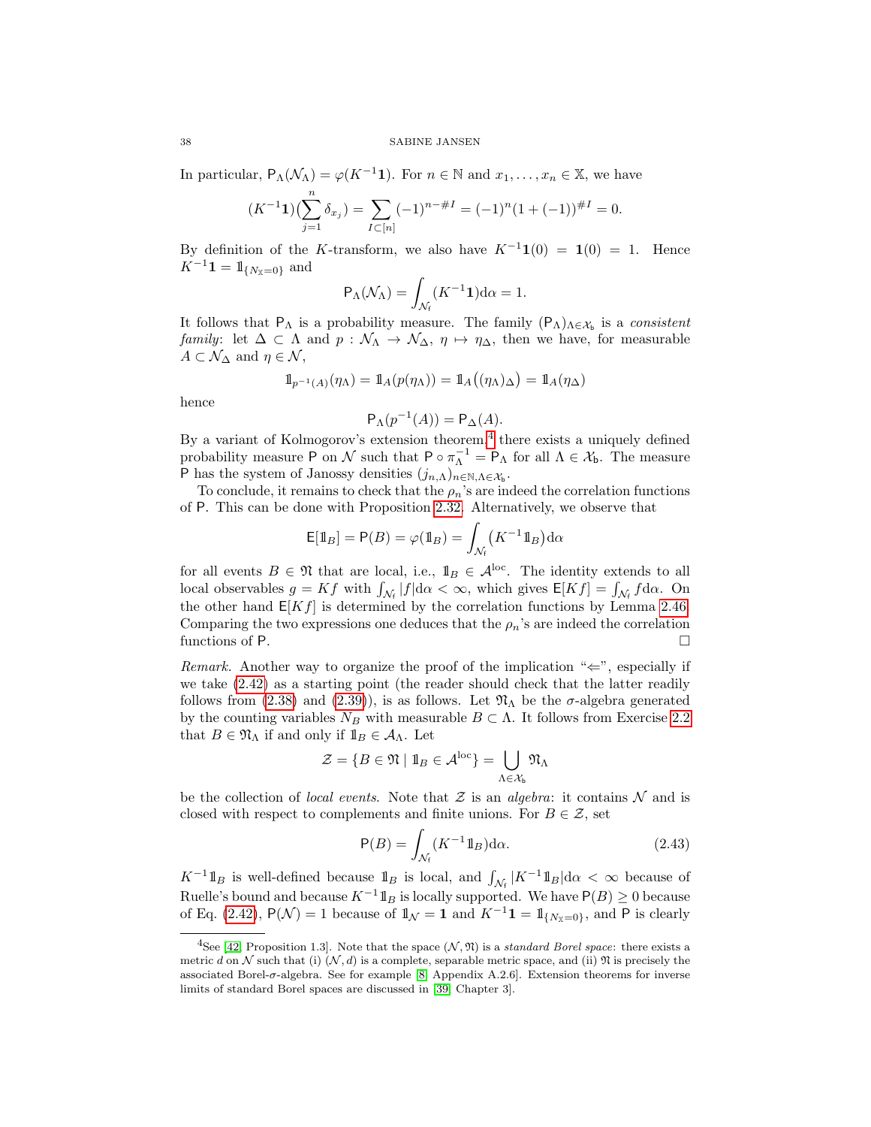In particular,  $P_{\Lambda}(\mathcal{N}_{\Lambda}) = \varphi(K^{-1}1)$ . For  $n \in \mathbb{N}$  and  $x_1, \ldots, x_n \in \mathbb{X}$ , we have

$$
(K^{-1}\mathbf{1})(\sum_{j=1}^{n} \delta_{x_j}) = \sum_{I \subset [n]} (-1)^{n-\#I} = (-1)^{n}(1+(-1))^{\#I} = 0.
$$

By definition of the K-transform, we also have  $K^{-1}1(0) = 1(0) = 1$ . Hence  $K^{-1}$ **1** = 1<sub>{Nx=0}</sub> and

$$
\mathsf{P}_{\Lambda}(\mathcal{N}_{\Lambda}) = \int_{\mathcal{N}_{\mathsf{f}}}(K^{-1}\mathbf{1})\mathrm{d}\alpha = 1.
$$

It follows that  $P_{\Lambda}$  is a probability measure. The family  $(P_{\Lambda})_{\Lambda \in \mathcal{X}_b}$  is a consistent family: let  $\Delta \subset \Lambda$  and  $p : \mathcal{N}_{\Lambda} \to \mathcal{N}_{\Delta}, \eta \mapsto \eta_{\Delta}$ , then we have, for measurable  $A \subset \mathcal{N}_{\Delta}$  and  $\eta \in \mathcal{N}$ ,

$$
\mathbb{1}_{p^{-1}(A)}(\eta_A) = \mathbb{1}_A(p(\eta_A)) = \mathbb{1}_A((\eta_A)_{\Delta}) = \mathbb{1}_A(\eta_{\Delta})
$$

hence

$$
\mathsf{P}_{\Lambda}(p^{-1}(A)) = \mathsf{P}_{\Delta}(A).
$$

By a variant of Kolmogorov's extension theorem,<sup>[4](#page-37-0)</sup> there exists a uniquely defined probability measure P on N such that  $P \circ \pi_{\Lambda}^{-1} = P_{\Lambda}$  for all  $\Lambda \in \mathcal{X}_{b}$ . The measure P has the system of Janossy densities  $(j_{n,\Lambda})_{n \in \mathbb{N}, \Lambda \in \mathcal{X}_{\mathbf{b}}}.$ 

To conclude, it remains to check that the  $\rho_n$ 's are indeed the correlation functions of P. This can be done with Proposition [2.32.](#page-27-0) Alternatively, we observe that

$$
\mathsf{E}[\mathbb{1}_B] = \mathsf{P}(B) = \varphi(\mathbb{1}_B) = \int_{\mathcal{N}_{\mathsf{f}}} \left( K^{-1} \mathbb{1}_B \right) \mathrm{d}\alpha
$$

for all events  $B \in \mathfrak{N}$  that are local, i.e.,  $\mathbb{1}_B \in \mathcal{A}^{\text{loc}}$ . The identity extends to all local observables  $g = Kf$  with  $\int_{\mathcal{N}_f} |f| d\alpha < \infty$ , which gives  $\mathsf{E}[Kf] = \int_{\mathcal{N}_f} f d\alpha$ . On the other hand  $E[Kf]$  is determined by the correlation functions by Lemma [2.46.](#page-34-0) Comparing the two expressions one deduces that the  $\rho_n$ 's are indeed the correlation functions of P.

Remark. Another way to organize the proof of the implication " $\Leftarrow$ ", especially if we take [\(2.42\)](#page-36-0) as a starting point (the reader should check that the latter readily follows from [\(2.38\)](#page-35-1) and [\(2.39\)](#page-36-1)), is as follows. Let  $\mathfrak{N}_{\Lambda}$  be the  $\sigma$ -algebra generated by the counting variables  $N_B$  with measurable  $B \subset \Lambda$ . It follows from Exercise [2.2](#page-42-0) that  $B \in \mathfrak{N}_{\Lambda}$  if and only if  $\mathbb{1}_B \in \mathcal{A}_{\Lambda}$ . Let

$$
\mathcal{Z} = \{B \in \mathfrak{N} \mid \mathbb{1}_B \in \mathcal{A}^{\rm loc}\} = \bigcup_{\Lambda \in \mathcal{X}_{\rm b}} \mathfrak{N}_{\Lambda}
$$

be the collection of *local events*. Note that  $Z$  is an *algebra*: it contains  $N$  and is closed with respect to complements and finite unions. For  $B \in \mathcal{Z}$ , set

<span id="page-37-1"></span>
$$
P(B) = \int_{\mathcal{N}_f} (K^{-1} \mathbb{1}_B) d\alpha.
$$
 (2.43)

 $K^{-1} \mathbb{1}_B$  is well-defined because  $\mathbb{1}_B$  is local, and  $\int_{\mathcal{N}_f} |K^{-1} \mathbb{1}_B| d\alpha < \infty$  because of Ruelle's bound and because  $K^{-1} \mathbb{1}_B$  is locally supported. We have  $P(B) \geq 0$  because of Eq. [\(2.42\)](#page-36-0),  $P(\mathcal{N}) = 1$  because of  $1\mathcal{N} = 1$  and  $K^{-1}1 = 1\mathcal{N}_{N^*=0}$ , and P is clearly

<span id="page-37-0"></span><sup>&</sup>lt;sup>4</sup>See [\[42,](#page-104-1) Proposition 1.3]. Note that the space  $(N, \mathfrak{N})$  is a *standard Borel space*: there exists a metric d on N such that (i)  $(N, d)$  is a complete, separable metric space, and (ii)  $\mathfrak{N}$  is precisely the associated Borel- $\sigma$ -algebra. See for example [\[8,](#page-103-0) Appendix A.2.6]. Extension theorems for inverse limits of standard Borel spaces are discussed in [\[39,](#page-104-2) Chapter 3].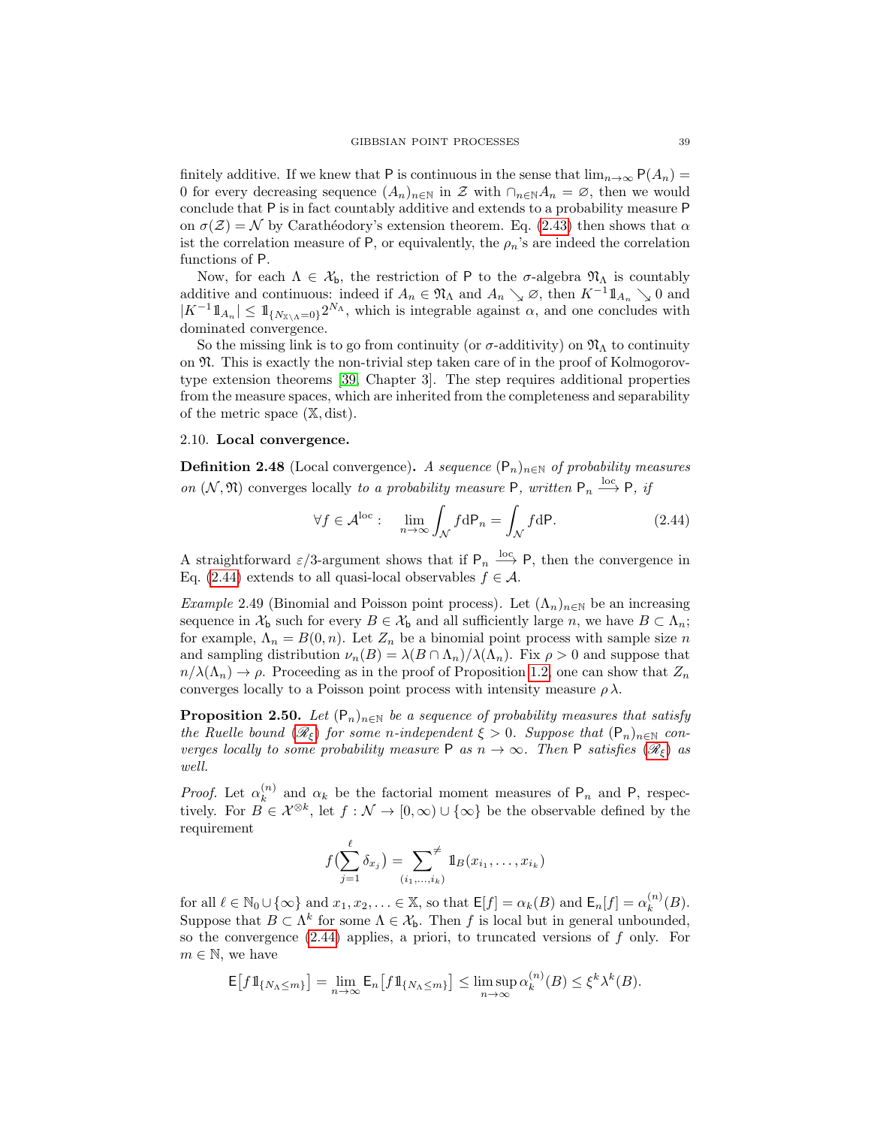finitely additive. If we knew that P is continuous in the sense that  $\lim_{n\to\infty} P(A_n)$  = 0 for every decreasing sequence  $(A_n)_{n\in\mathbb{N}}$  in Z with  $\cap_{n\in\mathbb{N}} A_n = \emptyset$ , then we would conclude that P is in fact countably additive and extends to a probability measure P on  $\sigma(\mathcal{Z}) = \mathcal{N}$  by Carathéodory's extension theorem. Eq. [\(2.43\)](#page-37-1) then shows that  $\alpha$ ist the correlation measure of P, or equivalently, the  $\rho_n$ 's are indeed the correlation functions of P.

Now, for each  $\Lambda \in \mathcal{X}_b$ , the restriction of P to the  $\sigma$ -algebra  $\mathfrak{N}_{\Lambda}$  is countably additive and continuous: indeed if  $A_n \in \mathfrak{N}_\Lambda$  and  $A_n \searrow \emptyset$ , then  $K^{-1}1_{A_n} \searrow 0$  and  $|K^{-1}1_{A_n}| \leq 1_{\{N_{\mathbb{X}\backslash \Lambda}=0\}} 2^{N_{\Lambda}},$  which is integrable against  $\alpha$ , and one concludes with dominated convergence.

So the missing link is to go from continuity (or  $\sigma$ -additivity) on  $\mathfrak{N}_\Lambda$  to continuity on N. This is exactly the non-trivial step taken care of in the proof of Kolmogorovtype extension theorems [\[39,](#page-104-2) Chapter 3]. The step requires additional properties from the measure spaces, which are inherited from the completeness and separability of the metric space  $(\mathbb{X}, \text{dist})$ .

## 2.10. Local convergence.

**Definition 2.48** (Local convergence). A sequence  $(P_n)_{n\in\mathbb{N}}$  of probability measures on  $(\mathcal{N}, \mathfrak{N})$  converges locally to a probability measure P, written  $P_n \stackrel{\text{loc}}{\longrightarrow} P$ , if

<span id="page-38-0"></span>
$$
\forall f \in \mathcal{A}^{\text{loc}}: \quad \lim_{n \to \infty} \int_{\mathcal{N}} f \, d\mathsf{P}_n = \int_{\mathcal{N}} f \, d\mathsf{P}. \tag{2.44}
$$

A straightforward  $\varepsilon/3$ -argument shows that if  $P_n \stackrel{\text{loc}}{\longrightarrow} P$ , then the convergence in Eq. [\(2.44\)](#page-38-0) extends to all quasi-local observables  $f \in \mathcal{A}$ .

Example 2.49 (Binomial and Poisson point process). Let  $(\Lambda_n)_{n\in\mathbb{N}}$  be an increasing sequence in  $\mathcal{X}_b$  such for every  $B \in \mathcal{X}_b$  and all sufficiently large  $n$ , we have  $B \subset \Lambda_n$ ; for example,  $\Lambda_n = B(0, n)$ . Let  $Z_n$  be a binomial point process with sample size n and sampling distribution  $\nu_n(B) = \lambda(B \cap \Lambda_n)/\lambda(\Lambda_n)$ . Fix  $\rho > 0$  and suppose that  $n/\lambda(\Lambda_n) \to \rho$ . Proceeding as in the proof of Proposition [1.2,](#page-5-0) one can show that  $Z_n$ converges locally to a Poisson point process with intensity measure  $\rho \lambda$ .

<span id="page-38-1"></span>**Proposition 2.50.** Let  $(P_n)_{n\in\mathbb{N}}$  be a sequence of probability measures that satisfy the [R](#page-29-0)uelle bound  $(\mathscr{R}_{\xi})$  for some n-independent  $\xi > 0$ . Suppose that  $(\mathsf{P}_n)_{n \in \mathbb{N}}$  converges locally to some probability measure P as  $n \to \infty$ . Then P satisfies  $(\mathcal{R}_{\xi})$  $(\mathcal{R}_{\xi})$  $(\mathcal{R}_{\xi})$  as well.

*Proof.* Let  $\alpha_k^{(n)}$  $\kappa^{(n)}$  and  $\alpha_k$  be the factorial moment measures of  $P_n$  and P, respectively. For  $B \in \mathcal{X}^{\otimes k}$ , let  $f : \mathcal{N} \to [0, \infty) \cup \{\infty\}$  be the observable defined by the requirement  $\mathcal{O}$ 

$$
f(\sum_{j=1}^{k} \delta_{x_j}) = \sum_{(i_1, ..., i_k)}^{\neq} \mathbb{1}_{B}(x_{i_1}, ..., x_{i_k})
$$

for all  $\ell \in \mathbb{N}_0 \cup \{\infty\}$  and  $x_1, x_2, \ldots \in \mathbb{X}$ , so that  $\mathsf{E}[f] = \alpha_k(B)$  and  $\mathsf{E}_n[f] = \alpha_k^{(n)}$  $_{k}^{(n)}(B).$ Suppose that  $B \subset \Lambda^k$  for some  $\Lambda \in \mathcal{X}_b$ . Then f is local but in general unbounded, so the convergence  $(2.44)$  applies, a priori, to truncated versions of  $f$  only. For  $m \in \mathbb{N}$ , we have

$$
\mathsf{E}\big[f1\!\!1_{\{N_\Lambda\leq m\}}\big] = \lim_{n\to\infty} \mathsf{E}_n\big[f1\!\!1_{\{N_\Lambda\leq m\}}\big] \leq \limsup_{n\to\infty} \alpha_k^{(n)}(B) \leq \xi^k \lambda^k(B).
$$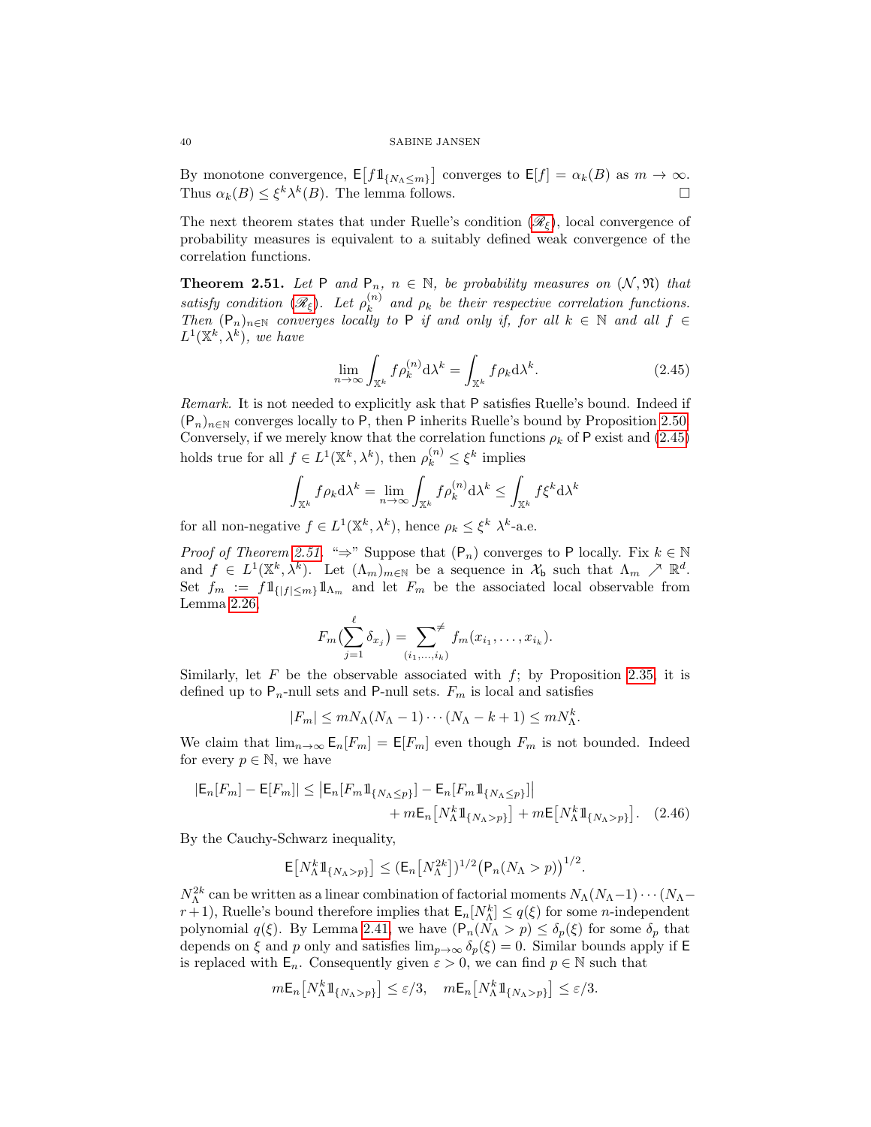By monotone convergence,  $\mathsf{E}[f 1\mathbb{1}_{\{N_{\Lambda} \leq m\}}]$  converges to  $\mathsf{E}[f] = \alpha_k(B)$  as  $m \to \infty$ . Thus  $\alpha_k(B) \leq \xi^k \lambda^k(B)$ . The lemma follows.

The next theorem states that under [R](#page-29-0)uelle's condition  $(\mathcal{R}_{\xi})$ , local convergence of probability measures is equivalent to a suitably defined weak convergence of the correlation functions.

<span id="page-39-1"></span>**Theorem 2.51.** Let P and  $P_n$ ,  $n \in \mathbb{N}$ , be probability measures on  $(\mathcal{N}, \mathfrak{N})$  that satisfy condition  $(\mathcal{R}_{\xi})$  $(\mathcal{R}_{\xi})$  $(\mathcal{R}_{\xi})$ . Let  $\rho_k^{(n)}$  $\binom{n}{k}$  and  $\rho_k$  be their respective correlation functions. Then  $(P_n)_{n\in\mathbb{N}}$  converges locally to P if and only if, for all  $k \in \mathbb{N}$  and all  $f \in$  $L^1(\mathbb{X}^k,\lambda^k)$ , we have

<span id="page-39-0"></span>
$$
\lim_{n \to \infty} \int_{\mathbb{X}^k} f \rho_k^{(n)} \mathrm{d} \lambda^k = \int_{\mathbb{X}^k} f \rho_k \mathrm{d} \lambda^k. \tag{2.45}
$$

Remark. It is not needed to explicitly ask that P satisfies Ruelle's bound. Indeed if  $(P_n)_{n\in\mathbb{N}}$  converges locally to P, then P inherits Ruelle's bound by Proposition [2.50.](#page-38-1) Conversely, if we merely know that the correlation functions  $\rho_k$  of P exist and [\(2.45\)](#page-39-0) holds true for all  $f \in L^1(\mathbb{X}^k, \lambda^k)$ , then  $\rho_k^{(n)} \leq \xi^k$  implies

$$
\int_{\mathbb{X}^k} f \rho_k \mathrm{d}\lambda^k = \lim_{n \to \infty} \int_{\mathbb{X}^k} f \rho_k^{(n)} \mathrm{d}\lambda^k \le \int_{\mathbb{X}^k} f \xi^k \mathrm{d}\lambda^k
$$

for all non-negative  $f \in L^1(\mathbb{X}^k, \lambda^k)$ , hence  $\rho_k \leq \xi^k \lambda^k$ -a.e.

*Proof of Theorem [2.51.](#page-39-1)* "⇒" Suppose that  $(P_n)$  converges to P locally. Fix  $k \in \mathbb{N}$ and  $f \in L^1(\mathbb{X}^k, \lambda^k)$ . Let  $(\Lambda_m)_{m \in \mathbb{N}}$  be a sequence in  $\mathcal{X}_b$  such that  $\Lambda_m \nearrow \mathbb{R}^d$ . Set  $f_m := f1_{\{|f| \le m\}} 1_{\Lambda_m}$  and let  $F_m$  be the associated local observable from Lemma [2.26,](#page-25-0)

$$
F_m\left(\sum_{j=1}^{\ell} \delta_{x_j}\right) = \sum_{(i_1,...,i_k)} \# f_m(x_{i_1},...,x_{i_k}).
$$

Similarly, let F be the observable associated with  $f$ ; by Proposition [2.35,](#page-28-0) it is defined up to  $P_n$ -null sets and P-null sets.  $F_m$  is local and satisfies

$$
|F_m| \le mN_{\Lambda}(N_{\Lambda} - 1) \cdots (N_{\Lambda} - k + 1) \le mN_{\Lambda}^k.
$$

We claim that  $\lim_{n\to\infty} \mathsf{E}_n[F_m] = \mathsf{E}[F_m]$  even though  $F_m$  is not bounded. Indeed for every  $p \in \mathbb{N}$ , we have

$$
|\mathsf{E}_{n}[F_{m}] - \mathsf{E}[F_{m}]| \leq |\mathsf{E}_{n}[F_{m}1_{\{N_{\Lambda} \leq p\}}] - \mathsf{E}_{n}[F_{m}1_{\{N_{\Lambda} \leq p\}}]| + m\mathsf{E}_{n}[N_{\Lambda}^{k}1_{\{N_{\Lambda} > p\}}] + m\mathsf{E}[N_{\Lambda}^{k}1_{\{N_{\Lambda} > p\}}].
$$
 (2.46)

By the Cauchy-Schwarz inequality,

<span id="page-39-2"></span>
$$
\mathsf{E}\big[N_{\Lambda}^k 1\!\!1_{\{N_{\Lambda} > p\}}\big] \le (\mathsf{E}_n \big[N_{\Lambda}^{2k}\big])^{1/2} \big(\mathsf{P}_n (N_{\Lambda} > p)\big)^{1/2}.
$$

 $N_{\Lambda}^{2k}$  can be written as a linear combination of factorial moments  $N_{\Lambda}(N_{\Lambda}-1)\cdots(N_{\Lambda}-1)$  $r+1$ , Ruelle's bound therefore implies that  $\mathsf{E}_n[N_\Lambda^k] \leq q(\xi)$  for some *n*-independent polynomial  $q(\xi)$ . By Lemma [2.41,](#page-31-0) we have  $(P_n(N_\Lambda > p) \leq \delta_p(\xi)$  for some  $\delta_p$  that depends on  $\xi$  and p only and satisfies  $\lim_{p\to\infty} \delta_p(\xi) = 0$ . Similar bounds apply if E is replaced with  $\mathsf{E}_n$ . Consequently given  $\varepsilon > 0$ , we can find  $p \in \mathbb{N}$  such that

$$
m\mathsf{E}_n\big[N_\Lambda^k1\!\!1_{\{N_\Lambda>p\}}\big]\le\varepsilon/3,\quad m\mathsf{E}_n\big[N_\Lambda^k1\!\!1_{\{N_\Lambda>p\}}\big]\le\varepsilon/3.
$$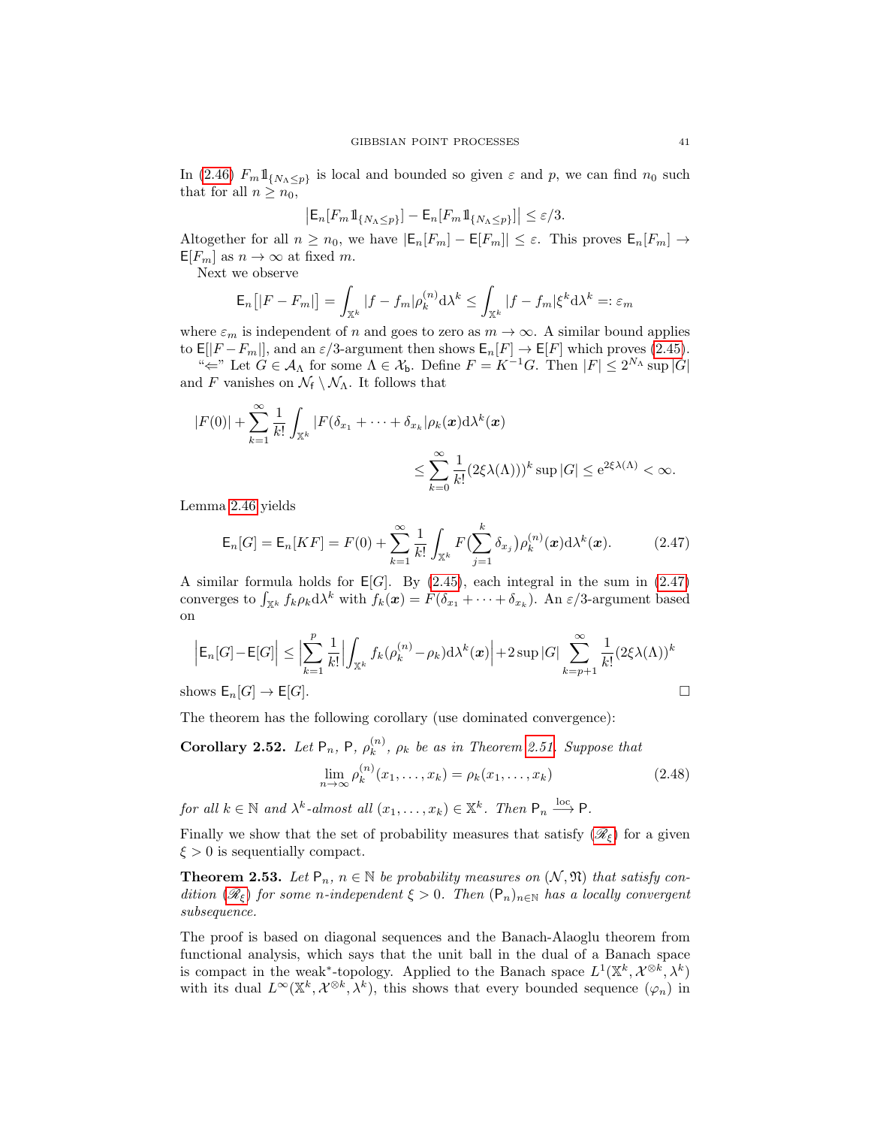In [\(2.46\)](#page-39-2)  $F_m 1_{\{N_\Lambda \leq p\}}$  is local and bounded so given  $\varepsilon$  and p, we can find  $n_0$  such that for all  $n \geq n_0$ ,

$$
\left|\mathsf{E}_n[F_m1\!\!1_{\{N_\Lambda\leq p\}}]-\mathsf{E}_n[F_m1\!\!1_{\{N_\Lambda\leq p\}}]\right|\leq \varepsilon/3.
$$

Altogether for all  $n \geq n_0$ , we have  $|\mathsf{E}_n[F_m] - \mathsf{E}[F_m]| \leq \varepsilon$ . This proves  $\mathsf{E}_n[F_m] \to$  $E[F_m]$  as  $n \to \infty$  at fixed m.

Next we observe

$$
\mathsf{E}_n\big[|F - F_m|\big] = \int_{\mathbb{X}^k} |f - f_m|\rho_k^{(n)} \mathrm{d}\lambda^k \le \int_{\mathbb{X}^k} |f - f_m|\xi^k \mathrm{d}\lambda^k =: \varepsilon_m
$$

where  $\varepsilon_m$  is independent of n and goes to zero as  $m \to \infty$ . A similar bound applies to  $\mathsf{E}[|F - F_m|]$ , and an  $\varepsilon/3$ -argument then shows  $\mathsf{E}_n[F] \to \mathsf{E}[F]$  which proves [\(2.45\)](#page-39-0).

" $\Leftarrow$ " Let  $G \in \mathcal{A}_{\Lambda}$  for some  $\Lambda \in \mathcal{X}_{\mathbf{b}}$ . Define  $F = K^{-1}G$ . Then  $|F| \leq 2^{N_{\Lambda}} \sup |G|$ and F vanishes on  $\mathcal{N}_f \setminus \mathcal{N}_\Lambda$ . It follows that

$$
|F(0)| + \sum_{k=1}^{\infty} \frac{1}{k!} \int_{\mathbb{X}^k} |F(\delta_{x_1} + \dots + \delta_{x_k} | \rho_k(x) d\lambda^k(x) \leq \sum_{k=0}^{\infty} \frac{1}{k!} (2\xi \lambda(\Lambda)))^k \sup |G| \leq e^{2\xi \lambda(\Lambda)} < \infty.
$$

Lemma [2.46](#page-34-0) yields

<span id="page-40-0"></span>
$$
\mathsf{E}_n[G] = \mathsf{E}_n[KF] = F(0) + \sum_{k=1}^{\infty} \frac{1}{k!} \int_{\mathbb{X}^k} F\left(\sum_{j=1}^k \delta_{x_j}\right) \rho_k^{(n)}(\boldsymbol{x}) \mathrm{d}\lambda^k(\boldsymbol{x}). \tag{2.47}
$$

A similar formula holds for  $E[G]$ . By [\(2.45\)](#page-39-0), each integral in the sum in [\(2.47\)](#page-40-0) converges to  $\int_{\mathbb{X}^k} f_k \rho_k d\lambda^k$  with  $f_k(\boldsymbol{x}) = F(\delta_{x_1} + \cdots + \delta_{x_k})$ . An  $\varepsilon/3$ -argument based on

$$
\left|\mathsf{E}_n[G] - \mathsf{E}[G]\right| \le \left|\sum_{k=1}^p \frac{1}{k!} \right| \int_{\mathbb{X}^k} f_k(\rho_k^{(n)} - \rho_k) \mathrm{d}\lambda^k(\boldsymbol{x}) \right| + 2 \sup |G| \sum_{k=p+1}^\infty \frac{1}{k!} (2\xi \lambda(\Lambda))^k
$$
\n
$$
\text{shows } \mathsf{E}_n[G] \to \mathsf{E}[G]. \qquad \qquad \Box
$$

The theorem has the following corollary (use dominated convergence):

Corollary 2.52. Let  $P_n$ , P,  $\rho_k^{(n)}$  $\binom{n}{k}$ ,  $\rho_k$  be as in Theorem [2.51.](#page-39-1) Suppose that

$$
\lim_{n \to \infty} \rho_k^{(n)}(x_1, \dots, x_k) = \rho_k(x_1, \dots, x_k)
$$
\n(2.48)

for all  $k \in \mathbb{N}$  and  $\lambda^k$ -almost all  $(x_1, \ldots, x_k) \in \mathbb{X}^k$ . Then  $\mathsf{P}_n \stackrel{\text{loc}}{\longrightarrow} \mathsf{P}$ .

Finally we show that the set of probability measures that satisfy  $(\mathscr{R}_{\xi})$  $(\mathscr{R}_{\xi})$  $(\mathscr{R}_{\xi})$  for a given  $\xi > 0$  is sequentially compact.

**Theorem 2.53.** Let  $P_n$ ,  $n \in \mathbb{N}$  be probability measures on  $(\mathcal{N}, \mathfrak{N})$  that satisfy condition  $(\mathscr{R}_{\xi})$  $(\mathscr{R}_{\xi})$  $(\mathscr{R}_{\xi})$  for some n-independent  $\xi > 0$ . Then  $(\mathsf{P}_n)_{n \in \mathbb{N}}$  has a locally convergent subsequence.

The proof is based on diagonal sequences and the Banach-Alaoglu theorem from functional analysis, which says that the unit ball in the dual of a Banach space is compact in the weak<sup>\*</sup>-topology. Applied to the Banach space  $L^1(\mathbb{X}^k, \mathcal{X}^{\otimes k}, \lambda^k)$ with its dual  $L^{\infty}(\mathbb{X}^k, \mathcal{X}^{\otimes k}, \lambda^k)$ , this shows that every bounded sequence  $(\varphi_n)$  in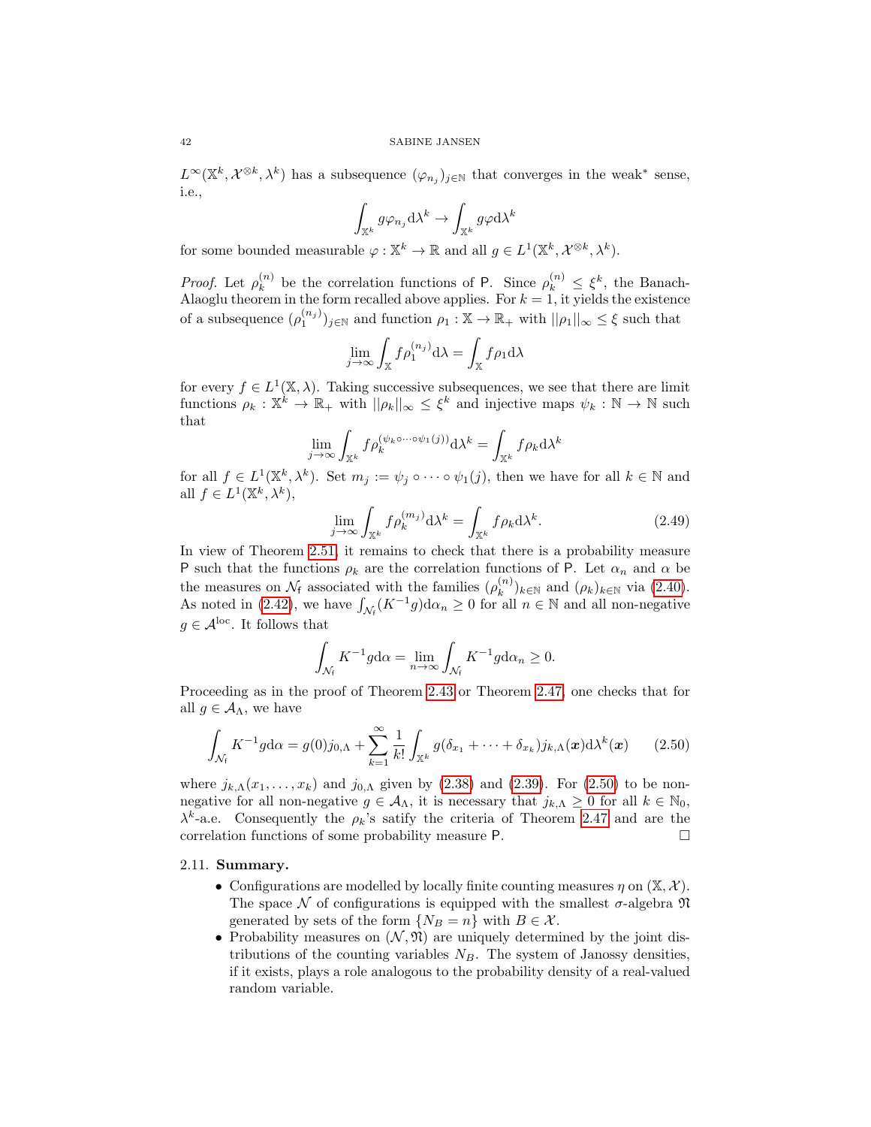$L^{\infty}(\mathbb{X}^k, \mathcal{X}^{\otimes k}, \lambda^k)$  has a subsequence  $(\varphi_{n_j})_{j \in \mathbb{N}}$  that converges in the weak\* sense, i.e.,

$$
\int_{\mathbb{X}^k} g \varphi_{n_j} \mathrm{d}\lambda^k \to \int_{\mathbb{X}^k} g \varphi \mathrm{d}\lambda^k
$$

for some bounded measurable  $\varphi : \mathbb{X}^k \to \mathbb{R}$  and all  $g \in L^1(\mathbb{X}^k, \mathcal{X}^{\otimes k}, \lambda^k)$ .

*Proof.* Let  $\rho_k^{(n)}$  $\lambda_k^{(n)}$  be the correlation functions of P. Since  $\rho_k^{(n)} \leq \xi^k$ , the Banach-Alaoglu theorem in the form recalled above applies. For  $k = 1$ , it yields the existence of a subsequence  $(\rho_1^{(n_j)})_{j\in\mathbb{N}}$  and function  $\rho_1:\mathbb{X}\to\mathbb{R}_+$  with  $||\rho_1||_{\infty}\leq\xi$  such that

$$
\lim_{j \to \infty} \int_{\mathbb{X}} f \rho_1^{(n_j)} \mathrm{d}\lambda = \int_{\mathbb{X}} f \rho_1 \mathrm{d}\lambda
$$

for every  $f \in L^1(\mathbb{X}, \lambda)$ . Taking successive subsequences, we see that there are limit functions  $\rho_k : \mathbb{X}^k \to \mathbb{R}_+$  with  $||\rho_k||_{\infty} \leq \xi^k$  and injective maps  $\psi_k : \mathbb{N} \to \mathbb{N}$  such that

$$
\lim_{j \to \infty} \int_{\mathbb{X}^k} f \rho_k^{(\psi_k \circ \cdots \circ \psi_1(j))} \mathrm{d}\lambda^k = \int_{\mathbb{X}^k} f \rho_k \mathrm{d}\lambda^k
$$

for all  $f \in L^1(\mathbb{X}^k, \lambda^k)$ . Set  $m_j := \psi_j \circ \cdots \circ \psi_1(j)$ , then we have for all  $k \in \mathbb{N}$  and all  $f \in L^1(\mathbb{X}^k, \lambda^k)$ ,

$$
\lim_{j \to \infty} \int_{\mathbb{X}^k} f \rho_k^{(m_j)} \mathrm{d}\lambda^k = \int_{\mathbb{X}^k} f \rho_k \mathrm{d}\lambda^k. \tag{2.49}
$$

In view of Theorem [2.51,](#page-39-1) it remains to check that there is a probability measure P such that the functions  $\rho_k$  are the correlation functions of P. Let  $\alpha_n$  and  $\alpha$  be the measures on  $\mathcal{N}_{f}$  associated with the families  $(\rho_k^{(n)})$  $(k^{(n)}_k)_{k \in \mathbb{N}}$  and  $(\rho_k)_{k \in \mathbb{N}}$  via  $(2.40)$ . As noted in [\(2.42\)](#page-36-0), we have  $\int_{\mathcal{N}_f} (K^{-1}g) d\alpha_n \geq 0$  for all  $n \in \mathbb{N}$  and all non-negative  $g \in \mathcal{A}^{\text{loc}}$ . It follows that

$$
\int_{\mathcal{N}_{\mathsf{f}}} K^{-1} g \mathrm{d} \alpha = \lim_{n \to \infty} \int_{\mathcal{N}_{\mathsf{f}}} K^{-1} g \mathrm{d} \alpha_n \ge 0.
$$

Proceeding as in the proof of Theorem [2.43](#page-32-0) or Theorem [2.47,](#page-35-0) one checks that for all  $g \in A_{\Lambda}$ , we have

<span id="page-41-0"></span>
$$
\int_{\mathcal{N}_{\mathsf{f}}} K^{-1} g \mathrm{d} \alpha = g(0) j_{0,\Lambda} + \sum_{k=1}^{\infty} \frac{1}{k!} \int_{\mathbb{X}^k} g(\delta_{x_1} + \dots + \delta_{x_k}) j_{k,\Lambda}(\boldsymbol{x}) \mathrm{d} \lambda^k(\boldsymbol{x}) \qquad (2.50)
$$

where  $j_{k,\Lambda}(x_1,\ldots,x_k)$  and  $j_{0,\Lambda}$  given by [\(2.38\)](#page-35-1) and [\(2.39\)](#page-36-1). For [\(2.50\)](#page-41-0) to be nonnegative for all non-negative  $g \in A_{\Lambda}$ , it is necessary that  $j_{k,\Lambda} \geq 0$  for all  $k \in \mathbb{N}_0$ ,  $\lambda^k$ -a.e. Consequently the  $\rho_k$ 's satify the criteria of Theorem [2.47](#page-35-0) and are the correlation functions of some probability measure P.

## 2.11. Summary.

- Configurations are modelled by locally finite counting measures  $\eta$  on  $(\mathbb{X}, \mathcal{X})$ . The space N of configurations is equipped with the smallest  $\sigma$ -algebra  $\mathfrak N$ generated by sets of the form  $\{N_B = n\}$  with  $B \in \mathcal{X}$ .
- Probability measures on  $(N, \mathfrak{N})$  are uniquely determined by the joint distributions of the counting variables  $N_B$ . The system of Janossy densities, if it exists, plays a role analogous to the probability density of a real-valued random variable.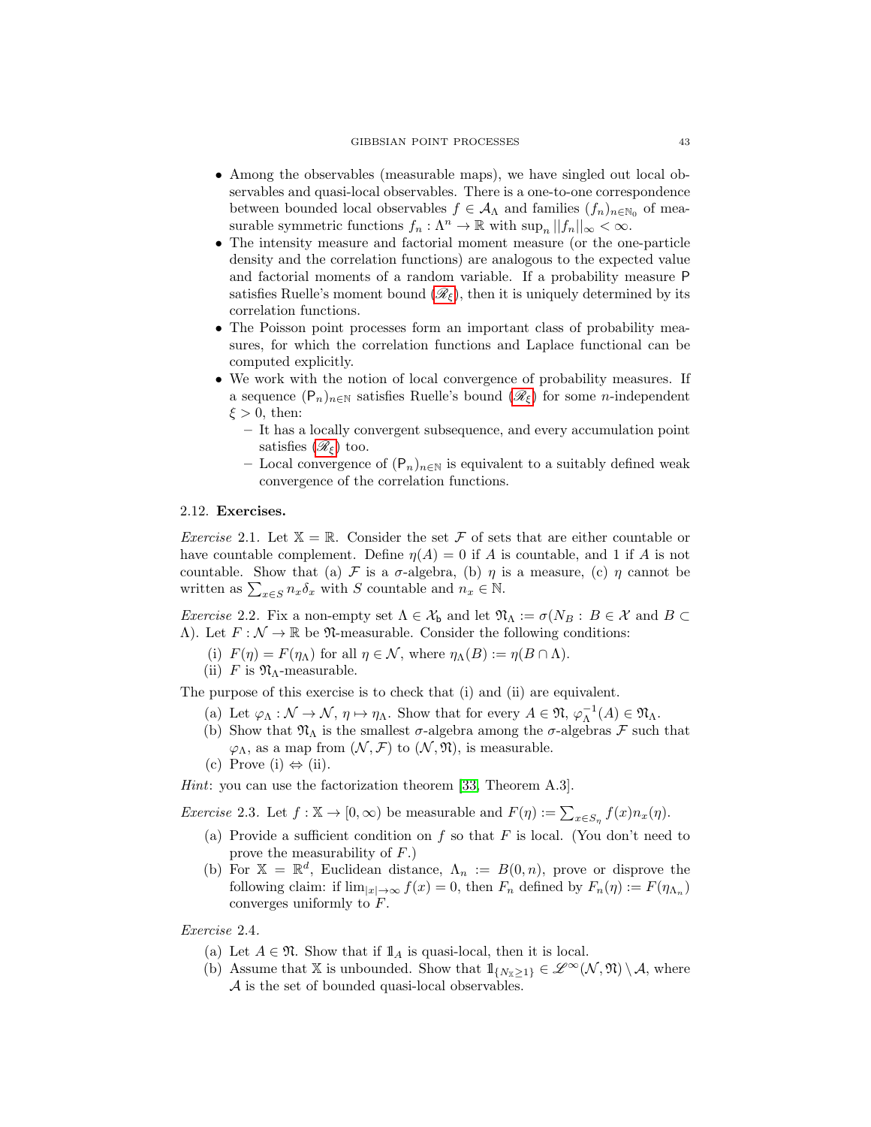- Among the observables (measurable maps), we have singled out local observables and quasi-local observables. There is a one-to-one correspondence between bounded local observables  $f \in A_{\Lambda}$  and families  $(f_n)_{n \in \mathbb{N}_0}$  of measurable symmetric functions  $f_n: \Lambda^n \to \mathbb{R}$  with  $\sup_n ||f_n||_{\infty} < \infty$ .
- The intensity measure and factorial moment measure (or the one-particle density and the correlation functions) are analogous to the expected value and factorial moments of a random variable. If a probability measure P satisfies [R](#page-29-0)uelle's moment bound  $(\mathcal{R}_{\xi})$ , then it is uniquely determined by its correlation functions.
- The Poisson point processes form an important class of probability measures, for which the correlation functions and Laplace functional can be computed explicitly.
- We work with the notion of local convergence of probability measures. If a sequence  $(P_n)_{n\in\mathbb{N}}$  satisfies [R](#page-29-0)uelle's bound  $(\mathscr{R}_{\xi})$  for some *n*-independent  $\xi > 0$ , then:
	- It has a locally convergent subsequence, and every accumulation point satisfies  $(\mathcal{R}_{\xi})$  $(\mathcal{R}_{\xi})$  $(\mathcal{R}_{\xi})$  too.
	- Local convergence of  $(P_n)_{n\in\mathbb{N}}$  is equivalent to a suitably defined weak convergence of the correlation functions.

## 2.12. Exercises.

Exercise 2.1. Let  $\mathbb{X} = \mathbb{R}$ . Consider the set F of sets that are either countable or have countable complement. Define  $\eta(A) = 0$  if A is countable, and 1 if A is not countable. Show that (a) F is a  $\sigma$ -algebra, (b)  $\eta$  is a measure, (c)  $\eta$  cannot be written as  $\sum_{x \in S} n_x \delta_x$  with S countable and  $n_x \in \mathbb{N}$ .

<span id="page-42-0"></span>*Exercise* 2.2. Fix a non-empty set  $\Lambda \in \mathcal{X}_b$  and let  $\mathfrak{N}_{\Lambda} := \sigma(N_B : B \in \mathcal{X}$  and  $B \subset$  $Λ$ ). Let  $F: \mathcal{N} \to \mathbb{R}$  be  $\mathfrak{N}$ -measurable. Consider the following conditions:

- (i)  $F(\eta) = F(\eta_\Lambda)$  for all  $\eta \in \mathcal{N}$ , where  $\eta_\Lambda(B) := \eta(B \cap \Lambda)$ .
- (ii) F is  $\mathfrak{N}_{\Lambda}$ -measurable.

The purpose of this exercise is to check that (i) and (ii) are equivalent.

- (a) Let  $\varphi_{\Lambda}: \mathcal{N} \to \mathcal{N}, \eta \mapsto \eta_{\Lambda}$ . Show that for every  $A \in \mathfrak{N}, \varphi_{\Lambda}^{-1}(A) \in \mathfrak{N}_{\Lambda}$ .
- (b) Show that  $\mathfrak{N}_{\Lambda}$  is the smallest  $\sigma$ -algebra among the  $\sigma$ -algebras  $\mathcal F$  such that  $\varphi_{\Lambda}$ , as a map from  $(\mathcal{N}, \mathcal{F})$  to  $(\mathcal{N}, \mathfrak{N})$ , is measurable.
- (c) Prove (i)  $\Leftrightarrow$  (ii).

Hint: you can use the factorization theorem [\[33,](#page-104-3) Theorem A.3].

*Exercise* 2.3. Let  $f : \mathbb{X} \to [0, \infty)$  be measurable and  $F(\eta) := \sum_{x \in S_{\eta}} f(x) n_x(\eta)$ .

- (a) Provide a sufficient condition on f so that F is local. (You don't need to prove the measurability of  $F$ .)
- (b) For  $\mathbb{X} = \mathbb{R}^d$ , Euclidean distance,  $\Lambda_n := B(0, n)$ , prove or disprove the following claim: if  $\lim_{|x|\to\infty} f(x) = 0$ , then  $F_n$  defined by  $F_n(\eta) := F(\eta_{\Lambda_n})$ converges uniformly to F.

Exercise 2.4.

- (a) Let  $A \in \mathfrak{N}$ . Show that if  $\mathbb{1}_A$  is quasi-local, then it is local.
- (b) Assume that X is unbounded. Show that  $1_{\{N_{\mathbb{X}}\geq 1\}} \in \mathcal{L}^{\infty}(\mathcal{N}, \mathfrak{N}) \setminus \mathcal{A}$ , where A is the set of bounded quasi-local observables.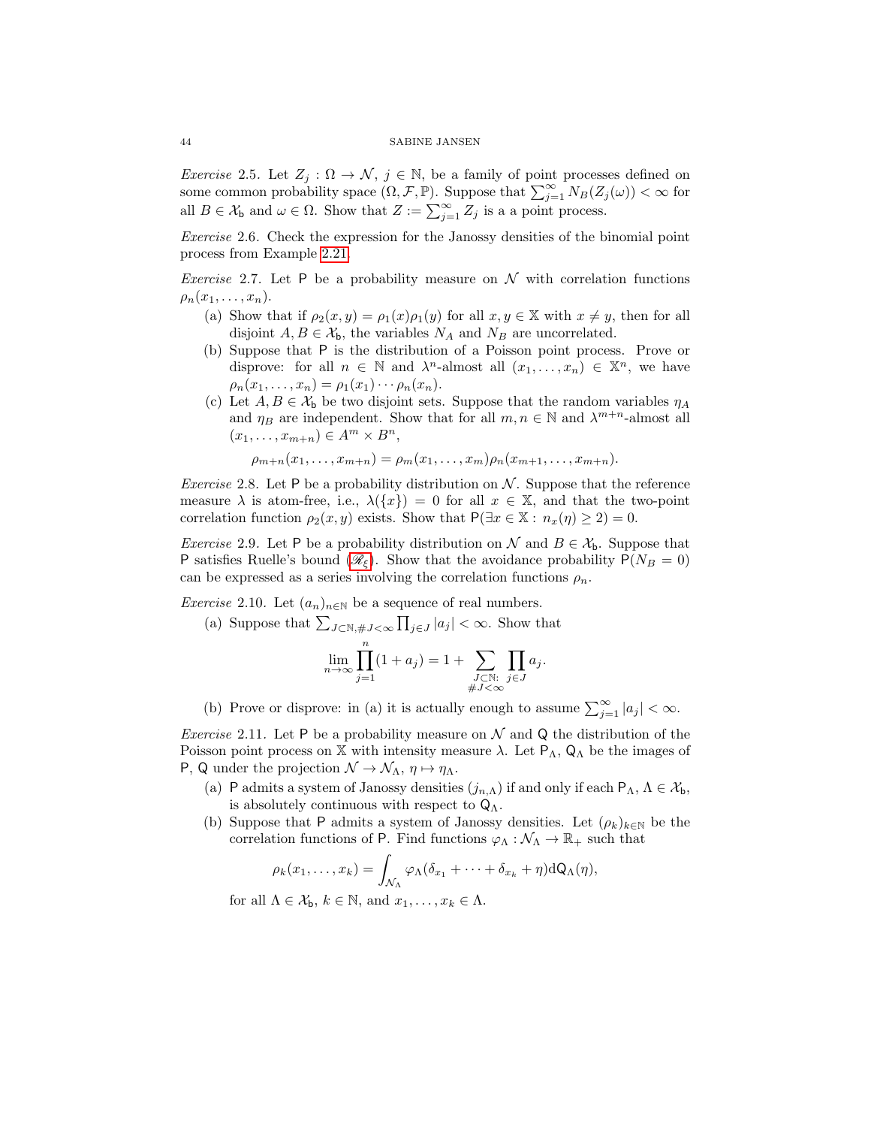#### 44 SABINE JANSEN

*Exercise* 2.5. Let  $Z_j : \Omega \to \mathcal{N}, j \in \mathbb{N}$ , be a family of point processes defined on some common probability space  $(0, \mathcal{F}, \mathbb{P})$ . Suppose that  $\sum_{j=1}^{\infty} N_B(Z_j(\omega)) < \infty$  for all  $B \in \mathcal{X}_{\mathsf{b}}$  and  $\omega \in \Omega$ . Show that  $Z := \sum_{j=1}^{\infty} Z_j$  is a a point process.

Exercise 2.6. Check the expression for the Janossy densities of the binomial point process from Example [2.21.](#page-23-0)

*Exercise* 2.7. Let P be a probability measure on  $\mathcal N$  with correlation functions  $\rho_n(x_1,\ldots,x_n).$ 

- (a) Show that if  $\rho_2(x, y) = \rho_1(x)\rho_1(y)$  for all  $x, y \in \mathbb{X}$  with  $x \neq y$ , then for all disjoint  $A, B \in \mathcal{X}_b$ , the variables  $N_A$  and  $N_B$  are uncorrelated.
- (b) Suppose that P is the distribution of a Poisson point process. Prove or disprove: for all  $n \in \mathbb{N}$  and  $\lambda^n$ -almost all  $(x_1, \ldots, x_n) \in \mathbb{X}^n$ , we have  $\rho_n(x_1, ..., x_n) = \rho_1(x_1) \cdots \rho_n(x_n).$
- (c) Let  $A, B \in \mathcal{X}_b$  be two disjoint sets. Suppose that the random variables  $\eta_A$ and  $\eta_B$  are independent. Show that for all  $m, n \in \mathbb{N}$  and  $\lambda^{m+n}$ -almost all  $(x_1, \ldots, x_{m+n}) \in A^m \times B^n$ ,

 $\rho_{m+n}(x_1,\ldots,x_{m+n}) = \rho_m(x_1,\ldots,x_m)\rho_n(x_{m+1},\ldots,x_{m+n}).$ 

<span id="page-43-0"></span>*Exercise* 2.8. Let P be a probability distribution on  $N$ . Suppose that the reference measure  $\lambda$  is atom-free, i.e.,  $\lambda({x}) = 0$  for all  $x \in \mathbb{X}$ , and that the two-point correlation function  $\rho_2(x, y)$  exists. Show that  $P(\exists x \in \mathbb{X} : n_x(\eta) \geq 2) = 0$ .

Exercise 2.9. Let P be a probability distribution on  $\mathcal N$  and  $B \in \mathcal X_{\rm b}$ . Suppose that P satisfies [R](#page-29-0)uelle's bound ( $\mathcal{R}_{\epsilon}$ ). Show that the avoidance probability  $P(N_B = 0)$ can be expressed as a series involving the correlation functions  $\rho_n$ .

Exercise 2.10. Let  $(a_n)_{n\in\mathbb{N}}$  be a sequence of real numbers.

(a) Suppose that  $\sum_{J \subset \mathbb{N}, \# J \leq \infty} \prod_{j \in J} |a_j| < \infty$ . Show that

$$
\lim_{n \to \infty} \prod_{j=1}^{n} (1 + a_j) = 1 + \sum_{\substack{J \subset \mathbb{N}: \\ \#J < \infty}} \prod_{j \in J} a_j.
$$

(b) Prove or disprove: in (a) it is actually enough to assume  $\sum_{j=1}^{\infty} |a_j| < \infty$ .

*Exercise* 2.11. Let P be a probability measure on  $\mathcal N$  and Q the distribution of the Poisson point process on X with intensity measure  $\lambda$ . Let  $P_{\Lambda}$ ,  $Q_{\Lambda}$  be the images of P, Q under the projection  $\mathcal{N} \to \mathcal{N}_{\Lambda}$ ,  $\eta \mapsto \eta_{\Lambda}$ .

- (a) P admits a system of Janossy densities  $(j_{n,\Lambda})$  if and only if each  $P_{\Lambda}$ ,  $\Lambda \in \mathcal{X}_{\mathbf{b}}$ , is absolutely continuous with respect to  $\mathsf{Q}_{\Lambda}$ .
- (b) Suppose that P admits a system of Janossy densities. Let  $(\rho_k)_{k\in\mathbb{N}}$  be the correlation functions of P. Find functions  $\varphi_{\Lambda}: \mathcal{N}_{\Lambda} \to \mathbb{R}_+$  such that

$$
\rho_k(x_1,\ldots,x_k)=\int_{\mathcal{N}_{\Lambda}}\varphi_{\Lambda}(\delta_{x_1}+\cdots+\delta_{x_k}+\eta)dQ_{\Lambda}(\eta),
$$

for all  $\Lambda \in \mathcal{X}_{\mathbf{b}}, k \in \mathbb{N}$ , and  $x_1, \ldots, x_k \in \Lambda$ .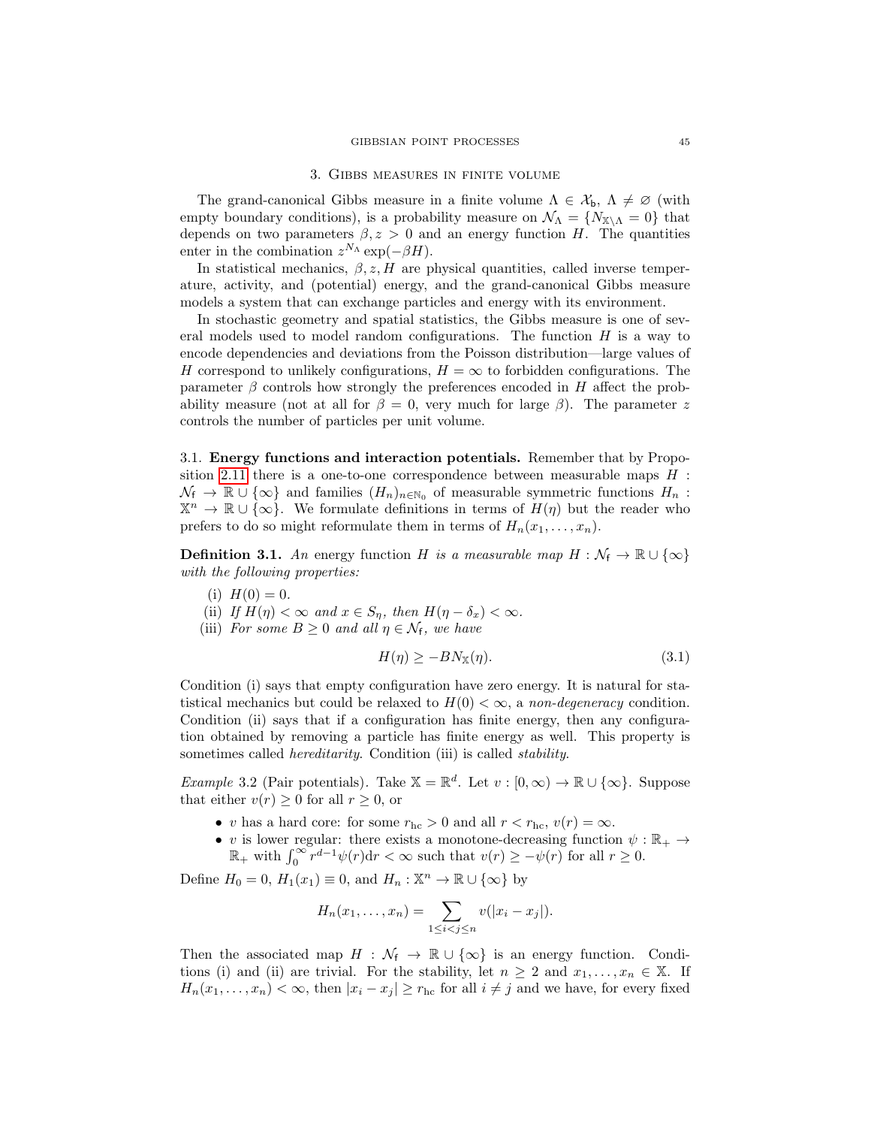#### 3. Gibbs measures in finite volume

The grand-canonical Gibbs measure in a finite volume  $\Lambda \in \mathcal{X}_{b}$ ,  $\Lambda \neq \emptyset$  (with empty boundary conditions), is a probability measure on  $\mathcal{N}_{\Lambda} = \{N_{\mathbb{X}\setminus\Lambda} = 0\}$  that depends on two parameters  $\beta$ ,  $z > 0$  and an energy function H. The quantities enter in the combination  $z^{N_{\Lambda}} \exp(-\beta H)$ .

In statistical mechanics,  $\beta$ ,  $z$ ,  $H$  are physical quantities, called inverse temperature, activity, and (potential) energy, and the grand-canonical Gibbs measure models a system that can exchange particles and energy with its environment.

In stochastic geometry and spatial statistics, the Gibbs measure is one of several models used to model random configurations. The function  $H$  is a way to encode dependencies and deviations from the Poisson distribution—large values of H correspond to unlikely configurations,  $H = \infty$  to forbidden configurations. The parameter  $\beta$  controls how strongly the preferences encoded in H affect the probability measure (not at all for  $\beta = 0$ , very much for large  $\beta$ ). The parameter z controls the number of particles per unit volume.

3.1. Energy functions and interaction potentials. Remember that by Propo-sition [2.11](#page-18-0) there is a one-to-one correspondence between measurable maps  $H$ :  $\mathcal{N}_f \to \mathbb{R} \cup {\infty}$  and families  $(H_n)_{n \in \mathbb{N}_0}$  of measurable symmetric functions  $H_n$ :  $\mathbb{X}^n \to \mathbb{R} \cup {\infty}$ . We formulate definitions in terms of  $H(\eta)$  but the reader who prefers to do so might reformulate them in terms of  $H_n(x_1, \ldots, x_n)$ .

<span id="page-44-1"></span>**Definition 3.1.** An energy function H is a measurable map  $H : \mathcal{N}_f \to \mathbb{R} \cup \{\infty\}$ with the following properties:

- (i)  $H(0) = 0$ .
- (ii) If  $H(\eta) < \infty$  and  $x \in S_n$ , then  $H(\eta \delta_x) < \infty$ .
- (iii) For some  $B \geq 0$  and all  $\eta \in \mathcal{N}_{f}$ , we have

$$
H(\eta) \ge -BN_{\mathbb{X}}(\eta). \tag{3.1}
$$

Condition (i) says that empty configuration have zero energy. It is natural for statistical mechanics but could be relaxed to  $H(0) < \infty$ , a non-degeneracy condition. Condition (ii) says that if a configuration has finite energy, then any configuration obtained by removing a particle has finite energy as well. This property is sometimes called *hereditarity*. Condition (iii) is called *stability*.

<span id="page-44-0"></span>*Example* 3.2 (Pair potentials). Take  $X = \mathbb{R}^d$ . Let  $v : [0, \infty) \to \mathbb{R} \cup \{\infty\}$ . Suppose that either  $v(r) \geq 0$  for all  $r \geq 0$ , or

- v has a hard core: for some  $r_{\text{hc}} > 0$  and all  $r < r_{\text{hc}}$ ,  $v(r) = \infty$ .
- v is lower regular: there exists a monotone-decreasing function  $\psi : \mathbb{R}_+ \to$  $\mathbb{R}_+$  with  $\int_0^\infty r^{d-1}\psi(r)\mathrm{d}r < \infty$  such that  $v(r) \geq -\psi(r)$  for all  $r \geq 0$ .

Define  $H_0 = 0$ ,  $H_1(x_1) \equiv 0$ , and  $H_n : \mathbb{X}^n \to \mathbb{R} \cup {\infty}$  by

$$
H_n(x_1,...,x_n) = \sum_{1 \leq i < j \leq n} v(|x_i - x_j|).
$$

Then the associated map  $H : \mathcal{N}_f \to \mathbb{R} \cup \{\infty\}$  is an energy function. Conditions (i) and (ii) are trivial. For the stability, let  $n \geq 2$  and  $x_1, \ldots, x_n \in \mathbb{X}$ . If  $H_n(x_1, \ldots, x_n) < \infty$ , then  $|x_i - x_j| \ge r$ <sub>hc</sub> for all  $i \ne j$  and we have, for every fixed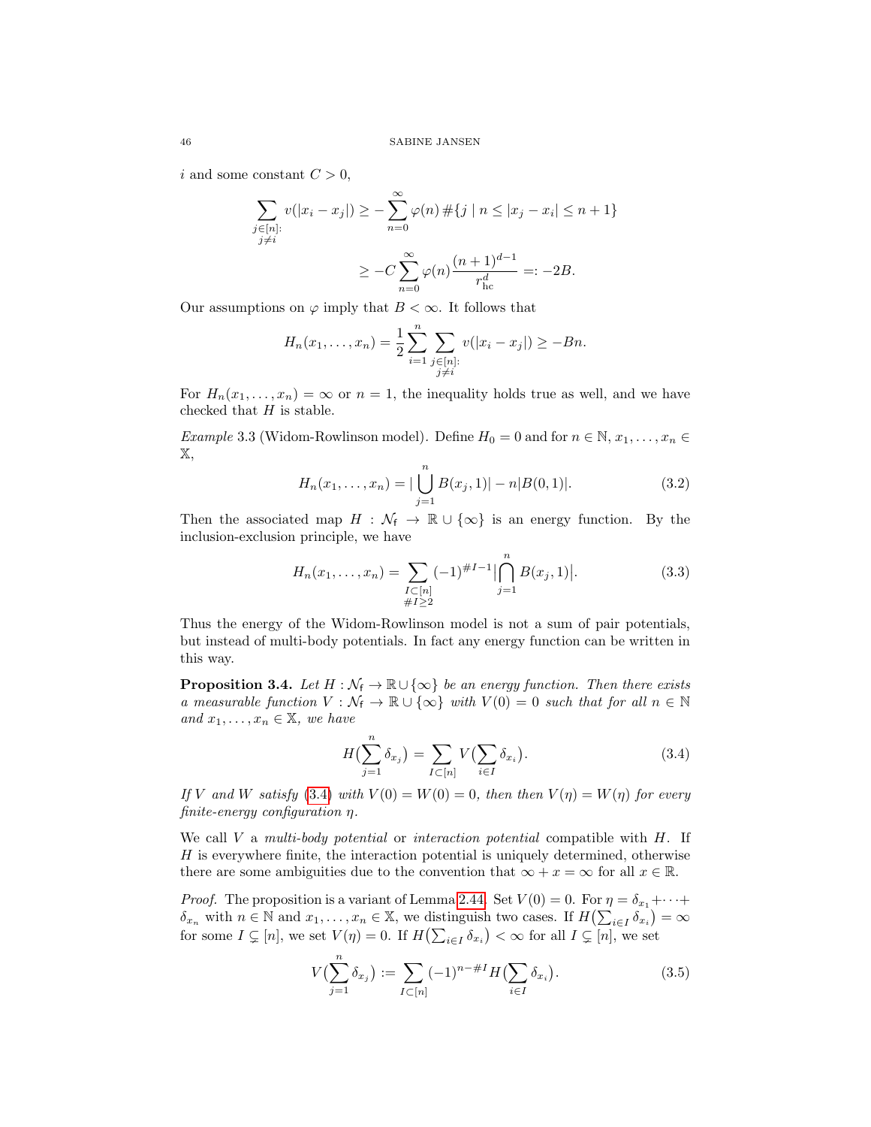i and some constant  $C > 0$ ,

$$
\sum_{\substack{j \in [n]: \\ j \neq i}} v(|x_i - x_j|) \ge -\sum_{n=0}^{\infty} \varphi(n) \# \{ j \mid n \le |x_j - x_i| \le n+1 \}
$$

$$
\ge -C \sum_{n=0}^{\infty} \varphi(n) \frac{(n+1)^{d-1}}{r_{\text{hc}}^d} =: -2B.
$$

Our assumptions on  $\varphi$  imply that  $B < \infty$ . It follows that

$$
H_n(x_1,\ldots,x_n) = \frac{1}{2} \sum_{\substack{i=1 \ j \in [n]: \\ j \neq i}}^n v(|x_i - x_j|) \ge -Bn.
$$

For  $H_n(x_1,\ldots,x_n)=\infty$  or  $n=1$ , the inequality holds true as well, and we have checked that  $H$  is stable.

Example 3.3 (Widom-Rowlinson model). Define  $H_0 = 0$  and for  $n \in \mathbb{N}, x_1, \ldots, x_n \in$ X,

$$
H_n(x_1, \dots, x_n) = |\bigcup_{j=1}^n B(x_j, 1)| - n|B(0, 1)|. \tag{3.2}
$$

Then the associated map  $H : \mathcal{N}_f \to \mathbb{R} \cup {\infty}$  is an energy function. By the inclusion-exclusion principle, we have

$$
H_n(x_1,\ldots,x_n) = \sum_{\substack{I \subset [n] \\ \#I \ge 2}} (-1)^{\#I-1} \left| \bigcap_{j=1}^n B(x_j,1) \right|.
$$
 (3.3)

Thus the energy of the Widom-Rowlinson model is not a sum of pair potentials, but instead of multi-body potentials. In fact any energy function can be written in this way.

**Proposition 3.4.** Let  $H : \mathcal{N}_f \to \mathbb{R} \cup \{\infty\}$  be an energy function. Then there exists a measurable function  $V : \mathcal{N}_{f} \to \mathbb{R} \cup \{\infty\}$  with  $V(0) = 0$  such that for all  $n \in \mathbb{N}$ and  $x_1, \ldots, x_n \in \mathbb{X}$ , we have

<span id="page-45-0"></span>
$$
H\left(\sum_{j=1}^{n} \delta_{x_j}\right) = \sum_{I \subset [n]} V\left(\sum_{i \in I} \delta_{x_i}\right). \tag{3.4}
$$

If V and W satisfy [\(3.4\)](#page-45-0) with  $V(0) = W(0) = 0$ , then then  $V(\eta) = W(\eta)$  for every finite-energy configuration η.

We call  $V$  a multi-body potential or interaction potential compatible with  $H$ . If H is everywhere finite, the interaction potential is uniquely determined, otherwise there are some ambiguities due to the convention that  $\infty + x = \infty$  for all  $x \in \mathbb{R}$ .

*Proof.* The proposition is a variant of Lemma [2.44.](#page-32-1) Set  $V(0) = 0$ . For  $\eta = \delta_{x_1} + \cdots + \delta_{x_n}$  $\delta_{x_n}$  with  $n \in \mathbb{N}$  and  $x_1, \ldots, x_n \in \mathbb{X}$ , we distinguish two cases. If  $H\left(\sum_{i \in I} \delta_{x_i}\right) = \infty$ for some  $I \subsetneq [n]$ , we set  $V(\eta) = 0$ . If  $H(\sum_{i \in I} \delta_{x_i}) < \infty$  for all  $I \subsetneq [n]$ , we set

<span id="page-45-1"></span>
$$
V\left(\sum_{j=1}^{n} \delta_{x_j}\right) := \sum_{I \subset [n]} (-1)^{n-\#I} H\left(\sum_{i \in I} \delta_{x_i}\right). \tag{3.5}
$$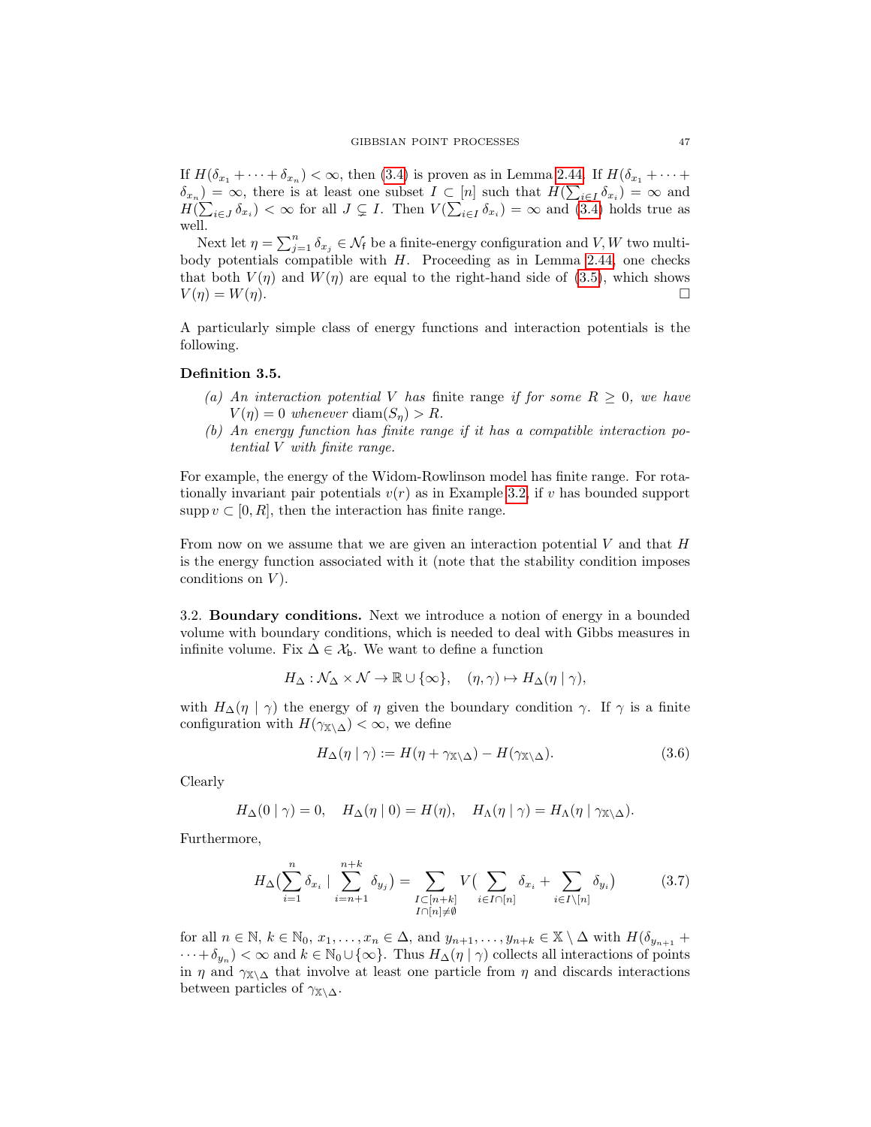If  $H(\delta_{x_1} + \cdots + \delta_{x_n}) < \infty$ , then [\(3.4\)](#page-45-0) is proven as in Lemma [2.44.](#page-32-1) If  $H(\delta_{x_1} + \cdots + \delta_{x_n})$  $\delta_{x_n}$  =  $\infty$ , there is at least one subset  $I \subset [n]$  such that  $H(\sum_{i \in I} \delta_{x_i}) = \infty$  and  $H(\sum_{i\in J}\delta_{x_i}) < \infty$  for all  $J \subsetneq I$ . Then  $V(\sum_{i\in I}\delta_{x_i}) = \infty$  and  $(3.4)$  holds true as well.

Next let  $\eta = \sum_{j=1}^n \delta_{x_j} \in \mathcal{N}_{\mathsf{f}}$  be a finite-energy configuration and  $V, W$  two multibody potentials compatible with  $H$ . Proceeding as in Lemma [2.44,](#page-32-1) one checks that both  $V(\eta)$  and  $W(\eta)$  are equal to the right-hand side of [\(3.5\)](#page-45-1), which shows  $V(\eta) = W(\eta).$ 

A particularly simple class of energy functions and interaction potentials is the following.

# Definition 3.5.

- (a) An interaction potential V has finite range if for some  $R \geq 0$ , we have  $V(\eta) = 0$  whenever diam $(S_{\eta}) > R$ .
- (b) An energy function has finite range if it has a compatible interaction potential V with finite range.

For example, the energy of the Widom-Rowlinson model has finite range. For rotationally invariant pair potentials  $v(r)$  as in Example [3.2,](#page-44-0) if v has bounded support supp  $v \subset [0, R]$ , then the interaction has finite range.

From now on we assume that we are given an interaction potential  $V$  and that  $H$ is the energy function associated with it (note that the stability condition imposes conditions on  $V$ ).

3.2. Boundary conditions. Next we introduce a notion of energy in a bounded volume with boundary conditions, which is needed to deal with Gibbs measures in infinite volume. Fix  $\Delta \in \mathcal{X}_b$ . We want to define a function

$$
H_{\Delta}: \mathcal{N}_{\Delta} \times \mathcal{N} \to \mathbb{R} \cup \{\infty\}, \quad (\eta, \gamma) \mapsto H_{\Delta}(\eta \mid \gamma),
$$

with  $H_{\Delta}(\eta \mid \gamma)$  the energy of  $\eta$  given the boundary condition  $\gamma$ . If  $\gamma$  is a finite configuration with  $H(\gamma_{\mathbb{X}\setminus\Delta}) < \infty$ , we define

<span id="page-46-0"></span>
$$
H_{\Delta}(\eta \mid \gamma) := H(\eta + \gamma_{\mathbb{X}\backslash \Delta}) - H(\gamma_{\mathbb{X}\backslash \Delta}). \tag{3.6}
$$

Clearly

$$
H_{\Delta}(0 \mid \gamma) = 0, \quad H_{\Delta}(\eta \mid 0) = H(\eta), \quad H_{\Lambda}(\eta \mid \gamma) = H_{\Lambda}(\eta \mid \gamma_{\mathbb{X} \backslash \Delta}).
$$

Furthermore,

$$
H_{\Delta}\left(\sum_{i=1}^{n} \delta_{x_i} \mid \sum_{i=n+1}^{n+k} \delta_{y_j}\right) = \sum_{\substack{I \subset [n+k] \\ I \cap [n] \neq \emptyset}} V\left(\sum_{i \in I \cap [n]} \delta_{x_i} + \sum_{i \in I \setminus [n]} \delta_{y_i}\right) \tag{3.7}
$$

for all  $n \in \mathbb{N}$ ,  $k \in \mathbb{N}_0$ ,  $x_1, \ldots, x_n \in \Delta$ , and  $y_{n+1}, \ldots, y_{n+k} \in \mathbb{X} \setminus \Delta$  with  $H(\delta_{y_{n+1}} +$  $\cdots + \delta_{y_n}$  <  $\infty$  and  $k \in \mathbb{N}_0 \cup \{\infty\}$ . Thus  $H_{\Delta}(\eta | \gamma)$  collects all interactions of points in  $\eta$  and  $\gamma_{\mathbb{X}\setminus\Delta}$  that involve at least one particle from  $\eta$  and discards interactions between particles of  $\gamma_{\mathbb{X}\setminus\Delta}$ .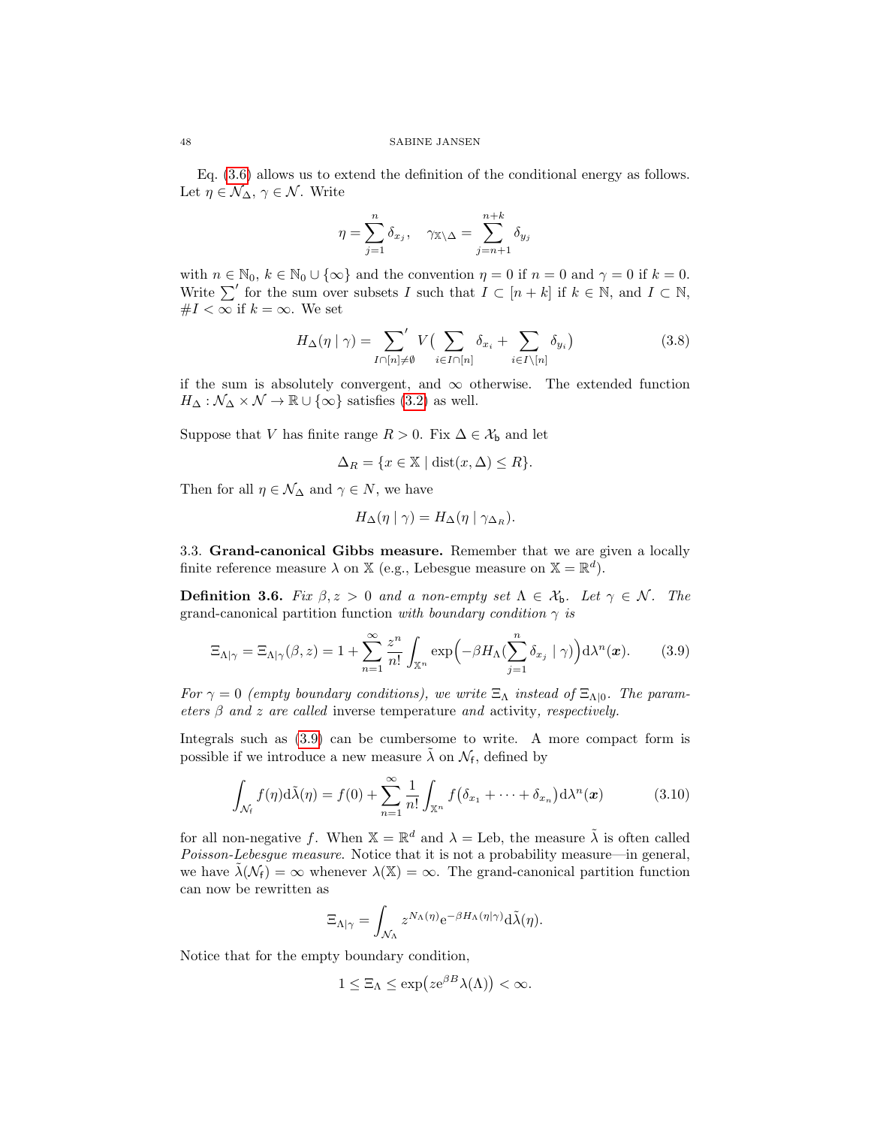Eq. [\(3.6\)](#page-46-0) allows us to extend the definition of the conditional energy as follows. Let  $\eta \in \mathcal{N}_{\Delta}, \gamma \in \mathcal{N}$ . Write

$$
\eta = \sum_{j=1}^n \delta_{x_j}, \quad \gamma_{\mathbb{X} \setminus \Delta} = \sum_{j=n+1}^{n+k} \delta_{y_j}
$$

with  $n \in \mathbb{N}_0$ ,  $k \in \mathbb{N}_0 \cup \{\infty\}$  and the convention  $\eta = 0$  if  $n = 0$  and  $\gamma = 0$  if  $k = 0$ . Write  $\sum'$  for the sum over subsets I such that  $I \subset [n+k]$  if  $k \in \mathbb{N}$ , and  $I \subset \mathbb{N}$ ,  $#I < \infty$  if  $k = \infty$ . We set

$$
H_{\Delta}(\eta \mid \gamma) = \sum_{I \cap [n] \neq \emptyset} 'V \left( \sum_{i \in I \cap [n]} \delta_{x_i} + \sum_{i \in I \setminus [n]} \delta_{y_i} \right) \tag{3.8}
$$

if the sum is absolutely convergent, and  $\infty$  otherwise. The extended function  $H_{\Delta}: \mathcal{N}_{\Delta} \times \mathcal{N} \to \mathbb{R} \cup \{\infty\}$  satisfies [\(3.2\)](#page-46-0) as well.

Suppose that V has finite range  $R > 0$ . Fix  $\Delta \in \mathcal{X}_{\mathsf{b}}$  and let

$$
\Delta_R = \{ x \in \mathbb{X} \mid \text{dist}(x, \Delta) \le R \}.
$$

Then for all  $\eta \in \mathcal{N}_{\Delta}$  and  $\gamma \in N$ , we have

$$
H_{\Delta}(\eta \mid \gamma) = H_{\Delta}(\eta \mid \gamma_{\Delta_R}).
$$

3.3. Grand-canonical Gibbs measure. Remember that we are given a locally finite reference measure  $\lambda$  on  $\mathbb{X}$  (e.g., Lebesgue measure on  $\mathbb{X} = \mathbb{R}^d$ ).

**Definition 3.6.** Fix  $\beta$ ,  $z > 0$  and a non-empty set  $\Lambda \in \mathcal{X}_{\mathbf{b}}$ . Let  $\gamma \in \mathcal{N}$ . The grand-canonical partition function with boundary condition  $\gamma$  is

<span id="page-47-0"></span>
$$
\Xi_{\Lambda|\gamma} = \Xi_{\Lambda|\gamma}(\beta, z) = 1 + \sum_{n=1}^{\infty} \frac{z^n}{n!} \int_{\mathbb{X}^n} \exp\left(-\beta H_{\Lambda}(\sum_{j=1}^n \delta_{x_j} \mid \gamma)\right) d\lambda^n(\boldsymbol{x}). \tag{3.9}
$$

For  $\gamma = 0$  (empty boundary conditions), we write  $\Xi_{\Lambda}$  instead of  $\Xi_{\Lambda}$ . The parameters  $\beta$  and z are called inverse temperature and activity, respectively.

Integrals such as [\(3.9\)](#page-47-0) can be cumbersome to write. A more compact form is possible if we introduce a new measure  $\tilde{\lambda}$  on  $\mathcal{N}_{f}$ , defined by

$$
\int_{\mathcal{N}_{\mathsf{f}}} f(\eta) \mathrm{d}\tilde{\lambda}(\eta) = f(0) + \sum_{n=1}^{\infty} \frac{1}{n!} \int_{\mathbb{X}^n} f(\delta_{x_1} + \dots + \delta_{x_n}) \mathrm{d}\lambda^n(\boldsymbol{x}) \tag{3.10}
$$

for all non-negative f. When  $\mathbb{X} = \mathbb{R}^d$  and  $\lambda =$  Leb, the measure  $\tilde{\lambda}$  is often called Poisson-Lebesgue measure. Notice that it is not a probability measure—in general, we have  $\lambda(\mathcal{N}_f) = \infty$  whenever  $\lambda(\mathbb{X}) = \infty$ . The grand-canonical partition function can now be rewritten as

$$
\Xi_{\Lambda|\gamma} = \int_{\mathcal{N}_{\Lambda}} z^{N_{\Lambda}(\eta)} e^{-\beta H_{\Lambda}(\eta|\gamma)} d\tilde{\lambda}(\eta).
$$

Notice that for the empty boundary condition,

$$
1 \leq \Xi_{\Lambda} \leq \exp\left(ze^{\beta B}\lambda(\Lambda)\right) < \infty.
$$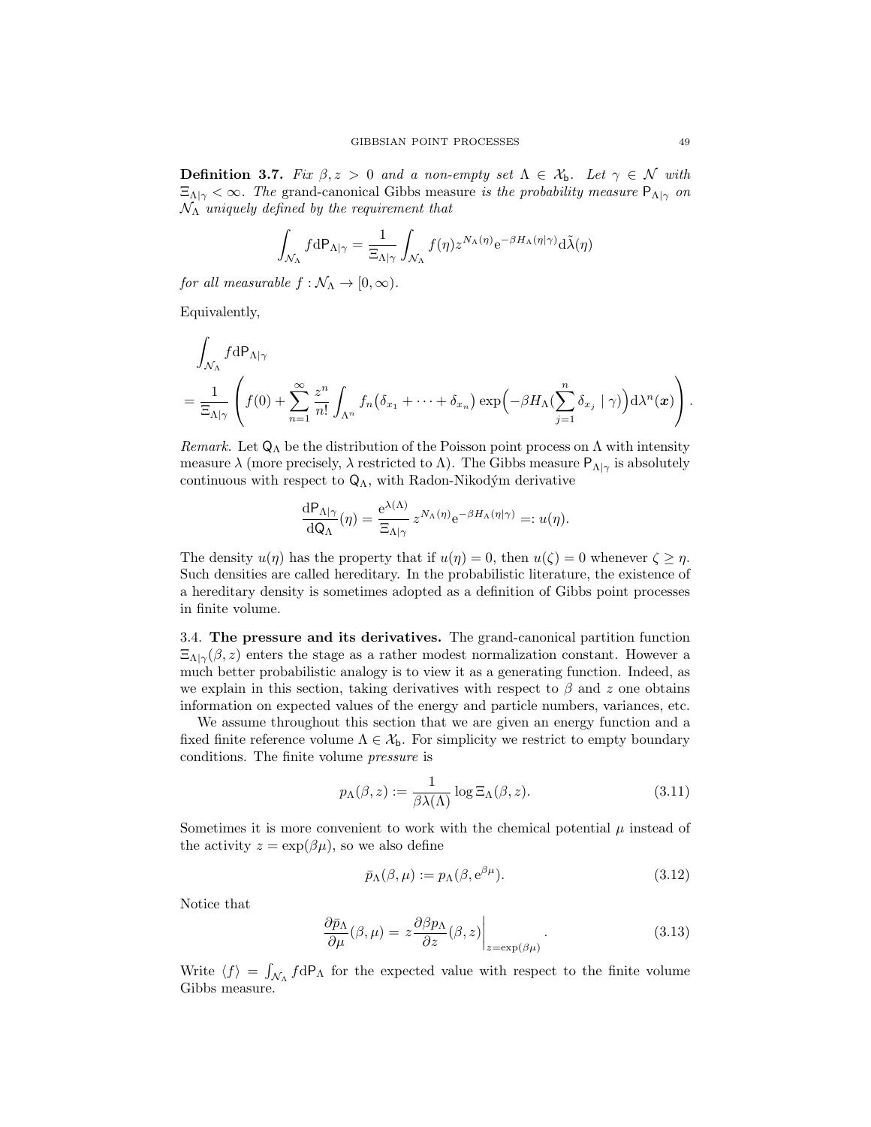**Definition 3.7.** Fix  $\beta$ , z > 0 and a non-empty set  $\Lambda \in \mathcal{X}_{\mathbf{b}}$ . Let  $\gamma \in \mathcal{N}$  with  $\Xi_{\Lambda|\gamma} < \infty$ . The grand-canonical Gibbs measure is the probability measure  $P_{\Lambda|\gamma}$  on  $\mathcal{N}_{\Lambda}$  uniquely defined by the requirement that

$$
\int_{\mathcal{N}_{\Lambda}} f \mathrm{d}P_{\Lambda|\gamma} = \frac{1}{\Xi_{\Lambda|\gamma}} \int_{\mathcal{N}_{\Lambda}} f(\eta) z^{N_{\Lambda}(\eta)} e^{-\beta H_{\Lambda}(\eta|\gamma)} \mathrm{d}\tilde{\lambda}(\eta)
$$

for all measurable  $f : \mathcal{N}_\Lambda \to [0, \infty)$ .

Equivalently,

$$
\int_{\mathcal{N}_{\Lambda}} f \, dP_{\Lambda|\gamma} = \frac{1}{\Xi_{\Lambda|\gamma}} \left( f(0) + \sum_{n=1}^{\infty} \frac{z^n}{n!} \int_{\Lambda^n} f_n(\delta_{x_1} + \dots + \delta_{x_n}) \exp\left(-\beta H_{\Lambda}(\sum_{j=1}^n \delta_{x_j} \mid \gamma)\right) d\lambda^n(x) \right).
$$

Remark. Let  $\mathsf{Q}_{\Lambda}$  be the distribution of the Poisson point process on  $\Lambda$  with intensity measure  $\lambda$  (more precisely,  $\lambda$  restricted to  $\Lambda$ ). The Gibbs measure  $P_{\Lambda|\gamma}$  is absolutely continuous with respect to  $\mathsf{Q}_{\Lambda}$ , with Radon-Nikodým derivative

$$
\frac{\mathrm{d}P_{\Lambda|\gamma}}{\mathrm{d}Q_{\Lambda}}(\eta) = \frac{\mathrm{e}^{\lambda(\Lambda)}}{\Xi_{\Lambda|\gamma}} z^{N_{\Lambda}(\eta)} \mathrm{e}^{-\beta H_{\Lambda}(\eta|\gamma)} =: u(\eta).
$$

The density  $u(\eta)$  has the property that if  $u(\eta) = 0$ , then  $u(\zeta) = 0$  whenever  $\zeta \geq \eta$ . Such densities are called hereditary. In the probabilistic literature, the existence of a hereditary density is sometimes adopted as a definition of Gibbs point processes in finite volume.

3.4. The pressure and its derivatives. The grand-canonical partition function  $\Xi_{\Lambda|\gamma}(\beta, z)$  enters the stage as a rather modest normalization constant. However a much better probabilistic analogy is to view it as a generating function. Indeed, as we explain in this section, taking derivatives with respect to  $\beta$  and z one obtains information on expected values of the energy and particle numbers, variances, etc.

We assume throughout this section that we are given an energy function and a fixed finite reference volume  $\Lambda \in \mathcal{X}_{b}$ . For simplicity we restrict to empty boundary conditions. The finite volume pressure is

$$
p_{\Lambda}(\beta, z) := \frac{1}{\beta \lambda(\Lambda)} \log \Xi_{\Lambda}(\beta, z). \tag{3.11}
$$

Sometimes it is more convenient to work with the chemical potential  $\mu$  instead of the activity  $z = \exp(\beta \mu)$ , so we also define

$$
\bar{p}_{\Lambda}(\beta,\mu) := p_{\Lambda}(\beta, e^{\beta \mu}). \tag{3.12}
$$

Notice that

$$
\frac{\partial \bar{p}_{\Lambda}}{\partial \mu}(\beta, \mu) = z \frac{\partial \beta p_{\Lambda}}{\partial z}(\beta, z) \Big|_{z = \exp(\beta \mu)}.
$$
\n(3.13)

Write  $\langle f \rangle = \int_{\mathcal{N}_{\Lambda}} f dP_{\Lambda}$  for the expected value with respect to the finite volume Gibbs measure.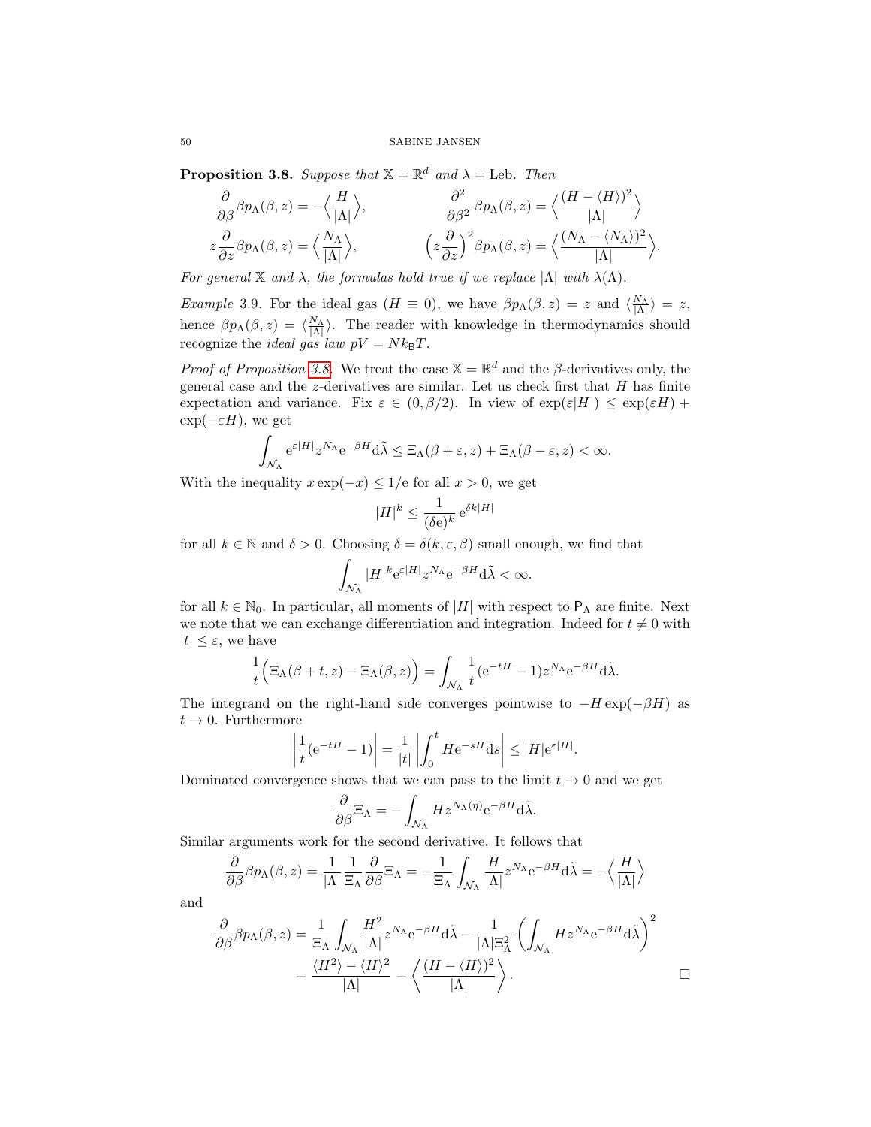<span id="page-49-0"></span>**Proposition 3.8.** Suppose that  $X = \mathbb{R}^d$  and  $\lambda =$  Leb. Then

$$
\frac{\partial}{\partial \beta} \beta p_{\Lambda}(\beta, z) = -\Big\langle \frac{H}{|\Lambda|} \Big\rangle, \qquad \qquad \frac{\partial^2}{\partial \beta^2} \beta p_{\Lambda}(\beta, z) = \Big\langle \frac{(H - \langle H \rangle)^2}{|\Lambda|} \Big\rangle
$$
  

$$
z \frac{\partial}{\partial z} \beta p_{\Lambda}(\beta, z) = \Big\langle \frac{N_{\Lambda}}{|\Lambda|} \Big\rangle, \qquad \qquad \Big(z \frac{\partial}{\partial z}\Big)^2 \beta p_{\Lambda}(\beta, z) = \Big\langle \frac{(N_{\Lambda} - \langle N_{\Lambda} \rangle)^2}{|\Lambda|} \Big\rangle.
$$

For general  $\mathbb X$  and  $\lambda$ , the formulas hold true if we replace  $|\Lambda|$  with  $\lambda(\Lambda)$ .

Example 3.9. For the ideal gas  $(H \equiv 0)$ , we have  $\beta p_{\Lambda}(\beta, z) = z$  and  $\langle \frac{N_{\Lambda}}{|\Lambda|} \rangle = z$ , hence  $\beta p_{\Lambda}(\beta, z) = \langle \frac{N_{\Lambda}}{|\Lambda|} \rangle$ . The reader with knowledge in thermodynamics should recognize the *ideal gas law*  $pV = Nk_BT$ .

*Proof of Proposition [3.8.](#page-49-0)* We treat the case  $\mathbb{X} = \mathbb{R}^d$  and the  $\beta$ -derivatives only, the general case and the  $z$ -derivatives are similar. Let us check first that  $H$  has finite expectation and variance. Fix  $\varepsilon \in (0, \beta/2)$ . In view of  $\exp(\varepsilon|H|) \leq \exp(\varepsilon H)$  +  $\exp(-\varepsilon H)$ , we get

$$
\int_{\mathcal{N}_{\Lambda}} e^{\varepsilon|H|} z^{N_{\Lambda}} e^{-\beta H} d\tilde{\lambda} \leq \Xi_{\Lambda}(\beta + \varepsilon, z) + \Xi_{\Lambda}(\beta - \varepsilon, z) < \infty.
$$

With the inequality  $x \exp(-x) \leq 1/e$  for all  $x > 0$ , we get

$$
|H|^k \leq \frac{1}{(\delta \mathbf{e})^k} \, \mathbf{e}^{\delta k |H|}
$$

for all  $k \in \mathbb{N}$  and  $\delta > 0$ . Choosing  $\delta = \delta(k, \varepsilon, \beta)$  small enough, we find that

$$
\int_{\mathcal{N}_{\Lambda}} |H|^k \mathrm{e}^{\varepsilon|H|} z^{N_{\Lambda}} \mathrm{e}^{-\beta H} \mathrm{d}\tilde{\lambda} < \infty.
$$

for all  $k \in \mathbb{N}_0$ . In particular, all moments of |H| with respect to  $P_\Lambda$  are finite. Next we note that we can exchange differentiation and integration. Indeed for  $t \neq 0$  with  $|t| \leq \varepsilon$ , we have

$$
\frac{1}{t}\Big(\Xi_{\Lambda}(\beta+t,z)-\Xi_{\Lambda}(\beta,z)\Big)=\int_{\mathcal{N}_{\Lambda}}\frac{1}{t}(e^{-tH}-1)z^{N_{\Lambda}}e^{-\beta H}d\tilde{\lambda}.
$$

The integrand on the right-hand side converges pointwise to  $-H \exp(-\beta H)$  as  $t \rightarrow 0$ . Furthermore

$$
\left| \frac{1}{t} (e^{-tH} - 1) \right| = \frac{1}{|t|} \left| \int_0^t H e^{-sH} ds \right| \le |H| e^{\varepsilon |H|}
$$

.

Dominated convergence shows that we can pass to the limit  $t \to 0$  and we get

$$
\frac{\partial}{\partial \beta} \Xi_{\Lambda} = -\int_{\mathcal{N}_{\Lambda}} H z^{N_{\Lambda}(\eta)} e^{-\beta H} d\tilde{\lambda}.
$$

Similar arguments work for the second derivative. It follows that

$$
\frac{\partial}{\partial \beta} \beta p_{\Lambda}(\beta, z) = \frac{1}{|\Lambda|} \frac{1}{\Xi_{\Lambda}} \frac{\partial}{\partial \beta} \Xi_{\Lambda} = -\frac{1}{\Xi_{\Lambda}} \int_{\mathcal{N}_{\Lambda}} \frac{H}{|\Lambda|} z^{N_{\Lambda}} e^{-\beta H} d\tilde{\lambda} = -\left\langle \frac{H}{|\Lambda|} \right\rangle
$$

and

$$
\frac{\partial}{\partial \beta} \beta p_{\Lambda}(\beta, z) = \frac{1}{\Xi_{\Lambda}} \int_{\mathcal{N}_{\Lambda}} \frac{H^2}{|\Lambda|} z^{N_{\Lambda}} e^{-\beta H} d\tilde{\lambda} - \frac{1}{|\Lambda| \Xi_{\Lambda}^2} \left( \int_{\mathcal{N}_{\Lambda}} H z^{N_{\Lambda}} e^{-\beta H} d\tilde{\lambda} \right)^2
$$

$$
= \frac{\langle H^2 \rangle - \langle H \rangle^2}{|\Lambda|} = \left\langle \frac{(H - \langle H \rangle)^2}{|\Lambda|} \right\rangle.
$$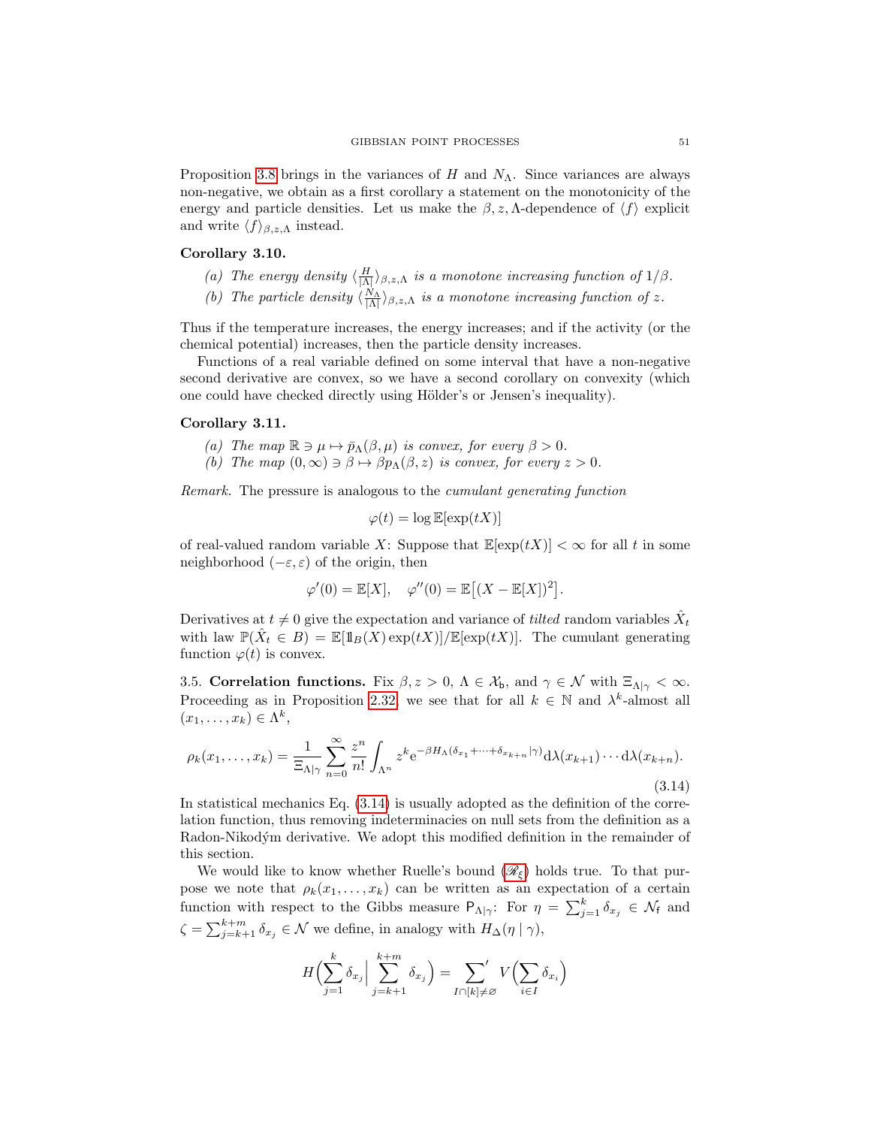Proposition [3.8](#page-49-0) brings in the variances of H and  $N_\Lambda$ . Since variances are always non-negative, we obtain as a first corollary a statement on the monotonicity of the energy and particle densities. Let us make the  $\beta$ , z,  $\Lambda$ -dependence of  $\langle f \rangle$  explicit and write  $\langle f \rangle_{\beta,z,\Lambda}$  instead.

# Corollary 3.10.

- (a) The energy density  $\langle \frac{H}{\vert \Lambda \vert} \rangle_{\beta,z,\Lambda}$  is a monotone increasing function of  $1/\beta$ .
- (b) The particle density  $\langle \frac{N_{\Lambda}}{|\Lambda|} \rangle_{\beta,z,\Lambda}$  is a monotone increasing function of z.

Thus if the temperature increases, the energy increases; and if the activity (or the chemical potential) increases, then the particle density increases.

Functions of a real variable defined on some interval that have a non-negative second derivative are convex, so we have a second corollary on convexity (which one could have checked directly using Hölder's or Jensen's inequality).

## Corollary 3.11.

- (a) The map  $\mathbb{R} \ni \mu \mapsto \bar{p}_{\Lambda}(\beta, \mu)$  is convex, for every  $\beta > 0$ .
- (b) The map  $(0, \infty) \ni \beta \mapsto \beta p_{\Lambda}(\beta, z)$  is convex, for every  $z > 0$ .

Remark. The pressure is analogous to the cumulant generating function

$$
\varphi(t) = \log \mathbb{E}[\exp(tX)]
$$

of real-valued random variable X: Suppose that  $\mathbb{E}[\exp(tX)] < \infty$  for all t in some neighborhood  $(-\varepsilon, \varepsilon)$  of the origin, then

$$
\varphi'(0) = \mathbb{E}[X], \quad \varphi''(0) = \mathbb{E}\big[(X - \mathbb{E}[X])^2\big].
$$

Derivatives at  $t \neq 0$  give the expectation and variance of *tilted* random variables  $\hat{X}_t$ with law  $\mathbb{P}(\hat{X}_t \in B) = \mathbb{E}[\mathbb{1}_B(X) \exp(tX)] / \mathbb{E}[\exp(tX)].$  The cumulant generating function  $\varphi(t)$  is convex.

3.5. Correlation functions. Fix  $\beta$ ,  $z > 0$ ,  $\Lambda \in \mathcal{X}_{\mathsf{b}}$ , and  $\gamma \in \mathcal{N}$  with  $\Xi_{\Lambda|\gamma} < \infty$ . Proceeding as in Proposition [2.32,](#page-27-0) we see that for all  $k \in \mathbb{N}$  and  $\lambda^k$ -almost all  $(x_1, \ldots, x_k) \in \Lambda^k$ ,

<span id="page-50-0"></span>
$$
\rho_k(x_1,\ldots,x_k) = \frac{1}{\Xi_{\Lambda|\gamma}} \sum_{n=0}^{\infty} \frac{z^n}{n!} \int_{\Lambda^n} z^k e^{-\beta H_{\Lambda}(\delta_{x_1} + \cdots + \delta_{x_{k+n}}|\gamma)} d\lambda(x_{k+1}) \cdots d\lambda(x_{k+n}).
$$
\n(3.14)

In statistical mechanics Eq. [\(3.14\)](#page-50-0) is usually adopted as the definition of the correlation function, thus removing indeterminacies on null sets from the definition as a Radon-Nikodým derivative. We adopt this modified definition in the remainder of this section.

We would like to know whether [R](#page-29-0)uelle's bound  $(\mathcal{R}_{\xi})$  holds true. To that purpose we note that  $\rho_k(x_1, \ldots, x_k)$  can be written as an expectation of a certain function with respect to the Gibbs measure  $P_{\Lambda|\gamma}$ : For  $\eta = \sum_{j=1}^k \delta_{x_j} \in \mathcal{N}_f$  and  $\zeta = \sum_{j=k+1}^{k+m} \delta_{x_j} \in \mathcal{N}$  we define, in analogy with  $H_{\Delta}(\eta | \gamma)$ ,

$$
H\left(\sum_{j=1}^k \delta_{x_j}\Big| \sum_{j=k+1}^{k+m} \delta_{x_j}\right) = \sum_{I\cap[k]\neq\varnothing} V\left(\sum_{i\in I} \delta_{x_i}\right)
$$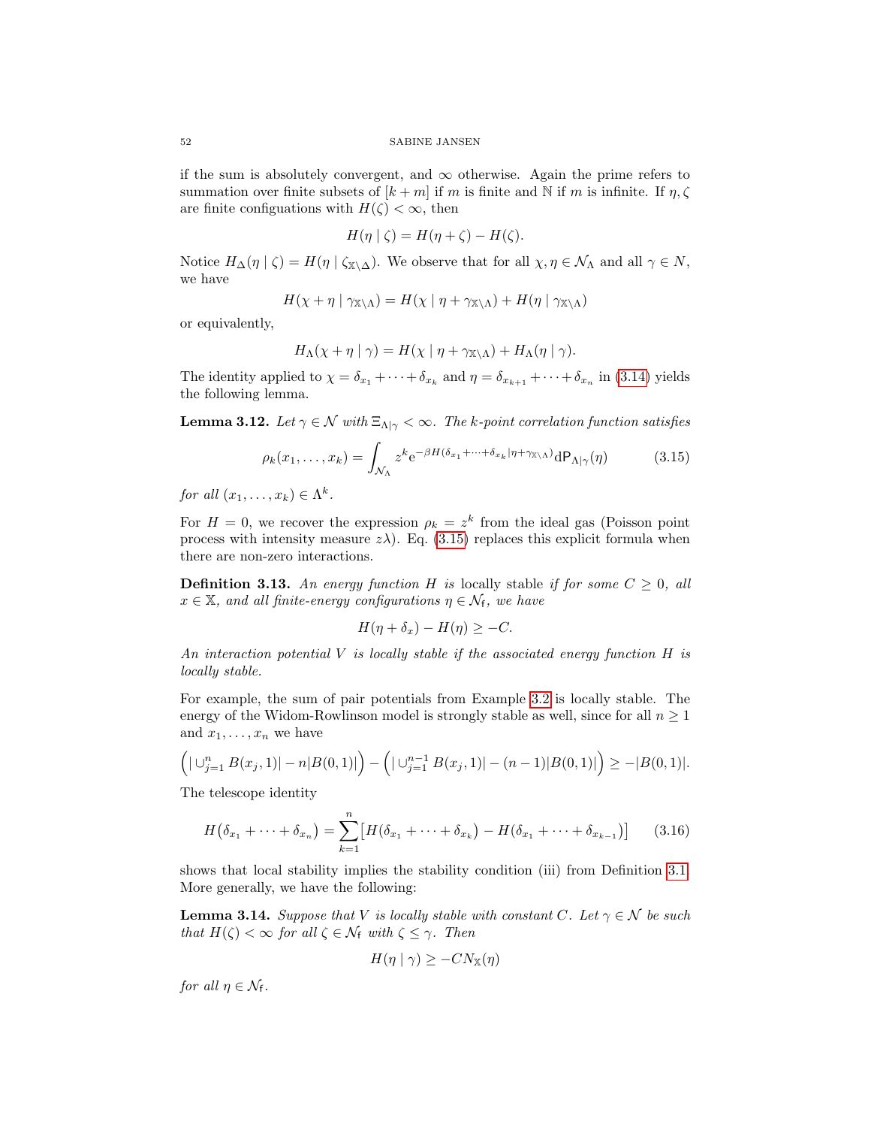if the sum is absolutely convergent, and  $\infty$  otherwise. Again the prime refers to summation over finite subsets of  $[k+m]$  if m is finite and N if m is infinite. If  $\eta$ , are finite configuations with  $H(\zeta) < \infty$ , then

$$
H(\eta \mid \zeta) = H(\eta + \zeta) - H(\zeta).
$$

Notice  $H_{\Delta}(\eta \mid \zeta) = H(\eta \mid \zeta_{\mathbb{X}\setminus \Delta})$ . We observe that for all  $\chi, \eta \in \mathcal{N}_{\Lambda}$  and all  $\gamma \in N$ , we have

$$
H(\chi + \eta \mid \gamma_{\mathbb{X}\backslash \Lambda}) = H(\chi \mid \eta + \gamma_{\mathbb{X}\backslash \Lambda}) + H(\eta \mid \gamma_{\mathbb{X}\backslash \Lambda})
$$

or equivalently,

$$
H_{\Lambda}(\chi + \eta \mid \gamma) = H(\chi \mid \eta + \gamma_{\mathbb{X} \setminus \Lambda}) + H_{\Lambda}(\eta \mid \gamma).
$$

The identity applied to  $\chi = \delta_{x_1} + \cdots + \delta_{x_k}$  and  $\eta = \delta_{x_{k+1}} + \cdots + \delta_{x_n}$  in [\(3.14\)](#page-50-0) yields the following lemma.

**Lemma 3.12.** Let  $\gamma \in \mathcal{N}$  with  $\Xi_{\Lambda|\gamma} < \infty$ . The k-point correlation function satisfies

<span id="page-51-0"></span>
$$
\rho_k(x_1,\ldots,x_k) = \int_{\mathcal{N}_{\Lambda}} z^k e^{-\beta H(\delta_{x_1} + \cdots + \delta_{x_k} |\eta + \gamma_{\mathbb{X}\setminus\Lambda})} dP_{\Lambda|\gamma}(\eta)
$$
(3.15)

for all  $(x_1, \ldots, x_k) \in \Lambda^k$ .

For  $H = 0$ , we recover the expression  $\rho_k = z^k$  from the ideal gas (Poisson point process with intensity measure  $z\lambda$ ). Eq. [\(3.15\)](#page-51-0) replaces this explicit formula when there are non-zero interactions.

**Definition 3.13.** An energy function H is locally stable if for some  $C \geq 0$ , all  $x \in \mathbb{X}$ , and all finite-energy configurations  $\eta \in \mathcal{N}_f$ , we have

$$
H(\eta + \delta_x) - H(\eta) \ge -C.
$$

An interaction potential  $V$  is locally stable if the associated energy function  $H$  is locally stable.

For example, the sum of pair potentials from Example [3.2](#page-44-0) is locally stable. The energy of the Widom-Rowlinson model is strongly stable as well, since for all  $n \geq 1$ and  $x_1, \ldots, x_n$  we have

$$
\left( |\cup_{j=1}^n B(x_j,1)| - n|B(0,1)| \right) - \left( |\cup_{j=1}^{n-1} B(x_j,1)| - (n-1)|B(0,1)| \right) \geq -|B(0,1)|.
$$

The telescope identity

<span id="page-51-1"></span>
$$
H(\delta_{x_1} + \dots + \delta_{x_n}) = \sum_{k=1}^n [H(\delta_{x_1} + \dots + \delta_{x_k}) - H(\delta_{x_1} + \dots + \delta_{x_{k-1}})] \tag{3.16}
$$

shows that local stability implies the stability condition (iii) from Definition [3.1.](#page-44-1) More generally, we have the following:

<span id="page-51-2"></span>**Lemma 3.14.** Suppose that V is locally stable with constant C. Let  $\gamma \in \mathcal{N}$  be such that  $H(\zeta) < \infty$  for all  $\zeta \in \mathcal{N}_f$  with  $\zeta \leq \gamma$ . Then

$$
H(\eta \mid \gamma) \geq -CN_{\mathbb{X}}(\eta)
$$

for all  $\eta \in \mathcal{N}_{f}$ .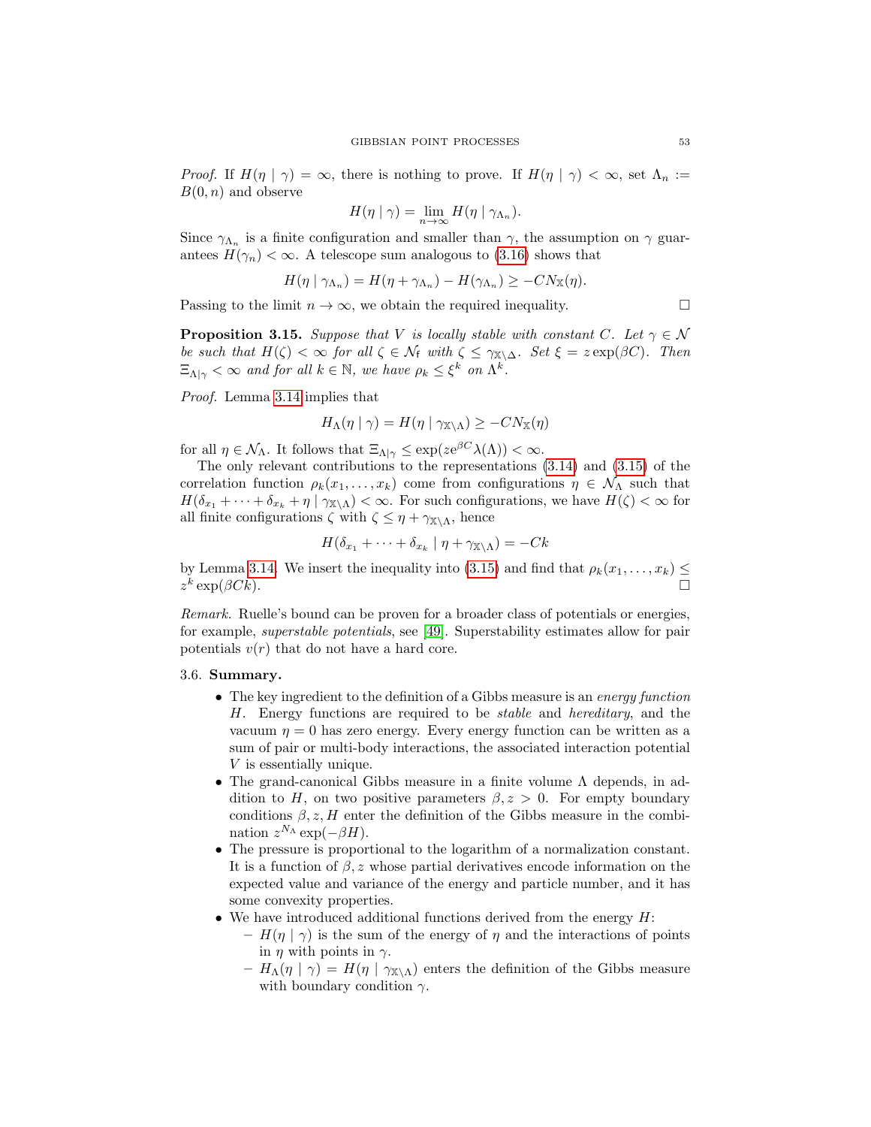*Proof.* If  $H(\eta | \gamma) = \infty$ , there is nothing to prove. If  $H(\eta | \gamma) < \infty$ , set  $\Lambda_n :=$  $B(0, n)$  and observe

$$
H(\eta \mid \gamma) = \lim_{n \to \infty} H(\eta \mid \gamma_{\Lambda_n}).
$$

Since  $\gamma_{\Lambda_n}$  is a finite configuration and smaller than  $\gamma$ , the assumption on  $\gamma$  guarantees  $H(\gamma_n) < \infty$ . A telescope sum analogous to [\(3.16\)](#page-51-1) shows that

$$
H(\eta \mid \gamma_{\Lambda_n}) = H(\eta + \gamma_{\Lambda_n}) - H(\gamma_{\Lambda_n}) \geq -CN_{\mathbb{X}}(\eta).
$$

Passing to the limit  $n \to \infty$ , we obtain the required inequality.

**Proposition 3.15.** Suppose that V is locally stable with constant C. Let  $\gamma \in \mathcal{N}$ be such that  $H(\zeta) < \infty$  for all  $\zeta \in \mathcal{N}_{f}$  with  $\zeta \leq \gamma_{\mathbb{X}\setminus\Delta}$ . Set  $\xi = z \exp(\beta C)$ . Then  $\Xi_{\Lambda|\gamma} < \infty$  and for all  $k \in \mathbb{N}$ , we have  $\rho_k \leq \xi^k$  on  $\Lambda^k$ .

Proof. Lemma [3.14](#page-51-2) implies that

$$
H_{\Lambda}(\eta \mid \gamma) = H(\eta \mid \gamma_{\mathbb{X} \setminus \Lambda}) \geq -CN_{\mathbb{X}}(\eta)
$$

for all  $\eta \in \mathcal{N}_{\Lambda}$ . It follows that  $\Xi_{\Lambda|\gamma} \leq \exp(z e^{\beta C} \lambda(\Lambda)) < \infty$ .

The only relevant contributions to the representations [\(3.14\)](#page-50-0) and [\(3.15\)](#page-51-0) of the correlation function  $\rho_k(x_1,\ldots,x_k)$  come from configurations  $\eta \in \mathcal{N}_\Lambda$  such that  $H(\delta_{x_1} + \cdots + \delta_{x_k} + \eta \mid \gamma_{\mathbb{X}\backslash \Lambda}) < \infty$ . For such configurations, we have  $H(\zeta) < \infty$  for all finite configurations  $\zeta$  with  $\zeta \leq \eta + \gamma_{\mathbb{X}\setminus\Lambda}$ , hence

$$
H(\delta_{x_1} + \cdots + \delta_{x_k} \mid \eta + \gamma_{\mathbb{X} \setminus \Lambda}) = -Ck
$$

by Lemma [3.14.](#page-51-2) We insert the inequality into [\(3.15\)](#page-51-0) and find that  $\rho_k(x_1, \ldots, x_k) \leq$  $z^k$  $\exp(\beta Ck)$ .

Remark. Ruelle's bound can be proven for a broader class of potentials or energies, for example, superstable potentials, see [\[49\]](#page-104-4). Superstability estimates allow for pair potentials  $v(r)$  that do not have a hard core.

## 3.6. Summary.

- The key ingredient to the definition of a Gibbs measure is an energy function H. Energy functions are required to be stable and hereditary, and the vacuum  $\eta = 0$  has zero energy. Every energy function can be written as a sum of pair or multi-body interactions, the associated interaction potential V is essentially unique.
- The grand-canonical Gibbs measure in a finite volume Λ depends, in addition to H, on two positive parameters  $\beta$ ,  $z > 0$ . For empty boundary conditions  $\beta, z, H$  enter the definition of the Gibbs measure in the combination  $z^{N_{\Lambda}} \exp(-\beta H)$ .
- The pressure is proportional to the logarithm of a normalization constant. It is a function of  $\beta$ , z whose partial derivatives encode information on the expected value and variance of the energy and particle number, and it has some convexity properties.
- We have introduced additional functions derived from the energy  $H$ :
	- $H(\eta | \gamma)$  is the sum of the energy of  $\eta$  and the interactions of points in  $\eta$  with points in  $\gamma$ .
	- $-H_{\Lambda}(\eta | \gamma) = H(\eta | \gamma_{\mathbb{X}\setminus\Lambda})$  enters the definition of the Gibbs measure with boundary condition  $\gamma$ .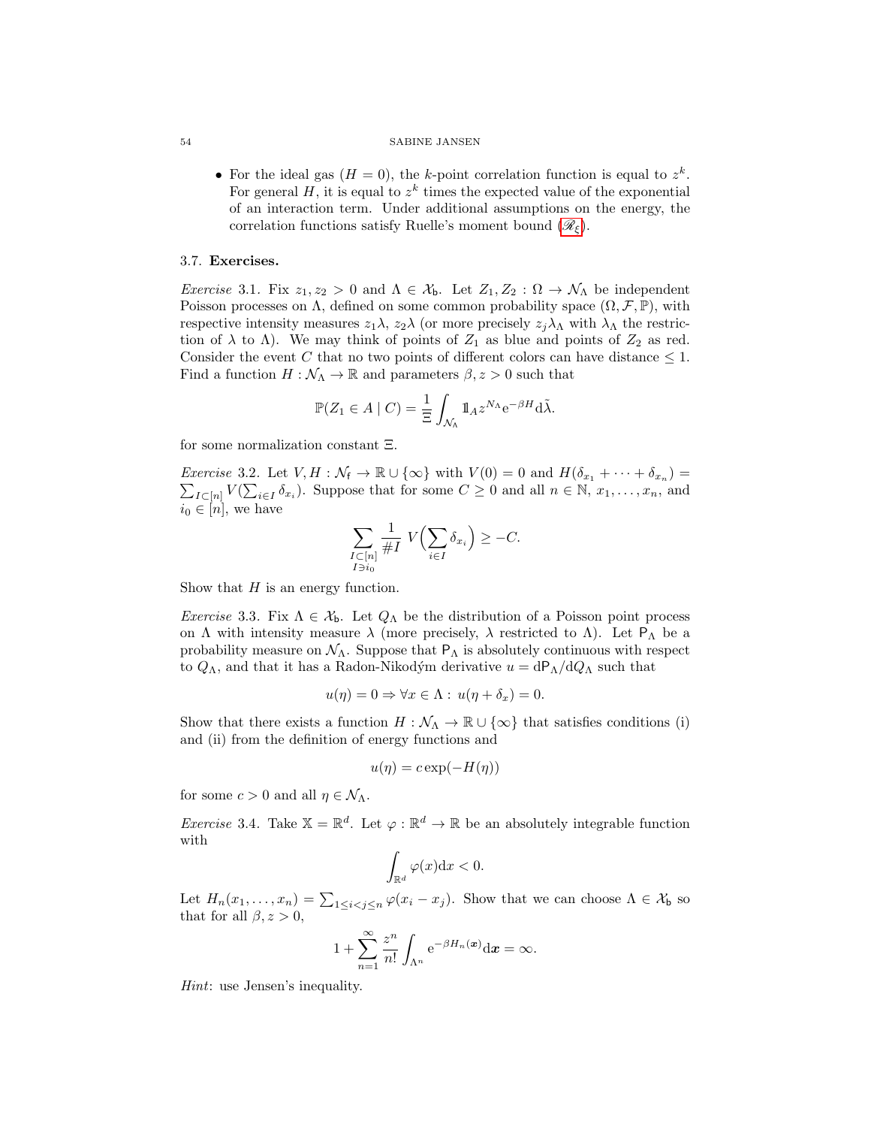#### 54 SABINE JANSEN

• For the ideal gas  $(H = 0)$ , the k-point correlation function is equal to  $z<sup>k</sup>$ . For general H, it is equal to  $z^k$  times the expected value of the exponential of an interaction term. Under additional assumptions on the energy, the correlation functions satisfy [R](#page-29-0)uelle's moment bound  $(\mathcal{R}_{\xi})$ .

## 3.7. Exercises.

*Exercise* 3.1. Fix  $z_1, z_2 > 0$  and  $\Lambda \in \mathcal{X}_b$ . Let  $Z_1, Z_2 : \Omega \to \mathcal{N}_{\Lambda}$  be independent Poisson processes on  $\Lambda$ , defined on some common probability space  $(\Omega, \mathcal{F}, \mathbb{P})$ , with respective intensity measures  $z_1\lambda$ ,  $z_2\lambda$  (or more precisely  $z_j\lambda_\Lambda$  with  $\lambda_\Lambda$  the restriction of  $\lambda$  to  $\Lambda$ ). We may think of points of  $Z_1$  as blue and points of  $Z_2$  as red. Consider the event C that no two points of different colors can have distance  $\leq 1$ . Find a function  $H : \mathcal{N}_{\Lambda} \to \mathbb{R}$  and parameters  $\beta, z > 0$  such that

$$
\mathbb{P}(Z_1 \in A \mid C) = \frac{1}{\Xi} \int_{\mathcal{N}_{\Lambda}} \mathbb{1}_A z^{N_{\Lambda}} e^{-\beta H} d\tilde{\lambda}.
$$

for some normalization constant Ξ.

*Exercise* 3.2. Let  $V, H : \mathcal{N}_f \to \mathbb{R} \cup {\infty}$  with  $V(0) = 0$  and  $H(\delta_{x_1} + \cdots + \delta_{x_n}) =$  $\sum_{I \subset [n]} V(\sum_{i \in I} \delta_{x_i})$ . Suppose that for some  $C \geq 0$  and all  $n \in \mathbb{N}, x_1, \ldots, x_n$ , and  $i_0 \in [n]$ , we have

$$
\sum_{\substack{I \subset [n] \\ I \ni i_0}} \frac{1}{\#I} \ V\Big(\sum_{i \in I} \delta_{x_i}\Big) \ge -C.
$$

Show that  $H$  is an energy function.

*Exercise* 3.3. Fix  $\Lambda \in \mathcal{X}_{b}$ . Let  $Q_{\Lambda}$  be the distribution of a Poisson point process on  $\Lambda$  with intensity measure  $\lambda$  (more precisely,  $\lambda$  restricted to  $\Lambda$ ). Let  $P_{\Lambda}$  be a probability measure on  $\mathcal{N}_{\Lambda}$ . Suppose that  $P_{\Lambda}$  is absolutely continuous with respect to  $Q_{\Lambda}$ , and that it has a Radon-Nikodým derivative  $u = dP_{\Lambda}/dQ_{\Lambda}$  such that

$$
u(\eta) = 0 \Rightarrow \forall x \in \Lambda : u(\eta + \delta_x) = 0.
$$

Show that there exists a function  $H : \mathcal{N}_\Lambda \to \mathbb{R} \cup {\infty}$  that satisfies conditions (i) and (ii) from the definition of energy functions and

$$
u(\eta) = c \exp(-H(\eta))
$$

for some  $c > 0$  and all  $\eta \in \mathcal{N}_{\Lambda}$ .

*Exercise* 3.4. Take  $\mathbb{X} = \mathbb{R}^d$ . Let  $\varphi : \mathbb{R}^d \to \mathbb{R}$  be an absolutely integrable function with

$$
\int_{\mathbb{R}^d} \varphi(x) \mathrm{d} x < 0.
$$

Let  $H_n(x_1,\ldots,x_n) = \sum_{1 \leq i < j \leq n} \varphi(x_i - x_j)$ . Show that we can choose  $\Lambda \in \mathcal{X}_b$  so that for all  $\beta$ ,  $z > 0$ ,

$$
1+\sum_{n=1}^{\infty}\frac{z^n}{n!}\int_{\Lambda^n}e^{-\beta H_n(\boldsymbol{x})}d\boldsymbol{x}=\infty.
$$

Hint: use Jensen's inequality.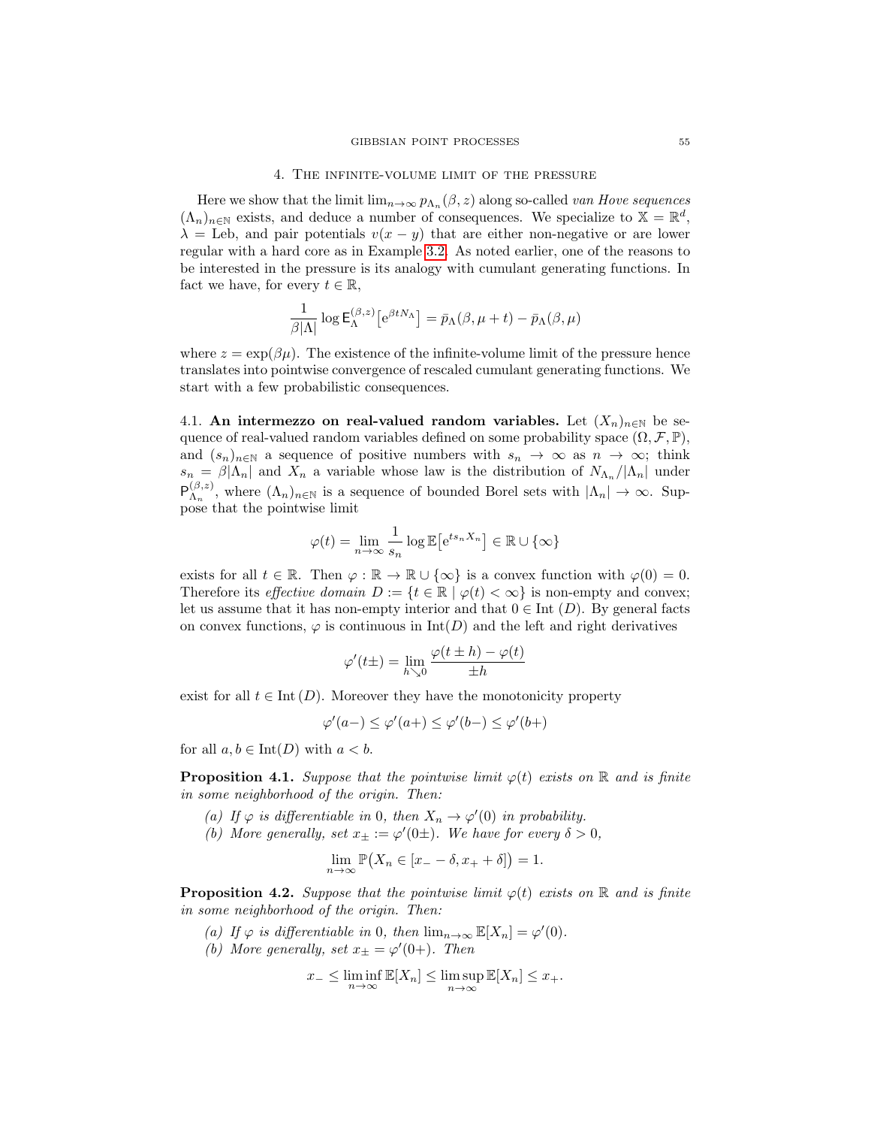# 4. The infinite-volume limit of the pressure

Here we show that the limit  $\lim_{n\to\infty} p_{\Lambda_n}(\beta, z)$  along so-called van Hove sequences  $(\Lambda_n)_{n\in\mathbb{N}}$  exists, and deduce a number of consequences. We specialize to  $\mathbb{X} = \mathbb{R}^d$ ,  $\lambda =$  Leb, and pair potentials  $v(x - y)$  that are either non-negative or are lower regular with a hard core as in Example [3.2.](#page-44-0) As noted earlier, one of the reasons to be interested in the pressure is its analogy with cumulant generating functions. In fact we have, for every  $t \in \mathbb{R}$ ,

$$
\frac{1}{\beta|\Lambda|}\log\mathsf{E}_{\Lambda}^{(\beta,z)}\big[e^{\beta t N_{\Lambda}}\big]=\bar{p}_{\Lambda}(\beta,\mu+t)-\bar{p}_{\Lambda}(\beta,\mu)
$$

where  $z = \exp(\beta \mu)$ . The existence of the infinite-volume limit of the pressure hence translates into pointwise convergence of rescaled cumulant generating functions. We start with a few probabilistic consequences.

4.1. An intermezzo on real-valued random variables. Let  $(X_n)_{n\in\mathbb{N}}$  be sequence of real-valued random variables defined on some probability space  $(\Omega, \mathcal{F}, \mathbb{P}),$ and  $(s_n)_{n\in\mathbb{N}}$  a sequence of positive numbers with  $s_n \to \infty$  as  $n \to \infty$ ; think  $s_n = \beta |\Lambda_n|$  and  $X_n$  a variable whose law is the distribution of  $N_{\Lambda_n}/|\Lambda_n|$  under  $P_{\Lambda}^{(\beta,z)}$  $\Lambda_n^{(\rho,z)}$ , where  $(\Lambda_n)_{n\in\mathbb{N}}$  is a sequence of bounded Borel sets with  $|\Lambda_n|\to\infty$ . Suppose that the pointwise limit

$$
\varphi(t)=\lim_{n\to\infty}\frac{1}{s_n}\log\mathbb{E}\big[\mathrm{e}^{ts_nX_n}\big]\in\mathbb{R}\cup\{\infty\}
$$

exists for all  $t \in \mathbb{R}$ . Then  $\varphi : \mathbb{R} \to \mathbb{R} \cup {\infty}$  is a convex function with  $\varphi(0) = 0$ . Therefore its effective domain  $D := \{t \in \mathbb{R} \mid \varphi(t) < \infty\}$  is non-empty and convex; let us assume that it has non-empty interior and that  $0 \in$  Int  $(D)$ . By general facts on convex functions,  $\varphi$  is continuous in  $Int(D)$  and the left and right derivatives

$$
\varphi'(t\pm) = \lim_{h \searrow 0} \frac{\varphi(t \pm h) - \varphi(t)}{\pm h}
$$

exist for all  $t \in Int(D)$ . Moreover they have the monotonicity property

$$
\varphi'(a-) \le \varphi'(a+) \le \varphi'(b-) \le \varphi'(b+)
$$

for all  $a, b \in \text{Int}(D)$  with  $a < b$ .

<span id="page-54-0"></span>**Proposition 4.1.** Suppose that the pointwise limit  $\varphi(t)$  exists on R and is finite in some neighborhood of the origin. Then:

- (a) If  $\varphi$  is differentiable in 0, then  $X_n \to \varphi'(0)$  in probability.
- (b) More generally, set  $x_{\pm} := \varphi'(0\pm)$ . We have for every  $\delta > 0$ ,

$$
\lim_{n \to \infty} \mathbb{P}\big(X_n \in [x_- - \delta, x_+ + \delta]\big) = 1.
$$

<span id="page-54-1"></span>**Proposition 4.2.** Suppose that the pointwise limit  $\varphi(t)$  exists on R and is finite in some neighborhood of the origin. Then:

- (a) If  $\varphi$  is differentiable in 0, then  $\lim_{n\to\infty} \mathbb{E}[X_n] = \varphi'(0)$ .
- (b) More generally, set  $x_{\pm} = \varphi'(0+)$ . Then

$$
x_- \le \liminf_{n \to \infty} \mathbb{E}[X_n] \le \limsup_{n \to \infty} \mathbb{E}[X_n] \le x_+.
$$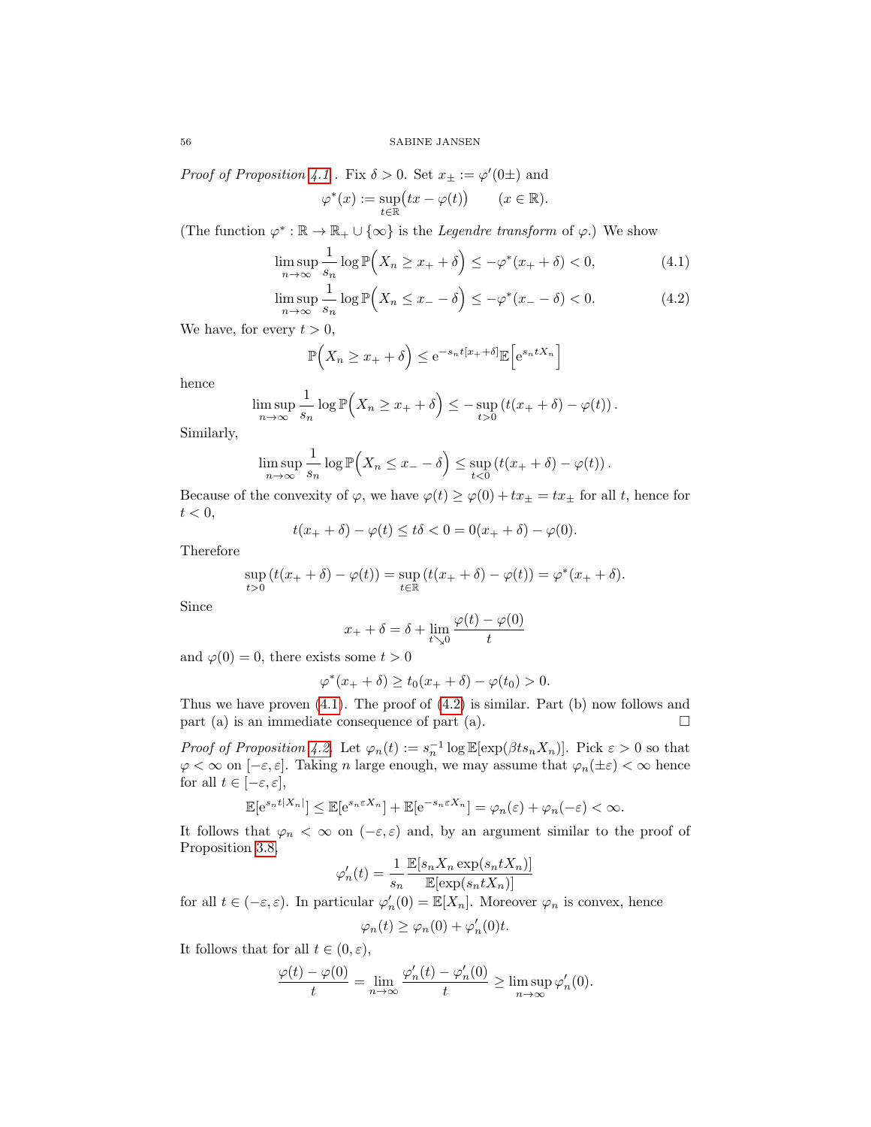*Proof of Proposition [4.1](#page-54-0)* . Fix  $\delta > 0$ . Set  $x_{\pm} := \varphi'(0) \pm \varphi$  and

<span id="page-55-1"></span><span id="page-55-0"></span>
$$
\varphi^*(x) := \sup_{t \in \mathbb{R}} \big( tx - \varphi(t) \big) \qquad (x \in \mathbb{R}).
$$

(The function  $\varphi^* : \mathbb{R} \to \mathbb{R}_+ \cup {\infty}$ ) is the *Legendre transform* of  $\varphi$ .) We show

$$
\limsup_{n \to \infty} \frac{1}{s_n} \log \mathbb{P}\Big(X_n \ge x_+ + \delta\Big) \le -\varphi^*(x_+ + \delta) < 0,\tag{4.1}
$$

$$
\limsup_{n \to \infty} \frac{1}{s_n} \log \mathbb{P}\Big(X_n \le x_- - \delta\Big) \le -\varphi^*(x_- - \delta) < 0. \tag{4.2}
$$

We have, for every  $t > 0$ ,

$$
\mathbb{P}\Big(X_n \ge x_+ + \delta\Big) \le e^{-s_n t [x_+ + \delta]} \mathbb{E}\Big[e^{s_n t X_n}\Big]
$$

hence

$$
\limsup_{n \to \infty} \frac{1}{s_n} \log \mathbb{P}\Big(X_n \geq x_+ + \delta\Big) \leq -\sup_{t > 0} \left(t(x_+ + \delta) - \varphi(t)\right).
$$

Similarly,

$$
\limsup_{n \to \infty} \frac{1}{s_n} \log \mathbb{P}\Big(X_n \leq x_- - \delta\Big) \leq \sup_{t < 0} \left(t(x_+ + \delta) - \varphi(t)\right).
$$

Because of the convexity of  $\varphi$ , we have  $\varphi(t) \geq \varphi(0) + tx_{\pm} = tx_{\pm}$  for all t, hence for  $t < 0$ ,

$$
t(x_+ + \delta) - \varphi(t) \le t\delta < 0 = 0(x_+ + \delta) - \varphi(0).
$$

Therefore

$$
\sup_{t>0} (t(x_+ + \delta) - \varphi(t)) = \sup_{t \in \mathbb{R}} (t(x_+ + \delta) - \varphi(t)) = \varphi^*(x_+ + \delta).
$$

Since

$$
x_{+} + \delta = \delta + \lim_{t \searrow 0} \frac{\varphi(t) - \varphi(0)}{t}
$$

and  $\varphi(0) = 0$ , there exists some  $t > 0$ 

$$
\varphi^*(x_+ + \delta) \ge t_0(x_+ + \delta) - \varphi(t_0) > 0.
$$

Thus we have proven [\(4.1\)](#page-55-0). The proof of [\(4.2\)](#page-55-1) is similar. Part (b) now follows and part (a) is an immediate consequence of part (a).  $\Box$ 

*Proof of Proposition [4.2.](#page-54-1)* Let  $\varphi_n(t) := s_n^{-1} \log \mathbb{E}[\exp(\beta t s_n X_n)]$ . Pick  $\varepsilon > 0$  so that  $\varphi < \infty$  on  $[-\varepsilon, \varepsilon]$ . Taking *n* large enough, we may assume that  $\varphi_n(\pm \varepsilon) < \infty$  hence for all  $t \in [-\varepsilon, \varepsilon],$ 

$$
\mathbb{E}[e^{s_n t |X_n|}] \leq \mathbb{E}[e^{s_n \varepsilon X_n}] + \mathbb{E}[e^{-s_n \varepsilon X_n}] = \varphi_n(\varepsilon) + \varphi_n(-\varepsilon) < \infty.
$$

It follows that  $\varphi_n < \infty$  on  $(-\varepsilon, \varepsilon)$  and, by an argument similar to the proof of Proposition [3.8,](#page-49-0)

$$
\varphi_n'(t) = \frac{1}{s_n} \frac{\mathbb{E}[s_n X_n \exp(s_n t X_n)]}{\mathbb{E}[\exp(s_n t X_n)]}
$$

for all  $t \in (-\varepsilon, \varepsilon)$ . In particular  $\varphi'_n(0) = \mathbb{E}[X_n]$ . Moreover  $\varphi_n$  is convex, hence

$$
\varphi_n(t) \ge \varphi_n(0) + \varphi'_n(0)t.
$$

It follows that for all  $t \in (0, \varepsilon)$ ,

$$
\frac{\varphi(t) - \varphi(0)}{t} = \lim_{n \to \infty} \frac{\varphi'_n(t) - \varphi'_n(0)}{t} \ge \limsup_{n \to \infty} \varphi'_n(0).
$$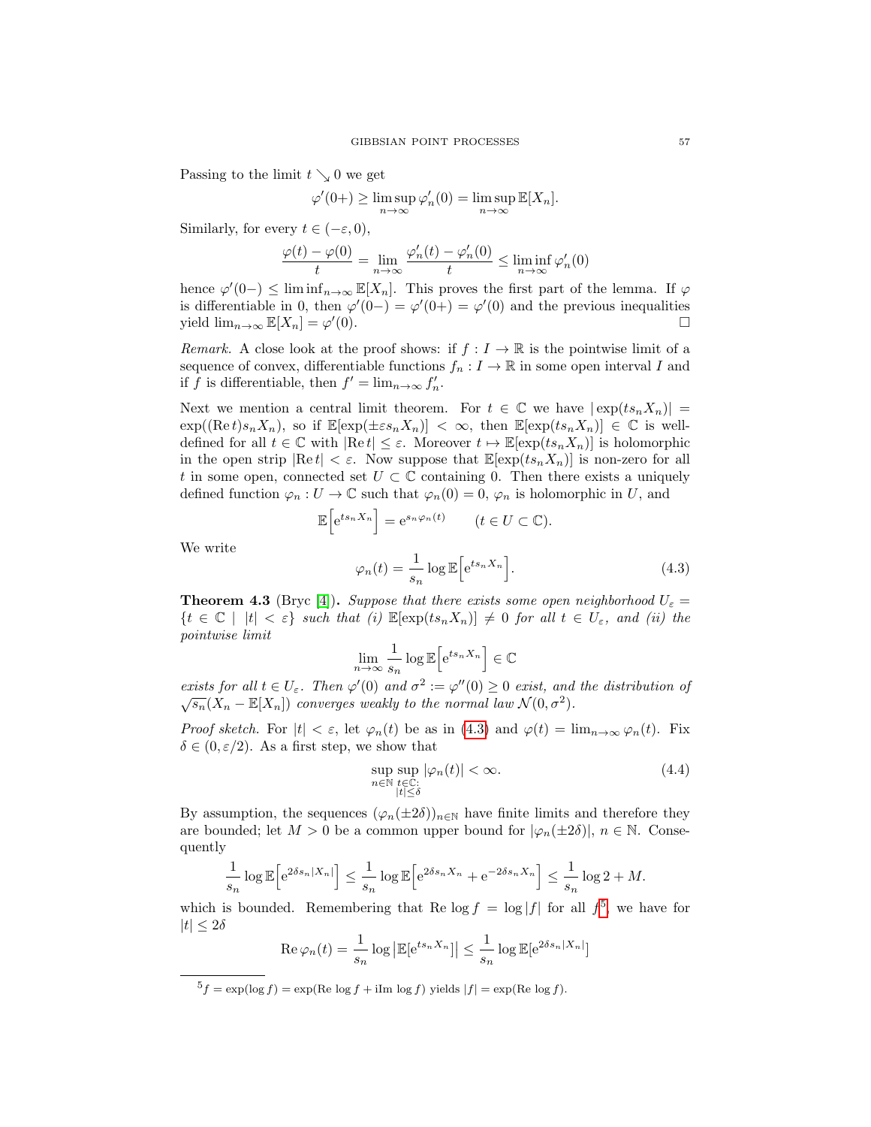Passing to the limit  $t \searrow 0$  we get

$$
\varphi'(0+) \ge \limsup_{n \to \infty} \varphi'_n(0) = \limsup_{n \to \infty} \mathbb{E}[X_n].
$$

Similarly, for every  $t \in (-\varepsilon, 0)$ ,

$$
\frac{\varphi(t)-\varphi(0)}{t}=\lim_{n\rightarrow\infty}\frac{\varphi_n'(t)-\varphi_n'(0)}{t}\leq \liminf_{n\rightarrow\infty}\varphi_n'(0)
$$

hence  $\varphi'(0-) \leq \liminf_{n \to \infty} \mathbb{E}[X_n]$ . This proves the first part of the lemma. If  $\varphi$ is differentiable in 0, then  $\varphi'(0-) = \varphi'(0+) = \varphi'(0)$  and the previous inequalities yield  $\lim_{n\to\infty} \mathbb{E}[X_n] = \varphi'$ (0).

Remark. A close look at the proof shows: if  $f: I \to \mathbb{R}$  is the pointwise limit of a sequence of convex, differentiable functions  $f_n: I \to \mathbb{R}$  in some open interval I and if f is differentiable, then  $f' = \lim_{n \to \infty} f'_n$ .

Next we mention a central limit theorem. For  $t \in \mathbb{C}$  we have  $|\exp(ts_n X_n)| =$  $\exp((\mathrm{Re} t)s_nX_n)$ , so if  $\mathbb{E}[\exp(\pm \varepsilon s_nX_n)] < \infty$ , then  $\mathbb{E}[\exp(ts_nX_n)] \in \mathbb{C}$  is welldefined for all  $t \in \mathbb{C}$  with  $|\text{Re } t| \leq \varepsilon$ . Moreover  $t \mapsto \mathbb{E}[\exp(ts_nX_n)]$  is holomorphic in the open strip  $|\text{Re } t| < \varepsilon$ . Now suppose that  $\mathbb{E}[\exp(ts_n X_n)]$  is non-zero for all t in some open, connected set  $U \subset \mathbb{C}$  containing 0. Then there exists a uniquely defined function  $\varphi_n: U \to \mathbb{C}$  such that  $\varphi_n(0) = 0$ ,  $\varphi_n$  is holomorphic in U, and

<span id="page-56-0"></span>
$$
\mathbb{E}\left[e^{ts_n X_n}\right] = e^{s_n \varphi_n(t)} \qquad (t \in U \subset \mathbb{C}).
$$

$$
\varphi_n(t) = \frac{1}{s_n} \log \mathbb{E}\left[e^{ts_n X_n}\right]. \tag{4.3}
$$

We write

<span id="page-56-3"></span>**Theorem 4.3** (Bryc [\[4\]](#page-103-1)). Suppose that there exists some open neighborhood  $U_{\varepsilon} =$  ${t \in \mathbb{C} \mid |t| < \varepsilon}$  such that (i)  $\mathbb{E}[\exp(ts_n X_n)] \neq 0$  for all  $t \in U_{\varepsilon}$ , and (ii) the pointwise limit

$$
\lim_{n \to \infty} \frac{1}{s_n} \log \mathbb{E} \Big[ e^{ts_n X_n} \Big] \in \mathbb{C}
$$

exists for all  $t \in U_{\varepsilon}$ . Then  $\varphi'(0)$  and  $\sigma^2 := \varphi''(0) \geq 0$  exist, and the distribution of exists for an  $t \in \mathcal{C}_{\varepsilon}$ . Then  $\varphi$  (c) and  $\varphi \to \varphi$  (c)  $\geq \varphi$  exist, and  $\sqrt{s_n}(X_n - \mathbb{E}[X_n])$  converges weakly to the normal law  $\mathcal{N}(0, \sigma^2)$ .

Proof sketch. For  $|t| < \varepsilon$ , let  $\varphi_n(t)$  be as in [\(4.3\)](#page-56-0) and  $\varphi(t) = \lim_{n \to \infty} \varphi_n(t)$ . Fix  $\delta \in (0, \varepsilon/2)$ . As a first step, we show that

<span id="page-56-2"></span>
$$
\sup_{n \in \mathbb{N}} \sup_{\substack{t \in \mathbb{C}: \\ |t| \le \delta}} |\varphi_n(t)| < \infty. \tag{4.4}
$$

By assumption, the sequences  $(\varphi_n(\pm 2\delta))_{n\in\mathbb{N}}$  have finite limits and therefore they are bounded; let  $M > 0$  be a common upper bound for  $|\varphi_n(\pm 2\delta)|, n \in \mathbb{N}$ . Consequently

$$
\frac{1}{s_n} \log \mathbb{E}\Big[e^{2\delta s_n |X_n|}\Big] \le \frac{1}{s_n} \log \mathbb{E}\Big[e^{2\delta s_n X_n} + e^{-2\delta s_n X_n}\Big] \le \frac{1}{s_n} \log 2 + M.
$$

which is bounded. Remembering that Re  $\log f = \log |f|$  for all  $f^5$  $f^5$ , we have for  $|t| \leq 2\delta$ 

$$
\operatorname{Re}\varphi_n(t)=\frac{1}{s_n}\log\big|\mathbb{E}[\mathrm{e}^{ts_nX_n}]\big|\leq \frac{1}{s_n}\log\mathbb{E}[\mathrm{e}^{2\delta s_n|X_n|}]
$$

<span id="page-56-1"></span> ${}^{5}f = \exp(\log f) = \exp(\text{Re}\log f + i\text{Im}\log f)$  yields  $|f| = \exp(\text{Re}\log f)$ .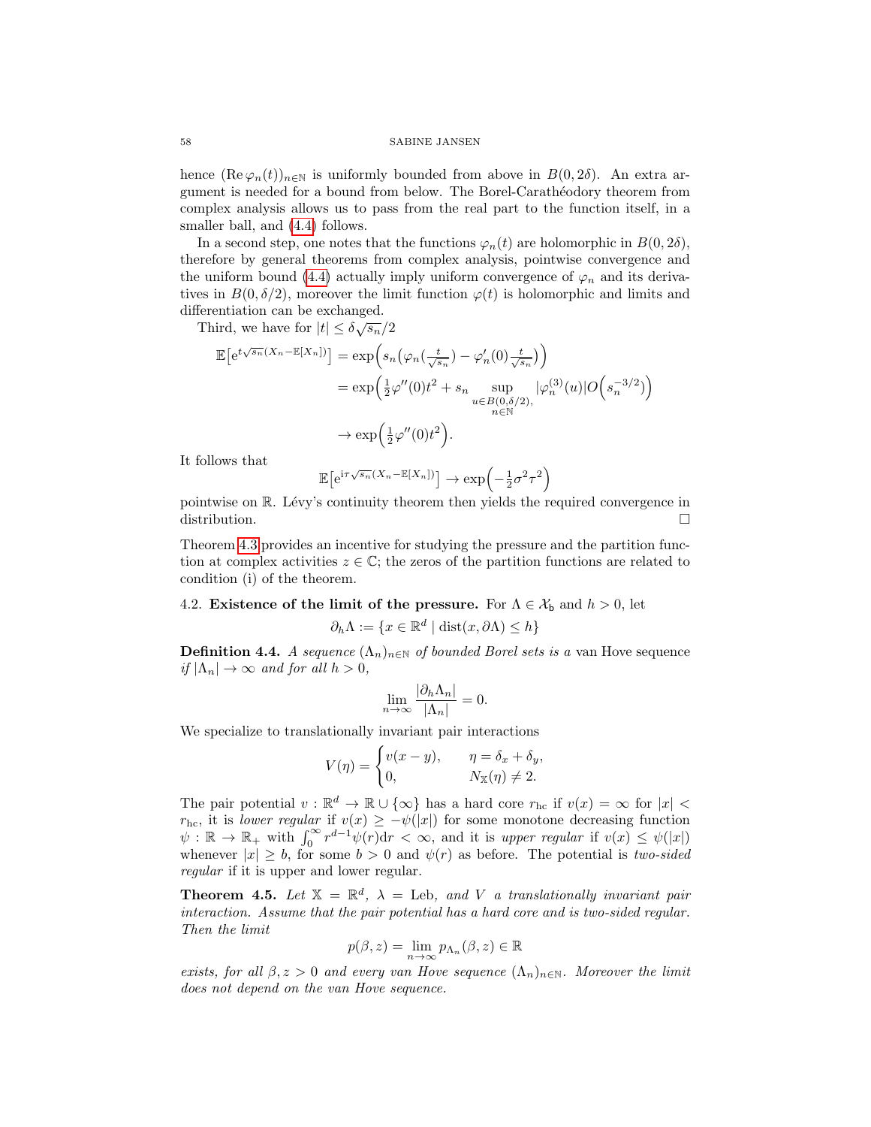hence  $(Re \varphi_n(t))_{n \in \mathbb{N}}$  is uniformly bounded from above in  $B(0, 2\delta)$ . An extra argument is needed for a bound from below. The Borel-Carath´eodory theorem from complex analysis allows us to pass from the real part to the function itself, in a smaller ball, and  $(4.4)$  follows.

In a second step, one notes that the functions  $\varphi_n(t)$  are holomorphic in  $B(0, 2\delta)$ , therefore by general theorems from complex analysis, pointwise convergence and the uniform bound [\(4.4\)](#page-56-2) actually imply uniform convergence of  $\varphi_n$  and its derivatives in  $B(0, \delta/2)$ , moreover the limit function  $\varphi(t)$  is holomorphic and limits and differentiation can be exchanged.

Third, we have for  $|t| \leq \delta \sqrt{s_n/2}$ 

$$
\mathbb{E}\left[e^{t\sqrt{s_n}(X_n - \mathbb{E}[X_n])}\right] = \exp\left(s_n\left(\varphi_n\left(\frac{t}{\sqrt{s_n}}\right) - \varphi'_n(0)\frac{t}{\sqrt{s_n}}\right)\right)
$$
  
\n
$$
= \exp\left(\frac{1}{2}\varphi''(0)t^2 + s_n \sup_{u \in B(0,\delta/2), \atop n \in \mathbb{N}} |\varphi_n^{(3)}(u)|O\left(s_n^{-3/2}\right)\right)
$$
  
\n
$$
\to \exp\left(\frac{1}{2}\varphi''(0)t^2\right).
$$

It follows that

$$
\mathbb{E}\left[e^{\mathrm{i}\tau\sqrt{s_n}(X_n - \mathbb{E}[X_n])}\right] \to \exp\left(-\frac{1}{2}\sigma^2\tau^2\right)
$$

pointwise on  $\mathbb{R}$ . Lévy's continuity theorem then yields the required convergence in distribution.

Theorem [4.3](#page-56-3) provides an incentive for studying the pressure and the partition function at complex activities  $z \in \mathbb{C}$ ; the zeros of the partition functions are related to condition (i) of the theorem.

# 4.2. Existence of the limit of the pressure. For  $\Lambda \in \mathcal{X}_{\mathsf{b}}$  and  $h > 0$ , let

$$
\partial_h \Lambda := \{ x \in \mathbb{R}^d \mid \text{dist}(x, \partial \Lambda) \le h \}
$$

**Definition 4.4.** A sequence  $(\Lambda_n)_{n\in\mathbb{N}}$  of bounded Borel sets is a van Hove sequence if  $|\Lambda_n| \to \infty$  and for all  $h > 0$ ,

$$
\lim_{n \to \infty} \frac{|\partial_h \Lambda_n|}{|\Lambda_n|} = 0.
$$

We specialize to translationally invariant pair interactions

$$
V(\eta) = \begin{cases} v(x - y), & \eta = \delta_x + \delta_y, \\ 0, & N_{\mathbb{X}}(\eta) \neq 2. \end{cases}
$$

The pair potential  $v : \mathbb{R}^d \to \mathbb{R} \cup {\infty}$  has a hard core  $r_{\text{hc}}$  if  $v(x) = \infty$  for  $|x| <$  $r_{\text{hc}}$ , it is lower regular if  $v(x) \geq -\psi(|x|)$  for some monotone decreasing function  $\psi$ :  $\mathbb{R} \to \mathbb{R}_+$  with  $\int_0^\infty r^{d-1} \psi(r) dr < \infty$ , and it is upper regular if  $v(x) \leq \psi(|x|)$ whenever  $|x| \geq b$ , for some  $b > 0$  and  $\psi(r)$  as before. The potential is two-sided regular if it is upper and lower regular.

<span id="page-57-0"></span>**Theorem 4.5.** Let  $X = \mathbb{R}^d$ ,  $\lambda =$  Leb, and V a translationally invariant pair interaction. Assume that the pair potential has a hard core and is two-sided regular. Then the limit

$$
p(\beta, z) = \lim_{n \to \infty} p_{\Lambda_n}(\beta, z) \in \mathbb{R}
$$

exists, for all  $\beta, z > 0$  and every van Hove sequence  $(\Lambda_n)_{n \in \mathbb{N}}$ . Moreover the limit does not depend on the van Hove sequence.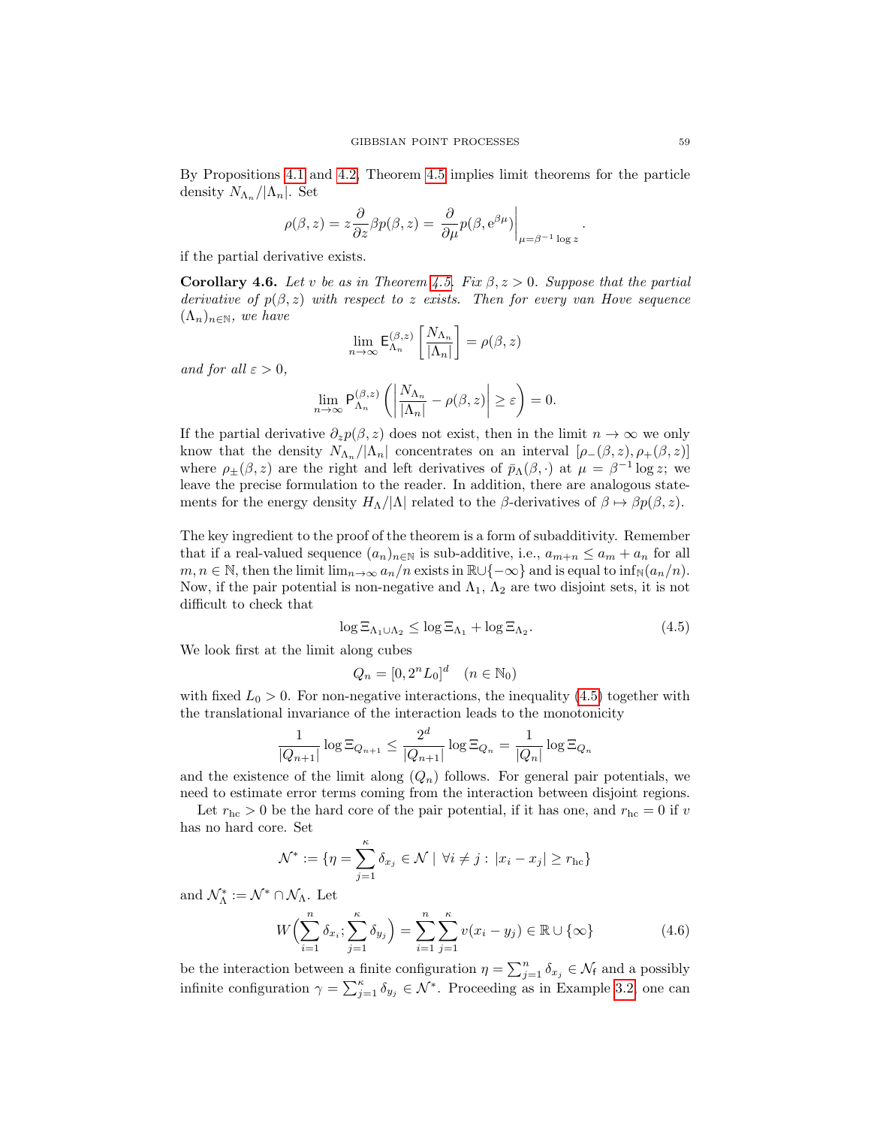By Propositions [4.1](#page-54-0) and [4.2,](#page-54-1) Theorem [4.5](#page-57-0) implies limit theorems for the particle density  $N_{\Lambda_n}/|\Lambda_n|$ . Set

$$
\rho(\beta, z) = z \frac{\partial}{\partial z} \beta p(\beta, z) = \frac{\partial}{\partial \mu} p(\beta, e^{\beta \mu}) \Big|_{\mu = \beta^{-1} \log z}
$$

if the partial derivative exists.

**Corollary 4.6.** Let v be as in Theorem [4.5.](#page-57-0) Fix  $\beta$ ,  $z > 0$ . Suppose that the partial derivative of  $p(\beta, z)$  with respect to z exists. Then for every van Hove sequence  $(\Lambda_n)_{n\in\mathbb{N}}$ , we have

$$
\lim_{n \to \infty} \mathsf{E}^{(\beta, z)}_{\Lambda_n} \left[ \frac{N_{\Lambda_n}}{|\Lambda_n|} \right] = \rho(\beta, z)
$$

and for all  $\varepsilon > 0$ ,

$$
\lim_{n \to \infty} \mathsf{P}_{\Lambda_n}^{(\beta, z)} \left( \left| \frac{N_{\Lambda_n}}{|\Lambda_n|} - \rho(\beta, z) \right| \geq \varepsilon \right) = 0.
$$

If the partial derivative  $\partial_z p(\beta, z)$  does not exist, then in the limit  $n \to \infty$  we only know that the density  $N_{\Lambda_n}/|\Lambda_n|$  concentrates on an interval  $[\rho_-(\beta, z), \rho_+(\beta, z)]$ where  $\rho_{\pm}(\beta, z)$  are the right and left derivatives of  $\bar{p}_{\Lambda}(\beta, \cdot)$  at  $\mu = \beta^{-1} \log z$ ; we leave the precise formulation to the reader. In addition, there are analogous statements for the energy density  $H_{\Lambda}/|\Lambda|$  related to the  $\beta$ -derivatives of  $\beta \mapsto \beta p(\beta, z)$ .

The key ingredient to the proof of the theorem is a form of subadditivity. Remember that if a real-valued sequence  $(a_n)_{n\in\mathbb{N}}$  is sub-additive, i.e.,  $a_{m+n} \le a_m + a_n$  for all  $m, n \in \mathbb{N}$ , then the limit  $\lim_{n \to \infty} a_n/n$  exists in  $\mathbb{R} \cup \{-\infty\}$  and is equal to  $\inf_{\mathbb{N}} (a_n/n)$ . Now, if the pair potential is non-negative and  $\Lambda_1$ ,  $\Lambda_2$  are two disjoint sets, it is not difficult to check that

<span id="page-58-0"></span>
$$
\log \Xi_{\Lambda_1 \cup \Lambda_2} \le \log \Xi_{\Lambda_1} + \log \Xi_{\Lambda_2}.\tag{4.5}
$$

We look first at the limit along cubes

$$
Q_n = [0, 2^n L_0]^d \quad (n \in \mathbb{N}_0)
$$

with fixed  $L_0 > 0$ . For non-negative interactions, the inequality [\(4.5\)](#page-58-0) together with the translational invariance of the interaction leads to the monotonicity

$$
\frac{1}{|Q_{n+1}|}\log \Xi_{Q_{n+1}}\leq \frac{2^d}{|Q_{n+1}|}\log \Xi_{Q_n}=\frac{1}{|Q_n|}\log \Xi_{Q_n}
$$

and the existence of the limit along  $(Q_n)$  follows. For general pair potentials, we need to estimate error terms coming from the interaction between disjoint regions.

Let  $r_{\text{hc}} > 0$  be the hard core of the pair potential, if it has one, and  $r_{\text{hc}} = 0$  if v has no hard core. Set

$$
\mathcal{N}^* := \{ \eta = \sum_{j=1}^{\kappa} \delta_{x_j} \in \mathcal{N} \mid \forall i \neq j : |x_i - x_j| \ge r_{\text{hc}} \}
$$

and  $\mathcal{N}_{\Lambda}^* := \mathcal{N}^* \cap \mathcal{N}_{\Lambda}$ . Let

<span id="page-58-1"></span>
$$
W\left(\sum_{i=1}^{n} \delta_{x_i}; \sum_{j=1}^{n} \delta_{y_j}\right) = \sum_{i=1}^{n} \sum_{j=1}^{n} v(x_i - y_j) \in \mathbb{R} \cup \{\infty\}
$$
 (4.6)

be the interaction between a finite configuration  $\eta = \sum_{j=1}^n \delta_{x_j} \in \mathcal{N}_{f}$  and a possibly infinite configuration  $\gamma = \sum_{j=1}^{\kappa} \delta_{y_j} \in \mathcal{N}^*$ . Proceeding as in Example [3.2,](#page-44-0) one can

.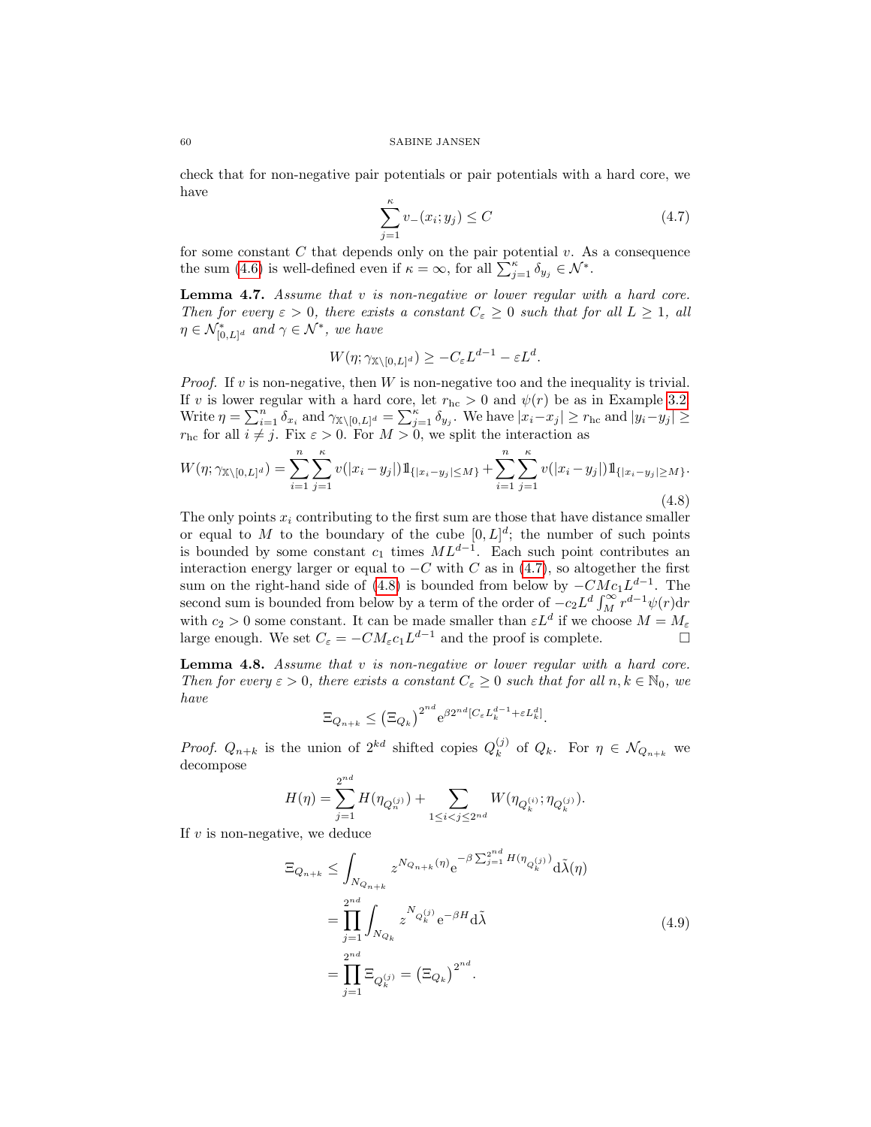check that for non-negative pair potentials or pair potentials with a hard core, we have

<span id="page-59-0"></span>
$$
\sum_{j=1}^{\kappa} v_{-}(x_i; y_j) \le C \tag{4.7}
$$

for some constant  $C$  that depends only on the pair potential  $v$ . As a consequence the sum [\(4.6\)](#page-58-1) is well-defined even if  $\kappa = \infty$ , for all  $\sum_{j=1}^{\kappa} \delta_{y_j} \in \mathcal{N}^*$ .

<span id="page-59-2"></span>**Lemma 4.7.** Assume that  $v$  is non-negative or lower regular with a hard core. Then for every  $\varepsilon > 0$ , there exists a constant  $C_{\varepsilon} \geq 0$  such that for all  $L \geq 1$ , all  $\eta \in \mathcal{N}_{[0,L]^d}^*$  and  $\gamma \in \mathcal{N}^*$ , we have

$$
W(\eta; \gamma_{\mathbb{X}\setminus [0,L]^d}) \ge -C_{\varepsilon}L^{d-1} - \varepsilon L^d.
$$

*Proof.* If  $v$  is non-negative, then  $W$  is non-negative too and the inequality is trivial. If v is lower regular with a hard core, let  $r_{\text{hc}} > 0$  and  $\psi(r)$  be as in Example [3.2.](#page-44-0) Write  $\eta = \sum_{i=1}^n \delta_{x_i}$  and  $\gamma_{\mathbb{X}\backslash{[0,L]^d}} = \sum_{j=1}^k \delta_{y_j}$ . We have  $|x_i - x_j| \ge r_{\text{hc}}$  and  $|y_i - y_j| \ge$  $r_{\text{hc}}$  for all  $i \neq j$ . Fix  $\varepsilon > 0$ . For  $M > 0$ , we split the interaction as

<span id="page-59-1"></span>
$$
W(\eta; \gamma_{\mathbb{X}\backslash [0,L]^d}) = \sum_{i=1}^n \sum_{j=1}^{\kappa} v(|x_i - y_j|) 1_{\{|x_i - y_j| \le M\}} + \sum_{i=1}^n \sum_{j=1}^{\kappa} v(|x_i - y_j|) 1_{\{|x_i - y_j| \ge M\}}.
$$
\n(4.8)

The only points  $x_i$  contributing to the first sum are those that have distance smaller or equal to M to the boundary of the cube  $[0, L]^d$ ; the number of such points is bounded by some constant  $c_1$  times  $ML^{d-1}$ . Each such point contributes an interaction energy larger or equal to  $-C$  with C as in [\(4.7\)](#page-59-0), so altogether the first sum on the right-hand side of [\(4.8\)](#page-59-1) is bounded from below by  $-CMc<sub>1</sub>L<sup>d-1</sup>$ . The second sum is bounded from below by a term of the order of  $-c_2L^d\int_M^{\infty}r^{d-1}\psi(r)\mathrm{d}r$ with  $c_2 > 0$  some constant. It can be made smaller than  $\varepsilon L^d$  if we choose  $M = M_{\varepsilon}$ large enough. We set  $C_{\varepsilon} = -CM_{\varepsilon}c_1L^{d-1}$  and the proof is complete.

<span id="page-59-4"></span>**Lemma 4.8.** Assume that  $v$  is non-negative or lower regular with a hard core. Then for every  $\varepsilon > 0$ , there exists a constant  $C_{\varepsilon} \geq 0$  such that for all  $n, k \in \mathbb{N}_0$ , we have

$$
\Xi_{Q_{n+k}} \leq (\Xi_{Q_k})^{2^{nd}} e^{\beta 2^{nd} [C_{\varepsilon} L_k^{d-1} + \varepsilon L_k^d]}.
$$

*Proof.*  $Q_{n+k}$  is the union of  $2^{kd}$  shifted copies  $Q_k^{(j)}$  $\chi_k^{(j)}$  of  $Q_k$ . For  $\eta \in \mathcal{N}_{Q_{n+k}}$  we decompose

$$
H(\eta)=\sum_{j=1}^{2^{nd}}H(\eta_{Q_n^{(j)}})+\sum_{1\leq i
$$

If  $v$  is non-negative, we deduce

<span id="page-59-3"></span>
$$
\Xi_{Q_{n+k}} \leq \int_{N_{Q_{n+k}}} z^{N_{Q_{n+k}}(\eta)} e^{-\beta \sum_{j=1}^{2^{nd}} H(\eta_{Q_k^{(j)}})} d\tilde{\lambda}(\eta)
$$
  
\n
$$
= \prod_{j=1}^{2^{nd}} \int_{N_{Q_k}} z^{N_{Q_k^{(j)}}} e^{-\beta H} d\tilde{\lambda}
$$
  
\n
$$
= \prod_{j=1}^{2^{nd}} \Xi_{Q_k^{(j)}} = (\Xi_{Q_k})^{2^{nd}}.
$$
\n(4.9)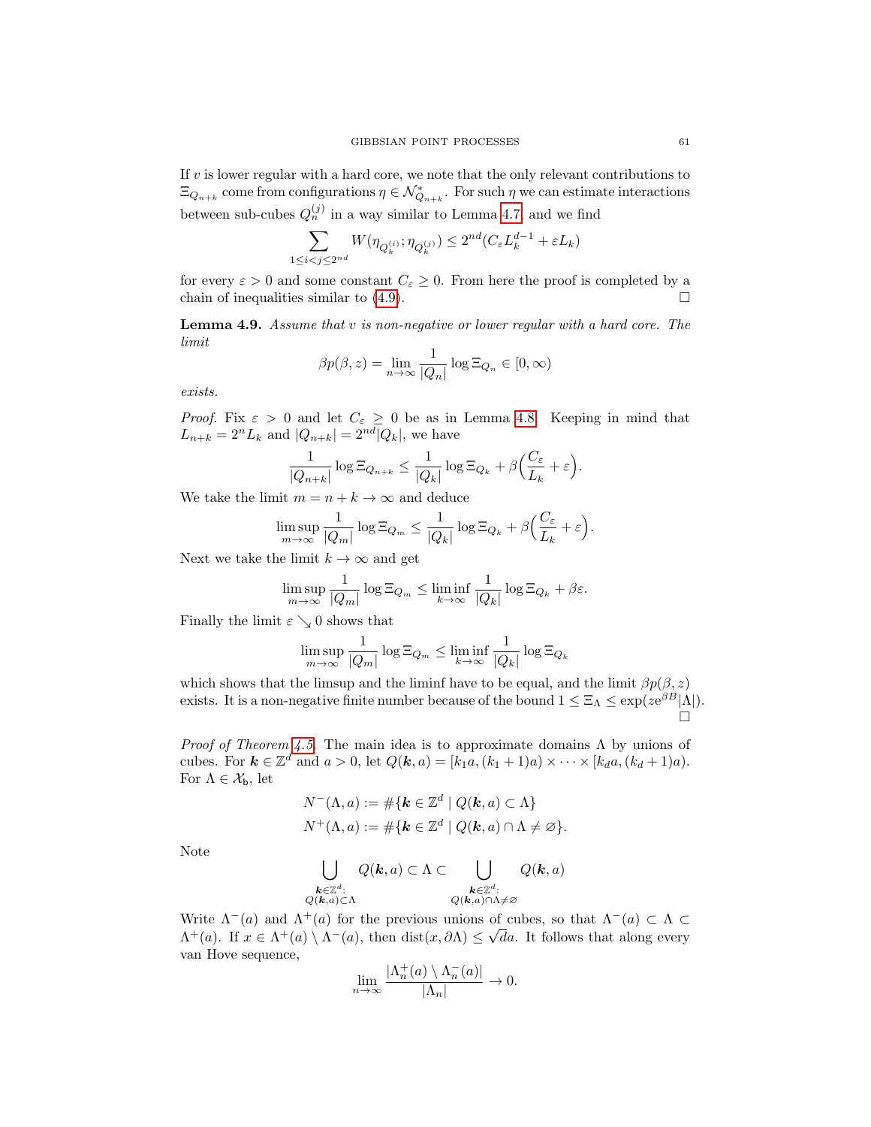If  $v$  is lower regular with a hard core, we note that the only relevant contributions to  $\Xi_{Q_{n+k}}$  come from configurations  $\eta \in \mathcal{N}_{Q_{n+k}}^*$ . For such  $\eta$  we can estimate interactions between sub-cubes  $Q_n^{(j)}$  in a way similar to Lemma [4.7,](#page-59-2) and we find

$$
\sum_{1 \le i < j \le 2^{nd}} W(\eta_{Q_k^{(i)}}; \eta_{Q_k^{(j)}}) \le 2^{nd} (C_{\varepsilon} L_k^{d-1} + \varepsilon L_k)
$$

for every  $\varepsilon > 0$  and some constant  $C_{\varepsilon} \geq 0$ . From here the proof is completed by a chain of inequalities similar to  $(4.9)$ .

Lemma 4.9. Assume that v is non-negative or lower regular with a hard core. The limit

$$
\beta p(\beta, z) = \lim_{n \to \infty} \frac{1}{|Q_n|} \log \Xi_{Q_n} \in [0, \infty)
$$

exists.

*Proof.* Fix  $\varepsilon > 0$  and let  $C_{\varepsilon} \geq 0$  be as in Lemma [4.8.](#page-59-4) Keeping in mind that  $L_{n+k}=2^nL_k$  and  $\vert Q_{n+k}\vert=2^{nd}\vert Q_k\vert,$  we have

$$
\frac{1}{|Q_{n+k}|}\log \Xi_{Q_{n+k}} \leq \frac{1}{|Q_k|}\log \Xi_{Q_k} + \beta \Big(\frac{C_{\varepsilon}}{L_k} + \varepsilon\Big).
$$

We take the limit  $m = n + k \rightarrow \infty$  and deduce

$$
\limsup_{m \to \infty} \frac{1}{|Q_m|} \log \Xi_{Q_m} \le \frac{1}{|Q_k|} \log \Xi_{Q_k} + \beta \Big( \frac{C_{\varepsilon}}{L_k} + \varepsilon \Big).
$$

Next we take the limit  $k \to \infty$  and get

 $1$ 

$$
\limsup_{m \to \infty} \frac{1}{|Q_m|} \log \Xi_{Q_m} \le \liminf_{k \to \infty} \frac{1}{|Q_k|} \log \Xi_{Q_k} + \beta \varepsilon.
$$

Finally the limit  $\varepsilon \searrow 0$  shows that

$$
\limsup_{m \to \infty} \frac{1}{|Q_m|} \log \Xi_{Q_m} \le \liminf_{k \to \infty} \frac{1}{|Q_k|} \log \Xi_{Q_k}
$$

which shows that the limsup and the liminf have to be equal, and the limit  $\beta p(\beta, z)$ exists. It is a non-negative finite number because of the bound  $1 \leq \Xi_{\Lambda} \leq \exp(z e^{\beta B} |\Lambda|)$ .  $\Box$ 

*Proof of Theorem [4.5.](#page-57-0)* The main idea is to approximate domains  $\Lambda$  by unions of cubes. For  $\mathbf{k} \in \mathbb{Z}^d$  and  $a > 0$ , let  $Q(\mathbf{k}, a) = [k_1 a, (k_1 + 1)a) \times \cdots \times [k_d a, (k_d + 1)a]$ . For  $\Lambda \in \mathcal{X}_{\mathsf{b}}$ , let

$$
N^{-}(\Lambda, a) := \#\{\mathbf{k} \in \mathbb{Z}^d \mid Q(\mathbf{k}, a) \subset \Lambda\}
$$
  

$$
N^{+}(\Lambda, a) := \#\{\mathbf{k} \in \mathbb{Z}^d \mid Q(\mathbf{k}, a) \cap \Lambda \neq \varnothing\}.
$$

Note

$$
\bigcup_{\substack{\pmb k\in\mathbb Z^d:\\Q(\pmb k,a)\subset\Lambda}} Q(\pmb k,a)\subset\Lambda\subset\bigcup_{\substack{\pmb k\in\mathbb Z^d:\\Q(\pmb k,a)\cap\Lambda\neq\varnothing}} Q(\pmb k,a)
$$

Write  $\Lambda^{-}(a)$  and  $\Lambda^{+}(a)$  for the previous unions of cubes, so that  $\Lambda^{-}(a) \subset \Lambda \subset$  $\Lambda^+(a)$ . If  $x \in \Lambda^+(a) \setminus \Lambda^-(a)$ , then  $dist(x, \partial \Lambda) \leq \sqrt{d}a$ . It follows that along every van Hove sequence,

$$
\lim_{n \to \infty} \frac{|\Lambda_n^+(a) \setminus \Lambda_n^-(a)|}{|\Lambda_n|} \to 0.
$$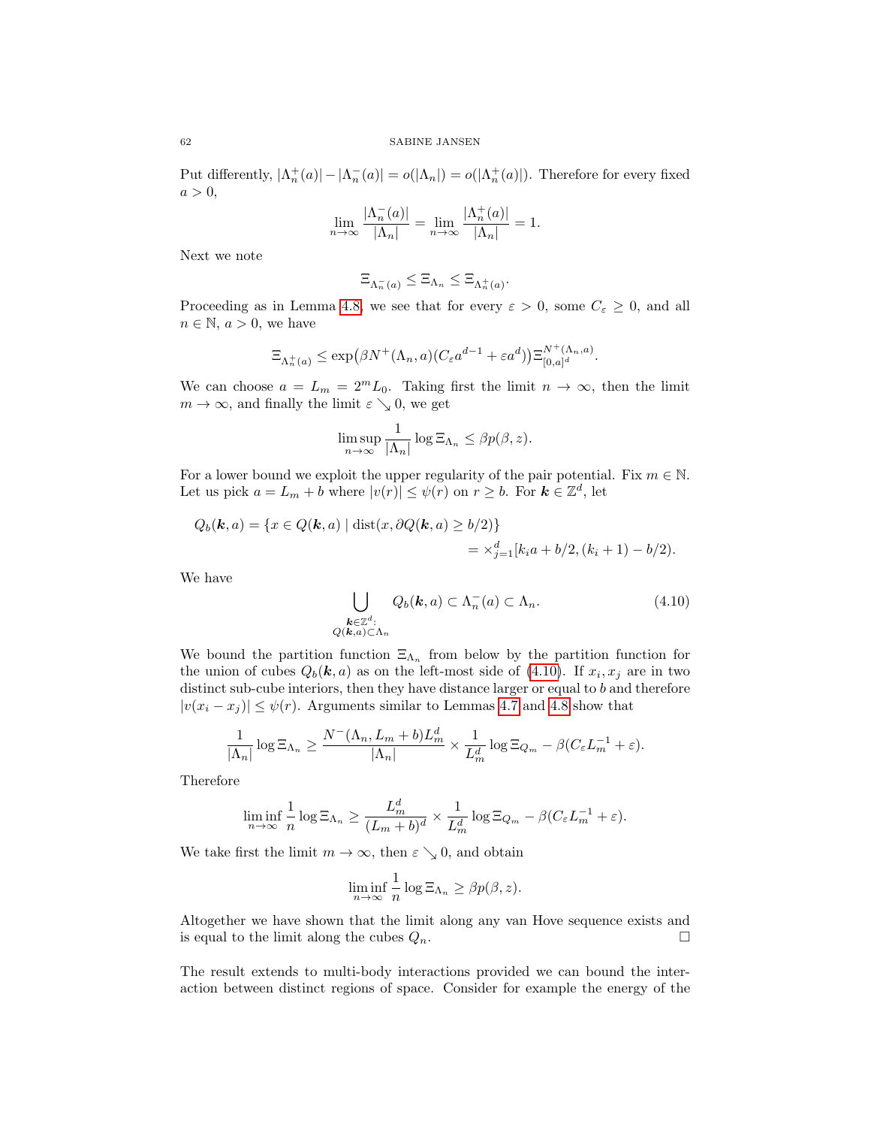62 SABINE JANSEN

Put differently,  $|\Lambda_n^+(a)| - |\Lambda_n^-(a)| = o(|\Lambda_n|) = o(|\Lambda_n^+(a)|)$ . Therefore for every fixed  $a > 0$ ,

$$
\lim_{n \to \infty} \frac{|\Lambda_n^-(a)|}{|\Lambda_n|} = \lim_{n \to \infty} \frac{|\Lambda_n^+(a)|}{|\Lambda_n|} = 1.
$$

Next we note

$$
\Xi_{\Lambda_n^-(a)} \leq \Xi_{\Lambda_n} \leq \Xi_{\Lambda_n^+(a)}.
$$

Proceeding as in Lemma [4.8,](#page-59-4) we see that for every  $\varepsilon > 0$ , some  $C_{\varepsilon} \geq 0$ , and all  $n \in \mathbb{N}, a > 0$ , we have

$$
\Xi_{\Lambda_n^+(a)} \le \exp(\beta N^+(\Lambda_n, a)(C_{\varepsilon}a^{d-1} + \varepsilon a^d))\Xi_{[0,a]^d}^{N^+(\Lambda_n, a)}.
$$

We can choose  $a = L_m = 2^m L_0$ . Taking first the limit  $n \to \infty$ , then the limit  $m \to \infty$ , and finally the limit  $\varepsilon \searrow 0$ , we get

$$
\limsup_{n \to \infty} \frac{1}{|\Lambda_n|} \log \Xi_{\Lambda_n} \le \beta p(\beta, z).
$$

For a lower bound we exploit the upper regularity of the pair potential. Fix  $m \in \mathbb{N}$ . Let us pick  $a = L_m + b$  where  $|v(r)| \le \psi(r)$  on  $r \ge b$ . For  $k \in \mathbb{Z}^d$ , let

$$
Q_b(\mathbf{k}, a) = \{x \in Q(\mathbf{k}, a) \mid \text{dist}(x, \partial Q(\mathbf{k}, a) \ge b/2)\}
$$
  
=  $\times_{j=1}^d [k_i a + b/2, (k_i + 1) - b/2].$ 

We have

<span id="page-61-0"></span>
$$
\bigcup_{\substack{\mathbf{k}\in\mathbb{Z}^d:\\Q(\mathbf{k},a)\subset\Lambda_n}} Q_b(\mathbf{k},a) \subset \Lambda_n^-(a) \subset \Lambda_n.
$$
 (4.10)

We bound the partition function  $\Xi_{\Lambda_n}$  from below by the partition function for the union of cubes  $Q_b(\mathbf{k}, a)$  as on the left-most side of [\(4.10\)](#page-61-0). If  $x_i, x_j$  are in two distinct sub-cube interiors, then they have distance larger or equal to b and therefore  $|v(x_i - x_j)| \leq \psi(r)$ . Arguments similar to Lemmas [4.7](#page-59-2) and [4.8](#page-59-4) show that

$$
\frac{1}{|\Lambda_n|} \log \Xi_{\Lambda_n} \geq \frac{N^-(\Lambda_n, L_m + b)L_m^d}{|\Lambda_n|} \times \frac{1}{L_m^d} \log \Xi_{Q_m} - \beta(C_{\varepsilon}L_m^{-1} + \varepsilon).
$$

Therefore

$$
\liminf_{n \to \infty} \frac{1}{n} \log \Xi_{\Lambda_n} \ge \frac{L_m^d}{(L_m + b)^d} \times \frac{1}{L_m^d} \log \Xi_{Q_m} - \beta (C_{\varepsilon} L_m^{-1} + \varepsilon).
$$

We take first the limit  $m \to \infty$ , then  $\varepsilon \searrow 0$ , and obtain

$$
\liminf_{n \to \infty} \frac{1}{n} \log \Xi_{\Lambda_n} \ge \beta p(\beta, z).
$$

Altogether we have shown that the limit along any van Hove sequence exists and is equal to the limit along the cubes  $Q_n$ .

The result extends to multi-body interactions provided we can bound the interaction between distinct regions of space. Consider for example the energy of the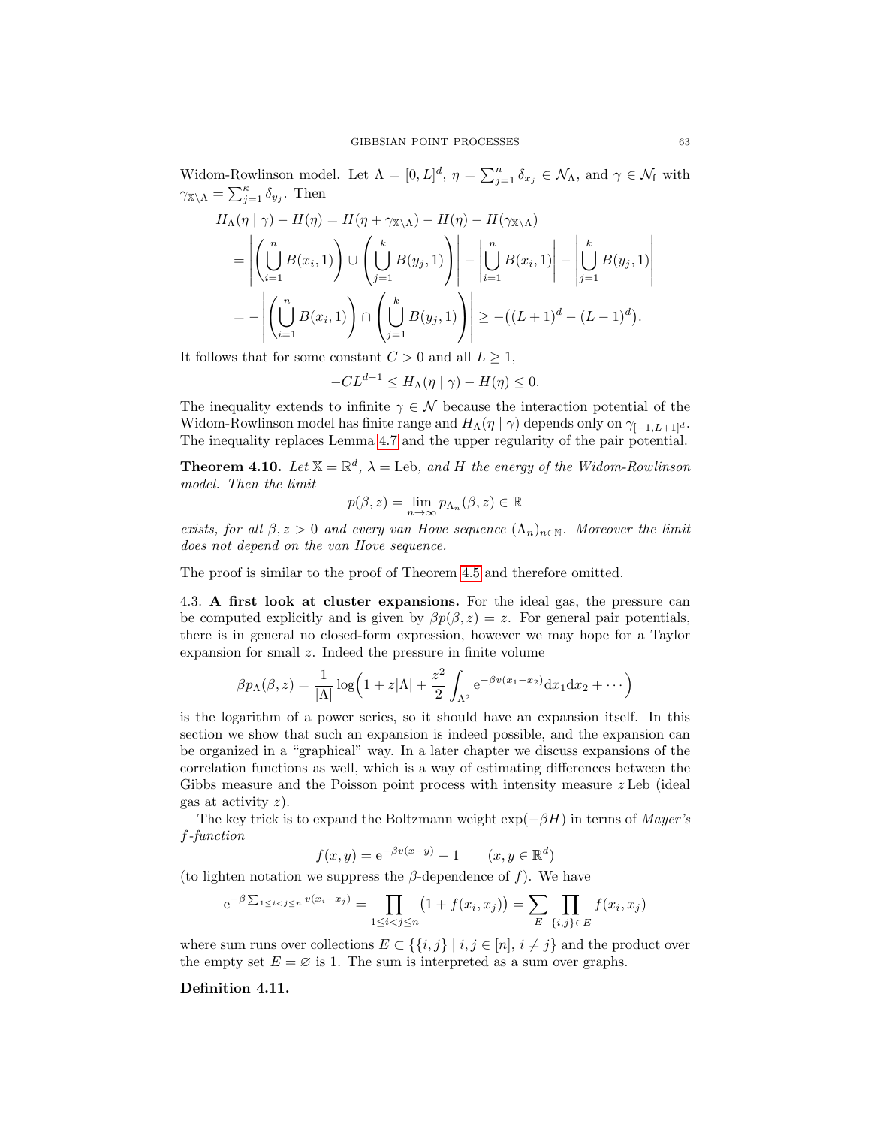Widom-Rowlinson model. Let  $\Lambda = [0, L]^d$ ,  $\eta = \sum_{j=1}^n \delta_{x_j} \in \mathcal{N}_{\Lambda}$ , and  $\gamma \in \mathcal{N}_{\mathsf{f}}$  with  $\gamma_{\mathbb{X}\setminus\Lambda} = \sum_{j=1}^{\kappa} \delta_{y_j}$ . Then

$$
H_{\Lambda}(\eta \mid \gamma) - H(\eta) = H(\eta + \gamma_{\mathbb{X} \setminus \Lambda}) - H(\eta) - H(\gamma_{\mathbb{X} \setminus \Lambda})
$$
  
\n
$$
= \left| \left( \bigcup_{i=1}^{n} B(x_i, 1) \right) \cup \left( \bigcup_{j=1}^{k} B(y_j, 1) \right) \right| - \left| \bigcup_{i=1}^{n} B(x_i, 1) \right| - \left| \bigcup_{j=1}^{k} B(y_j, 1) \right|
$$
  
\n
$$
= - \left| \left( \bigcup_{i=1}^{n} B(x_i, 1) \right) \cap \left( \bigcup_{j=1}^{k} B(y_j, 1) \right) \right| \ge - \left( (L+1)^{d} - (L-1)^{d} \right).
$$

It follows that for some constant  $C > 0$  and all  $L \geq 1$ ,

$$
-CL^{d-1} \le H_{\Lambda}(\eta \mid \gamma) - H(\eta) \le 0.
$$

The inequality extends to infinite  $\gamma \in \mathcal{N}$  because the interaction potential of the Widom-Rowlinson model has finite range and  $H_{\Lambda}(\eta | \gamma)$  depends only on  $\gamma_{[-1,L+1]^d}$ . The inequality replaces Lemma [4.7](#page-59-2) and the upper regularity of the pair potential.

**Theorem 4.10.** Let  $X = \mathbb{R}^d$ ,  $\lambda =$  Leb, and H the energy of the Widom-Rowlinson model. Then the limit

$$
p(\beta, z) = \lim_{n \to \infty} p_{\Lambda_n}(\beta, z) \in \mathbb{R}
$$

exists, for all  $\beta$ ,  $z > 0$  and every van Hove sequence  $(\Lambda_n)_{n \in \mathbb{N}}$ . Moreover the limit does not depend on the van Hove sequence.

The proof is similar to the proof of Theorem [4.5](#page-57-0) and therefore omitted.

4.3. A first look at cluster expansions. For the ideal gas, the pressure can be computed explicitly and is given by  $\beta p(\beta, z) = z$ . For general pair potentials, there is in general no closed-form expression, however we may hope for a Taylor expansion for small z. Indeed the pressure in finite volume

$$
\beta p_{\Lambda}(\beta, z) = \frac{1}{|\Lambda|} \log \left( 1 + z|\Lambda| + \frac{z^2}{2} \int_{\Lambda^2} e^{-\beta v(x_1 - x_2)} dx_1 dx_2 + \cdots \right)
$$

is the logarithm of a power series, so it should have an expansion itself. In this section we show that such an expansion is indeed possible, and the expansion can be organized in a "graphical" way. In a later chapter we discuss expansions of the correlation functions as well, which is a way of estimating differences between the Gibbs measure and the Poisson point process with intensity measure z Leb (ideal gas at activity z).

The key trick is to expand the Boltzmann weight  $\exp(-\beta H)$  in terms of *Mayer's* f-function

$$
f(x, y) = e^{-\beta v(x-y)} - 1
$$
  $(x, y \in \mathbb{R}^d)$ 

(to lighten notation we suppress the  $\beta$ -dependence of f). We have

$$
e^{-\beta \sum_{1 \le i < j \le n} v(x_i - x_j)} = \prod_{1 \le i < j \le n} (1 + f(x_i, x_j)) = \sum_{E} \prod_{\{i, j\} \in E} f(x_i, x_j)
$$

where sum runs over collections  $E \subset \{\{i,j\} \mid i,j \in [n], i \neq j\}$  and the product over the empty set  $E = \emptyset$  is 1. The sum is interpreted as a sum over graphs.

Definition 4.11.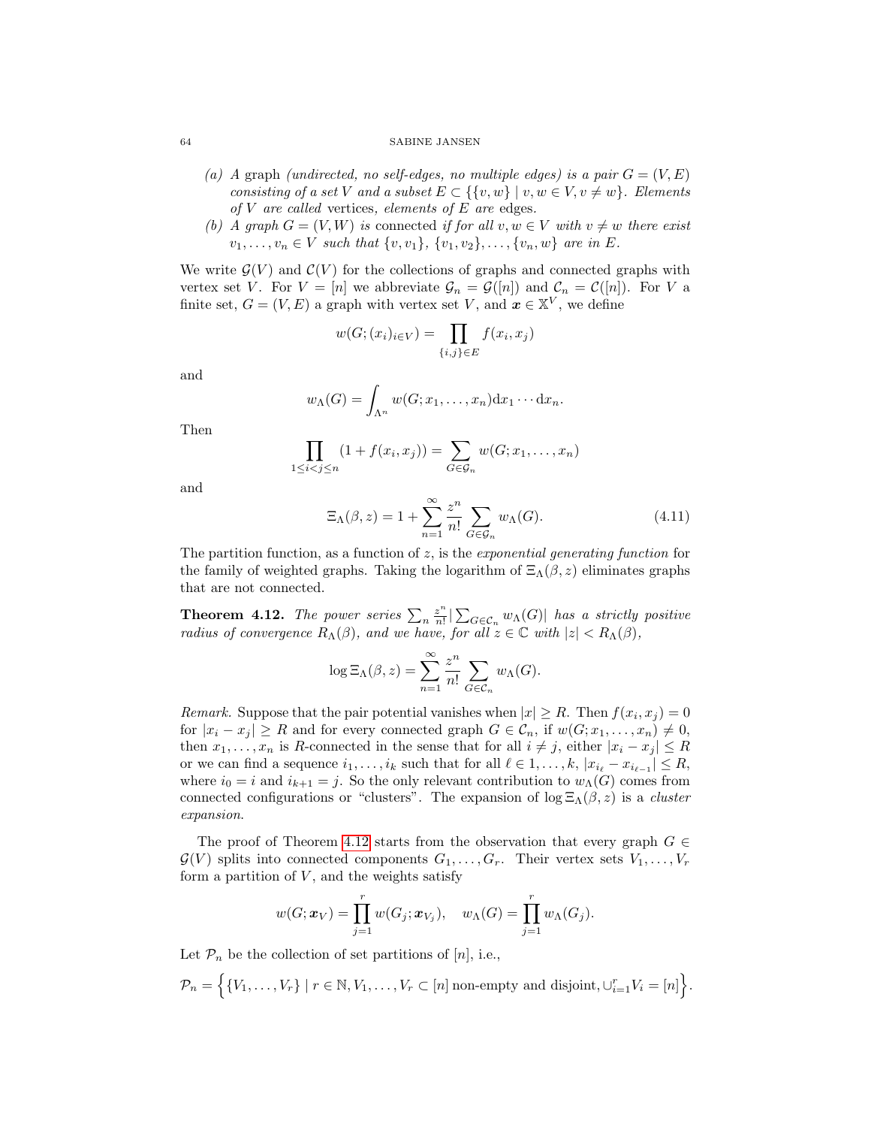#### 64 SABINE JANSEN

- (a) A graph (undirected, no self-edges, no multiple edges) is a pair  $G = (V, E)$ consisting of a set V and a subset  $E \subset \{\{v, w\} \mid v, w \in V, v \neq w\}$ . Elements of  $V$  are called vertices, elements of  $E$  are edges.
- (b) A graph  $G = (V, W)$  is connected if for all  $v, w \in V$  with  $v \neq w$  there exist  $v_1, \ldots, v_n \in V$  such that  $\{v, v_1\}, \{v_1, v_2\}, \ldots, \{v_n, w\}$  are in E.

We write  $\mathcal{G}(V)$  and  $\mathcal{C}(V)$  for the collections of graphs and connected graphs with vertex set V. For  $V = [n]$  we abbreviate  $\mathcal{G}_n = \mathcal{G}([n])$  and  $\mathcal{C}_n = \mathcal{C}([n])$ . For V a finite set,  $G = (V, E)$  a graph with vertex set V, and  $x \in \mathbb{X}^V$ , we define

$$
w(G; (x_i)_{i \in V}) = \prod_{\{i,j\} \in E} f(x_i, x_j)
$$

and

$$
w_{\Lambda}(G) = \int_{\Lambda^n} w(G; x_1, \ldots, x_n) \mathrm{d}x_1 \cdots \mathrm{d}x_n.
$$

Then

$$
\prod_{1 \leq i < j \leq n} (1 + f(x_i, x_j)) = \sum_{G \in \mathcal{G}_n} w(G; x_1, \dots, x_n)
$$

and

<span id="page-63-1"></span>
$$
\Xi_{\Lambda}(\beta, z) = 1 + \sum_{n=1}^{\infty} \frac{z^n}{n!} \sum_{G \in \mathcal{G}_n} w_{\Lambda}(G).
$$
 (4.11)

The partition function, as a function of  $z$ , is the *exponential generating function* for the family of weighted graphs. Taking the logarithm of  $\Xi_{\Lambda}(\beta, z)$  eliminates graphs that are not connected.

<span id="page-63-0"></span>**Theorem 4.12.** The power series  $\sum_{n} \frac{z^n}{n!}$  $\frac{z^n}{n!}|\sum_{G\in\mathcal{C}_n} w_\Lambda(G)|$  has a strictly positive radius of convergence  $R_{\Lambda}(\beta)$ , and we have, for all  $z \in \mathbb{C}$  with  $|z| < R_{\Lambda}(\beta)$ ,

$$
\log \Xi_{\Lambda}(\beta, z) = \sum_{n=1}^{\infty} \frac{z^n}{n!} \sum_{G \in \mathcal{C}_n} w_{\Lambda}(G).
$$

Remark. Suppose that the pair potential vanishes when  $|x| \ge R$ . Then  $f(x_i, x_j) = 0$ for  $|x_i - x_j| \ge R$  and for every connected graph  $G \in \mathcal{C}_n$ , if  $w(G; x_1, \ldots, x_n) \neq 0$ , then  $x_1, \ldots, x_n$  is R-connected in the sense that for all  $i \neq j$ , either  $|x_i - x_j| \leq R$ or we can find a sequence  $i_1, \ldots, i_k$  such that for all  $\ell \in 1, \ldots, k, |x_{i_{\ell}} - x_{i_{\ell-1}}| \leq R$ , where  $i_0 = i$  and  $i_{k+1} = j$ . So the only relevant contribution to  $w_\Lambda(G)$  comes from connected configurations or "clusters". The expansion of  $\log \Xi_{\Lambda}(\beta, z)$  is a *cluster* expansion.

The proof of Theorem [4.12](#page-63-0) starts from the observation that every graph  $G \in$  $\mathcal{G}(V)$  splits into connected components  $G_1, \ldots, G_r$ . Their vertex sets  $V_1, \ldots, V_r$ form a partition of  $V$ , and the weights satisfy

$$
w(G; \boldsymbol{x}_V) = \prod_{j=1}^r w(G_j; \boldsymbol{x}_{V_j}), \quad w_{\Lambda}(G) = \prod_{j=1}^r w_{\Lambda}(G_j).
$$

Let  $\mathcal{P}_n$  be the collection of set partitions of [n], i.e.,

$$
\mathcal{P}_n = \Big\{ \{V_1, \ldots, V_r\} \mid r \in \mathbb{N}, V_1, \ldots, V_r \subset [n] \text{ non-empty and disjoint}, \cup_{i=1}^r V_i = [n] \Big\}.
$$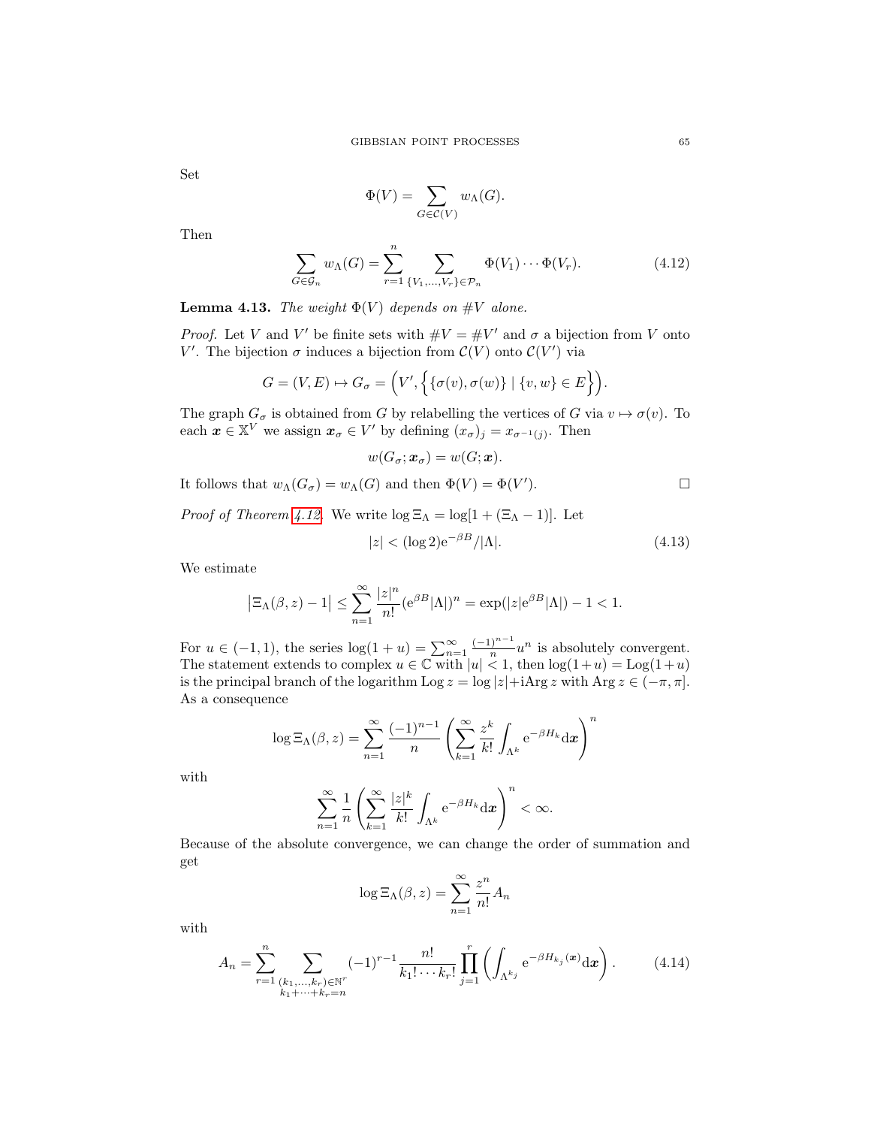Set

$$
\Phi(V) = \sum_{G \in \mathcal{C}(V)} w_{\Lambda}(G).
$$

Then

<span id="page-64-0"></span>
$$
\sum_{G \in \mathcal{G}_n} w_{\Lambda}(G) = \sum_{r=1}^n \sum_{\{V_1, \dots, V_r\} \in \mathcal{P}_n} \Phi(V_1) \cdots \Phi(V_r). \tag{4.12}
$$

<span id="page-64-2"></span>**Lemma 4.13.** The weight  $\Phi(V)$  depends on #V alone.

*Proof.* Let V and V' be finite sets with  $\#V = \#V'$  and  $\sigma$  a bijection from V onto V'. The bijection  $\sigma$  induces a bijection from  $\mathcal{C}(V)$  onto  $\mathcal{C}(V')$  via

$$
G = (V, E) \mapsto G_{\sigma} = (V', \{ \{\sigma(v), \sigma(w)\} \mid \{v, w\} \in E \} ).
$$

The graph  $G_{\sigma}$  is obtained from G by relabelling the vertices of G via  $v \mapsto \sigma(v)$ . To each  $\mathbf{x} \in \mathbb{X}^V$  we assign  $\mathbf{x}_{\sigma} \in V'$  by defining  $(x_{\sigma})_j = x_{\sigma^{-1}(j)}$ . Then

$$
w(G_{\sigma}; \mathbf{x}_{\sigma})=w(G; \mathbf{x}).
$$

It follows that  $w_{\Lambda}(G_{\sigma}) = w_{\Lambda}(G)$  and then  $\Phi(V) = \Phi(V')$ ).  $\qquad \qquad \Box$ 

*Proof of Theorem [4.12.](#page-63-0)* We write  $\log \Xi_{\Lambda} = \log[1 + (\Xi_{\Lambda} - 1)].$  Let

<span id="page-64-1"></span>
$$
|z| < (\log 2)e^{-\beta B}/|\Lambda|.\tag{4.13}
$$

We estimate

$$
\left|\Xi_{\Lambda}(\beta,z)-1\right| \leq \sum_{n=1}^{\infty} \frac{|z|^n}{n!} (e^{\beta B} |\Lambda|)^n = \exp(|z| e^{\beta B} |\Lambda|) - 1 < 1.
$$

For  $u \in (-1, 1)$ , the series  $\log(1 + u) = \sum_{n=1}^{\infty} \frac{(-1)^{n-1}}{n}$  $\frac{1}{n}$ <sup>n-1</sup> is absolutely convergent. The statement extends to complex  $u \in \mathbb{C}$  with  $|u| < 1$ , then  $\log(1+u) = \text{Log}(1+u)$ is the principal branch of the logarithm Log  $z = \log |z| + iArg z$  with  $Arg z \in (-\pi, \pi]$ . As a consequence

$$
\log \Xi_{\Lambda}(\beta, z) = \sum_{n=1}^{\infty} \frac{(-1)^{n-1}}{n} \left( \sum_{k=1}^{\infty} \frac{z^k}{k!} \int_{\Lambda^k} e^{-\beta H_k} dx \right)^n
$$

with

$$
\sum_{n=1}^{\infty} \frac{1}{n} \left( \sum_{k=1}^{\infty} \frac{|z|^k}{k!} \int_{\Lambda^k} e^{-\beta H_k} d\boldsymbol{x} \right)^n < \infty.
$$

Because of the absolute convergence, we can change the order of summation and get

$$
\log \Xi_{\Lambda}(\beta, z) = \sum_{n=1}^{\infty} \frac{z^n}{n!} A_n
$$

with

<span id="page-64-3"></span>
$$
A_n = \sum_{r=1}^n \sum_{\substack{(k_1,\ldots,k_r)\in\mathbb{N}^r\\k_1+\cdots+k_r=n}} (-1)^{r-1} \frac{n!}{k_1!\cdots k_r!} \prod_{j=1}^r \left( \int_{\Lambda^{k_j}} e^{-\beta H_{k_j}(x)} dx \right).
$$
 (4.14)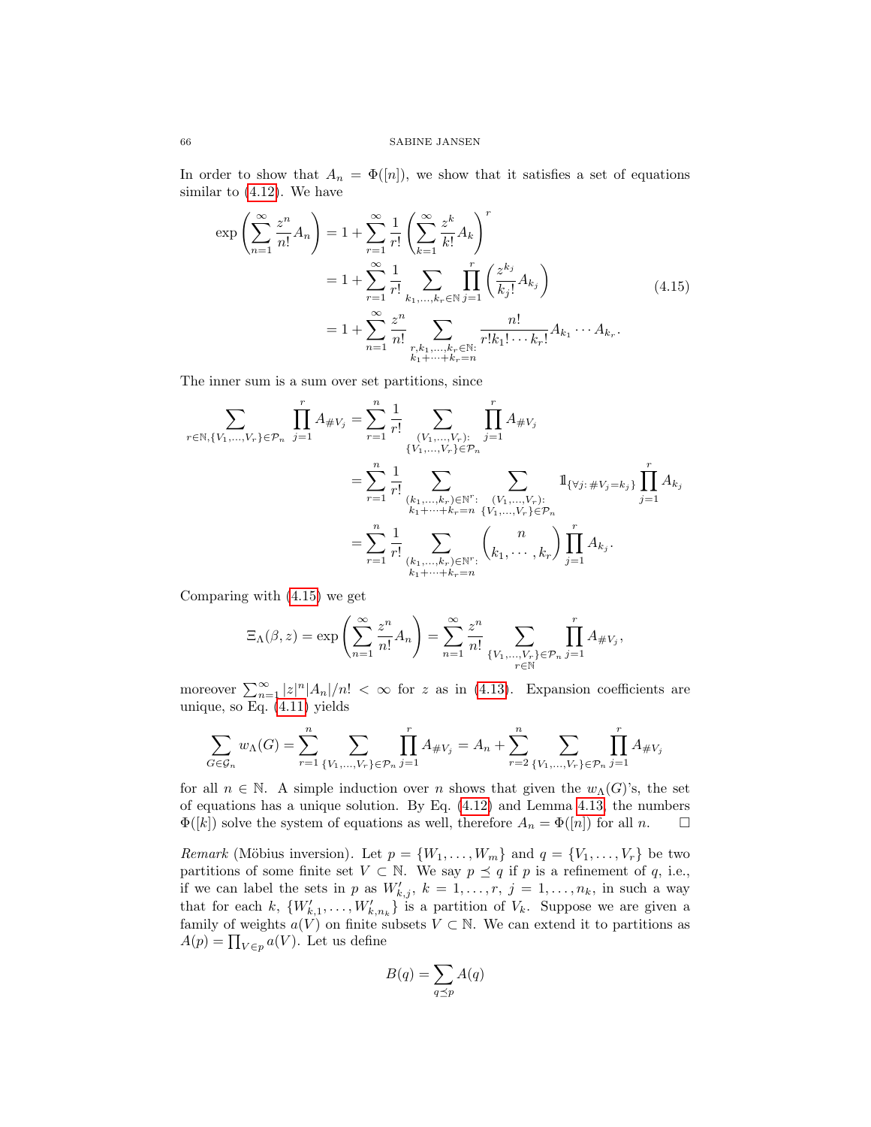In order to show that  $A_n = \Phi(n)$ , we show that it satisfies a set of equations similar to [\(4.12\)](#page-64-0). We have

<span id="page-65-0"></span>
$$
\exp\left(\sum_{n=1}^{\infty} \frac{z^n}{n!} A_n\right) = 1 + \sum_{r=1}^{\infty} \frac{1}{r!} \left(\sum_{k=1}^{\infty} \frac{z^k}{k!} A_k\right)^r
$$
  
=  $1 + \sum_{r=1}^{\infty} \frac{1}{r!} \sum_{k_1, ..., k_r \in \mathbb{N}} \prod_{j=1}^r \left(\frac{z^{k_j}}{k_j!} A_{k_j}\right)$   
=  $1 + \sum_{n=1}^{\infty} \frac{z^n}{n!} \sum_{\substack{r, k_1, ..., k_r \in \mathbb{N}:\\k_1 + ... + k_r = n}} \frac{n!}{r! k_1! \cdots k_r!} A_{k_1} \cdots A_{k_r}.$  (4.15)

The inner sum is a sum over set partitions, since

$$
\sum_{r \in \mathbb{N}, \{V_1, \ldots, V_r\} \in \mathcal{P}_n} \prod_{j=1}^r A_{\# V_j} = \sum_{r=1}^n \frac{1}{r!} \sum_{\substack{(V_1, \ldots, V_r):\\ \{V_1, \ldots, V_r\} \in \mathcal{P}_n}} \prod_{j=1}^r A_{\# V_j}
$$
\n
$$
= \sum_{r=1}^n \frac{1}{r!} \sum_{\substack{(k_1, \ldots, k_r) \in \mathbb{N}^r:\ (V_1, \ldots, V_r):\\ k_1 + \cdots + k_r = n}} \sum_{\substack{(V_1, \ldots, V_r):\\ \{V_1, \ldots, V_r\} \in \mathcal{P}_n}} \mathbb{1}_{\{\forall j: \# V_j = k_j\}} \prod_{j=1}^r A_{k_j}
$$
\n
$$
= \sum_{r=1}^n \frac{1}{r!} \sum_{\substack{(k_1, \ldots, k_r) \in \mathbb{N}^r:\ (k_1, \ldots, k_r) \in \mathbb{N}^r:\ (k_1, \ldots, k_r)\\ k_1 + \cdots + k_r = n}} \binom{n}{k_1, \ldots, k_r} \prod_{j=1}^r A_{k_j}.
$$

Comparing with [\(4.15\)](#page-65-0) we get

$$
\Xi_{\Lambda}(\beta, z) = \exp\left(\sum_{n=1}^{\infty} \frac{z^n}{n!} A_n\right) = \sum_{n=1}^{\infty} \frac{z^n}{n!} \sum_{\{V_1, \dots, V_r\} \in \mathcal{P}_n} \prod_{j=1}^r A_{\# V_j},
$$

moreover  $\sum_{n=1}^{\infty} |z|^n |A_n|/n! < \infty$  for z as in [\(4.13\)](#page-64-1). Expansion coefficients are unique, so Eq. [\(4.11\)](#page-63-1) yields

$$
\sum_{G \in \mathcal{G}_n} w_{\Lambda}(G) = \sum_{r=1}^n \sum_{\{V_1, \dots, V_r\} \in \mathcal{P}_n} \prod_{j=1}^r A_{\# V_j} = A_n + \sum_{r=2}^n \sum_{\{V_1, \dots, V_r\} \in \mathcal{P}_n} \prod_{j=1}^r A_{\# V_j}
$$

for all  $n \in \mathbb{N}$ . A simple induction over n shows that given the  $w_{\Lambda}(G)$ 's, the set of equations has a unique solution. By Eq. [\(4.12\)](#page-64-0) and Lemma [4.13,](#page-64-2) the numbers  $\Phi([k])$  solve the system of equations as well, therefore  $A_n = \Phi([n])$  for all n.  $\square$ 

Remark (Möbius inversion). Let  $p = \{W_1, \ldots, W_m\}$  and  $q = \{V_1, \ldots, V_r\}$  be two partitions of some finite set  $V \subset \mathbb{N}$ . We say  $p \preceq q$  if p is a refinement of q, i.e., if we can label the sets in p as  $W'_{k,j}$ ,  $k = 1, \ldots, r, j = 1, \ldots, n_k$ , in such a way that for each k,  $\{W'_{k,1},\ldots,W'_{k,n_k}\}$  is a partition of  $V_k$ . Suppose we are given a family of weights  $a(V)$  on finite subsets  $V \subset \mathbb{N}$ . We can extend it to partitions as  $A(p) = \prod_{V \in p} a(V)$ . Let us define

$$
B(q) = \sum_{q \preceq p} A(q)
$$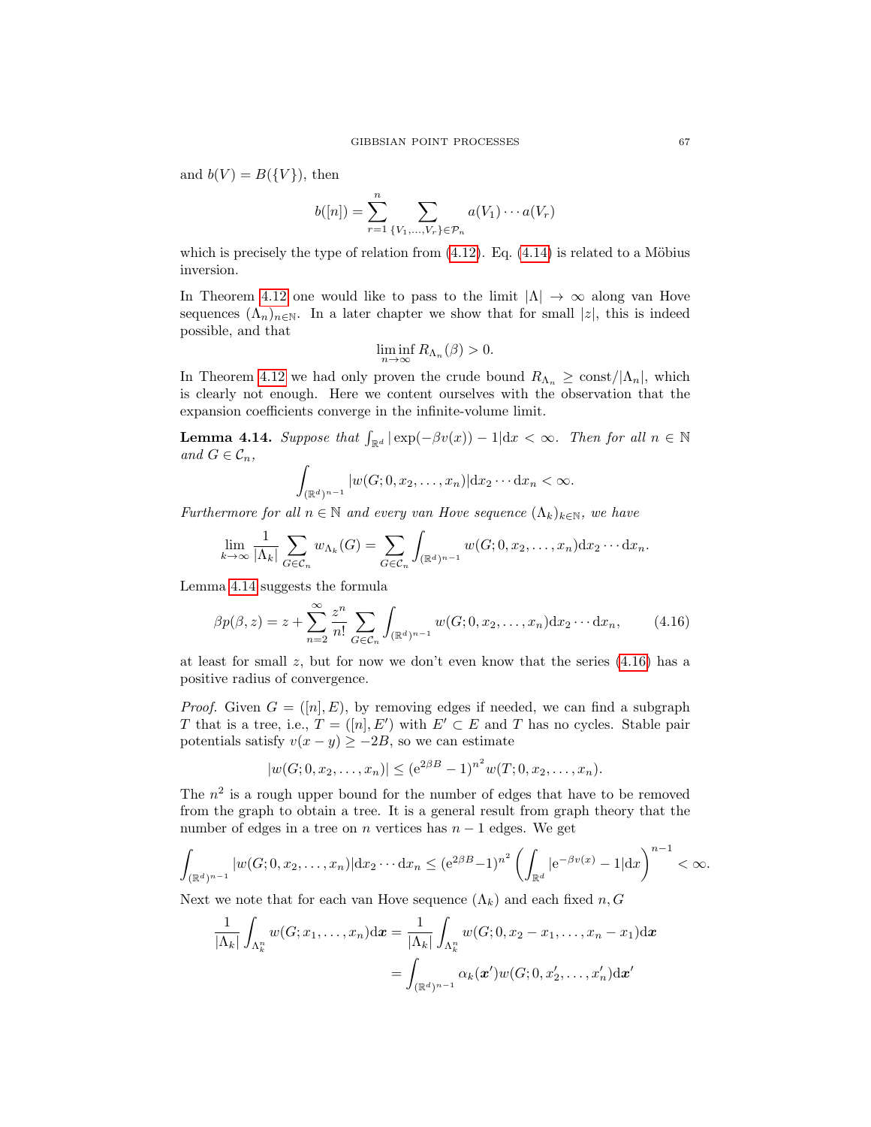and  $b(V) = B({V}$ , then

$$
b([n]) = \sum_{r=1}^{n} \sum_{\{V_1, ..., V_r\} \in \mathcal{P}_n} a(V_1) \cdots a(V_r)
$$

which is precisely the type of relation from  $(4.12)$ . Eq.  $(4.14)$  is related to a Möbius inversion.

In Theorem [4.12](#page-63-0) one would like to pass to the limit  $|\Lambda| \to \infty$  along van Hove sequences  $(\Lambda_n)_{n\in\mathbb{N}}$ . In a later chapter we show that for small |z|, this is indeed possible, and that

$$
\liminf_{n \to \infty} R_{\Lambda_n}(\beta) > 0.
$$

In Theorem [4.12](#page-63-0) we had only proven the crude bound  $R_{\Lambda_n} \geq \text{const}/|\Lambda_n|$ , which is clearly not enough. Here we content ourselves with the observation that the expansion coefficients converge in the infinite-volume limit.

<span id="page-66-0"></span>**Lemma 4.14.** Suppose that  $\int_{\mathbb{R}^d} |\exp(-\beta v(x)) - 1| dx < \infty$ . Then for all  $n \in \mathbb{N}$ and  $G \in \mathcal{C}_n$ ,

$$
\int_{(\mathbb{R}^d)^{n-1}} |w(G; 0, x_2, \dots, x_n)| \mathrm{d} x_2 \cdots \mathrm{d} x_n < \infty.
$$

Furthermore for all  $n \in \mathbb{N}$  and every van Hove sequence  $(\Lambda_k)_{k \in \mathbb{N}}$ , we have

$$
\lim_{k \to \infty} \frac{1}{|\Lambda_k|} \sum_{G \in \mathcal{C}_n} w_{\Lambda_k}(G) = \sum_{G \in \mathcal{C}_n} \int_{(\mathbb{R}^d)^{n-1}} w(G; 0, x_2, \dots, x_n) \mathrm{d}x_2 \cdots \mathrm{d}x_n.
$$

Lemma [4.14](#page-66-0) suggests the formula

<span id="page-66-1"></span>
$$
\beta p(\beta, z) = z + \sum_{n=2}^{\infty} \frac{z^n}{n!} \sum_{G \in \mathcal{C}_n} \int_{(\mathbb{R}^d)^{n-1}} w(G; 0, x_2, \dots, x_n) \mathrm{d}x_2 \cdots \mathrm{d}x_n, \qquad (4.16)
$$

at least for small z, but for now we don't even know that the series  $(4.16)$  has a positive radius of convergence.

*Proof.* Given  $G = ([n], E)$ , by removing edges if needed, we can find a subgraph T that is a tree, i.e.,  $T = ([n], E')$  with  $E' \subset E$  and T has no cycles. Stable pair potentials satisfy  $v(x - y) \ge -2B$ , so we can estimate

$$
|w(G; 0, x_2, \dots, x_n)| \le (e^{2\beta B} - 1)^{n^2} w(T; 0, x_2, \dots, x_n).
$$

The  $n^2$  is a rough upper bound for the number of edges that have to be removed from the graph to obtain a tree. It is a general result from graph theory that the number of edges in a tree on n vertices has  $n - 1$  edges. We get

$$
\int_{(\mathbb{R}^d)^{n-1}} |w(G; 0, x_2, \dots, x_n)| dx_2 \cdots dx_n \le (e^{2\beta B} - 1)^{n^2} \left( \int_{\mathbb{R}^d} |e^{-\beta v(x)} - 1| dx \right)^{n-1} < \infty.
$$

Next we note that for each van Hove sequence  $(\Lambda_k)$  and each fixed  $n, G$ 

$$
\frac{1}{|\Lambda_k|} \int_{\Lambda_k^n} w(G; x_1, \dots, x_n) \mathrm{d} \mathbf{x} = \frac{1}{|\Lambda_k|} \int_{\Lambda_k^n} w(G; 0, x_2 - x_1, \dots, x_n - x_1) \mathrm{d} \mathbf{x}
$$

$$
= \int_{(\mathbb{R}^d)^{n-1}} \alpha_k(\mathbf{x}') w(G; 0, x'_2, \dots, x'_n) \mathrm{d} \mathbf{x}'
$$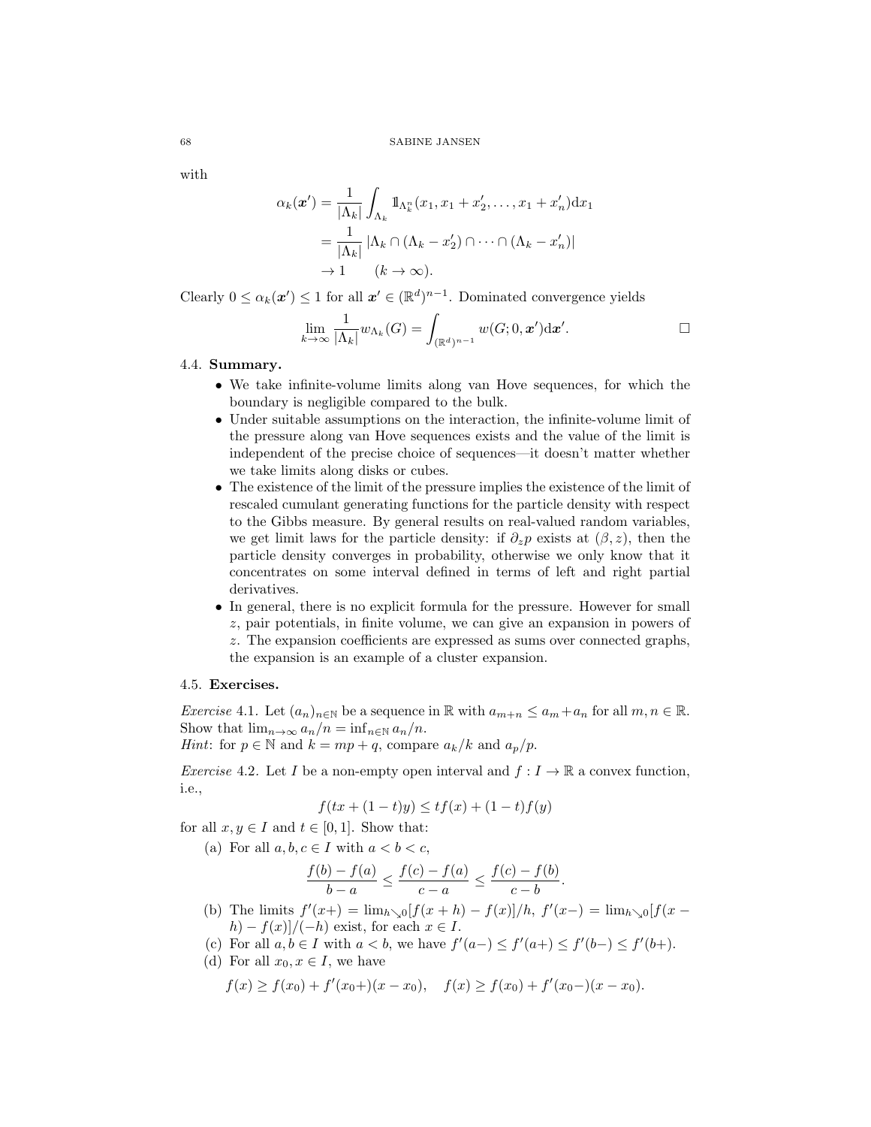with

$$
\alpha_k(\boldsymbol{x}') = \frac{1}{|\Lambda_k|} \int_{\Lambda_k} \mathbb{1}_{\Lambda_k^n}(x_1, x_1 + x_2', \dots, x_1 + x_n') \mathrm{d}x_1
$$

$$
= \frac{1}{|\Lambda_k|} |\Lambda_k \cap (\Lambda_k - x_2') \cap \dots \cap (\Lambda_k - x_n')|
$$

$$
\to 1 \qquad (k \to \infty).
$$

Clearly  $0 \le \alpha_k(\boldsymbol{x}') \le 1$  for all  $\boldsymbol{x}' \in (\mathbb{R}^d)^{n-1}$ . Dominated convergence yields

$$
\lim_{k\to\infty}\frac{1}{|\Lambda_k|}w_{\Lambda_k}(G)=\int_{(\mathbb{R}^d)^{n-1}}w(G;0,\boldsymbol{x}')\mathrm{d}\boldsymbol{x}'.
$$

#### 4.4. Summary.

- We take infinite-volume limits along van Hove sequences, for which the boundary is negligible compared to the bulk.
- Under suitable assumptions on the interaction, the infinite-volume limit of the pressure along van Hove sequences exists and the value of the limit is independent of the precise choice of sequences—it doesn't matter whether we take limits along disks or cubes.
- The existence of the limit of the pressure implies the existence of the limit of rescaled cumulant generating functions for the particle density with respect to the Gibbs measure. By general results on real-valued random variables, we get limit laws for the particle density: if  $\partial_z p$  exists at  $(\beta, z)$ , then the particle density converges in probability, otherwise we only know that it concentrates on some interval defined in terms of left and right partial derivatives.
- In general, there is no explicit formula for the pressure. However for small z, pair potentials, in finite volume, we can give an expansion in powers of z. The expansion coefficients are expressed as sums over connected graphs, the expansion is an example of a cluster expansion.

## 4.5. Exercises.

Exercise 4.1. Let  $(a_n)_{n\in\mathbb{N}}$  be a sequence in  $\mathbb R$  with  $a_{m+n} \le a_m + a_n$  for all  $m, n \in \mathbb{R}$ . Show that  $\lim_{n\to\infty} a_n/n = \inf_{n\in\mathbb{N}} a_n/n$ .

*Hint*: for  $p \in \mathbb{N}$  and  $k = mp + q$ , compare  $a_k/k$  and  $a_p/p$ .

Exercise 4.2. Let I be a non-empty open interval and  $f: I \to \mathbb{R}$  a convex function, i.e.,

$$
f(tx + (1 - t)y) \le tf(x) + (1 - t)f(y)
$$

for all  $x, y \in I$  and  $t \in [0, 1]$ . Show that:

(a) For all  $a, b, c \in I$  with  $a < b < c$ ,

$$
\frac{f(b) - f(a)}{b - a} \le \frac{f(c) - f(a)}{c - a} \le \frac{f(c) - f(b)}{c - b}.
$$

- (b) The limits  $f'(x+) = \lim_{h \searrow 0} [f(x+h) f(x)]/h$ ,  $f'(x-) = \lim_{h \searrow 0} [f(x-h) f(x)]/h$  $h - f(x)/(-h)$  exist, for each  $x \in I$ .
- (c) For all  $a, b \in I$  with  $a < b$ , we have  $f'(a-) \le f'(a+) \le f'(b-) \le f'(b+)$ .
- (d) For all  $x_0, x \in I$ , we have

$$
f(x) \ge f(x_0) + f'(x_0 +)(x - x_0), \quad f(x) \ge f(x_0) + f'(x_0 -)(x - x_0).
$$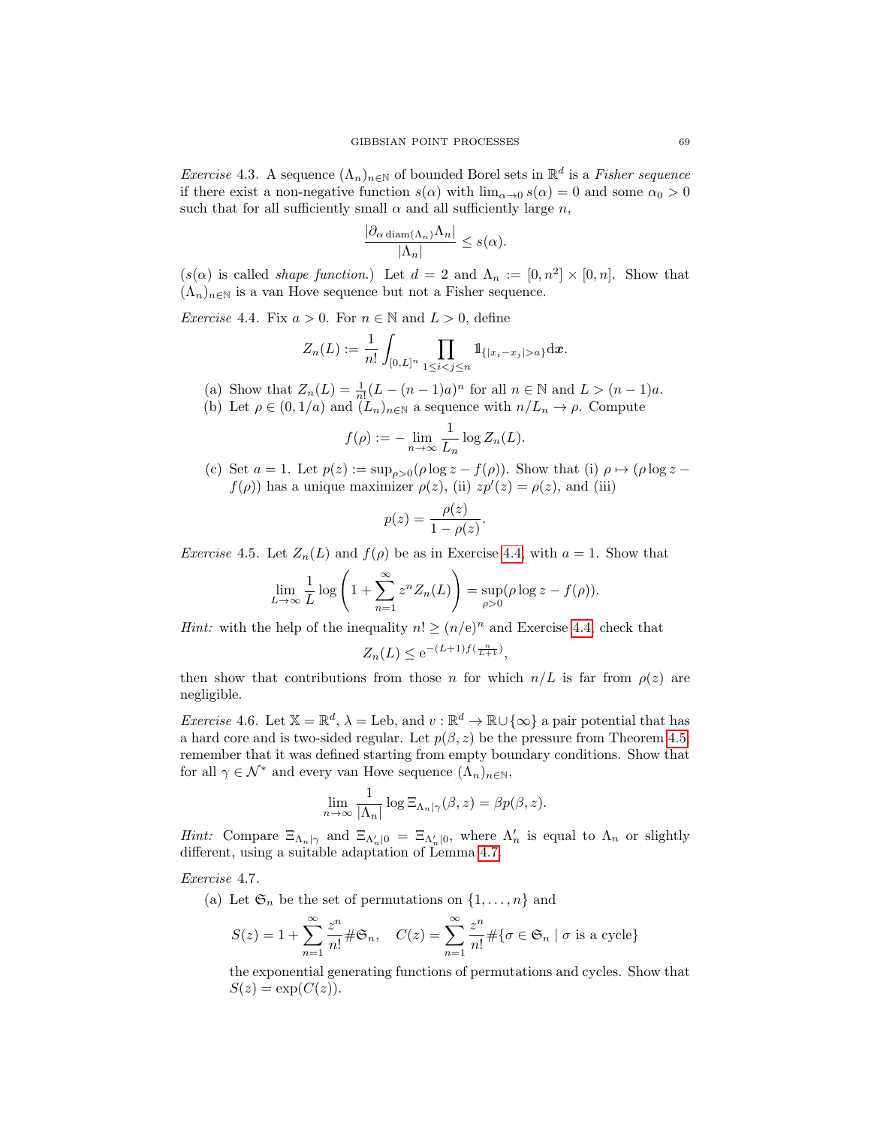*Exercise* 4.3. A sequence  $(\Lambda_n)_{n\in\mathbb{N}}$  of bounded Borel sets in  $\mathbb{R}^d$  is a *Fisher sequence* if there exist a non-negative function  $s(\alpha)$  with  $\lim_{\alpha \to 0} s(\alpha) = 0$  and some  $\alpha_0 > 0$ such that for all sufficiently small  $\alpha$  and all sufficiently large n,

$$
\frac{|\partial_{\alpha \text{ diam}(\Lambda_n)} \Lambda_n|}{|\Lambda_n|} \le s(\alpha).
$$

 $(s(\alpha))$  is called *shape function*.) Let  $d = 2$  and  $\Lambda_n := [0, n^2] \times [0, n]$ . Show that  $(\Lambda_n)_{n\in\mathbb{N}}$  is a van Hove sequence but not a Fisher sequence.

<span id="page-68-0"></span>*Exercise* 4.4. Fix  $a > 0$ . For  $n \in \mathbb{N}$  and  $L > 0$ , define

$$
Z_n(L) := \frac{1}{n!} \int_{[0,L]^n} \prod_{1 \le i < j \le n} \mathbb{1}_{\{|x_i - x_j| > a\}} \mathrm{d} x.
$$

- (a) Show that  $Z_n(L) = \frac{1}{n!}(L (n-1)a)^n$  for all  $n \in \mathbb{N}$  and  $L > (n-1)a$ .
- (b) Let  $\rho \in (0, 1/a)$  and  $(L_n)_{n \in \mathbb{N}}$  a sequence with  $n/L_n \to \rho$ . Compute

$$
f(\rho) := -\lim_{n \to \infty} \frac{1}{L_n} \log Z_n(L).
$$

(c) Set  $a = 1$ . Let  $p(z) := \sup_{\rho > 0} (\rho \log z - f(\rho))$ . Show that (i)  $\rho \mapsto (\rho \log z$  $f(\rho)$  has a unique maximizer  $\rho(z)$ , (ii)  $zp'(z) = \rho(z)$ , and (iii)

$$
p(z) = \frac{\rho(z)}{1 - \rho(z)}.
$$

*Exercise* 4.5. Let  $Z_n(L)$  and  $f(\rho)$  be as in Exercise [4.4,](#page-68-0) with  $a = 1$ . Show that

$$
\lim_{L \to \infty} \frac{1}{L} \log \left( 1 + \sum_{n=1}^{\infty} z^n Z_n(L) \right) = \sup_{\rho > 0} (\rho \log z - f(\rho)).
$$

*Hint:* with the help of the inequality  $n! > (n/e)^n$  and Exercise [4.4,](#page-68-0) check that

$$
Z_n(L) \le e^{-(L+1)f\left(\frac{n}{L+1}\right)}
$$

,

then show that contributions from those n for which  $n/L$  is far from  $\rho(z)$  are negligible.

*Exercise* 4.6. Let  $X = \mathbb{R}^d$ ,  $\lambda =$  Leb, and  $v : \mathbb{R}^d \to \mathbb{R} \cup {\infty}$  a pair potential that has a hard core and is two-sided regular. Let  $p(\beta, z)$  be the pressure from Theorem [4.5;](#page-57-0) remember that it was defined starting from empty boundary conditions. Show that for all  $\gamma \in \mathcal{N}^*$  and every van Hove sequence  $(\Lambda_n)_{n \in \mathbb{N}},$ 

$$
\lim_{n \to \infty} \frac{1}{|\Lambda_n|} \log \Xi_{\Lambda_n|\gamma}(\beta, z) = \beta p(\beta, z).
$$

*Hint:* Compare  $\Xi_{\Lambda_n|\gamma}$  and  $\Xi_{\Lambda'_n|0} = \Xi_{\Lambda'_n|0}$ , where  $\Lambda'_n$  is equal to  $\Lambda_n$  or slightly different, using a suitable adaptation of Lemma [4.7.](#page-59-2)

Exercise 4.7.

(a) Let  $\mathfrak{S}_n$  be the set of permutations on  $\{1,\ldots,n\}$  and

$$
S(z) = 1 + \sum_{n=1}^{\infty} \frac{z^n}{n!} \# \mathfrak{S}_n, \quad C(z) = \sum_{n=1}^{\infty} \frac{z^n}{n!} \# \{ \sigma \in \mathfrak{S}_n \mid \sigma \text{ is a cycle} \}
$$

the exponential generating functions of permutations and cycles. Show that  $S(z) = \exp(C(z)).$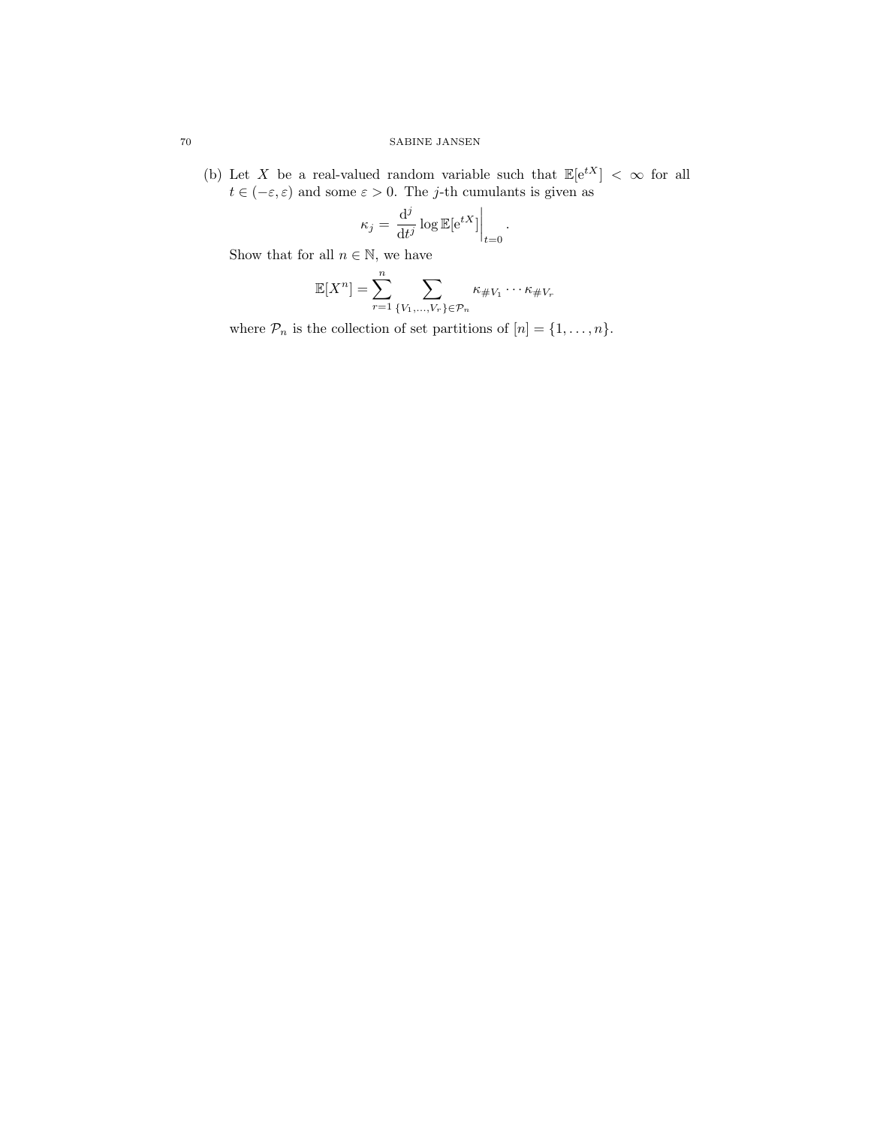(b) Let X be a real-valued random variable such that  $\mathbb{E}[e^{tX}] < \infty$  for all  $t \in (-\varepsilon, \varepsilon)$  and some  $\varepsilon > 0$ . The j-th cumulants is given as

$$
\kappa_j = \left. \frac{\mathrm{d}^j}{\mathrm{d}t^j} \log \mathbb{E}[\mathrm{e}^{tX}] \right|_{t=0}.
$$

Show that for all  $n\in\mathbb{N},$  we have

$$
\mathbb{E}[X^n] = \sum_{r=1}^n \sum_{\{V_1,\ldots,V_r\} \in \mathcal{P}_n} \kappa_{\#V_1} \cdots \kappa_{\#V_r}
$$

where  $\mathcal{P}_n$  is the collection of set partitions of  $[n] = \{1, \ldots, n\}.$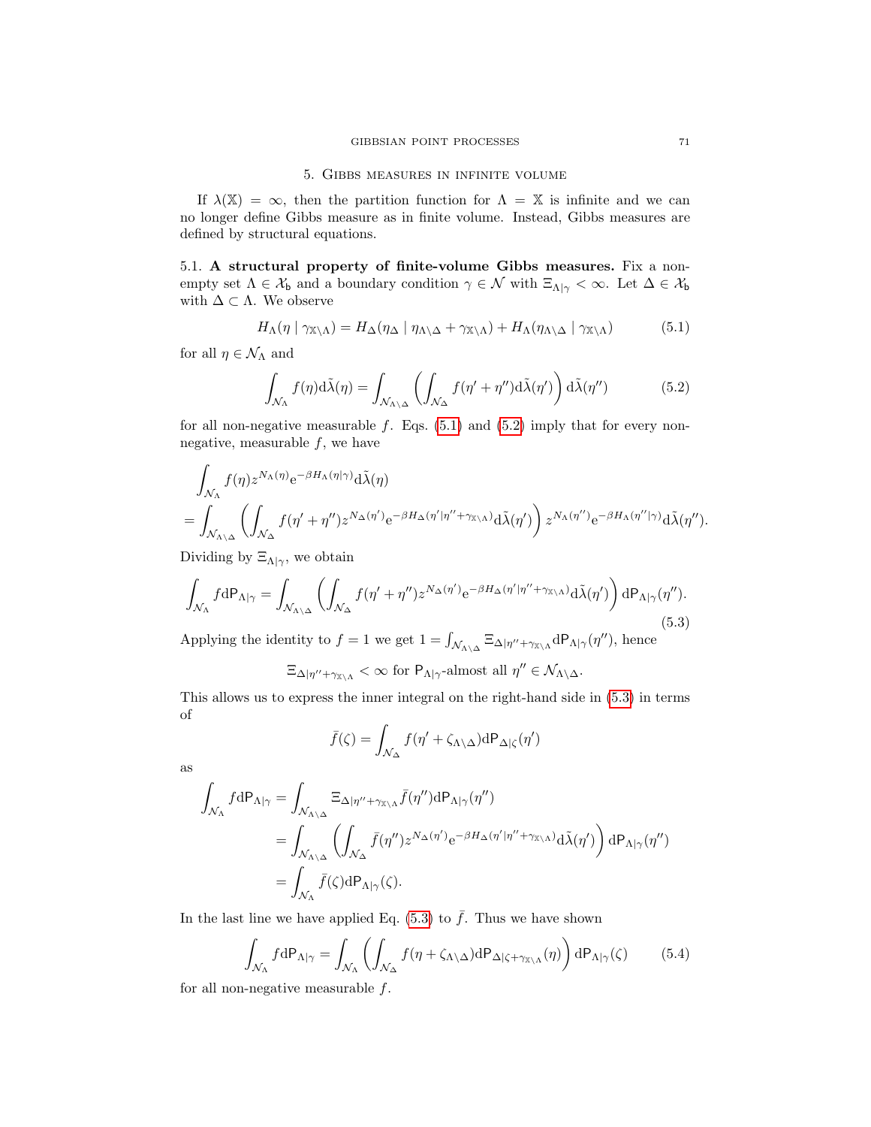## 5. Gibbs measures in infinite volume

If  $\lambda(\mathbb{X}) = \infty$ , then the partition function for  $\Lambda = \mathbb{X}$  is infinite and we can no longer define Gibbs measure as in finite volume. Instead, Gibbs measures are defined by structural equations.

5.1. A structural property of finite-volume Gibbs measures. Fix a nonempty set  $\Lambda \in \mathcal{X}_b$  and a boundary condition  $\gamma \in \mathcal{N}$  with  $\Xi_{\Lambda|\gamma} < \infty$ . Let  $\Delta \in \mathcal{X}_b$ with  $\Delta \subset \Lambda$ . We observe

<span id="page-70-0"></span>
$$
H_{\Lambda}(\eta \mid \gamma_{\mathbb{X}\setminus\Lambda}) = H_{\Delta}(\eta_{\Delta} \mid \eta_{\Lambda\setminus\Delta} + \gamma_{\mathbb{X}\setminus\Lambda}) + H_{\Lambda}(\eta_{\Lambda\setminus\Delta} \mid \gamma_{\mathbb{X}\setminus\Lambda}) \tag{5.1}
$$

for all  $\eta \in \mathcal{N}_\Lambda$  and

<span id="page-70-1"></span>
$$
\int_{\mathcal{N}_{\Lambda}} f(\eta) d\tilde{\lambda}(\eta) = \int_{\mathcal{N}_{\Lambda \backslash \Delta}} \left( \int_{\mathcal{N}_{\Delta}} f(\eta' + \eta'') d\tilde{\lambda}(\eta') \right) d\tilde{\lambda}(\eta'') \tag{5.2}
$$

for all non-negative measurable  $f$ . Eqs. [\(5.1\)](#page-70-0) and [\(5.2\)](#page-70-1) imply that for every nonnegative, measurable  $f$ , we have

$$
\int_{\mathcal{N}_{\Lambda}} f(\eta) z^{N_{\Lambda}(\eta)} e^{-\beta H_{\Lambda}(\eta|\gamma)} d\tilde{\lambda}(\eta)
$$
\n
$$
= \int_{\mathcal{N}_{\Lambda \backslash \Delta}} \left( \int_{\mathcal{N}_{\Delta}} f(\eta' + \eta'') z^{N_{\Delta}(\eta')} e^{-\beta H_{\Delta}(\eta'|\eta'' + \gamma_{\chi \backslash \Lambda})} d\tilde{\lambda}(\eta') \right) z^{N_{\Lambda}(\eta'')} e^{-\beta H_{\Lambda}(\eta''|\gamma)} d\tilde{\lambda}(\eta'').
$$

Dividing by  $\Xi_{\Lambda|\gamma}$ , we obtain

<span id="page-70-2"></span>
$$
\int_{\mathcal{N}_{\Lambda}} f \, dP_{\Lambda|\gamma} = \int_{\mathcal{N}_{\Lambda\backslash\Delta}} \left( \int_{\mathcal{N}_{\Delta}} f(\eta' + \eta'') z^{N_{\Delta}(\eta')} e^{-\beta H_{\Delta}(\eta'|\eta'' + \gamma_{\mathbb{K}\backslash\Lambda})} d\tilde{\lambda}(\eta') \right) dP_{\Lambda|\gamma}(\eta'').
$$
\n(5.3)

Applying the identity to  $f = 1$  we get  $1 = \int_{\mathcal{N}_{\Lambda \backslash \Delta}} \Xi_{\Delta|\eta'' + \gamma_{\chi \backslash \Lambda}} dP_{\Lambda|\gamma}(\eta'')$ , hence

$$
\Xi_{\Delta \mid \eta^{\prime\prime} + \gamma_{\mathbb{X} \backslash \Delta}} < \infty \text{ for } \mathsf{P}_{\Lambda \mid \gamma}\text{-almost all } \eta^{\prime\prime} \in \mathcal{N}_{\Lambda \backslash \Delta}.
$$

This allows us to express the inner integral on the right-hand side in [\(5.3\)](#page-70-2) in terms of

$$
\bar{f}(\zeta) = \int_{\mathcal{N}\Delta} f(\eta' + \zeta_{\Lambda \setminus \Delta}) dP_{\Delta|\zeta}(\eta')
$$

as

$$
\begin{split} \int_{\mathcal{N}_{\Lambda}}f\mathrm{d}\mathsf{P}_{\Lambda|\gamma}&=\int_{\mathcal{N}_{\Lambda\backslash\Delta}}\Xi_{\Delta|\eta''+\gamma_{\mathbb{X}\backslash\Lambda}}\bar{f}(\eta'')\mathrm{d}\mathsf{P}_{\Lambda|\gamma}(\eta'')\\ &=\int_{\mathcal{N}_{\Lambda\backslash\Delta}}\left(\int_{\mathcal{N}_{\Delta}}\bar{f}(\eta'')z^{N_{\Delta}(\eta')}e^{-\beta H_{\Delta}(\eta'|\eta''+\gamma_{\mathbb{X}\backslash\Lambda})}\mathrm{d}\tilde{\lambda}(\eta')\right)\mathrm{d}\mathsf{P}_{\Lambda|\gamma}(\eta'')\\ &=\int_{\mathcal{N}_{\Lambda}}\bar{f}(\zeta)\mathrm{d}\mathsf{P}_{\Lambda|\gamma}(\zeta). \end{split}
$$

In the last line we have applied Eq. [\(5.3\)](#page-70-2) to  $\bar{f}$ . Thus we have shown

<span id="page-70-3"></span>
$$
\int_{\mathcal{N}_{\Lambda}} f \, d\mathsf{P}_{\Lambda|\gamma} = \int_{\mathcal{N}_{\Lambda}} \left( \int_{\mathcal{N}_{\Delta}} f(\eta + \zeta_{\Lambda \setminus \Delta}) \, d\mathsf{P}_{\Delta|\zeta + \gamma_{\mathbb{X} \setminus \Lambda}}(\eta) \right) \, d\mathsf{P}_{\Lambda|\gamma}(\zeta) \tag{5.4}
$$

for all non-negative measurable  $f$ .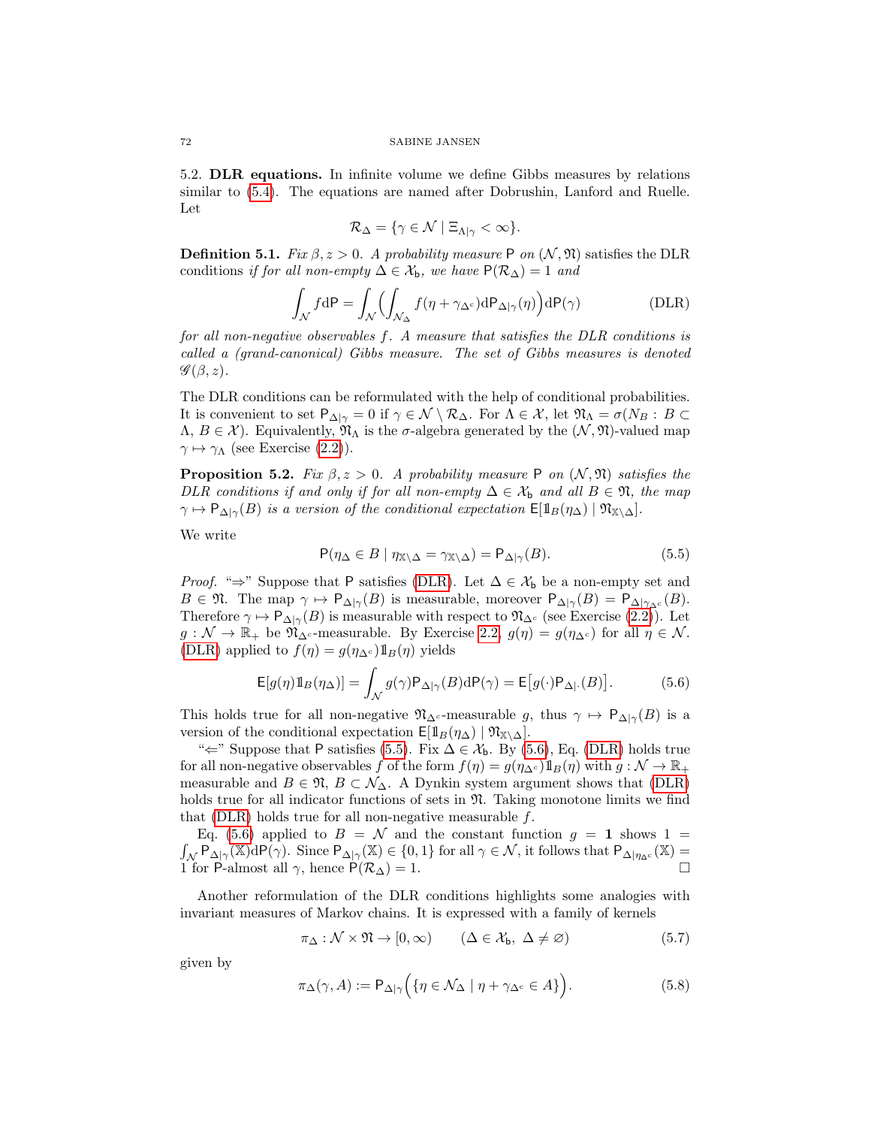5.2. DLR equations. In infinite volume we define Gibbs measures by relations similar to [\(5.4\)](#page-70-3). The equations are named after Dobrushin, Lanford and Ruelle. Let

<span id="page-71-0"></span>
$$
\mathcal{R}_{\Delta} = \{ \gamma \in \mathcal{N} \mid \Xi_{\Lambda|\gamma} < \infty \}.
$$

**Definition 5.1.** Fix  $\beta$ ,  $z > 0$ . A probability measure P on  $(\mathcal{N}, \mathfrak{N})$  satisfies the DLR conditions if for all non-empty  $\Delta \in \mathcal{X}_b$ , we have  $P(\mathcal{R}_{\Delta}) = 1$  and

<span id="page-71-1"></span>
$$
\int_{\mathcal{N}} f \, dP = \int_{\mathcal{N}} \Big( \int_{\mathcal{N}_{\Delta}} f(\eta + \gamma_{\Delta^c}) \, dP_{\Delta|\gamma}(\eta) \Big) \, dP(\gamma) \tag{DLR}
$$

for all non-negative observables f. A measure that satisfies the DLR conditions is called a (grand-canonical) Gibbs measure. The set of Gibbs measures is denoted  $\mathscr{G}(\beta,z)$ .

The DLR conditions can be reformulated with the help of conditional probabilities. It is convenient to set  $P_{\Delta|\gamma} = 0$  if  $\gamma \in \mathcal{N} \setminus \mathcal{R}_{\Delta}$ . For  $\Lambda \in \mathcal{X}$ , let  $\mathfrak{N}_{\Lambda} = \sigma(N_B : B \subset$  $\Lambda, B \in \mathcal{X}$ . Equivalently,  $\mathfrak{N}_{\Lambda}$  is the  $\sigma$ -algebra generated by the  $(\mathcal{N}, \mathfrak{N})$ -valued map  $\gamma \mapsto \gamma_{\Lambda}$  (see Exercise [\(2.2\)](#page-42-0)).

**Proposition 5.2.** Fix  $\beta$ ,  $z > 0$ . A probability measure P on  $(\mathcal{N}, \mathfrak{N})$  satisfies the DLR conditions if and only if for all non-empty  $\Delta \in \mathcal{X}_b$  and all  $B \in \mathfrak{N}$ , the map  $\gamma \mapsto \mathsf{P}_{\Delta|\gamma}(B)$  is a version of the conditional expectation  $\mathsf{E}[\mathbb{1}_B(\eta_{\Delta}) | \mathfrak{N}_{\mathbb{X}\setminus \Delta}].$ 

We write

$$
\mathsf{P}(\eta_{\Delta} \in B \mid \eta_{\mathbb{X} \setminus \Delta} = \gamma_{\mathbb{X} \setminus \Delta}) = \mathsf{P}_{\Delta \mid \gamma}(B). \tag{5.5}
$$

*Proof.* "⇒" Suppose that P satisfies [\(DLR\)](#page-71-0). Let  $\Delta \in \mathcal{X}_b$  be a non-empty set and  $B \in \mathfrak{N}$ . The map  $\gamma \mapsto \mathsf{P}_{\Delta|\gamma}(B)$  is measurable, moreover  $\mathsf{P}_{\Delta|\gamma}(B) = \mathsf{P}_{\Delta|\gamma(\Delta^c)}(B)$ . Therefore  $\gamma \mapsto \mathsf{P}_{\Delta|\gamma}(B)$  is measurable with respect to  $\mathfrak{N}_{\Delta^c}$  (see Exercise [\(2.2\)](#page-42-0)). Let  $g: \mathcal{N} \to \mathbb{R}_+$  be  $\mathfrak{N}_{\Delta^c}$ -measurable. By Exercise [2.2,](#page-42-0)  $g(\eta) = g(\eta_{\Delta^c})$  for all  $\eta \in \mathcal{N}$ . [\(DLR\)](#page-71-0) applied to  $f(\eta) = g(\eta_{\Delta^c}) \mathbb{1}_B(\eta)$  yields

<span id="page-71-2"></span>
$$
\mathsf{E}[g(\eta)\mathbb{1}_B(\eta_\Delta)] = \int_{\mathcal{N}} g(\gamma) \mathsf{P}_{\Delta|\gamma}(B) d\mathsf{P}(\gamma) = \mathsf{E}[g(\cdot) \mathsf{P}_{\Delta|\cdot}(B)]. \tag{5.6}
$$

This holds true for all non-negative  $\mathfrak{N}_{\Delta^c}$ -measurable g, thus  $\gamma \mapsto \mathsf{P}_{\Delta|\gamma}(B)$  is a version of the conditional expectation  $E[\mathbb{1}_B(\eta_{\Delta}) | \mathfrak{N}_{\mathbb{X}\setminus \Delta}]$ .

" $\Leftarrow$ " Suppose that P satisfies [\(5.5\)](#page-71-1). Fix  $\Delta \in \mathcal{X}_{\mathbf{b}}$ . By [\(5.6\)](#page-71-2), Eq. [\(DLR\)](#page-71-0) holds true for all non-negative observables f of the form  $f(\eta) = g(\eta_{\Delta^c}) \mathbb{1}_B(\eta)$  with  $g : \mathcal{N} \to \mathbb{R}_+$ measurable and  $B \in \mathfrak{N}, B \subset \mathcal{N}_{\Delta}$ . A Dynkin system argument shows that [\(DLR\)](#page-71-0) holds true for all indicator functions of sets in  $\mathfrak{N}$ . Taking monotone limits we find that [\(DLR\)](#page-71-0) holds true for all non-negative measurable f.

Eq. [\(5.6\)](#page-71-2) applied to  $B = \mathcal{N}$  and the constant function  $g = 1$  shows  $1 =$  $\int_{\mathcal{N}} P_{\Delta|\gamma}(\mathbb{X}) dP(\gamma)$ . Since  $P_{\Delta|\gamma}(\mathbb{X}) \in \{0,1\}$  for all  $\gamma \in \mathcal{N}$ , it follows that  $P_{\Delta|\eta_{\Delta^c}}(\mathbb{X}) =$ 1 for P-almost all  $\gamma$ , hence  $P(\mathcal{R}_{\Delta}) = 1$ .

Another reformulation of the DLR conditions highlights some analogies with invariant measures of Markov chains. It is expressed with a family of kernels

$$
\pi_{\Delta} : \mathcal{N} \times \mathfrak{N} \to [0, \infty) \qquad (\Delta \in \mathcal{X}_{\mathsf{b}}, \ \Delta \neq \varnothing) \tag{5.7}
$$

given by

$$
\pi_{\Delta}(\gamma, A) := \mathsf{P}_{\Delta|\gamma} \Big( \{ \eta \in \mathcal{N}_{\Delta} \mid \eta + \gamma_{\Delta^c} \in A \} \Big). \tag{5.8}
$$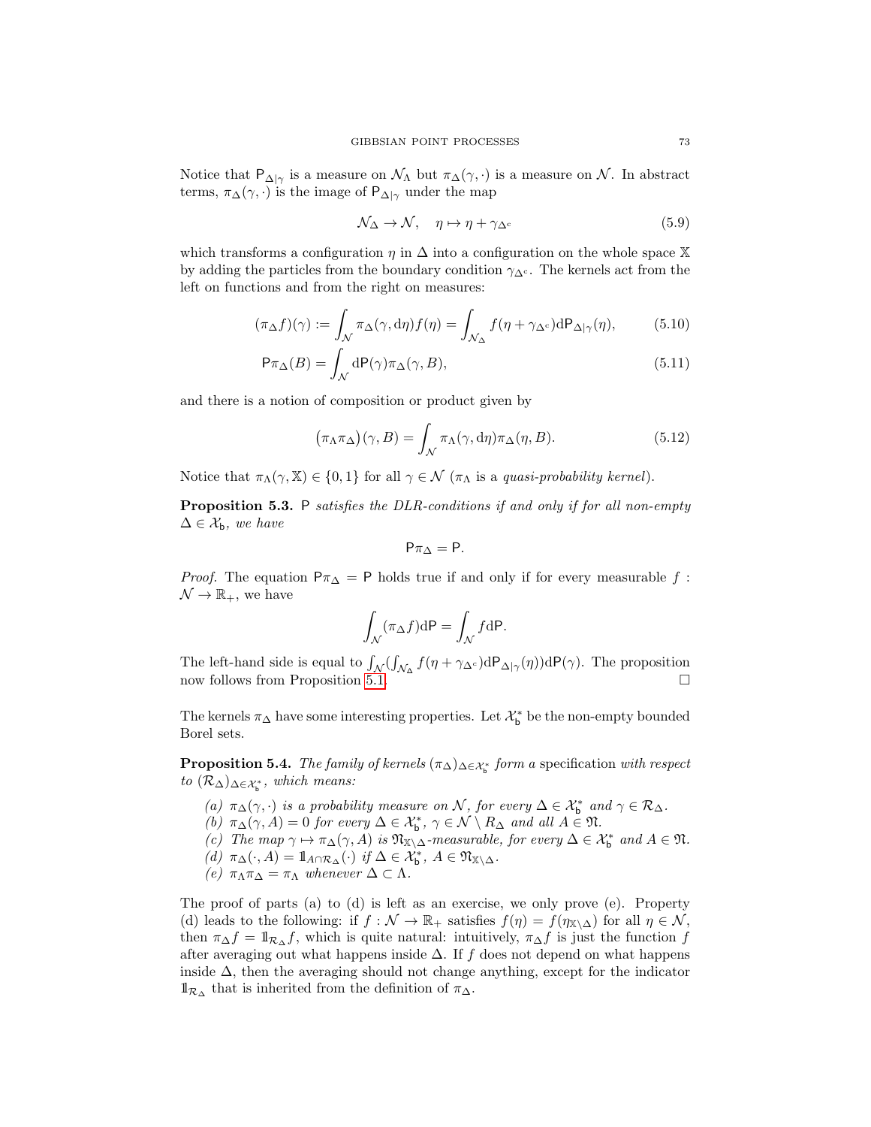Notice that  $P_{\Delta|\gamma}$  is a measure on  $\mathcal{N}_{\Lambda}$  but  $\pi_{\Delta}(\gamma, \cdot)$  is a measure on  $\mathcal{N}$ . In abstract terms,  $\pi_{\Delta}(\gamma, \cdot)$  is the image of P<sub>∆|γ</sub> under the map

$$
\mathcal{N}_{\Delta} \to \mathcal{N}, \quad \eta \mapsto \eta + \gamma_{\Delta^c} \tag{5.9}
$$

which transforms a configuration  $\eta$  in  $\Delta$  into a configuration on the whole space X by adding the particles from the boundary condition  $\gamma_{\Delta^c}$ . The kernels act from the left on functions and from the right on measures:

$$
(\pi_{\Delta} f)(\gamma) := \int_{\mathcal{N}} \pi_{\Delta}(\gamma, d\eta) f(\eta) = \int_{\mathcal{N}_{\Delta}} f(\eta + \gamma_{\Delta^c}) dP_{\Delta|\gamma}(\eta), \tag{5.10}
$$

$$
\mathsf{P}\pi_{\Delta}(B) = \int_{\mathcal{N}} d\mathsf{P}(\gamma)\pi_{\Delta}(\gamma, B),\tag{5.11}
$$

and there is a notion of composition or product given by

$$
\left(\pi_{\Lambda}\pi_{\Delta}\right)(\gamma,B) = \int_{\mathcal{N}} \pi_{\Lambda}(\gamma,\mathrm{d}\eta)\pi_{\Delta}(\eta,B). \tag{5.12}
$$

Notice that  $\pi_{\Lambda}(\gamma, \mathbb{X}) \in \{0, 1\}$  for all  $\gamma \in \mathcal{N}$  ( $\pi_{\Lambda}$  is a quasi-probability kernel).

Proposition 5.3. P satisfies the DLR-conditions if and only if for all non-empty  $\Delta \in \mathcal{X}_{\mathsf{b}}$ , we have

$$
P\pi_{\Delta}=P.
$$

*Proof.* The equation  $P\pi_{\Delta} = P$  holds true if and only if for every measurable f:  $\mathcal{N} \to \mathbb{R}_+,$  we have

$$
\int_{\mathcal{N}} (\pi_{\Delta} f) dP = \int_{\mathcal{N}} f dP.
$$

The left-hand side is equal to  $\int_{\mathcal{N}} (\int_{\mathcal{N}_{\Delta}} f(\eta + \gamma_{\Delta^c}) dP_{\Delta|\gamma}(\eta)) dP(\gamma)$ . The proposition now follows from Proposition [5.1.](#page-71-0)

The kernels  $\pi_{\Delta}$  have some interesting properties. Let  $\mathcal{X}^*_{\mathsf{b}}$  be the non-empty bounded Borel sets.

<span id="page-72-0"></span>**Proposition 5.4.** The family of kernels  $(\pi_{\Delta})_{\Delta \in \mathcal{X}_{b}^{*}}$  form a specification with respect to  $(\mathcal{R}_{\Delta})_{\Delta \in \mathcal{X}_{\mathbf{b}}^*}$ , which means:

(a)  $\pi_{\Delta}(\gamma, \cdot)$  is a probability measure on N, for every  $\Delta \in \mathcal{X}_{\mathsf{b}}^*$  and  $\gamma \in \mathcal{R}_{\Delta}$ .

(b)  $\pi_{\Delta}(\gamma, A) = 0$  for every  $\Delta \in \mathcal{X}_{\mathbf{b}}^*$ ,  $\gamma \in \mathcal{N} \setminus R_{\Delta}$  and all  $A \in \mathfrak{N}$ .

(c) The map  $\gamma \mapsto \pi_{\Delta}(\gamma, A)$  is  $\mathfrak{N}_{\mathbb{X}\setminus \Delta}$ -measurable, for every  $\Delta \in \mathcal{X}_{\mathsf{b}}^*$  and  $A \in \mathfrak{N}$ .

- (d)  $\pi_{\Delta}(\cdot, A) = \mathbb{1}_{A \cap \mathcal{R}_{\Delta}}(\cdot)$  if  $\Delta \in \mathcal{X}_{\mathsf{b}}^*$ ,  $A \in \mathfrak{N}_{\mathbb{X} \setminus \Delta}$ .
- (e)  $\pi_{\Lambda}\pi_{\Delta} = \pi_{\Lambda}$  whenever  $\Delta \subset \Lambda$ .

The proof of parts (a) to (d) is left as an exercise, we only prove (e). Property (d) leads to the following: if  $f : \mathcal{N} \to \mathbb{R}_+$  satisfies  $f(\eta) = f(\eta_{\mathbb{X}\setminus\Delta})$  for all  $\eta \in \mathcal{N}$ , then  $\pi_{\Delta} f = \mathbb{1}_{\mathcal{R}_{\Delta}} f$ , which is quite natural: intuitively,  $\pi_{\Delta} f$  is just the function f after averaging out what happens inside  $\Delta$ . If f does not depend on what happens inside  $\Delta$ , then the averaging should not change anything, except for the indicator  $\mathbb{1}_{\mathcal{R}_\Delta}$  that is inherited from the definition of  $\pi_\Delta$ .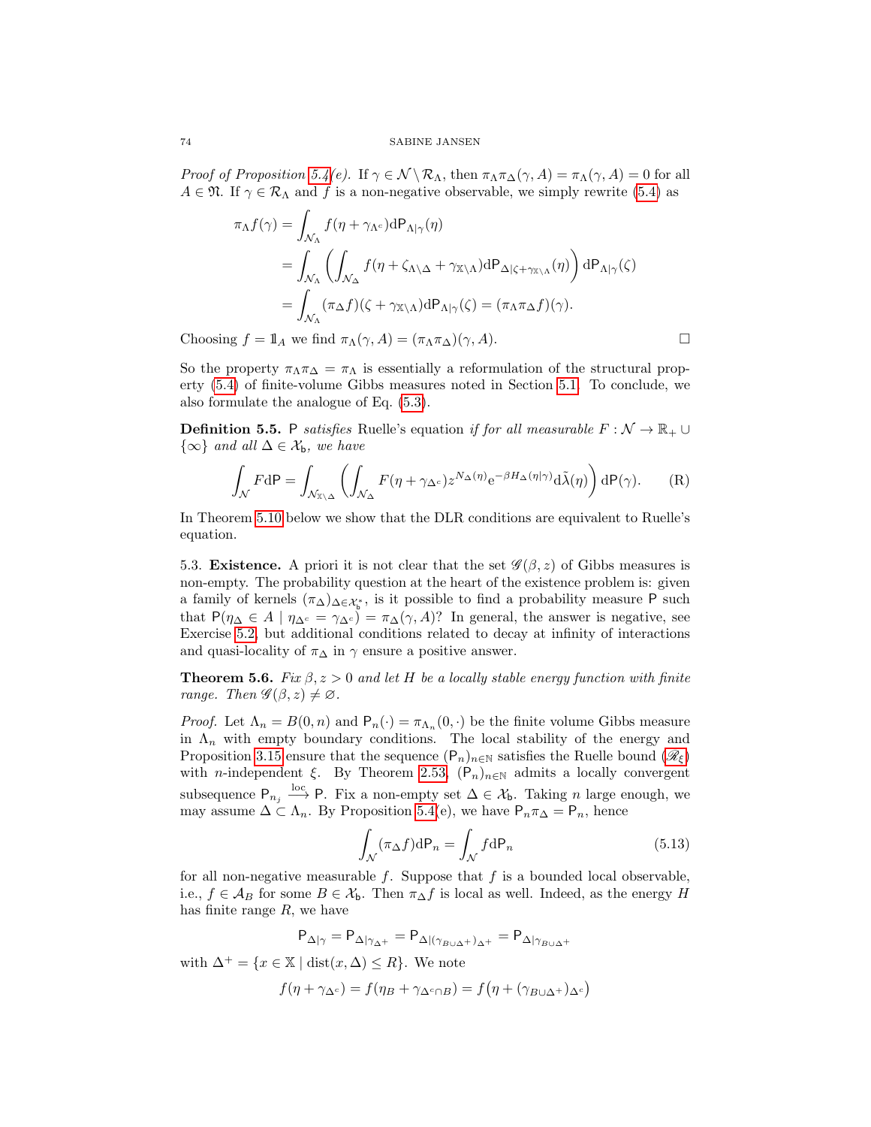Proof of Proposition [5.4\(](#page-72-0)e). If  $\gamma \in \mathcal{N} \setminus \mathcal{R}_{\Lambda}$ , then  $\pi_{\Lambda} \pi_{\Delta}(\gamma, A) = \pi_{\Lambda}(\gamma, A) = 0$  for all  $A \in \mathfrak{N}$ . If  $\gamma \in \mathcal{R}_{\Lambda}$  and f is a non-negative observable, we simply rewrite [\(5.4\)](#page-70-0) as

$$
\pi_{\Lambda}f(\gamma) = \int_{\mathcal{N}_{\Lambda}} f(\eta + \gamma_{\Lambda^c}) dP_{\Lambda|\gamma}(\eta)
$$
  
= 
$$
\int_{\mathcal{N}_{\Lambda}} \left( \int_{\mathcal{N}_{\Delta}} f(\eta + \zeta_{\Lambda \backslash \Delta} + \gamma_{\mathbb{X} \backslash \Lambda}) dP_{\Delta|\zeta + \gamma_{\mathbb{X} \backslash \Lambda}}(\eta) \right) dP_{\Lambda|\gamma}(\zeta)
$$
  
= 
$$
\int_{\mathcal{N}_{\Lambda}} (\pi_{\Delta}f)(\zeta + \gamma_{\mathbb{X} \backslash \Lambda}) dP_{\Lambda|\gamma}(\zeta) = (\pi_{\Lambda} \pi_{\Delta}f)(\gamma).
$$

Choosing  $f = 1_A$  we find  $\pi_{\Lambda}(\gamma, A) = (\pi_{\Lambda} \pi_{\Delta})(\gamma, A)$ .

So the property  $\pi_{\Lambda}\pi_{\Delta} = \pi_{\Lambda}$  is essentially a reformulation of the structural property [\(5.4\)](#page-70-0) of finite-volume Gibbs measures noted in Section [5.1.](#page-70-1) To conclude, we also formulate the analogue of Eq. [\(5.3\)](#page-70-2).

**Definition 5.5.** P *satisfies* Ruelle's equation if for all measurable  $F : \mathcal{N} \to \mathbb{R}_+ \cup$  $\{\infty\}$  and all  $\Delta \in \mathcal{X}_{\mathsf{b}}$ , we have

<span id="page-73-2"></span><span id="page-73-0"></span>
$$
\int_{\mathcal{N}} F dP = \int_{\mathcal{N}_{\mathbb{X}\backslash \Delta}} \left( \int_{\mathcal{N}_{\Delta}} F(\eta + \gamma_{\Delta^c}) z^{N_{\Delta}(\eta)} e^{-\beta H_{\Delta}(\eta|\gamma)} d\tilde{\lambda}(\eta) \right) dP(\gamma).
$$
 (R)

In Theorem [5.10](#page-75-0) below we show that the DLR conditions are equivalent to Ruelle's equation.

5.3. Existence. A priori it is not clear that the set  $\mathscr{G}(\beta, z)$  of Gibbs measures is non-empty. The probability question at the heart of the existence problem is: given a family of kernels  $(\pi_{\Delta})_{\Delta \in \mathcal{X}_{b}^*}$ , is it possible to find a probability measure P such that  $P(\eta_{\Delta} \in A | \eta_{\Delta^c} = \gamma_{\Delta^c}) = \pi_{\Delta}(\gamma, A)$ ? In general, the answer is negative, see Exercise [5.2,](#page-86-0) but additional conditions related to decay at infinity of interactions and quasi-locality of  $\pi_{\Delta}$  in  $\gamma$  ensure a positive answer.

<span id="page-73-1"></span>**Theorem 5.6.** Fix  $\beta$ ,  $z > 0$  and let H be a locally stable energy function with finite range. Then  $\mathscr{G}(\beta, z) \neq \emptyset$ .

*Proof.* Let  $\Lambda_n = B(0, n)$  and  $P_n(\cdot) = \pi_{\Lambda_n}(0, \cdot)$  be the finite volume Gibbs measure in  $\Lambda_n$  with empty boundary conditions. The local stability of the energy and Proposition [3.15](#page-52-0) ensure that the sequence  $(P_n)_{n\in\mathbb{N}}$  satisfies the [R](#page-29-0)uelle bound  $(\mathscr{R}_{\xi})$ with *n*-independent  $\xi$ . By Theorem [2.53,](#page-40-0)  $(P_n)_{n\in\mathbb{N}}$  admits a locally convergent subsequence  $P_{n_j} \stackrel{\text{loc}}{\longrightarrow} P$ . Fix a non-empty set  $\Delta \in \mathcal{X}_b$ . Taking *n* large enough, we may assume  $\Delta \subset \Lambda_n$ . By Proposition [5.4\(](#page-72-0)e), we have  $P_n \pi_\Delta = P_n$ , hence

$$
\int_{\mathcal{N}} (\pi_{\Delta} f) dP_n = \int_{\mathcal{N}} f dP_n \tag{5.13}
$$

for all non-negative measurable  $f$ . Suppose that  $f$  is a bounded local observable, i.e.,  $f \in A_B$  for some  $B \in \mathcal{X}_b$ . Then  $\pi_{\Delta} f$  is local as well. Indeed, as the energy H has finite range  $R$ , we have

$$
P_{\Delta|\gamma} = P_{\Delta|\gamma_{\Delta^+}} = P_{\Delta|(\gamma_{B\cup\Delta^+})_{\Delta^+}} = P_{\Delta|\gamma_{B\cup\Delta^+}}
$$

with  $\Delta^+ = \{x \in \mathbb{X} \mid \text{dist}(x, \Delta) \leq R\}.$  We note

$$
f(\eta + \gamma_{\Delta^c}) = f(\eta_B + \gamma_{\Delta^c \cap B}) = f(\eta + (\gamma_{B \cup \Delta^+})_{\Delta^c})
$$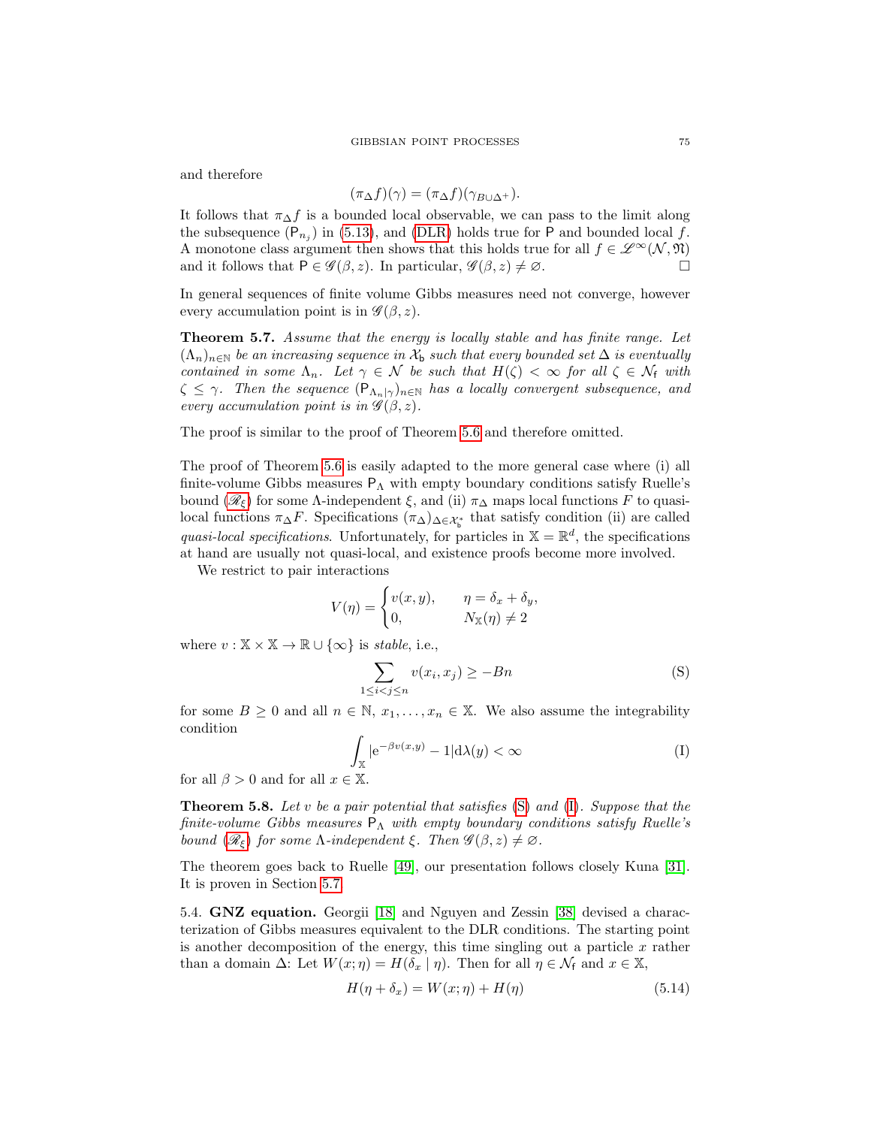and therefore

$$
(\pi_{\Delta} f)(\gamma) = (\pi_{\Delta} f)(\gamma_{B \cup \Delta^{+}}).
$$

It follows that  $\pi_{\Delta} f$  is a bounded local observable, we can pass to the limit along the subsequence  $(P_{n_j})$  in [\(5.13\)](#page-73-0), and [\(DLR\)](#page-71-1) holds true for P and bounded local f. A monotone class argument then shows that this holds true for all  $f \in \mathscr{L}^{\infty}(\mathcal{N}, \mathfrak{N})$ and it follows that  $P \in \mathscr{G}(\beta, z)$ . In particular,  $\mathscr{G}(\beta, z) \neq \emptyset$ .

In general sequences of finite volume Gibbs measures need not converge, however every accumulation point is in  $\mathscr{G}(\beta, z)$ .

Theorem 5.7. Assume that the energy is locally stable and has finite range. Let  $(\Lambda_n)_{n\in\mathbb{N}}$  be an increasing sequence in  $\mathcal{X}_b$  such that every bounded set  $\Delta$  is eventually contained in some  $\Lambda_n$ . Let  $\gamma \in \mathcal{N}$  be such that  $H(\zeta) < \infty$  for all  $\zeta \in \mathcal{N}_f$  with  $\zeta \leq \gamma$ . Then the sequence  $(\mathsf{P}_{\Lambda_n|\gamma})_{n\in\mathbb{N}}$  has a locally convergent subsequence, and every accumulation point is in  $\mathscr{G}(\beta, z)$ .

The proof is similar to the proof of Theorem [5.6](#page-73-1) and therefore omitted.

The proof of Theorem [5.6](#page-73-1) is easily adapted to the more general case where (i) all finite-volume Gibbs measures  $P_{\Lambda}$  with empty boundary conditions satisfy Ruelle's bound ( $\mathcal{R}_{\xi}$  $\mathcal{R}_{\xi}$  $\mathcal{R}_{\xi}$ ) for some Λ-independent  $\xi$ , and (ii)  $\pi_{\Delta}$  maps local functions F to quasilocal functions  $\pi_{\Delta}F$ . Specifications  $(\pi_{\Delta})_{\Delta \in \mathcal{X}_{b}^*}$  that satisfy condition (ii) are called quasi-local specifications. Unfortunately, for particles in  $\mathbb{X} = \mathbb{R}^d$ , the specifications at hand are usually not quasi-local, and existence proofs become more involved.

We restrict to pair interactions

$$
V(\eta) = \begin{cases} v(x, y), & \eta = \delta_x + \delta_y, \\ 0, & N_{\mathbb{X}}(\eta) \neq 2 \end{cases}
$$

where  $v : \mathbb{X} \times \mathbb{X} \to \mathbb{R} \cup {\infty}$  is stable, i.e.,

<span id="page-74-0"></span>
$$
\sum_{1 \le i < j \le n} v(x_i, x_j) \ge -Bn \tag{S}
$$

for some  $B \geq 0$  and all  $n \in \mathbb{N}, x_1, \ldots, x_n \in \mathbb{X}$ . We also assume the integrability condition

<span id="page-74-1"></span>
$$
\int_{\mathbb{X}} |e^{-\beta v(x,y)} - 1| d\lambda(y) < \infty \tag{I}
$$

for all  $\beta > 0$  and for all  $x \in \mathbb{X}$ .

<span id="page-74-2"></span>**Theorem 5.8.** Let  $v$  be a pair potential that satisfies  $(S)$  and  $(I)$ . Suppose that the finite-volume Gibbs measures  $P_{\Lambda}$  with empty boundary conditions satisfy Ruelle's bound  $(\mathcal{R}_{\xi})$  $(\mathcal{R}_{\xi})$  $(\mathcal{R}_{\xi})$  for some  $\Lambda$ -independent  $\xi$ . Then  $\mathscr{G}(\beta, z) \neq \emptyset$ .

The theorem goes back to Ruelle [\[49\]](#page-104-0), our presentation follows closely Kuna [\[31\]](#page-104-1). It is proven in Section [5.7.](#page-82-0)

5.4. GNZ equation. Georgii [\[18\]](#page-103-0) and Nguyen and Zessin [\[38\]](#page-104-2) devised a characterization of Gibbs measures equivalent to the DLR conditions. The starting point is another decomposition of the energy, this time singling out a particle  $x$  rather than a domain  $\Delta$ : Let  $W(x;\eta) = H(\delta_x | \eta)$ . Then for all  $\eta \in \mathcal{N}_f$  and  $x \in \mathbb{X}$ ,

$$
H(\eta + \delta_x) = W(x; \eta) + H(\eta) \tag{5.14}
$$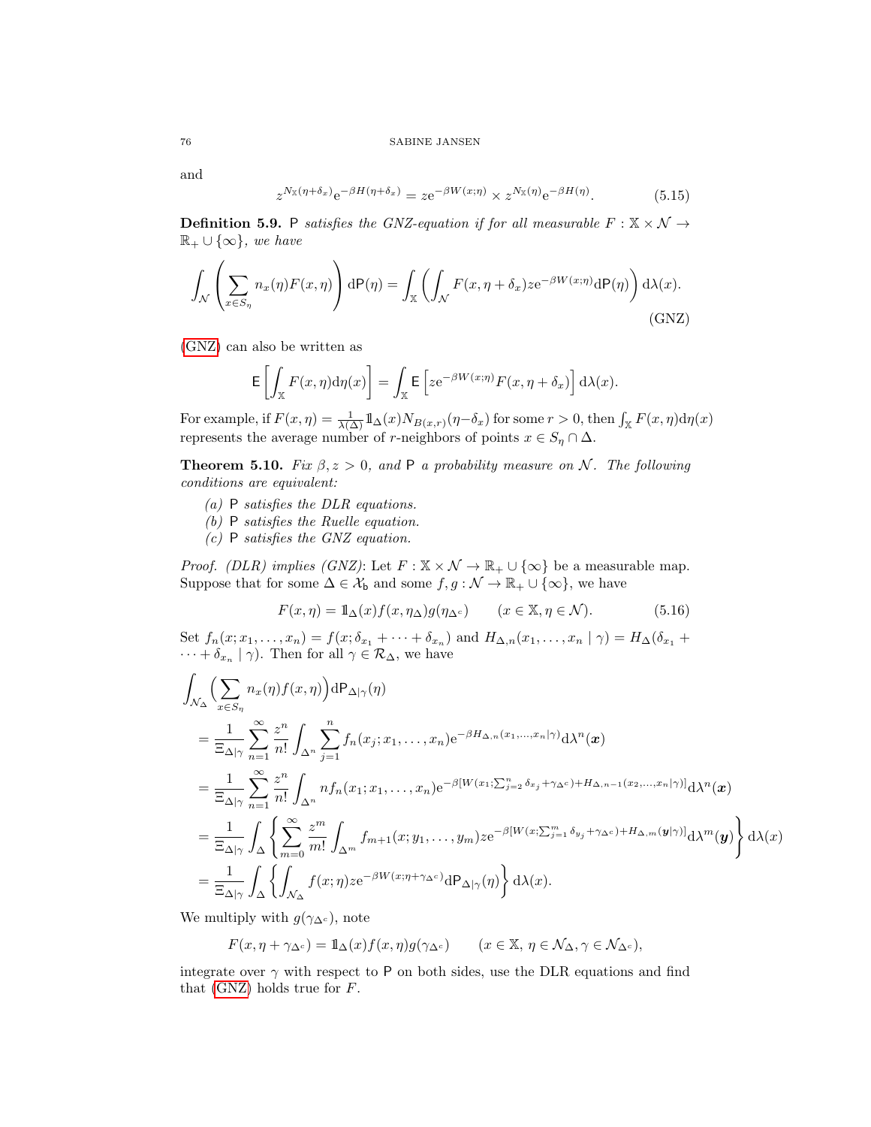and

<span id="page-75-1"></span>
$$
z^{N_{\mathbb{X}}(\eta+\delta_x)}e^{-\beta H(\eta+\delta_x)} = ze^{-\beta W(x;\eta)} \times z^{N_{\mathbb{X}}(\eta)}e^{-\beta H(\eta)}.
$$
 (5.15)

**Definition 5.9.** P satisfies the GNZ-equation if for all measurable  $F : \mathbb{X} \times \mathcal{N} \rightarrow$  $\mathbb{R}_+ \cup \{\infty\}$ , we have

$$
\int_{\mathcal{N}} \left( \sum_{x \in S_{\eta}} n_x(\eta) F(x, \eta) \right) dP(\eta) = \int_{\mathbb{X}} \left( \int_{\mathcal{N}} F(x, \eta + \delta_x) z e^{-\beta W(x; \eta)} dP(\eta) \right) d\lambda(x).
$$
\n(GNZ)

[\(GNZ\)](#page-75-1) can also be written as

$$
\mathsf{E}\left[\int_{\mathbb{X}} F(x,\eta) \mathrm{d}\eta(x)\right] = \int_{\mathbb{X}} \mathsf{E}\left[z e^{-\beta W(x;\eta)} F(x,\eta + \delta_x)\right] \mathrm{d}\lambda(x).
$$

For example, if  $F(x, \eta) = \frac{1}{\lambda(\Delta)} 1\!\text{d}\Delta(x) N_{B(x,r)}(\eta - \delta_x)$  for some  $r > 0$ , then  $\int_{\mathbb{X}} F(x, \eta) d\eta(x)$ represents the average number of r-neighbors of points  $x \in S_n \cap \Delta$ .

<span id="page-75-0"></span>**Theorem 5.10.** Fix  $\beta$ ,  $z > 0$ , and P a probability measure on N. The following conditions are equivalent:

- (a) P satisfies the DLR equations.
- (b) P satisfies the Ruelle equation.
- (c) P satisfies the GNZ equation.

*Proof.* (DLR) implies (GNZ): Let  $F : \mathbb{X} \times \mathcal{N} \to \mathbb{R}_+ \cup {\infty}$  be a measurable map. Suppose that for some  $\Delta \in \mathcal{X}_{\mathbf{b}}$  and some  $f, g : \mathcal{N} \to \mathbb{R}_{+} \cup \{\infty\}$ , we have

$$
F(x,\eta) = 1\!\!1_{\Delta}(x) f(x,\eta_{\Delta}) g(\eta_{\Delta^c}) \qquad (x \in \mathbb{X}, \eta \in \mathcal{N}). \tag{5.16}
$$

Set  $f_n(x; x_1, \ldots, x_n) = f(x; \delta_{x_1} + \cdots + \delta_{x_n})$  and  $H_{\Delta,n}(x_1, \ldots, x_n | \gamma) = H_{\Delta}(\delta_{x_1} + \delta_{x_2})$  $\cdots + \delta_{x_n} \mid \gamma$ ). Then for all  $\gamma \in \mathcal{R}_{\Delta}$ , we have

$$
\int_{\mathcal{N}_{\Delta}} \Big( \sum_{x \in S_{\eta}} n_x(\eta) f(x, \eta) \Big) d\mathsf{P}_{\Delta|\gamma}(\eta)
$$
\n
$$
= \frac{1}{\Xi_{\Delta|\gamma}} \sum_{n=1}^{\infty} \frac{z^n}{n!} \int_{\Delta^n} \sum_{j=1}^n f_n(x_j; x_1, \dots, x_n) e^{-\beta H_{\Delta, n}(x_1, \dots, x_n | \gamma)} d\lambda^n(x)
$$
\n
$$
= \frac{1}{\Xi_{\Delta|\gamma}} \sum_{n=1}^{\infty} \frac{z^n}{n!} \int_{\Delta^n} n f_n(x_1; x_1, \dots, x_n) e^{-\beta [W(x_1; \sum_{j=2}^n \delta_{x_j} + \gamma_{\Delta^c}) + H_{\Delta, n-1}(x_2, \dots, x_n | \gamma)]} d\lambda^n(x)
$$
\n
$$
= \frac{1}{\Xi_{\Delta|\gamma}} \int_{\Delta} \left\{ \sum_{m=0}^{\infty} \frac{z^m}{m!} \int_{\Delta^m} f_{m+1}(x; y_1, \dots, y_m) z e^{-\beta [W(x; \sum_{j=1}^m \delta_{y_j} + \gamma_{\Delta^c}) + H_{\Delta, m}(y | \gamma)]} d\lambda^m(y) \right\} d\lambda(x)
$$
\n
$$
= \frac{1}{\Xi_{\Delta|\gamma}} \int_{\Delta} \left\{ \int_{\mathcal{N}_{\Delta}} f(x; \eta) z e^{-\beta W(x; \eta + \gamma_{\Delta^c})} d\mathsf{P}_{\Delta|\gamma}(\eta) \right\} d\lambda(x).
$$

We multiply with  $g(\gamma_{\Delta^c})$ , note

$$
F(x,\eta+\gamma_{\Delta^c})=\mathbb{1}_{\Delta}(x)f(x,\eta)g(\gamma_{\Delta^c})\qquad(x\in\mathbb{X},\,\eta\in\mathcal{N}_\Delta,\gamma\in\mathcal{N}_{\Delta^c}),
$$

integrate over  $\gamma$  with respect to P on both sides, use the DLR equations and find that  $(GNZ)$  holds true for  $F$ .

$$
^{76}
$$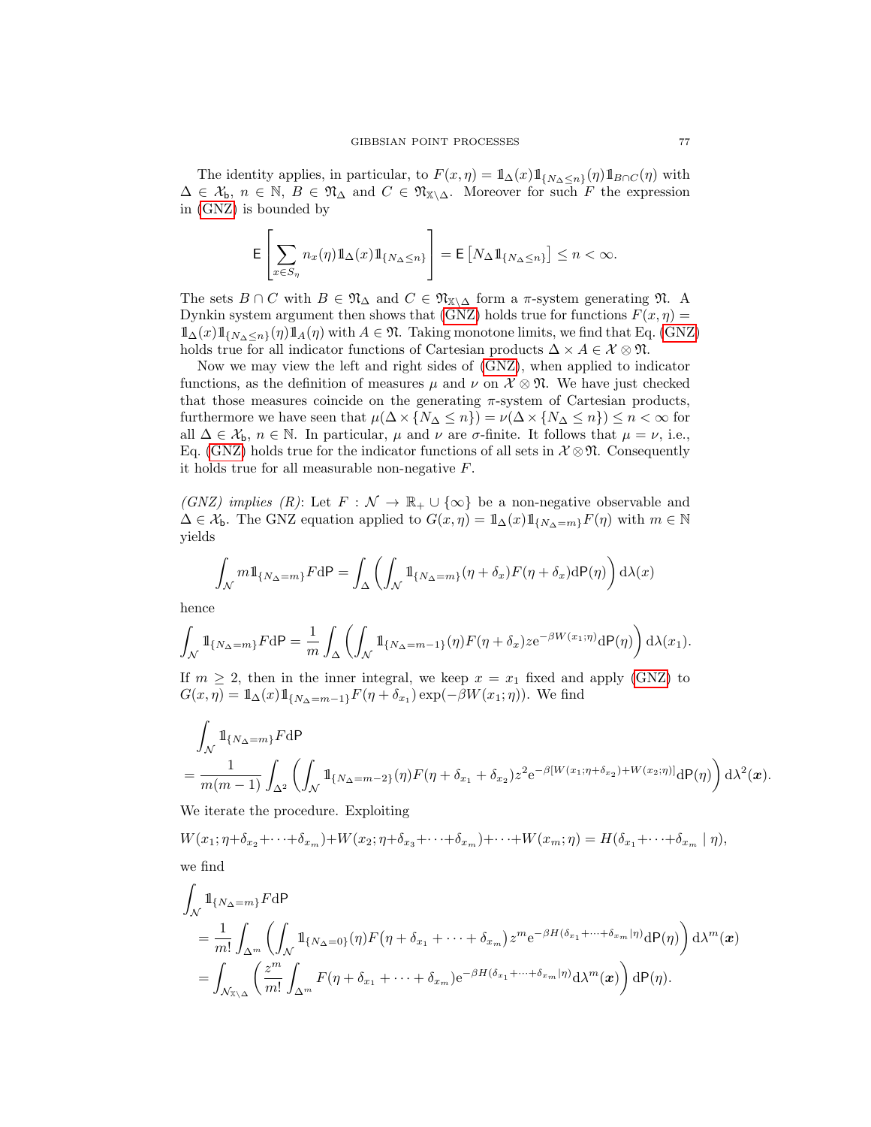The identity applies, in particular, to  $F(x, \eta) = \mathbb{1}_{\Delta}(x) \mathbb{1}_{\{N_{\Delta} \leq n\}}(\eta) \mathbb{1}_{B \cap C}(\eta)$  with  $\Delta \in \mathcal{X}_{\mathsf{b}}, n \in \mathbb{N}, B \in \mathfrak{N}_{\Delta}$  and  $C \in \mathfrak{N}_{\mathbb{X}\setminus \Delta}$ . Moreover for such F the expression in [\(GNZ\)](#page-75-1) is bounded by

$$
\mathsf{E}\left[\sum_{x\in S_{\eta}}n_{x}(\eta)\mathbb{1}_{\Delta}(x)\mathbb{1}_{\{N_{\Delta}\leq n\}}\right]=\mathsf{E}\left[N_{\Delta}\mathbb{1}_{\{N_{\Delta}\leq n\}}\right]\leq n<\infty.
$$

The sets  $B \cap C$  with  $B \in \mathfrak{N}_{\Delta}$  and  $C \in \mathfrak{N}_{\mathbb{X} \setminus \Delta}$  form a  $\pi$ -system generating  $\mathfrak{N}$ . A Dynkin system argument then shows that [\(GNZ\)](#page-75-1) holds true for functions  $F(x, \eta) =$  $1\!\!1_\Delta(x)1\!\!1_{\{N_\Delta\leq n\}}(\eta)1\!\!1_A(\eta)$  with  $A\in\mathfrak{N}$ . Taking monotone limits, we find that Eq. [\(GNZ\)](#page-75-1) holds true for all indicator functions of Cartesian products  $\Delta \times A \in \mathcal{X} \otimes \mathfrak{N}$ .

Now we may view the left and right sides of [\(GNZ\)](#page-75-1), when applied to indicator functions, as the definition of measures  $\mu$  and  $\nu$  on  $\mathcal{X} \otimes \mathfrak{N}$ . We have just checked that those measures coincide on the generating  $\pi$ -system of Cartesian products, furthermore we have seen that  $\mu(\Delta \times \{N_{\Delta}\leq n\}) = \nu(\Delta \times \{N_{\Delta}\leq n\}) \leq n < \infty$  for all  $\Delta \in \mathcal{X}_b$ ,  $n \in \mathbb{N}$ . In particular,  $\mu$  and  $\nu$  are  $\sigma$ -finite. It follows that  $\mu = \nu$ , i.e., Eq. [\(GNZ\)](#page-75-1) holds true for the indicator functions of all sets in  $\mathcal{X} \otimes \mathfrak{N}$ . Consequently it holds true for all measurable non-negative F.

(GNZ) implies (R): Let  $F : \mathcal{N} \to \mathbb{R}_+ \cup {\infty}$  be a non-negative observable and  $\Delta \in \mathcal{X}_{\mathbf{b}}$ . The GNZ equation applied to  $G(x, \eta) = \mathbb{1}_{\Delta}(x) \mathbb{1}_{\{N_{\Delta}=m\}} F(\eta)$  with  $m \in \mathbb{N}$ yields

$$
\int_{\mathcal{N}} m 1\!\!1_{\{N_{\Delta}=m\}} F \mathrm{d} P = \int_{\Delta} \left( \int_{\mathcal{N}} 1\!\!1_{\{N_{\Delta}=m\}} (\eta + \delta_x) F(\eta + \delta_x) \mathrm{d} P(\eta) \right) \mathrm{d} \lambda(x)
$$

hence

$$
\int_{\mathcal{N}} 1\!\!1_{\{N_{\Delta}=m\}} F \mathrm{d} P = \frac{1}{m} \int_{\Delta} \left( \int_{\mathcal{N}} 1\!\!1_{\{N_{\Delta}=m-1\}} (\eta) F(\eta+\delta_x) z e^{-\beta W(x_1;\eta)} \mathrm{d} P(\eta) \right) \mathrm{d} \lambda(x_1).
$$

If  $m \geq 2$ , then in the inner integral, we keep  $x = x_1$  fixed and apply [\(GNZ\)](#page-75-1) to  $G(x, \eta) = \mathbb{1}_{\Delta}(x) \mathbb{1}_{\{N_{\Delta} = m-1\}} F(\eta + \delta_{x_1}) \exp(-\beta W(x_1; \eta))$ . We find

$$
\int_{\mathcal{N}} \mathbb{1}_{\{N_{\Delta}=m\}} F \, \mathrm{d}P
$$
\n
$$
= \frac{1}{m(m-1)} \int_{\Delta^2} \left( \int_{\mathcal{N}} \mathbb{1}_{\{N_{\Delta}=m-2\}} (\eta) F(\eta + \delta_{x_1} + \delta_{x_2}) z^2 e^{-\beta [W(x_1; \eta + \delta_{x_2}) + W(x_2; \eta)]} \mathrm{d}P(\eta) \right) \mathrm{d}\lambda^2(\boldsymbol{x}).
$$

We iterate the procedure. Exploiting

$$
W(x_1; \eta + \delta_{x_2} + \dots + \delta_{x_m}) + W(x_2; \eta + \delta_{x_3} + \dots + \delta_{x_m}) + \dots + W(x_m; \eta) = H(\delta_{x_1} + \dots + \delta_{x_m} | \eta),
$$

we find

$$
\int_{\mathcal{N}} \mathbb{1}_{\{N_{\Delta}=m\}} F \, \mathrm{d}P
$$
\n
$$
= \frac{1}{m!} \int_{\Delta^m} \left( \int_{\mathcal{N}} \mathbb{1}_{\{N_{\Delta}=0\}} (\eta) F(\eta + \delta_{x_1} + \dots + \delta_{x_m}) z^m e^{-\beta H (\delta_{x_1} + \dots + \delta_{x_m} | \eta)} \mathrm{d}P(\eta) \right) \mathrm{d}X^m(\boldsymbol{x})
$$
\n
$$
= \int_{\mathcal{N}_{\mathbb{X} \backslash \Delta}} \left( \frac{z^m}{m!} \int_{\Delta^m} F(\eta + \delta_{x_1} + \dots + \delta_{x_m}) e^{-\beta H (\delta_{x_1} + \dots + \delta_{x_m} | \eta)} \mathrm{d}X^m(\boldsymbol{x}) \right) \mathrm{d}P(\eta).
$$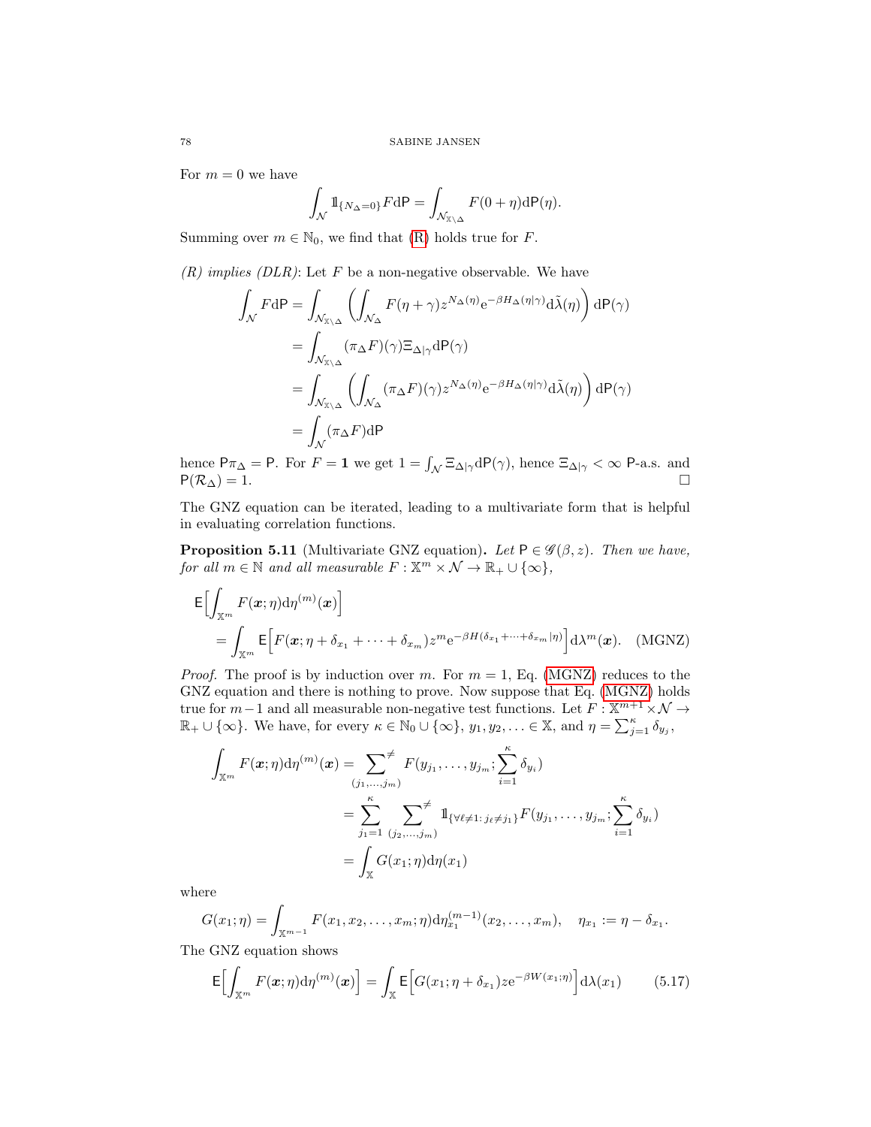For  $m = 0$  we have

$$
\int_{\mathcal{N}} 1\!\!1_{\{N_{\Delta}=0\}} F \mathrm{d} P = \int_{\mathcal{N}_{\mathbb{X}\backslash \Delta}} F(0+\eta) \mathrm{d} P(\eta).
$$

Summing over  $m \in \mathbb{N}_0$ , we find that  $(R)$  holds true for F.

 $(R)$  implies  $(DLR)$ : Let F be a non-negative observable. We have

$$
\begin{split} \int_{\mathcal{N}} F \mathrm{d} \mathsf{P} &= \int_{\mathcal{N}_{\mathbb{X} \backslash \Delta}} \left( \int_{\mathcal{N}_{\Delta}} F(\eta + \gamma) z^{N_{\Delta}(\eta)} \mathrm{e}^{-\beta H_{\Delta}(\eta|\gamma)} \mathrm{d} \tilde{\lambda}(\eta) \right) \mathrm{d} \mathsf{P}(\gamma) \\ &= \int_{\mathcal{N}_{\mathbb{X} \backslash \Delta}} (\pi_{\Delta} F)(\gamma) \Xi_{\Delta|\gamma} \mathrm{d} \mathsf{P}(\gamma) \\ &= \int_{\mathcal{N}_{\mathbb{X} \backslash \Delta}} \left( \int_{\mathcal{N}_{\Delta}} (\pi_{\Delta} F)(\gamma) z^{N_{\Delta}(\eta)} \mathrm{e}^{-\beta H_{\Delta}(\eta|\gamma)} \mathrm{d} \tilde{\lambda}(\eta) \right) \mathrm{d} \mathsf{P}(\gamma) \\ &= \int_{\mathcal{N}} (\pi_{\Delta} F) \mathrm{d} \mathsf{P} \end{split}
$$

hence  $P_{\pi_{\Delta}} = P$ . For  $F = 1$  we get  $1 = \int_{\mathcal{N}} \Xi_{\Delta|\gamma} dP(\gamma)$ , hence  $\Xi_{\Delta|\gamma} < \infty$  P-a.s. and  $P(\mathcal{R}_{\Delta}) = 1.$ 

The GNZ equation can be iterated, leading to a multivariate form that is helpful in evaluating correlation functions.

**Proposition 5.11** (Multivariate GNZ equation). Let  $P \in \mathcal{G}(\beta, z)$ . Then we have, for all  $m \in \mathbb{N}$  and all measurable  $F : \mathbb{X}^m \times \mathcal{N} \to \mathbb{R}_+ \cup \{\infty\},$ 

$$
\mathsf{E}\Big[\int_{\mathbb{X}^m} F(\mathbf{x};\eta) \mathrm{d}\eta^{(m)}(\mathbf{x})\Big]
$$
  
= 
$$
\int_{\mathbb{X}^m} \mathsf{E}\Big[F(\mathbf{x};\eta+\delta_{x_1}+\cdots+\delta_{x_m})z^m e^{-\beta H(\delta_{x_1}+\cdots+\delta_{x_m}|\eta)}\Big] \mathrm{d}\lambda^m(\mathbf{x}). \quad (\text{MGNZ})
$$

*Proof.* The proof is by induction over m. For  $m = 1$ , Eq. [\(MGNZ\)](#page-77-0) reduces to the GNZ equation and there is nothing to prove. Now suppose that Eq. [\(MGNZ\)](#page-77-0) holds true for  $m-1$  and all measurable non-negative test functions. Let  $F : \mathbb{X}^{m+1} \times \mathcal{N} \rightarrow$  $\mathbb{R}_+ \cup \{\infty\}$ . We have, for every  $\kappa \in \mathbb{N}_0 \cup \{\infty\}$ ,  $y_1, y_2, \ldots \in \mathbb{X}$ , and  $\eta = \sum_{j=1}^{\kappa} \delta_{y_j}$ ,

<span id="page-77-0"></span>
$$
\int_{\mathbb{X}^m} F(\boldsymbol{x};\eta) d\eta^{(m)}(\boldsymbol{x}) = \sum_{(j_1,\ldots,j_m)} \mathcal{F}(y_{j_1},\ldots,y_{j_m};\sum_{i=1}^{\kappa} \delta_{y_i})
$$
\n
$$
= \sum_{j_1=1}^{\kappa} \sum_{(j_2,\ldots,j_m)} \mathbb{1}_{\{\forall \ell \neq 1:\, j_\ell \neq j_1\}} F(y_{j_1},\ldots,y_{j_m};\sum_{i=1}^{\kappa} \delta_{y_i})
$$
\n
$$
= \int_{\mathbb{X}} G(x_1;\eta) d\eta(x_1)
$$

where

$$
G(x_1;\eta) = \int_{\mathbb{X}^{m-1}} F(x_1,x_2,\ldots,x_m;\eta) d\eta_{x_1}^{(m-1)}(x_2,\ldots,x_m), \quad \eta_{x_1} := \eta - \delta_{x_1}.
$$

The GNZ equation shows

<span id="page-77-1"></span>
$$
\mathsf{E}\Big[\int_{\mathbb{X}^m} F(\boldsymbol{x};\eta) \mathrm{d}\eta^{(m)}(\boldsymbol{x})\Big] = \int_{\mathbb{X}} \mathsf{E}\Big[G(x_1;\eta + \delta_{x_1}) z e^{-\beta W(x_1;\eta)}\Big] \mathrm{d}\lambda(x_1) \tag{5.17}
$$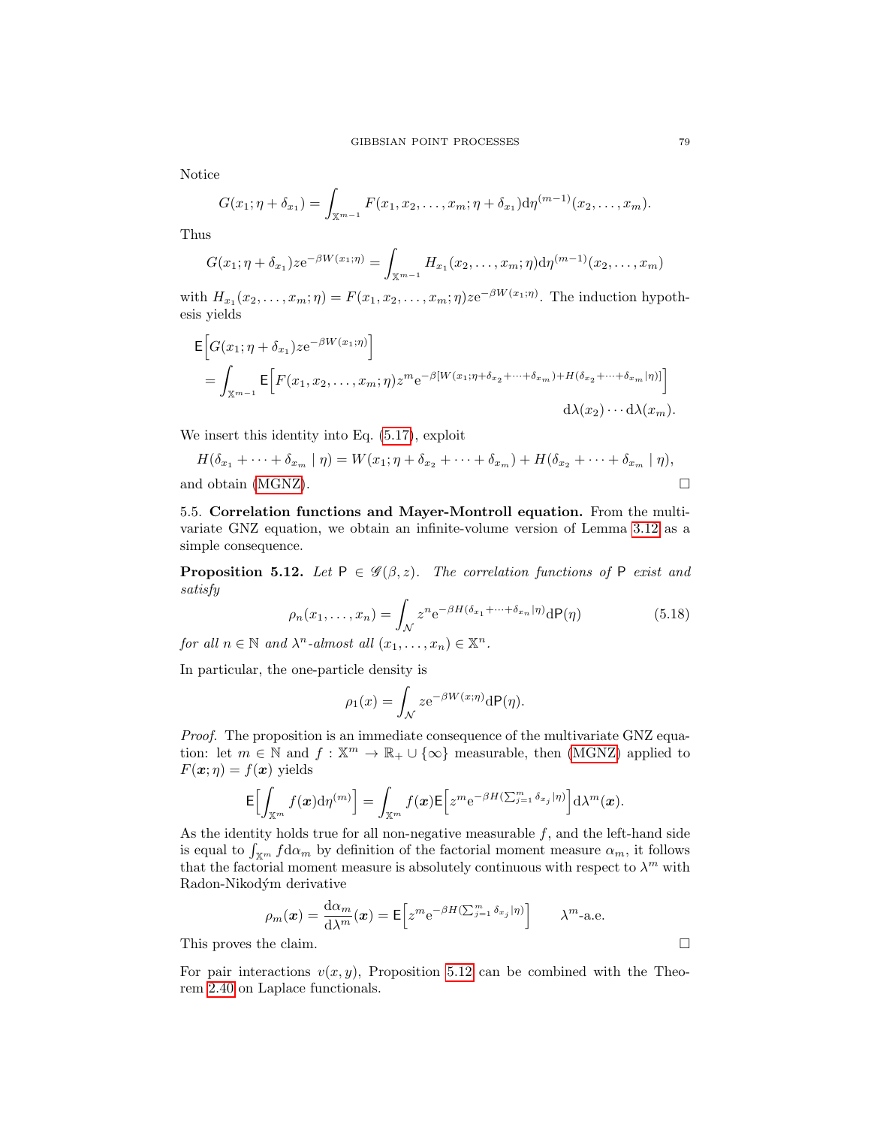Notice

$$
G(x_1; \eta + \delta_{x_1}) = \int_{\mathbb{X}^{m-1}} F(x_1, x_2, \dots, x_m; \eta + \delta_{x_1}) d\eta^{(m-1)}(x_2, \dots, x_m).
$$

Thus

$$
G(x_1; \eta + \delta_{x_1}) z e^{-\beta W(x_1; \eta)} = \int_{\mathbb{X}^{m-1}} H_{x_1}(x_2, \dots, x_m; \eta) d\eta^{(m-1)}(x_2, \dots, x_m)
$$

with  $H_{x_1}(x_2,\ldots,x_m;\eta) = F(x_1,x_2,\ldots,x_m;\eta)z e^{-\beta W(x_1;\eta)}$ . The induction hypothesis yields

$$
\mathsf{E}\Big[G(x_1;\eta+\delta_{x_1})z e^{-\beta W(x_1;\eta)}\Big]
$$
  
=  $\int_{\mathbb{X}^{m-1}} \mathsf{E}\Big[F(x_1,x_2,\ldots,x_m;\eta) z^m e^{-\beta [W(x_1;\eta+\delta_{x_2}+\cdots+\delta_{x_m})+H(\delta_{x_2}+\cdots+\delta_{x_m}|\eta)]}\Big]$   
 $d\lambda(x_2)\cdots d\lambda(x_m).$ 

We insert this identity into Eq. [\(5.17\)](#page-77-1), exploit

$$
H(\delta_{x_1} + \dots + \delta_{x_m} \mid \eta) = W(x_1; \eta + \delta_{x_2} + \dots + \delta_{x_m}) + H(\delta_{x_2} + \dots + \delta_{x_m} \mid \eta),
$$
  
and obtain (MGNZ).

5.5. Correlation functions and Mayer-Montroll equation. From the multivariate GNZ equation, we obtain an infinite-volume version of Lemma [3.12](#page-51-0) as a simple consequence.

<span id="page-78-0"></span>**Proposition 5.12.** Let  $P \in \mathcal{G}(\beta, z)$ . The correlation functions of P exist and satisfy

<span id="page-78-1"></span>
$$
\rho_n(x_1,\ldots,x_n) = \int_{\mathcal{N}} z^n e^{-\beta H(\delta_{x_1} + \cdots + \delta_{x_n}|\eta)} dP(\eta)
$$
(5.18)

for all  $n \in \mathbb{N}$  and  $\lambda^n$ -almost all  $(x_1, \ldots, x_n) \in \mathbb{X}^n$ .

In particular, the one-particle density is

$$
\rho_1(x) = \int_{\mathcal{N}} z e^{-\beta W(x;\eta)} dP(\eta).
$$

Proof. The proposition is an immediate consequence of the multivariate GNZ equation: let  $m \in \mathbb{N}$  and  $f: \mathbb{X}^m \to \mathbb{R}_+ \cup {\infty}$  measurable, then [\(MGNZ\)](#page-77-0) applied to  $F(\boldsymbol{x};\eta) = f(\boldsymbol{x})$  yields

$$
\mathsf{E}\Bigl[\int_{\mathbb{X}^m} f(\boldsymbol{x}) \mathrm{d}\eta^{(m)}\Bigr] = \int_{\mathbb{X}^m} f(\boldsymbol{x}) \mathsf{E}\Bigl[z^m \mathrm{e}^{-\beta H(\sum_{j=1}^m \delta_{x_j}|\eta)}\Bigr] \mathrm{d}\lambda^m(\boldsymbol{x}).
$$

As the identity holds true for all non-negative measurable  $f$ , and the left-hand side is equal to  $\int_{\mathbb{X}^m} f \, \mathrm{d}\alpha_m$  by definition of the factorial moment measure  $\alpha_m$ , it follows that the factorial moment measure is absolutely continuous with respect to  $\lambda^m$  with Radon-Nikodým derivative

$$
\rho_m(\boldsymbol{x}) = \frac{\mathrm{d}\alpha_m}{\mathrm{d}\lambda^m}(\boldsymbol{x}) = \mathsf{E}\Big[z^m \mathrm{e}^{-\beta H(\sum_{j=1}^m \delta_{x_j}|\eta)}\Big] \qquad \lambda^m\text{-a.e.}
$$

This proves the claim.

For pair interactions  $v(x, y)$ , Proposition [5.12](#page-78-0) can be combined with the Theorem [2.40](#page-30-0) on Laplace functionals.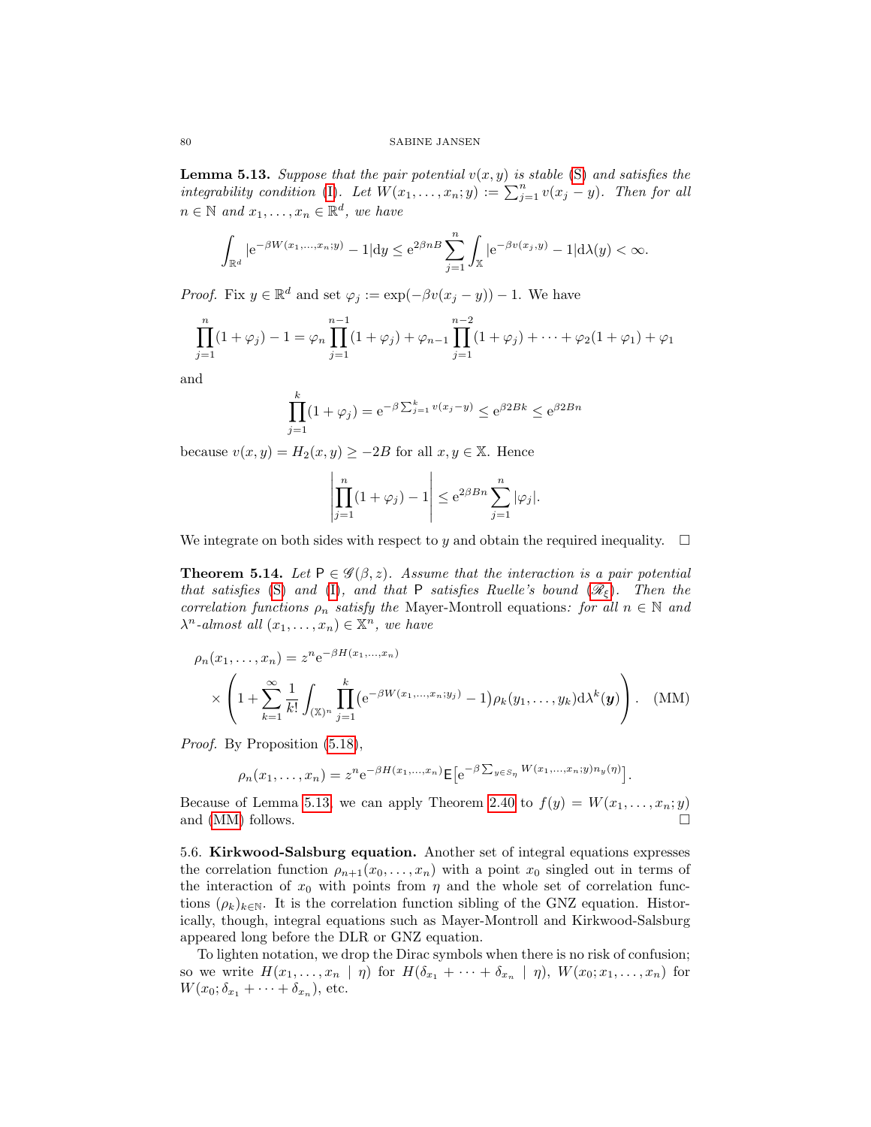<span id="page-79-0"></span>**Lemma 5.13.** Suppose that the pair potential  $v(x, y)$  is stable [\(S\)](#page-74-0) and satisfies the integrability condition [\(I\)](#page-74-1). Let  $W(x_1, \ldots, x_n; y) := \sum_{j=1}^n v(x_j - y)$ . Then for all  $n \in \mathbb{N}$  and  $x_1, \ldots, x_n \in \mathbb{R}^d$ , we have

$$
\int_{\mathbb{R}^d} |e^{-\beta W(x_1,\ldots,x_n;y)} - 1| \mathrm{d}y \le e^{2\beta n B} \sum_{j=1}^n \int_{\mathbb{X}} |e^{-\beta v(x_j,y)} - 1| \mathrm{d}\lambda(y) < \infty.
$$

*Proof.* Fix  $y \in \mathbb{R}^d$  and set  $\varphi_j := \exp(-\beta v(x_j - y)) - 1$ . We have

$$
\prod_{j=1}^{n} (1 + \varphi_j) - 1 = \varphi_n \prod_{j=1}^{n-1} (1 + \varphi_j) + \varphi_{n-1} \prod_{j=1}^{n-2} (1 + \varphi_j) + \dots + \varphi_2 (1 + \varphi_1) + \varphi_1
$$

and

$$
\prod_{j=1}^{k} (1 + \varphi_j) = e^{-\beta \sum_{j=1}^{k} v(x_j - y)} \le e^{\beta 2Bk} \le e^{\beta 2Bn}
$$

because  $v(x, y) = H_2(x, y) \ge -2B$  for all  $x, y \in \mathbb{X}$ . Hence

<span id="page-79-1"></span>
$$
\left|\prod_{j=1}^n (1+\varphi_j)-1\right| \le e^{2\beta B n} \sum_{j=1}^n |\varphi_j|.
$$

We integrate on both sides with respect to y and obtain the required inequality.  $\Box$ 

**Theorem 5.14.** Let  $P \in \mathcal{G}(\beta, z)$ . Assume that the interaction is a pair potential that satisfies [\(S\)](#page-74-0) and [\(I\)](#page-74-1), and that P satisfies [R](#page-29-0)uelle's bound  $(\mathcal{R}_{\xi})$ . Then the correlation functions  $\rho_n$  satisfy the Mayer-Montroll equations: for all  $n \in \mathbb{N}$  and  $\lambda^n$ -almost all  $(x_1, \ldots, x_n) \in \mathbb{X}^n$ , we have

$$
\rho_n(x_1, ..., x_n) = z^n e^{-\beta H(x_1, ..., x_n)}
$$
  
 
$$
\times \left(1 + \sum_{k=1}^{\infty} \frac{1}{k!} \int_{(\mathbb{X})^n} \prod_{j=1}^k (e^{-\beta W(x_1, ..., x_n; y_j)} - 1) \rho_k(y_1, ..., y_k) d\lambda^k(\boldsymbol{y})\right).
$$
 (MM)

Proof. By Proposition  $(5.18)$ ,

$$
\rho_n(x_1,\ldots,x_n)=z^n e^{-\beta H(x_1,\ldots,x_n)} \mathsf{E}\big[e^{-\beta \sum_{y\in S_\eta} W(x_1,\ldots,x_n;y)n_y(\eta)}\big].
$$

Because of Lemma [5.13,](#page-79-0) we can apply Theorem [2.40](#page-30-0) to  $f(y) = W(x_1, \ldots, x_n; y)$ and [\(MM\)](#page-79-1) follows.

<span id="page-79-2"></span>5.6. Kirkwood-Salsburg equation. Another set of integral equations expresses the correlation function  $\rho_{n+1}(x_0, \ldots, x_n)$  with a point  $x_0$  singled out in terms of the interaction of  $x_0$  with points from  $\eta$  and the whole set of correlation functions  $(\rho_k)_{k\in\mathbb{N}}$ . It is the correlation function sibling of the GNZ equation. Historically, though, integral equations such as Mayer-Montroll and Kirkwood-Salsburg appeared long before the DLR or GNZ equation.

To lighten notation, we drop the Dirac symbols when there is no risk of confusion; so we write  $H(x_1, \ldots, x_n \mid \eta)$  for  $H(\delta_{x_1} + \cdots + \delta_{x_n} \mid \eta)$ ,  $W(x_0; x_1, \ldots, x_n)$  for  $W(x_0; \delta_{x_1} + \cdots + \delta_{x_n}),$  etc.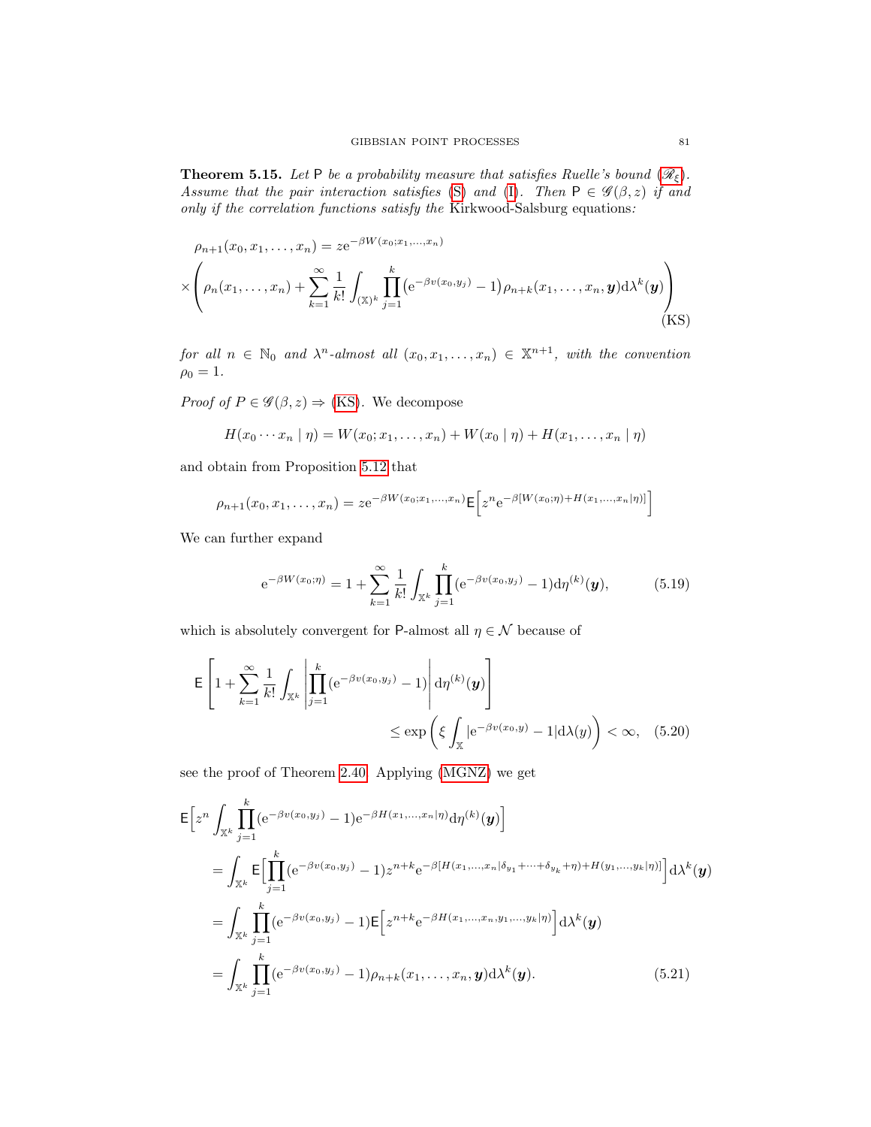<span id="page-80-2"></span>**Theorem 5.15.** Let P be a probability measure that satisfies [R](#page-29-0)uelle's bound  $(\mathcal{R}_{\xi})$ . Assume that the pair interaction satisfies [\(S\)](#page-74-0) and [\(I\)](#page-74-1). Then  $P \in \mathcal{G}(\beta, z)$  if and only if the correlation functions satisfy the Kirkwood-Salsburg equations:

$$
\rho_{n+1}(x_0, x_1, \dots, x_n) = z e^{-\beta W(x_0; x_1, \dots, x_n)}
$$

$$
\times \left( \rho_n(x_1, \dots, x_n) + \sum_{k=1}^{\infty} \frac{1}{k!} \int_{(\mathbb{X})^k} \prod_{j=1}^k (e^{-\beta v(x_0, y_j)} - 1) \rho_{n+k}(x_1, \dots, x_n, \mathbf{y}) d\lambda^k(\mathbf{y}) \right)
$$
(KS)

for all  $n \in \mathbb{N}_0$  and  $\lambda^n$ -almost all  $(x_0, x_1, \ldots, x_n) \in \mathbb{X}^{n+1}$ , with the convention  $\rho_0 = 1.$ 

*Proof of*  $P \in \mathscr{G}(\beta, z) \Rightarrow$  [\(KS\)](#page-80-0). We decompose

<span id="page-80-0"></span>
$$
H(x_0 \cdots x_n | \eta) = W(x_0; x_1, \ldots, x_n) + W(x_0 | \eta) + H(x_1, \ldots, x_n | \eta)
$$

and obtain from Proposition [5.12](#page-78-0) that

$$
\rho_{n+1}(x_0, x_1, \dots, x_n) = z e^{-\beta W(x_0; x_1, \dots, x_n)} \mathsf{E} \Big[ z^n e^{-\beta [W(x_0; \eta) + H(x_1, \dots, x_n | \eta)]} \Big]
$$

We can further expand

$$
e^{-\beta W(x_0;\eta)} = 1 + \sum_{k=1}^{\infty} \frac{1}{k!} \int_{\mathbb{X}^k} \prod_{j=1}^k (e^{-\beta v(x_0,y_j)} - 1) d\eta^{(k)}(\mathbf{y}), \tag{5.19}
$$

which is absolutely convergent for P-almost all  $\eta \in \mathcal{N}$  because of

$$
\mathsf{E}\left[1+\sum_{k=1}^{\infty}\frac{1}{k!}\int_{\mathbb{X}^{k}}\left|\prod_{j=1}^{k}(e^{-\beta v(x_{0},y_{j})}-1)\right|\mathrm{d}\eta^{(k)}(\mathbf{y})\right]
$$

$$
\leq \exp\left(\xi\int_{\mathbb{X}}|e^{-\beta v(x_{0},y)}-1|\mathrm{d}\lambda(y)\right)<\infty, \quad (5.20)
$$

see the proof of Theorem [2.40.](#page-30-0) Applying [\(MGNZ\)](#page-77-0) we get

<span id="page-80-1"></span>
$$
\mathsf{E}\Big[z^{n}\int_{\mathbb{X}^{k}}\prod_{j=1}^{k}(e^{-\beta v(x_{0},y_{j})}-1)e^{-\beta H(x_{1},...,x_{n}|\eta)}\mathrm{d}\eta^{(k)}(\mathbf{y})\Big]
$$
\n
$$
=\int_{\mathbb{X}^{k}}\mathsf{E}\Big[\prod_{j=1}^{k}(e^{-\beta v(x_{0},y_{j})}-1)z^{n+k}e^{-\beta[H(x_{1},...,x_{n}|\delta_{y_{1}}+...+\delta_{y_{k}}+\eta)+H(y_{1},...,y_{k}|\eta)]}\Big]d\lambda^{k}(\mathbf{y})
$$
\n
$$
=\int_{\mathbb{X}^{k}}\prod_{j=1}^{k}(e^{-\beta v(x_{0},y_{j})}-1)\mathsf{E}\Big[z^{n+k}e^{-\beta H(x_{1},...,x_{n},y_{1},...,y_{k}|\eta)}\Big]d\lambda^{k}(\mathbf{y})
$$
\n
$$
=\int_{\mathbb{X}^{k}}\prod_{j=1}^{k}(e^{-\beta v(x_{0},y_{j})}-1)\rho_{n+k}(x_{1},...,x_{n},\mathbf{y})d\lambda^{k}(\mathbf{y}). \tag{5.21}
$$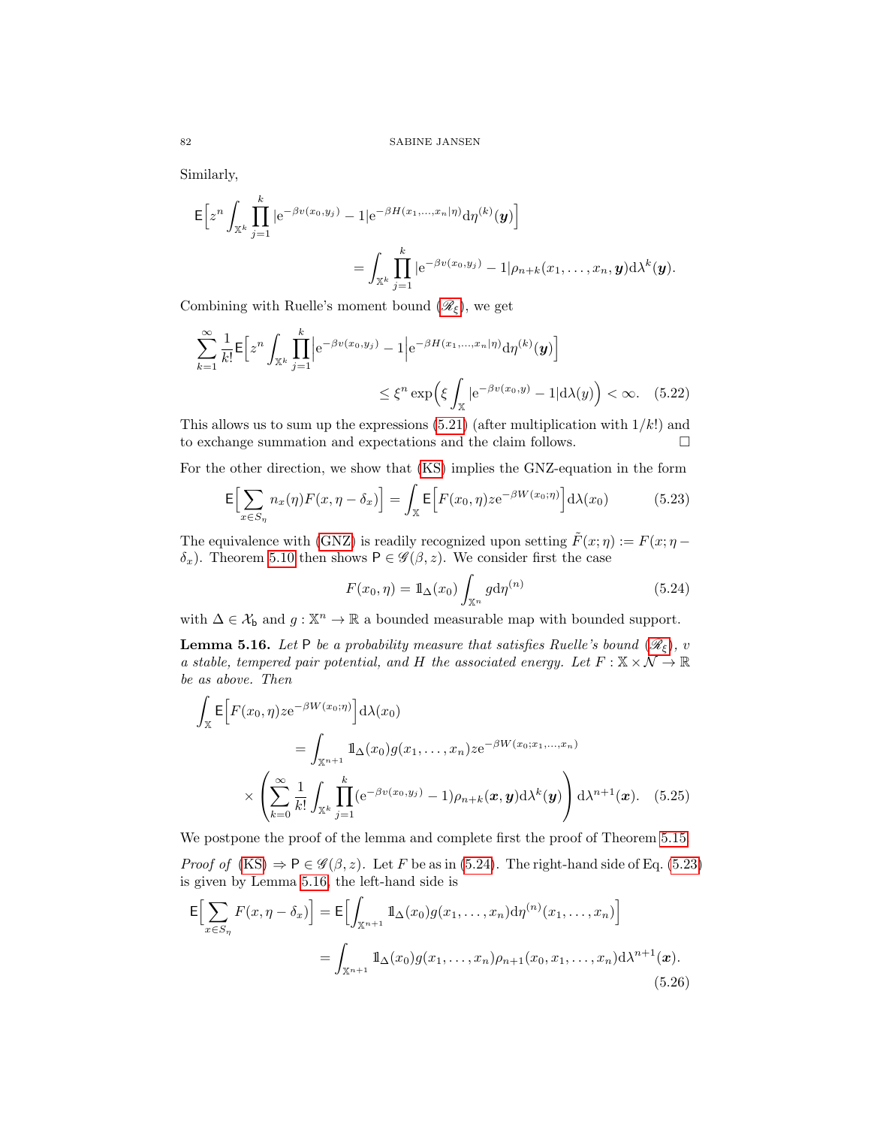Similarly,

$$
\mathsf{E}\Big[z^n\int_{\mathbb{X}^k}\prod_{j=1}^k |e^{-\beta v(x_0,y_j)}-1|e^{-\beta H(x_1,...,x_n|\eta)}d\eta^{(k)}(\mathbf{y})\Big] \n= \int_{\mathbb{X}^k}\prod_{j=1}^k |e^{-\beta v(x_0,y_j)}-1|\rho_{n+k}(x_1,...,x_n,\mathbf{y})d\lambda^k(\mathbf{y}).
$$

Combining with [R](#page-29-0)uelle's moment bound  $(\mathcal{R}_{\xi})$ , we get

$$
\sum_{k=1}^{\infty} \frac{1}{k!} \mathsf{E} \Big[ z^n \int_{\mathbb{X}^k} \prod_{j=1}^k \Big| e^{-\beta v(x_0, y_j)} - 1 \Big| e^{-\beta H(x_1, \dots, x_n | \eta)} d\eta^{(k)}(\mathbf{y}) \Big] \leq \xi^n \exp \Big( \xi \int_{\mathbb{X}} |e^{-\beta v(x_0, y)} - 1| d\lambda(y) \Big) < \infty. \quad (5.22)
$$

This allows us to sum up the expressions  $(5.21)$  (after multiplication with  $1/k!$ ) and to exchange summation and expectations and the claim follows.

For the other direction, we show that [\(KS\)](#page-80-0) implies the GNZ-equation in the form

<span id="page-81-1"></span>
$$
\mathsf{E}\Big[\sum_{x\in S_{\eta}} n_x(\eta) F(x, \eta - \delta_x)\Big] = \int_{\mathbb{X}} \mathsf{E}\Big[F(x_0, \eta) z e^{-\beta W(x_0; \eta)}\Big] d\lambda(x_0)
$$
(5.23)

The equivalence with [\(GNZ\)](#page-75-1) is readily recognized upon setting  $\tilde{F}(x; \eta) := F(x; \eta \delta_x$ ). Theorem [5.10](#page-75-0) then shows  $P \in \mathscr{G}(\beta, z)$ . We consider first the case

<span id="page-81-3"></span><span id="page-81-0"></span>
$$
F(x_0, \eta) = \mathbb{1}_{\Delta}(x_0) \int_{\mathbb{X}^n} g \mathrm{d}\eta^{(n)} \tag{5.24}
$$

with  $\Delta \in \mathcal{X}_b$  and  $g: \mathbb{X}^n \to \mathbb{R}$  a bounded measurable map with bounded support.

<span id="page-81-2"></span>**Lemma 5.16.** Let P be a probability measure that satisfies [R](#page-29-0)uelle's bound  $(\mathcal{R}_{\xi})$ , v a stable, tempered pair potential, and H the associated energy. Let  $F : \mathbb{X} \times \mathcal{N} \to \mathbb{R}$ be as above. Then

$$
\int_{\mathbb{X}} \mathsf{E}\Big[F(x_0,\eta)ze^{-\beta W(x_0;\eta)}\Big] d\lambda(x_0)
$$
\n
$$
= \int_{\mathbb{X}^{n+1}} \mathbb{1}_{\Delta}(x_0)g(x_1,\ldots,x_n)ze^{-\beta W(x_0;x_1,\ldots,x_n)}
$$
\n
$$
\times \left(\sum_{k=0}^{\infty} \frac{1}{k!} \int_{\mathbb{X}^k} \prod_{j=1}^k (e^{-\beta v(x_0,y_j)} - 1)\rho_{n+k}(x,y) d\lambda^k(y)\right) d\lambda^{n+1}(x). \quad (5.25)
$$

We postpone the proof of the lemma and complete first the proof of Theorem [5.15.](#page-80-2)

*Proof of*  $(KS) \Rightarrow P \in \mathscr{G}(\beta, z)$  $(KS) \Rightarrow P \in \mathscr{G}(\beta, z)$ . Let F be as in [\(5.24\)](#page-81-0). The right-hand side of Eq. [\(5.23\)](#page-81-1) is given by Lemma [5.16,](#page-81-2) the left-hand side is

<span id="page-81-4"></span>
$$
\mathsf{E}\Big[\sum_{x\in S_n} F(x,\eta-\delta_x)\Big] = \mathsf{E}\Big[\int_{\mathbb{X}^{n+1}} \mathbb{1}_{\Delta}(x_0)g(x_1,\ldots,x_n)\mathrm{d}\eta^{(n)}(x_1,\ldots,x_n)\Big]
$$

$$
= \int_{\mathbb{X}^{n+1}} \mathbb{1}_{\Delta}(x_0)g(x_1,\ldots,x_n)\rho_{n+1}(x_0,x_1,\ldots,x_n)\mathrm{d}\lambda^{n+1}(x). \tag{5.26}
$$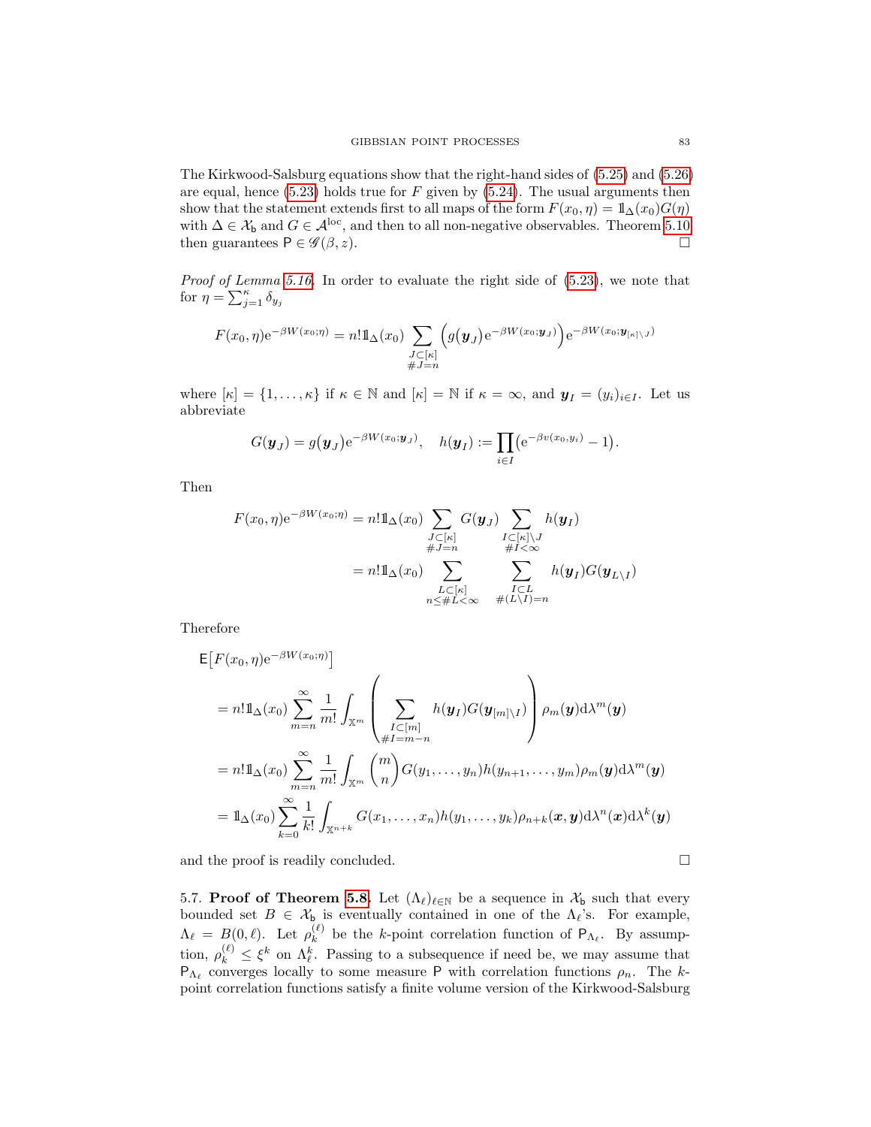The Kirkwood-Salsburg equations show that the right-hand sides of [\(5.25\)](#page-81-3) and [\(5.26\)](#page-81-4) are equal, hence  $(5.23)$  holds true for F given by  $(5.24)$ . The usual arguments then show that the statement extends first to all maps of the form  $F(x_0, \eta) = \mathbb{1}_{\Delta}(x_0)G(\eta)$ with  $\Delta \in \mathcal{X}_{\mathbf{b}}$  and  $G \in \mathcal{A}^{\text{loc}}$ , and then to all non-negative observables. Theorem [5.10](#page-75-0) then guarantees  $P \in \mathscr{G}(\beta, z)$ .

Proof of Lemma [5.16.](#page-81-2) In order to evaluate the right side of  $(5.23)$ , we note that for  $\eta = \sum_{j=1}^{\kappa} \delta_{y_j}$ 

$$
F(x_0, \eta) e^{-\beta W(x_0, \eta)} = n! 1\!\!1_{\Delta}(x_0) \sum_{\substack{J \subset [\kappa] \\ \#J = n}} \Big( g(\mathbf{y}_J) e^{-\beta W(x_0, \mathbf{y}_J)} \Big) e^{-\beta W(x_0, \mathbf{y}_{[\kappa] \setminus J})}
$$

where  $[\kappa] = \{1, \ldots, \kappa\}$  if  $\kappa \in \mathbb{N}$  and  $[\kappa] = \mathbb{N}$  if  $\kappa = \infty$ , and  $\mathbf{y}_I = (y_i)_{i \in I}$ . Let us abbreviate

$$
G(\boldsymbol{y}_J) = g(\boldsymbol{y}_J) e^{-\beta W(x_0; \boldsymbol{y}_J)}, \quad h(\boldsymbol{y}_I) := \prod_{i \in I} (e^{-\beta v(x_0, y_i)} - 1).
$$

Then

$$
F(x_0, \eta) e^{-\beta W(x_0; \eta)} = n! \mathbb{1}_{\Delta}(x_0) \sum_{\substack{J \subset [\kappa] \\ \#J = n}} G(\mathbf{y}_J) \sum_{\substack{I \subset [\kappa] \\ \#I < \infty \\ \#I < \infty}} h(\mathbf{y}_I)
$$

$$
= n! \mathbb{1}_{\Delta}(x_0) \sum_{\substack{L \subset [\kappa] \\ n \le \#L < \infty}} \sum_{\substack{I \subset L \\ \#(L \setminus I) = n}} h(\mathbf{y}_I) G(\mathbf{y}_{L \setminus I})
$$

Therefore

$$
\begin{split}\n&= [F(x_0, \eta) e^{-\beta W(x_0; \eta)}] \\
&= n! \mathbb{1}_{\Delta}(x_0) \sum_{m=n}^{\infty} \frac{1}{m!} \int_{\mathbb{X}^m} \left( \sum_{\substack{I \subset [m] \\ \#I = m-n}} h(y_I) G(y_{[m] \setminus I}) \right) \rho_m(y) \mathrm{d} \lambda^m(y) \\
&= n! \mathbb{1}_{\Delta}(x_0) \sum_{m=n}^{\infty} \frac{1}{m!} \int_{\mathbb{X}^m} {m \choose n} G(y_1, \dots, y_n) h(y_{n+1}, \dots, y_m) \rho_m(y) \mathrm{d} \lambda^m(y) \\
&= \mathbb{1}_{\Delta}(x_0) \sum_{k=0}^{\infty} \frac{1}{k!} \int_{\mathbb{X}^{n+k}} G(x_1, \dots, x_n) h(y_1, \dots, y_k) \rho_{n+k}(x, y) \mathrm{d} \lambda^n(x) \mathrm{d} \lambda^k(y)\n\end{split}
$$

and the proof is readily concluded.  $\Box$ 

<span id="page-82-0"></span>5.7. **Proof of Theorem [5.8.](#page-74-2)** Let  $(\Lambda_{\ell})_{\ell \in \mathbb{N}}$  be a sequence in  $\mathcal{X}_{b}$  such that every bounded set  $B \in \mathcal{X}_b$  is eventually contained in one of the  $\Lambda_{\ell}$ 's. For example,  $\Lambda_{\ell} \ = \ B(0,\ell)$ . Let  $\rho_k^{(\ell)}$  $\kappa_k^{(t)}$  be the k-point correlation function of  $P_{\Lambda_{\ell}}$ . By assumption,  $\rho_k^{(\ell)} \leq \xi^k$  on  $\Lambda_\ell^k$ . Passing to a subsequence if need be, we may assume that  $P_{\Lambda_{\ell}}$  converges locally to some measure P with correlation functions  $\rho_n$ . The kpoint correlation functions satisfy a finite volume version of the Kirkwood-Salsburg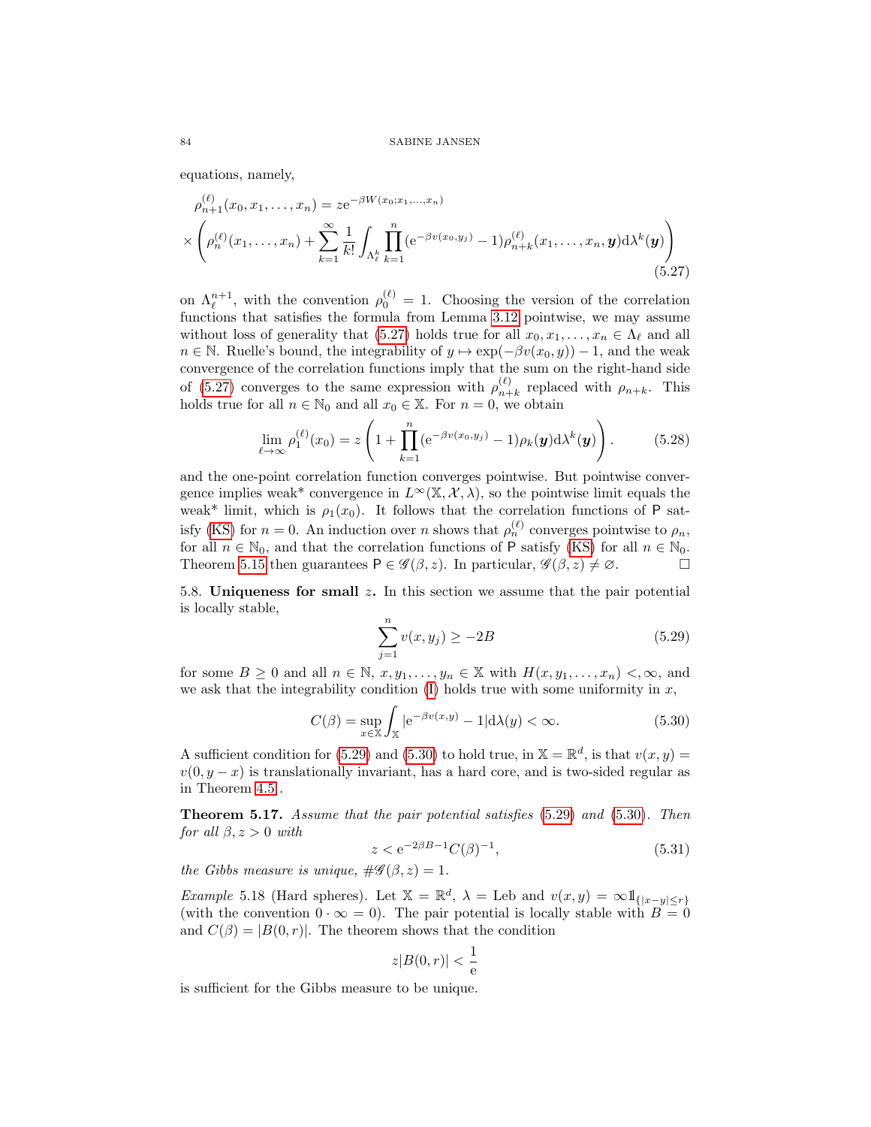equations, namely,

$$
\rho_{n+1}^{(\ell)}(x_0, x_1, \dots, x_n) = z e^{-\beta W(x_0; x_1, \dots, x_n)}
$$

$$
\times \left( \rho_n^{(\ell)}(x_1, \dots, x_n) + \sum_{k=1}^{\infty} \frac{1}{k!} \int_{\Lambda_k^k} \prod_{k=1}^n (e^{-\beta v(x_0, y_j)} - 1) \rho_{n+k}^{(\ell)}(x_1, \dots, x_n, \mathbf{y}) d\lambda^k(\mathbf{y}) \right)
$$
(5.27)

on  $\Lambda_{\ell}^{n+1}$ , with the convention  $\rho_0^{(\ell)} = 1$ . Choosing the version of the correlation functions that satisfies the formula from Lemma [3.12](#page-51-0) pointwise, we may assume without loss of generality that [\(5.27\)](#page-83-0) holds true for all  $x_0, x_1, \ldots, x_n \in \Lambda_\ell$  and all  $n \in \mathbb{N}$ . Ruelle's bound, the integrability of  $y \mapsto \exp(-\beta v(x_0, y)) - 1$ , and the weak convergence of the correlation functions imply that the sum on the right-hand side of [\(5.27\)](#page-83-0) converges to the same expression with  $\rho_{n+1}^{(\ell)}$  $_{n+k}^{(\ell)}$  replaced with  $\rho_{n+k}$ . This holds true for all  $n \in \mathbb{N}_0$  and all  $x_0 \in \mathbb{X}$ . For  $n = 0$ , we obtain

<span id="page-83-0"></span>
$$
\lim_{\ell \to \infty} \rho_1^{(\ell)}(x_0) = z \left( 1 + \prod_{k=1}^n (e^{-\beta v(x_0, y_j)} - 1) \rho_k(\boldsymbol{y}) d\lambda^k(\boldsymbol{y}) \right). \tag{5.28}
$$

and the one-point correlation function converges pointwise. But pointwise convergence implies weak\* convergence in  $L^{\infty}(\mathbb{X}, \mathcal{X}, \lambda)$ , so the pointwise limit equals the weak\* limit, which is  $\rho_1(x_0)$ . It follows that the correlation functions of P sat-isfy [\(KS\)](#page-80-0) for  $n = 0$ . An induction over n shows that  $\rho_n^{(\ell)}$  converges pointwise to  $\rho_n$ , for all  $n \in \mathbb{N}_0$ , and that the correlation functions of P satisfy [\(KS\)](#page-80-0) for all  $n \in \mathbb{N}_0$ . Theorem [5.15](#page-80-2) then guarantees  $P \in \mathscr{G}(\beta, z)$ . In particular,  $\mathscr{G}(\beta, z) \neq \emptyset$ .

<span id="page-83-5"></span>5.8. Uniqueness for small z. In this section we assume that the pair potential is locally stable,

<span id="page-83-1"></span>
$$
\sum_{j=1}^{n} v(x, y_j) \ge -2B \tag{5.29}
$$

for some  $B \geq 0$  and all  $n \in \mathbb{N}$ ,  $x, y_1, \ldots, y_n \in \mathbb{X}$  with  $H(x, y_1, \ldots, x_n) < \infty$ , and we ask that the integrability condition  $(I)$  holds true with some uniformity in  $x$ ,

<span id="page-83-2"></span>
$$
C(\beta) = \sup_{x \in \mathbb{X}} \int_{\mathbb{X}} |e^{-\beta v(x,y)} - 1| d\lambda(y) < \infty.
$$
 (5.30)

A sufficient condition for [\(5.29\)](#page-83-1) and [\(5.30\)](#page-83-2) to hold true, in  $\mathbb{X} = \mathbb{R}^d$ , is that  $v(x, y) =$  $v(0, y - x)$  is translationally invariant, has a hard core, and is two-sided regular as in Theorem [4.5](#page-57-0) .

<span id="page-83-4"></span>Theorem 5.17. Assume that the pair potential satisfies [\(5.29\)](#page-83-1) and [\(5.30\)](#page-83-2). Then for all  $\beta$ ,  $z > 0$  with

<span id="page-83-3"></span>
$$
z < e^{-2\beta B - 1} C(\beta)^{-1},\tag{5.31}
$$

the Gibbs measure is unique,  $\#\mathscr{G}(\beta,z)=1$ .

*Example* 5.18 (Hard spheres). Let  $X = \mathbb{R}^d$ ,  $\lambda =$  Leb and  $v(x, y) = \infty \mathbb{1}_{\{|x-y| \leq r\}}$ (with the convention  $0 \cdot \infty = 0$ ). The pair potential is locally stable with  $B = 0$ and  $C(\beta) = |B(0, r)|$ . The theorem shows that the condition

$$
z|B(0,r)| < \frac{1}{\mathrm{e}}
$$

is sufficient for the Gibbs measure to be unique.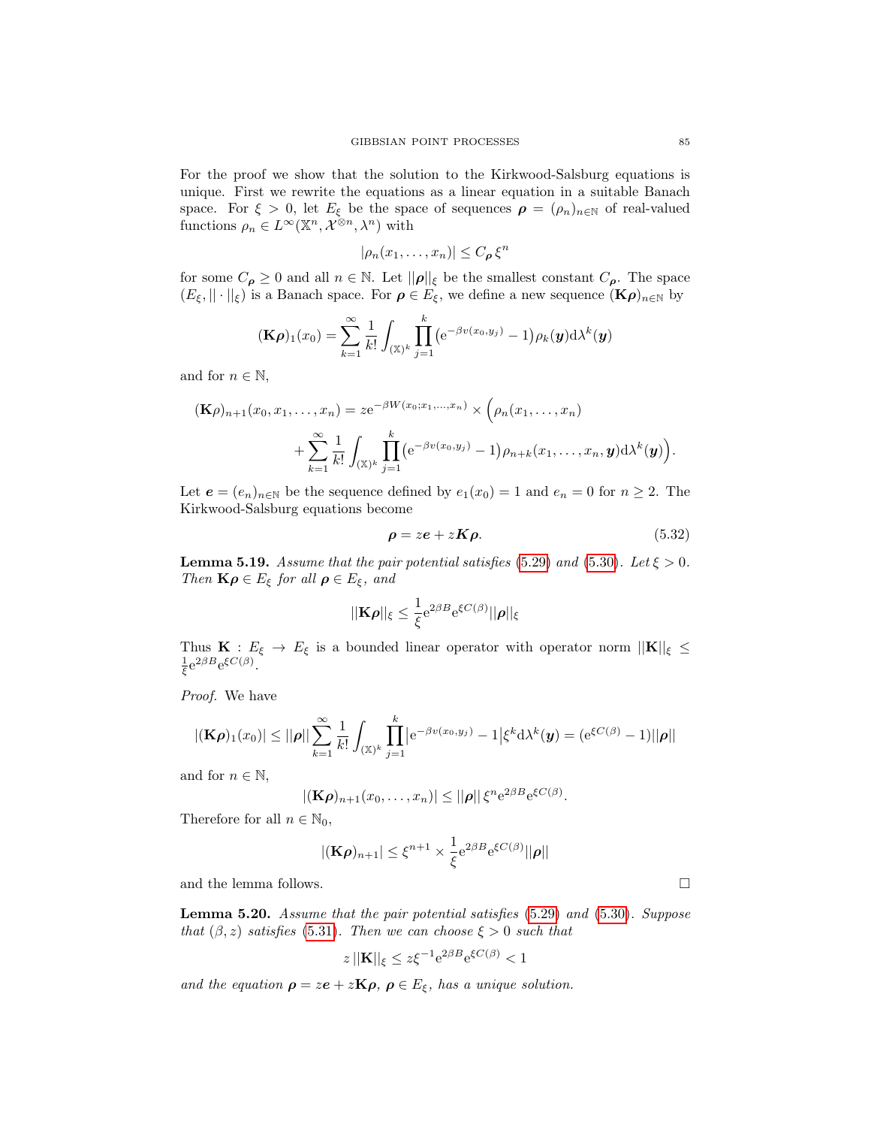For the proof we show that the solution to the Kirkwood-Salsburg equations is unique. First we rewrite the equations as a linear equation in a suitable Banach space. For  $\xi > 0$ , let  $E_{\xi}$  be the space of sequences  $\rho = (\rho_n)_{n \in \mathbb{N}}$  of real-valued functions  $\rho_n \in L^{\infty}(\mathbb{X}^n, \mathcal{X}^{\otimes n}, \lambda^n)$  with

$$
|\rho_n(x_1,\ldots,x_n)| \leq C_{\rho} \xi^n
$$

for some  $C_{\rho} \ge 0$  and all  $n \in \mathbb{N}$ . Let  $||\rho||_{\xi}$  be the smallest constant  $C_{\rho}$ . The space  $(E_{\xi}, || \cdot ||_{\xi})$  is a Banach space. For  $\rho \in E_{\xi}$ , we define a new sequence  $(\mathbf{K}\rho)_{n\in\mathbb{N}}$  by

$$
(\mathbf{K}\boldsymbol{\rho})_1(x_0) = \sum_{k=1}^{\infty} \frac{1}{k!} \int_{(\mathbb{X})^k} \prod_{j=1}^k (e^{-\beta v(x_0, y_j)} - 1) \rho_k(\mathbf{y}) d\lambda^k(\mathbf{y})
$$

and for  $n \in \mathbb{N}$ ,

$$
(\mathbf{K}\rho)_{n+1}(x_0, x_1, \dots, x_n) = z e^{-\beta W(x_0; x_1, \dots, x_n)} \times \left( \rho_n(x_1, \dots, x_n) + \sum_{k=1}^{\infty} \frac{1}{k!} \int_{(\mathbb{X})^k} \prod_{j=1}^k (e^{-\beta v(x_0, y_j)} - 1) \rho_{n+k}(x_1, \dots, x_n, \mathbf{y}) \mathrm{d}\lambda^k(\mathbf{y}) \right).
$$

Let  $e = (e_n)_{n \in \mathbb{N}}$  be the sequence defined by  $e_1(x_0) = 1$  and  $e_n = 0$  for  $n \geq 2$ . The Kirkwood-Salsburg equations become

$$
\rho = ze + zK\rho. \tag{5.32}
$$

**Lemma 5.19.** Assume that the pair potential satisfies [\(5.29\)](#page-83-1) and [\(5.30\)](#page-83-2). Let  $\xi > 0$ . Then  $\mathbf{K}\boldsymbol{\rho} \in E_{\xi}$  for all  $\boldsymbol{\rho} \in E_{\xi}$ , and

$$
||\mathbf{K}\boldsymbol{\rho}||_{\xi} \leq \frac{1}{\xi} e^{2\beta B} e^{\xi C(\beta)} ||\boldsymbol{\rho}||_{\xi}
$$

Thus  $\mathbf{K} : E_{\xi} \to E_{\xi}$  is a bounded linear operator with operator norm  $||\mathbf{K}||_{\xi} \leq \frac{1}{\xi} e^{2\beta B} e^{\xi C(\beta)}$ .

Proof. We have

$$
|(\mathbf{K}\boldsymbol{\rho})_1(x_0)| \leq ||\boldsymbol{\rho}|| \sum_{k=1}^{\infty} \frac{1}{k!} \int_{(\mathbb{X})^k} \prod_{j=1}^k |e^{-\beta v(x_0, y_j)} - 1| \xi^k d\lambda^k(\boldsymbol{y}) = (e^{\xi C(\beta)} - 1) ||\boldsymbol{\rho}||
$$

and for  $n \in \mathbb{N}$ ,

$$
|(\mathbf{K}\boldsymbol{\rho})_{n+1}(x_0,\ldots,x_n)| \leq ||\boldsymbol{\rho}||\,\xi^n\mathrm{e}^{2\beta B}\mathrm{e}^{\xi C(\beta)}.
$$

Therefore for all  $n \in \mathbb{N}_0$ ,

$$
|(\mathbf{K}\boldsymbol{\rho})_{n+1}| \leq \xi^{n+1} \times \frac{1}{\xi} e^{2\beta B} e^{\xi C(\beta)} ||\boldsymbol{\rho}||
$$

and the lemma follows.  $\hfill \square$ 

<span id="page-84-0"></span>Lemma 5.20. Assume that the pair potential satisfies [\(5.29\)](#page-83-1) and [\(5.30\)](#page-83-2). Suppose that  $(\beta, z)$  satisfies [\(5.31\)](#page-83-3). Then we can choose  $\xi > 0$  such that

$$
z \, ||\mathbf{K}||_{\xi} \le z \xi^{-1} e^{2\beta B} e^{\xi C(\beta)} < 1
$$

and the equation  $\rho = ze + z\mathbf{K}\rho, \ \rho \in E_{\xi}$ , has a unique solution.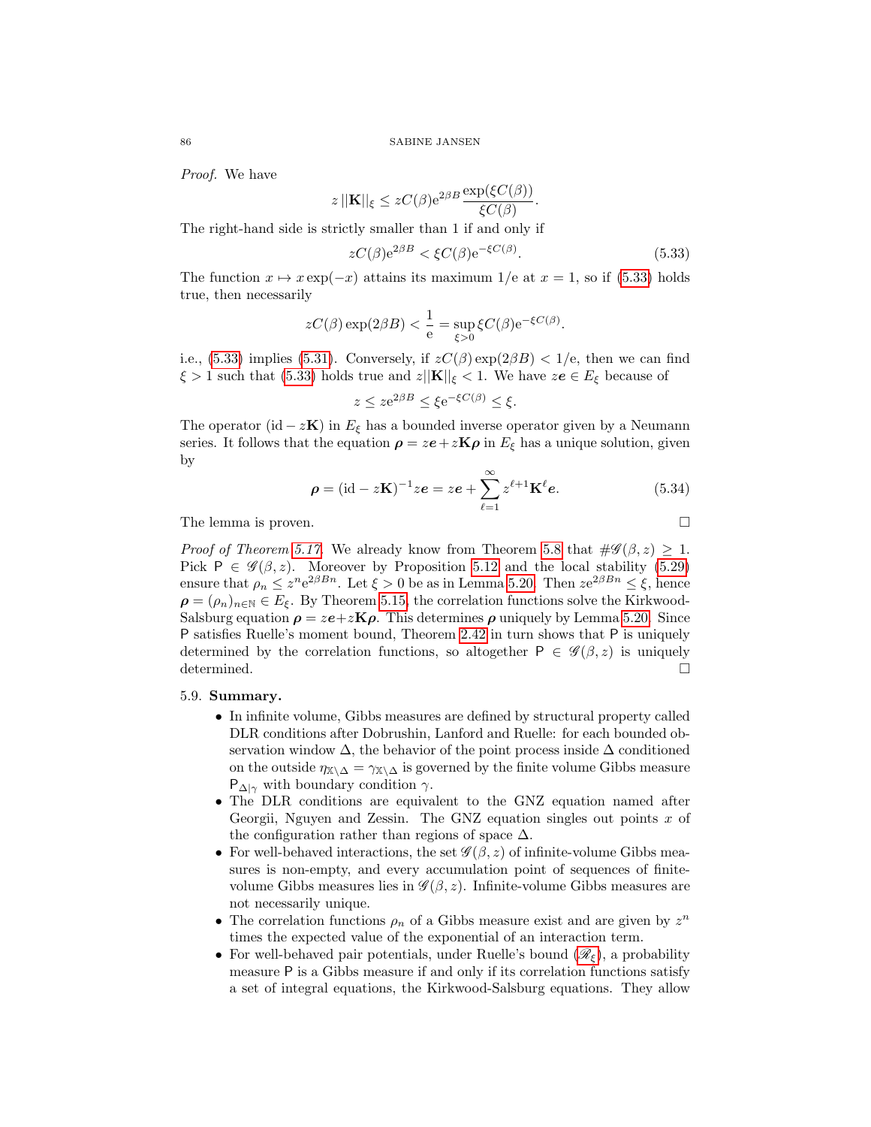Proof. We have

$$
z ||\mathbf{K}||_{\xi} \le zC(\beta) e^{2\beta B} \frac{\exp(\xi C(\beta))}{\xi C(\beta)}.
$$

The right-hand side is strictly smaller than 1 if and only if

<span id="page-85-0"></span>
$$
zC(\beta)e^{2\beta B} < \xi C(\beta)e^{-\xi C(\beta)}.\tag{5.33}
$$

The function  $x \mapsto x \exp(-x)$  attains its maximum 1/e at  $x = 1$ , so if [\(5.33\)](#page-85-0) holds true, then necessarily

$$
zC(\beta)\exp(2\beta B) < \frac{1}{e} = \sup_{\xi > 0} \xi C(\beta) e^{-\xi C(\beta)}.
$$

i.e., [\(5.33\)](#page-85-0) implies [\(5.31\)](#page-83-3). Conversely, if  $zC(\beta) \exp(2\beta B) < 1/e$ , then we can find  $\xi > 1$  such that [\(5.33\)](#page-85-0) holds true and  $z||\mathbf{K}||_{\xi} < 1$ . We have  $z\mathbf{e} \in E_{\xi}$  because of

$$
z \le z e^{2\beta B} \le \xi e^{-\xi C(\beta)} \le \xi.
$$

The operator (id  $-z\mathbf{K}$ ) in  $E_{\xi}$  has a bounded inverse operator given by a Neumann series. It follows that the equation  $\rho = ze + z\mathbf{K}\rho$  in  $E_{\xi}$  has a unique solution, given by

$$
\rho = (\text{id} - z\mathbf{K})^{-1}ze = ze + \sum_{\ell=1}^{\infty} z^{\ell+1} \mathbf{K}^{\ell} e.
$$
 (5.34)

The lemma is proven.

*Proof of Theorem [5.17.](#page-83-4)* We already know from Theorem [5.8](#page-74-2) that  $\#\mathscr{G}(\beta, z) > 1$ . Pick  $P \in \mathscr{G}(\beta, z)$ . Moreover by Proposition [5.12](#page-78-0) and the local stability [\(5.29\)](#page-83-1) ensure that  $\rho_n \leq z^n e^{2\beta B_n}$ . Let  $\xi > 0$  be as in Lemma [5.20.](#page-84-0) Then  $ze^{2\beta B_n} \leq \xi$ , hence  $\rho = (\rho_n)_{n \in \mathbb{N}} \in E_{\xi}$ . By Theorem [5.15,](#page-80-2) the correlation functions solve the Kirkwood-Salsburg equation  $\rho = ze + z\mathbf{K}\rho$ . This determines  $\rho$  uniquely by Lemma [5.20.](#page-84-0) Since P satisfies Ruelle's moment bound, Theorem [2.42](#page-32-0) in turn shows that P is uniquely determined by the correlation functions, so altogether  $P \in \mathcal{G}(\beta, z)$  is uniquely determined.  $\hfill \square$ 

## 5.9. Summary.

- In infinite volume, Gibbs measures are defined by structural property called DLR conditions after Dobrushin, Lanford and Ruelle: for each bounded observation window  $\Delta$ , the behavior of the point process inside  $\Delta$  conditioned on the outside  $\eta_{\mathbb{X}\setminus\Delta} = \gamma_{\mathbb{X}\setminus\Delta}$  is governed by the finite volume Gibbs measure  $P_{\Delta|\gamma}$  with boundary condition  $\gamma$ .
- The DLR conditions are equivalent to the GNZ equation named after Georgii, Nguyen and Zessin. The GNZ equation singles out points  $x$  of the configuration rather than regions of space  $\Delta$ .
- For well-behaved interactions, the set  $\mathscr{G}(\beta, z)$  of infinite-volume Gibbs measures is non-empty, and every accumulation point of sequences of finitevolume Gibbs measures lies in  $\mathscr{G}(\beta, z)$ . Infinite-volume Gibbs measures are not necessarily unique.
- The correlation functions  $\rho_n$  of a Gibbs measure exist and are given by  $z^n$ times the expected value of the exponential of an interaction term.
- For well-behaved pair potentials, under [R](#page-29-0)uelle's bound  $(\mathcal{R}_{\xi})$ , a probability measure P is a Gibbs measure if and only if its correlation functions satisfy a set of integral equations, the Kirkwood-Salsburg equations. They allow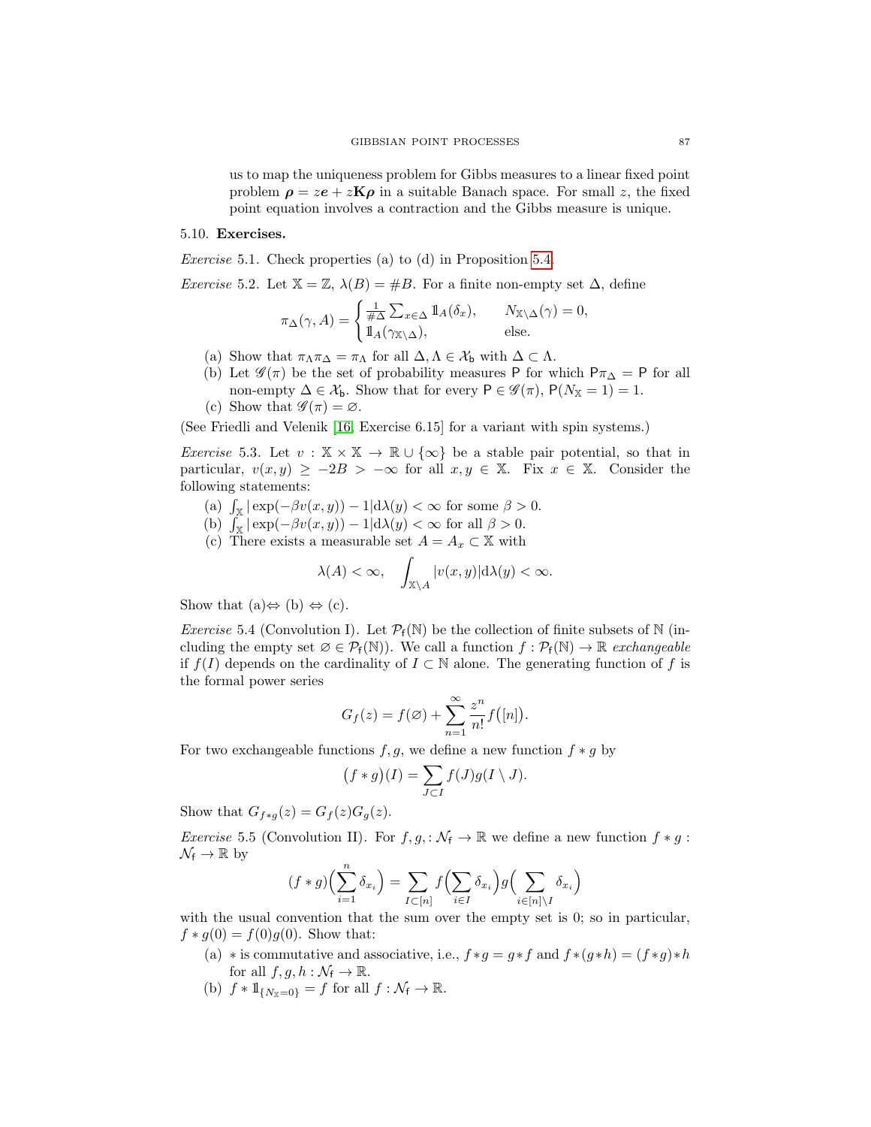us to map the uniqueness problem for Gibbs measures to a linear fixed point problem  $\rho = ze + z\mathbf{K}\rho$  in a suitable Banach space. For small z, the fixed point equation involves a contraction and the Gibbs measure is unique.

## 5.10. Exercises.

Exercise 5.1. Check properties (a) to (d) in Proposition [5.4.](#page-72-0)

<span id="page-86-0"></span>Exercise 5.2. Let  $X = \mathbb{Z}$ ,  $\lambda(B) = \#B$ . For a finite non-empty set  $\Delta$ , define

$$
\pi_{\Delta}(\gamma, A) = \begin{cases} \frac{1}{\# \Delta} \sum_{x \in \Delta} \mathbb{1}_A(\delta_x), & N_{\mathbb{X} \setminus \Delta}(\gamma) = 0, \\ \mathbb{1}_A(\gamma_{\mathbb{X} \setminus \Delta}), & \text{else.} \end{cases}
$$

- (a) Show that  $\pi_{\Lambda}\pi_{\Delta} = \pi_{\Lambda}$  for all  $\Delta, \Lambda \in \mathcal{X}_{\mathbf{b}}$  with  $\Delta \subset \Lambda$ .
- (b) Let  $\mathscr{G}(\pi)$  be the set of probability measures P for which  $P\pi_{\Delta} = P$  for all non-empty  $\Delta \in \mathcal{X}_{\mathbf{b}}$ . Show that for every  $\mathsf{P} \in \mathscr{G}(\pi)$ ,  $\mathsf{P}(N_{\mathbb{X}} = 1) = 1$ .
- (c) Show that  $\mathscr{G}(\pi) = \emptyset$ .

(See Friedli and Velenik [\[16,](#page-103-1) Exercise 6.15] for a variant with spin systems.)

Exercise 5.3. Let  $v : \mathbb{X} \times \mathbb{X} \to \mathbb{R} \cup {\infty}$  be a stable pair potential, so that in particular,  $v(x, y) \ge -2B > -\infty$  for all  $x, y \in \mathbb{X}$ . Fix  $x \in \mathbb{X}$ . Consider the following statements:

- (a)  $\int_{\mathbb{X}} |\exp(-\beta v(x, y)) 1| d\lambda(y) < \infty$  for some  $\beta > 0$ .
- (b)  $\int_{\mathbb{X}} |\exp(-\beta v(x, y)) 1| d\lambda(y) < \infty$  for all  $\beta > 0$ .
- (c) There exists a measurable set  $A = A_x \subset \mathbb{X}$  with

$$
\lambda(A) < \infty
$$
,  $\int_{\mathbb{X}\backslash A} |v(x,y)| d\lambda(y) < \infty$ .

Show that  $(a) \Leftrightarrow (b) \Leftrightarrow (c)$ .

*Exercise* 5.4 (Convolution I). Let  $\mathcal{P}_f(\mathbb{N})$  be the collection of finite subsets of N (including the empty set  $\varnothing \in \mathcal{P}_{f}(\mathbb{N})$ . We call a function  $f : \mathcal{P}_{f}(\mathbb{N}) \to \mathbb{R}$  exchangeable if  $f(I)$  depends on the cardinality of  $I \subset \mathbb{N}$  alone. The generating function of f is the formal power series

$$
G_f(z) = f(\varnothing) + \sum_{n=1}^{\infty} \frac{z^n}{n!} f([n]).
$$

For two exchangeable functions  $f, g$ , we define a new function  $f * g$  by

$$
(f * g)(I) = \sum_{J \subset I} f(J)g(I \setminus J).
$$

Show that  $G_{f*g}(z) = G_f(z)G_g(z)$ .

*Exercise* 5.5 (Convolution II). For  $f, g$ , :  $\mathcal{N}_f \to \mathbb{R}$  we define a new function  $f * g$ :  $\mathcal{N}_f \to \mathbb{R}$  by  $\overline{n}$ 

$$
(f * g) \left(\sum_{i=1}^{N} \delta_{x_i}\right) = \sum_{I \subset [n]} f\left(\sum_{i \in I} \delta_{x_i}\right) g\left(\sum_{i \in [n] \setminus I} \delta_{x_i}\right)
$$

with the usual convention that the sum over the empty set is 0; so in particular,  $f * g(0) = f(0)g(0)$ . Show that:

- (a) \* is commutative and associative, i.e.,  $f * g = g * f$  and  $f * (g * h) = (f * g) * h$ for all  $f, g, h : \mathcal{N}_f \to \mathbb{R}$ .
- (b)  $f * 1\!\!1_{\{N_{\mathscr{C}}=0\}} = f$  for all  $f : \mathcal{N}_{f} \to \mathbb{R}$ .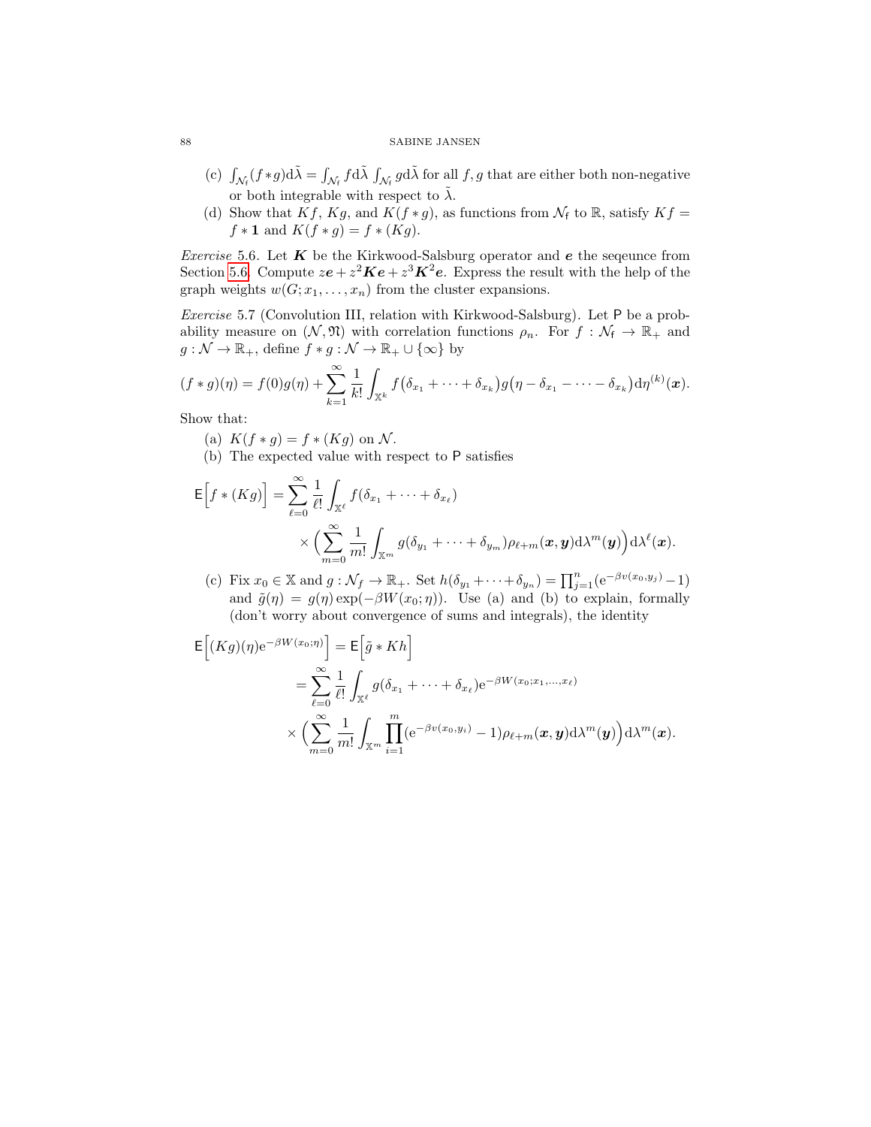#### 88 SABINE JANSEN

- (c)  $\int_{\mathcal{N}_f} (f * g) d\tilde{\lambda} = \int_{\mathcal{N}_f} f d\tilde{\lambda} \int_{\mathcal{N}_f} g d\tilde{\lambda}$  for all  $f, g$  that are either both non-negative or both integrable with respect to  $\tilde{\lambda}$ .
- (d) Show that Kf, Kg, and  $K(f * g)$ , as functions from  $\mathcal{N}_f$  to  $\mathbb{R}$ , satisfy  $Kf =$  $f * \mathbf{1}$  and  $K(f * g) = f * (Kg)$ .

*Exercise* 5.6. Let  $K$  be the Kirkwood-Salsburg operator and  $e$  the sequence from Section [5.6.](#page-79-2) Compute  $ze + z^2 K e + z^3 K^2 e$ . Express the result with the help of the graph weights  $w(G; x_1, \ldots, x_n)$  from the cluster expansions.

Exercise 5.7 (Convolution III, relation with Kirkwood-Salsburg). Let P be a probability measure on  $(\mathcal{N}, \mathfrak{N})$  with correlation functions  $\rho_n$ . For  $f : \mathcal{N}_f \to \mathbb{R}_+$  and  $g: \mathcal{N} \to \mathbb{R}_+$ , define  $f * g : \mathcal{N} \to \mathbb{R}_+ \cup \{\infty\}$  by

$$
(f*g)(\eta)=f(0)g(\eta)+\sum_{k=1}^{\infty}\frac{1}{k!}\int_{\mathbb{X}^k}f(\delta_{x_1}+\cdots+\delta_{x_k})g(\eta-\delta_{x_1}-\cdots-\delta_{x_k})d\eta^{(k)}(\boldsymbol{x}).
$$

Show that:

- (a)  $K(f * g) = f * (Kg)$  on N.
- (b) The expected value with respect to P satisfies

$$
\mathsf{E}\Big[f*(Kg)\Big] = \sum_{\ell=0}^{\infty} \frac{1}{\ell!} \int_{\mathbb{X}^{\ell}} f(\delta_{x_1} + \dots + \delta_{x_{\ell}})
$$
  
 
$$
\times \Big( \sum_{m=0}^{\infty} \frac{1}{m!} \int_{\mathbb{X}^m} g(\delta_{y_1} + \dots + \delta_{y_m}) \rho_{\ell+m}(\boldsymbol{x}, \boldsymbol{y}) \mathrm{d}\lambda^m(\boldsymbol{y}) \Big) \mathrm{d}\lambda^{\ell}(\boldsymbol{x}).
$$

(c) Fix  $x_0 \in \mathbb{X}$  and  $g: \mathcal{N}_f \to \mathbb{R}_+$ . Set  $h(\delta_{y_1} + \cdots + \delta_{y_n}) = \prod_{j=1}^n (e^{-\beta v(x_0, y_j)} - 1)$ and  $\tilde{g}(\eta) = g(\eta) \exp(-\beta W(x_0; \eta))$ . Use (a) and (b) to explain, formally (don't worry about convergence of sums and integrals), the identity

$$
\mathsf{E}\Big[(Kg)(\eta)\mathrm{e}^{-\beta W(x_0;\eta)}\Big] = \mathsf{E}\Big[\tilde{g} * Kh\Big]
$$
  
= 
$$
\sum_{\ell=0}^{\infty} \frac{1}{\ell!} \int_{\mathbb{X}^{\ell}} g(\delta_{x_1} + \dots + \delta_{x_{\ell}}) \mathrm{e}^{-\beta W(x_0;x_1,\dots,x_{\ell})}
$$
  

$$
\times \Big(\sum_{m=0}^{\infty} \frac{1}{m!} \int_{\mathbb{X}^m} \prod_{i=1}^{m} (\mathrm{e}^{-\beta v(x_0,y_i)} - 1) \rho_{\ell+m}(\boldsymbol{x},\boldsymbol{y}) \mathrm{d}\lambda^m(\boldsymbol{y})\Big) \mathrm{d}\lambda^m(\boldsymbol{x}).
$$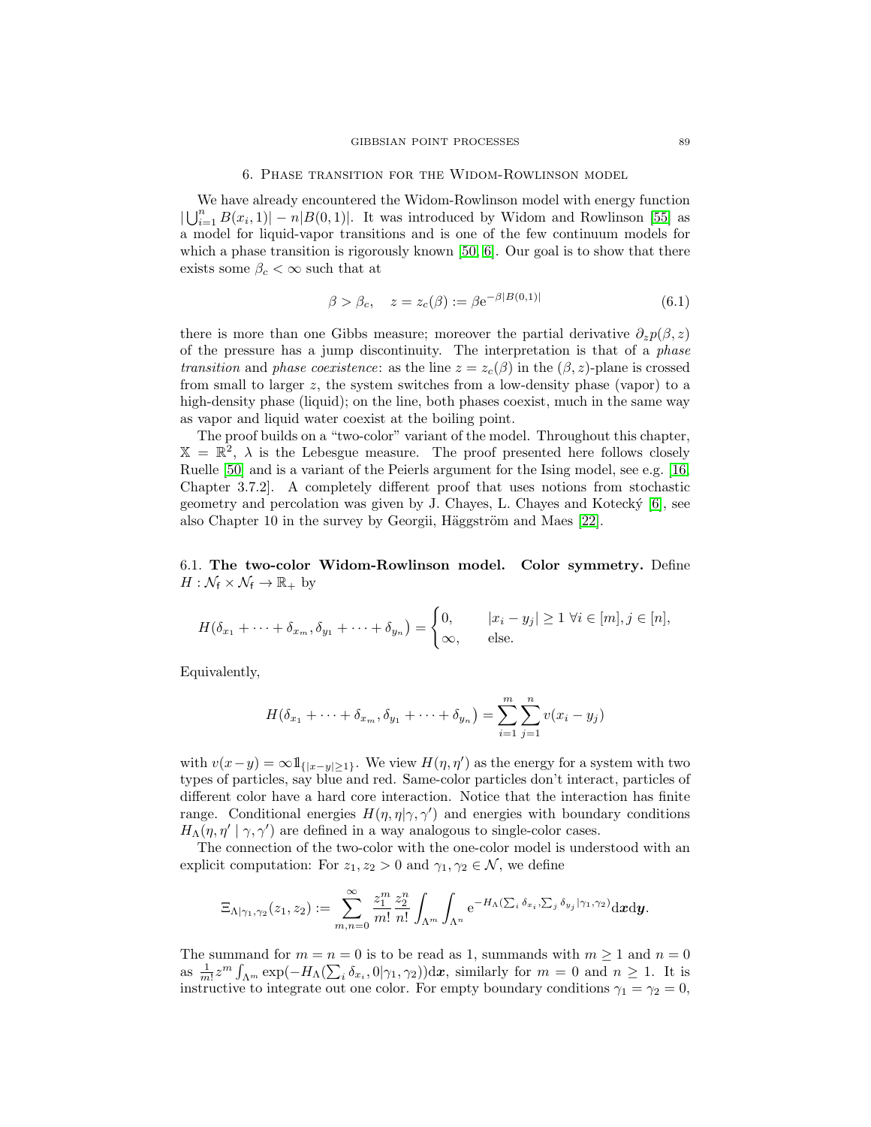#### 6. Phase transition for the Widom-Rowlinson model

We have already encountered the Widom-Rowlinson model with energy function  $|\bigcup_{i=1}^{n} B(x_i, 1)| - n|B(0, 1)|$ . It was introduced by Widom and Rowlinson [\[55\]](#page-105-0) as a model for liquid-vapor transitions and is one of the few continuum models for which a phase transition is rigorously known [\[50,](#page-104-3) [6\]](#page-103-2). Our goal is to show that there exists some  $\beta_c < \infty$  such that at

<span id="page-88-0"></span>
$$
\beta > \beta_c, \quad z = z_c(\beta) := \beta e^{-\beta |B(0,1)|}
$$
\n(6.1)

there is more than one Gibbs measure; moreover the partial derivative  $\partial_z p(\beta, z)$ of the pressure has a jump discontinuity. The interpretation is that of a phase transition and phase coexistence: as the line  $z = z_c(\beta)$  in the  $(\beta, z)$ -plane is crossed from small to larger  $z$ , the system switches from a low-density phase (vapor) to a high-density phase (liquid); on the line, both phases coexist, much in the same way as vapor and liquid water coexist at the boiling point.

The proof builds on a "two-color" variant of the model. Throughout this chapter,  $X = \mathbb{R}^2$ ,  $\lambda$  is the Lebesgue measure. The proof presented here follows closely Ruelle [\[50\]](#page-104-3) and is a variant of the Peierls argument for the Ising model, see e.g. [\[16,](#page-103-1) Chapter 3.7.2]. A completely different proof that uses notions from stochastic geometry and percolation was given by J. Chayes, L. Chayes and Kotecký [\[6\]](#page-103-2), see also Chapter 10 in the survey by Georgii, Häggström and Maes  $[22]$ .

6.1. The two-color Widom-Rowlinson model. Color symmetry. Define  $H: \mathcal{N}_{f} \times \mathcal{N}_{f} \rightarrow \mathbb{R}_{+}$  by

$$
H(\delta_{x_1} + \dots + \delta_{x_m}, \delta_{y_1} + \dots + \delta_{y_n}) = \begin{cases} 0, & |x_i - y_j| \ge 1 \ \forall i \in [m], j \in [n], \\ \infty, & \text{else.} \end{cases}
$$

Equivalently,

$$
H(\delta_{x_1} + \dots + \delta_{x_m}, \delta_{y_1} + \dots + \delta_{y_n}) = \sum_{i=1}^m \sum_{j=1}^n v(x_i - y_j)
$$

with  $v(x-y) = \infty 1_{\{|x-y|\geq 1\}}$ . We view  $H(\eta, \eta')$  as the energy for a system with two types of particles, say blue and red. Same-color particles don't interact, particles of different color have a hard core interaction. Notice that the interaction has finite range. Conditional energies  $H(\eta, \eta | \gamma, \gamma')$  and energies with boundary conditions  $H_{\Lambda}(\eta, \eta' | \gamma, \gamma')$  are defined in a way analogous to single-color cases.

The connection of the two-color with the one-color model is understood with an explicit computation: For  $z_1, z_2 > 0$  and  $\gamma_1, \gamma_2 \in \mathcal{N}$ , we define

$$
\Xi_{\Lambda|\gamma_1,\gamma_2}(z_1,z_2):=\sum_{m,n=0}^\infty \frac{z_1^m}{m!}\frac{z_2^n}{n!} \int_{\Lambda^m}\int_{\Lambda^n} \mathrm{e}^{-H_\Lambda(\sum_i \delta_{x_i},\sum_j \delta_{y_j}|\gamma_1,\gamma_2)} \mathrm{d}x \mathrm{d}y.
$$

The summand for  $m = n = 0$  is to be read as 1, summands with  $m \ge 1$  and  $n = 0$ as  $\frac{1}{m!}z^m \int_{\Lambda^m} \exp(-H_\Lambda(\sum_i \delta_{x_i}, 0|\gamma_1, \gamma_2)) \mathrm{d}x$ , similarly for  $m = 0$  and  $n \ge 1$ . It is instructive to integrate out one color. For empty boundary conditions  $\gamma_1 = \gamma_2 = 0$ ,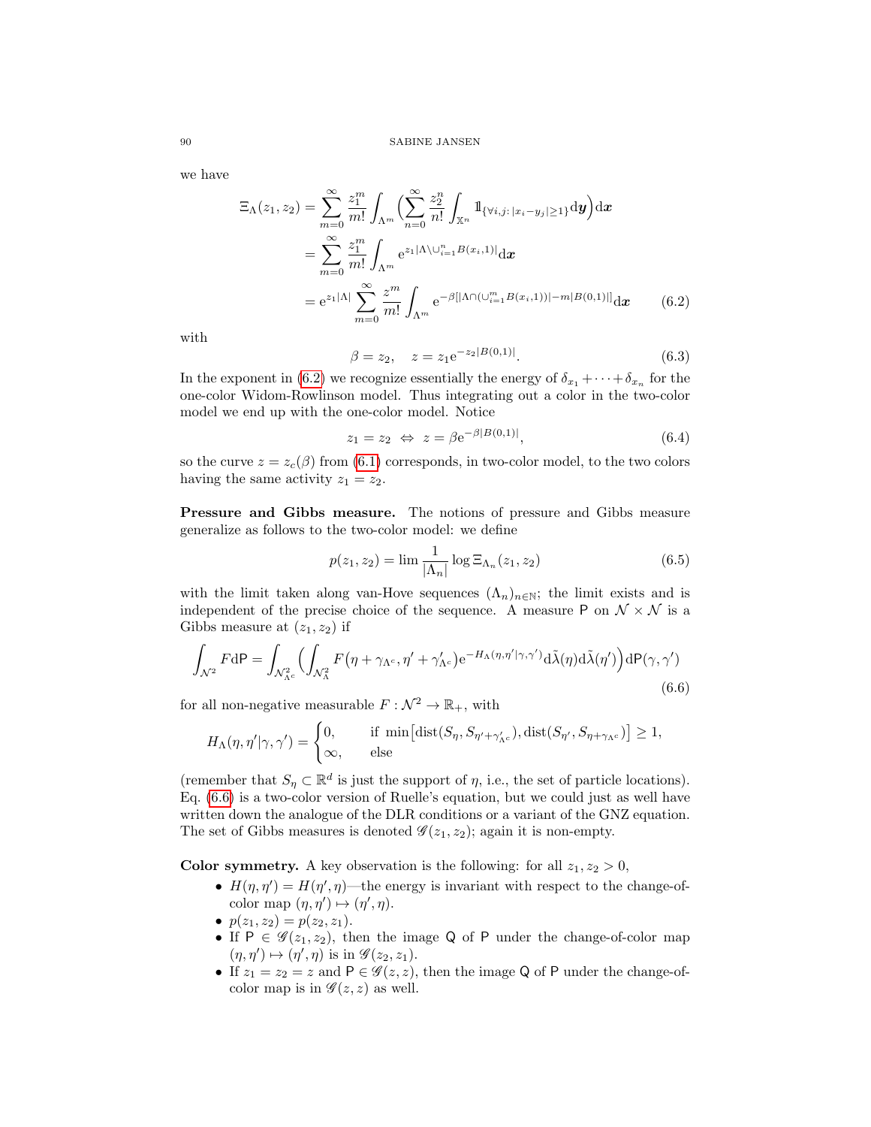we have

$$
\Xi_{\Lambda}(z_1, z_2) = \sum_{m=0}^{\infty} \frac{z_1^m}{m!} \int_{\Lambda^m} \left( \sum_{n=0}^{\infty} \frac{z_2^n}{n!} \int_{\mathbb{X}^n} 1_{\{\forall i, j : |x_i - y_j| \ge 1\}} \mathrm{d}y \right) \mathrm{d}x \n= \sum_{m=0}^{\infty} \frac{z_1^m}{m!} \int_{\Lambda^m} e^{z_1 |\Lambda \setminus \bigcup_{i=1}^n B(x_i, 1)|} \mathrm{d}x \n= e^{z_1 |\Lambda|} \sum_{m=0}^{\infty} \frac{z^m}{m!} \int_{\Lambda^m} e^{-\beta [|\Lambda \cap (\bigcup_{i=1}^m B(x_i, 1))| - m |B(0, 1)|]} \mathrm{d}x \n\tag{6.2}
$$

with

<span id="page-89-0"></span>
$$
\beta = z_2, \quad z = z_1 e^{-z_2|B(0,1)|}.\tag{6.3}
$$

In the exponent in [\(6.2\)](#page-89-0) we recognize essentially the energy of  $\delta_{x_1} + \cdots + \delta_{x_n}$  for the one-color Widom-Rowlinson model. Thus integrating out a color in the two-color model we end up with the one-color model. Notice

$$
z_1 = z_2 \Leftrightarrow z = \beta e^{-\beta |B(0,1)|}, \tag{6.4}
$$

so the curve  $z = z_c(\beta)$  from [\(6.1\)](#page-88-0) corresponds, in two-color model, to the two colors having the same activity  $z_1 = z_2$ .

Pressure and Gibbs measure. The notions of pressure and Gibbs measure generalize as follows to the two-color model: we define

$$
p(z_1, z_2) = \lim \frac{1}{|\Lambda_n|} \log \Xi_{\Lambda_n}(z_1, z_2)
$$
 (6.5)

with the limit taken along van-Hove sequences  $(\Lambda_n)_{n\in\mathbb{N}}$ ; the limit exists and is independent of the precise choice of the sequence. A measure P on  $\mathcal{N} \times \mathcal{N}$  is a Gibbs measure at  $(z_1, z_2)$  if

<span id="page-89-1"></span>
$$
\int_{\mathcal{N}^2} F \, \mathrm{d}P = \int_{\mathcal{N}_{\Lambda^c}^2} \left( \int_{\mathcal{N}_{\Lambda}^2} F \left( \eta + \gamma_{\Lambda^c}, \eta' + \gamma_{\Lambda^c}' \right) e^{-H_{\Lambda}(\eta, \eta'|\gamma, \gamma')} \mathrm{d}\tilde{\lambda}(\eta) \mathrm{d}\tilde{\lambda}(\eta') \right) \mathrm{d}P(\gamma, \gamma')
$$
\n(6.6)

for all non-negative measurable  $F : \mathcal{N}^2 \to \mathbb{R}_+$ , with

$$
H_{\Lambda}(\eta, \eta'|\gamma, \gamma') = \begin{cases} 0, & \text{if } \min[\text{dist}(S_{\eta}, S_{\eta' + \gamma'_{\Lambda^c}}), \text{dist}(S_{\eta'}, S_{\eta + \gamma_{\Lambda^c}})] \ge 1, \\ \infty, & \text{else} \end{cases}
$$

(remember that  $S_{\eta} \subset \mathbb{R}^d$  is just the support of  $\eta$ , i.e., the set of particle locations). Eq. [\(6.6\)](#page-89-1) is a two-color version of Ruelle's equation, but we could just as well have written down the analogue of the DLR conditions or a variant of the GNZ equation. The set of Gibbs measures is denoted  $\mathscr{G}(z_1, z_2)$ ; again it is non-empty.

Color symmetry. A key observation is the following: for all  $z_1, z_2 > 0$ ,

- $H(\eta, \eta') = H(\eta', \eta)$ —the energy is invariant with respect to the change-ofcolor map  $(\eta, \eta') \mapsto (\eta', \eta)$ .
- $p(z_1, z_2) = p(z_2, z_1)$ .
- If  $P \in \mathscr{G}(z_1, z_2)$ , then the image Q of P under the change-of-color map  $(\eta, \eta') \mapsto (\eta', \eta)$  is in  $\mathscr{G}(z_2, z_1)$ .
- If  $z_1 = z_2 = z$  and  $P \in \mathscr{G}(z, z)$ , then the image Q of P under the change-ofcolor map is in  $\mathscr{G}(z, z)$  as well.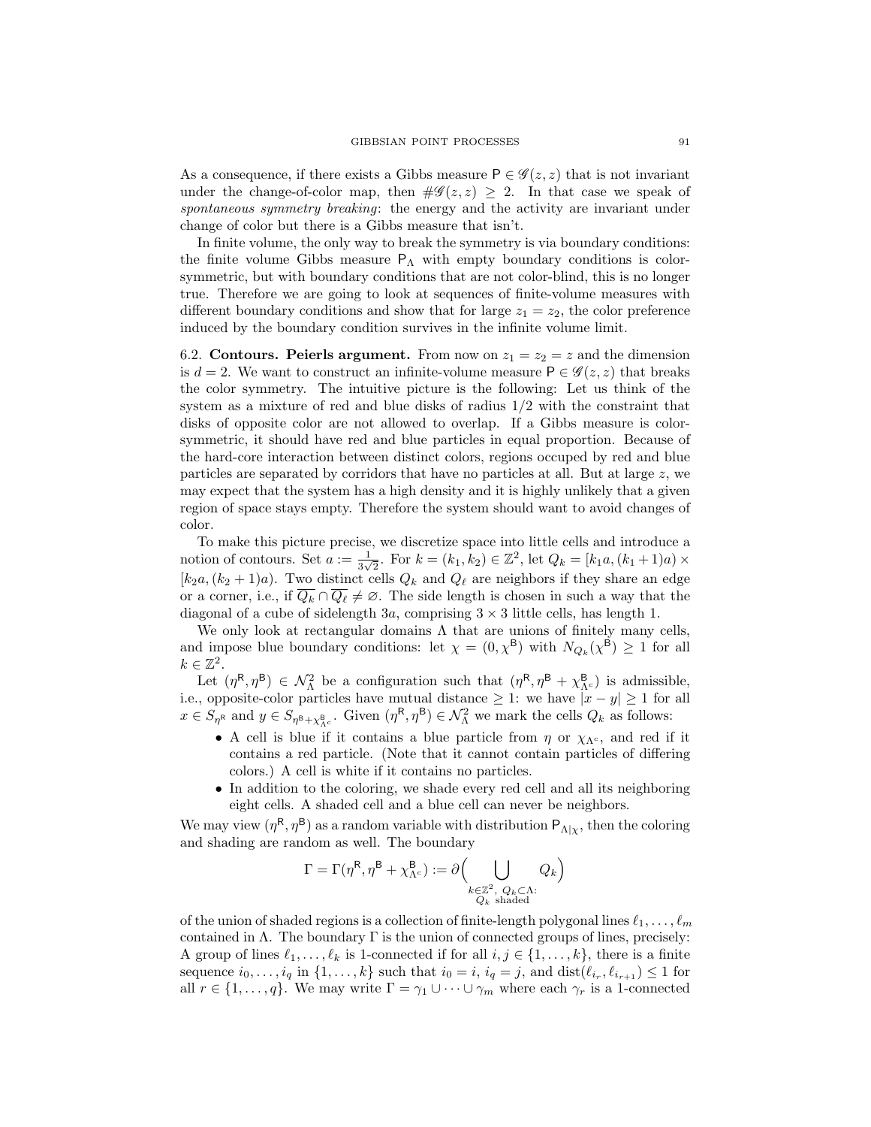As a consequence, if there exists a Gibbs measure  $P \in \mathscr{G}(z, z)$  that is not invariant under the change-of-color map, then  $\#\mathscr{G}(z, z) \geq 2$ . In that case we speak of spontaneous symmetry breaking: the energy and the activity are invariant under change of color but there is a Gibbs measure that isn't.

In finite volume, the only way to break the symmetry is via boundary conditions: the finite volume Gibbs measure  $P_{\Lambda}$  with empty boundary conditions is colorsymmetric, but with boundary conditions that are not color-blind, this is no longer true. Therefore we are going to look at sequences of finite-volume measures with different boundary conditions and show that for large  $z_1 = z_2$ , the color preference induced by the boundary condition survives in the infinite volume limit.

6.2. **Contours. Peierls argument.** From now on  $z_1 = z_2 = z$  and the dimension is  $d = 2$ . We want to construct an infinite-volume measure  $P \in \mathscr{G}(z, z)$  that breaks the color symmetry. The intuitive picture is the following: Let us think of the system as a mixture of red and blue disks of radius 1/2 with the constraint that disks of opposite color are not allowed to overlap. If a Gibbs measure is colorsymmetric, it should have red and blue particles in equal proportion. Because of the hard-core interaction between distinct colors, regions occuped by red and blue particles are separated by corridors that have no particles at all. But at large z, we may expect that the system has a high density and it is highly unlikely that a given region of space stays empty. Therefore the system should want to avoid changes of color.

To make this picture precise, we discretize space into little cells and introduce a notion of contours. Set  $a := \frac{1}{3\sqrt{2}}$ . For  $k = (k_1, k_2) \in \mathbb{Z}^2$ , let  $Q_k = [k_1 a, (k_1 + 1)a] \times$  $[k_2a,(k_2+1)a)$ . Two distinct cells  $Q_k$  and  $Q_\ell$  are neighbors if they share an edge or a corner, i.e., if  $\overline{Q_k} \cap \overline{Q_\ell} \neq \emptyset$ . The side length is chosen in such a way that the diagonal of a cube of sidelength 3a, comprising  $3 \times 3$  little cells, has length 1.

We only look at rectangular domains  $\Lambda$  that are unions of finitely many cells, and impose blue boundary conditions: let  $\chi = (0, \chi^B)$  with  $N_{Q_k}(\chi^B) \ge 1$  for all  $k \in \mathbb{Z}^2$ .

Let  $(\eta^R, \eta^B) \in \mathcal{N}^2_\Lambda$  be a configuration such that  $(\eta^R, \eta^B + \chi^B_{\Lambda^c})$  is admissible, i.e., opposite-color particles have mutual distance  $\geq 1$ : we have  $|x - y| \geq 1$  for all  $x \in S_{\eta^{\mathsf{R}}}$  and  $y \in S_{\eta^{\mathsf{B}} + \chi^{\mathsf{B}}_{\Lambda^c}}$ . Given  $(\eta^{\mathsf{R}}, \eta^{\mathsf{B}}) \in \mathcal{N}_{\Lambda}^2$  we mark the cells  $Q_k$  as follows:

- A cell is blue if it contains a blue particle from  $\eta$  or  $\chi_{\Lambda_c}$ , and red if it contains a red particle. (Note that it cannot contain particles of differing colors.) A cell is white if it contains no particles.
- In addition to the coloring, we shade every red cell and all its neighboring eight cells. A shaded cell and a blue cell can never be neighbors.

We may view  $(\eta^R, \eta^B)$  as a random variable with distribution  $P_{\Lambda|\chi}$ , then the coloring and shading are random as well. The boundary

$$
\Gamma = \Gamma(\eta^\mathsf{R}, \eta^\mathsf{B} + \chi_{\Lambda^c}^\mathsf{B}) := \partial \Bigl( \bigcup_{\substack{k \in \mathbb{Z}^2, \ Q_k \subset \Lambda: \\ Q_k \ \text{shaded}}} Q_k \Bigr)
$$

of the union of shaded regions is a collection of finite-length polygonal lines  $\ell_1, \ldots, \ell_m$ contained in  $\Lambda$ . The boundary  $\Gamma$  is the union of connected groups of lines, precisely: A group of lines  $\ell_1, \ldots, \ell_k$  is 1-connected if for all  $i, j \in \{1, \ldots, k\}$ , there is a finite sequence  $i_0, \ldots, i_q$  in  $\{1, \ldots, k\}$  such that  $i_0 = i$ ,  $i_q = j$ , and  $dist(\ell_{i_r}, \ell_{i_{r+1}}) \leq 1$  for all  $r \in \{1, \ldots, q\}$ . We may write  $\Gamma = \gamma_1 \cup \cdots \cup \gamma_m$  where each  $\gamma_r$  is a 1-connected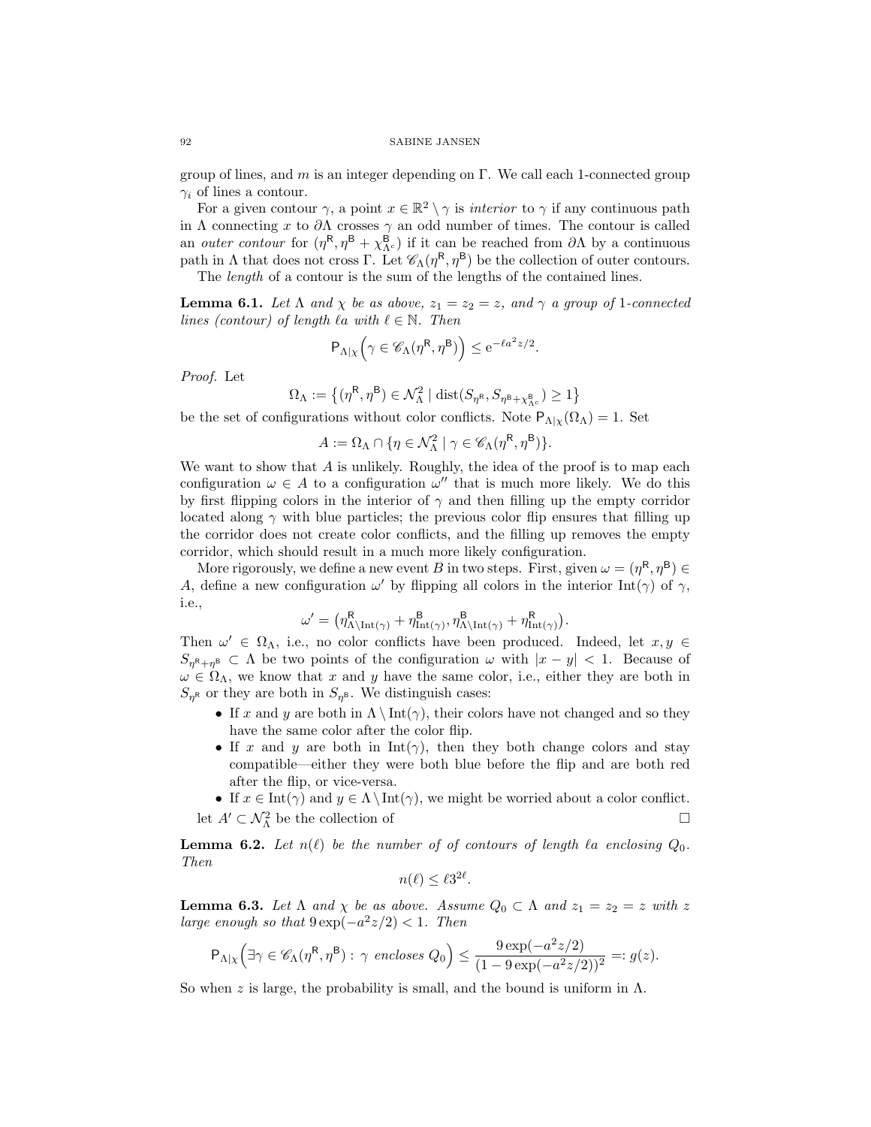group of lines, and m is an integer depending on Γ. We call each 1-connected group  $\gamma_i$  of lines a contour.

For a given contour  $\gamma$ , a point  $x \in \mathbb{R}^2 \setminus \gamma$  is *interior* to  $\gamma$  if any continuous path in Λ connecting x to  $\partial\Lambda$  crosses  $\gamma$  an odd number of times. The contour is called an *outer contour* for  $(\eta^R, \eta^B + \chi^B_{\Lambda^c})$  if it can be reached from  $\partial \Lambda$  by a continuous path in  $\Lambda$  that does not cross  $\Gamma$ . Let  $\mathscr{C}_{\Lambda}(\eta^{\mathsf{R}}, \eta^{\mathsf{B}})$  be the collection of outer contours.

The *length* of a contour is the sum of the lengths of the contained lines.

**Lemma 6.1.** Let  $\Lambda$  and  $\chi$  be as above,  $z_1 = z_2 = z$ , and  $\gamma$  a group of 1-connected lines (contour) of length  $\ell a$  with  $\ell \in \mathbb{N}$ . Then

$$
\mathsf{P}_{\Lambda|\chi}\Big(\gamma \in \mathscr{C}_{\Lambda}(\eta^{\mathsf{R}},\eta^{\mathsf{B}})\Big) \leq \mathrm{e}^{-\ell a^2 z/2}.
$$

Proof. Let

$$
\Omega_{\Lambda}:=\left\{(\eta^{\mathsf{R}},\eta^{\mathsf{B}})\in\mathcal{N}_{\Lambda}^2\mid \mathrm{dist}(S_{\eta^{\mathsf{R}}},S_{\eta^{\mathsf{B}}+\chi_{\Lambda^c}^{\mathsf{B}}})\geq 1\right\}
$$

be the set of configurations without color conflicts. Note  $P_{\Lambda|\chi}(\Omega_{\Lambda}) = 1$ . Set

$$
A := \Omega_{\Lambda} \cap \{ \eta \in \mathcal{N}_{\Lambda}^2 \mid \gamma \in \mathscr{C}_{\Lambda}(\eta^{\mathsf{R}}, \eta^{\mathsf{B}}) \}.
$$

We want to show that  $A$  is unlikely. Roughly, the idea of the proof is to map each configuration  $\omega \in A$  to a configuration  $\omega''$  that is much more likely. We do this by first flipping colors in the interior of  $\gamma$  and then filling up the empty corridor located along  $\gamma$  with blue particles; the previous color flip ensures that filling up the corridor does not create color conflicts, and the filling up removes the empty corridor, which should result in a much more likely configuration.

More rigorously, we define a new event B in two steps. First, given  $\omega = (\eta^R, \eta^B) \in$ A, define a new configuration  $\omega'$  by flipping all colors in the interior Int( $\gamma$ ) of  $\gamma$ , i.e.,

$$
\omega' = \big(\eta^{\mathsf{R}}_{\Lambda\backslash \mathrm{Int}(\gamma)} + \eta^{\mathsf{B}}_{\mathrm{Int}(\gamma)}, \eta^{\mathsf{B}}_{\Lambda\backslash \mathrm{Int}(\gamma)} + \eta^{\mathsf{R}}_{\mathrm{Int}(\gamma)}\big).
$$

Then  $\omega' \in \Omega_{\Lambda}$ , i.e., no color conflicts have been produced. Indeed, let  $x, y \in$  $S_{\eta^R+\eta^B} \subset \Lambda$  be two points of the configuration  $\omega$  with  $|x-y| < 1$ . Because of  $\omega \in \Omega_{\Lambda}$ , we know that x and y have the same color, i.e., either they are both in  $S_{\eta^R}$  or they are both in  $S_{\eta^B}$ . We distinguish cases:

- If x and y are both in  $\Lambda \setminus \text{Int}(\gamma)$ , their colors have not changed and so they have the same color after the color flip.
- If x and y are both in  $Int(\gamma)$ , then they both change colors and stay compatible—either they were both blue before the flip and are both red after the flip, or vice-versa.

• If  $x \in \text{Int}(\gamma)$  and  $y \in \Lambda \setminus \text{Int}(\gamma)$ , we might be worried about a color conflict. let  $A' \subset \mathcal{N}_{\Lambda}^2$  be the collection of

**Lemma 6.2.** Let  $n(\ell)$  be the number of of contours of length  $\ell a$  enclosing  $Q_0$ . Then

$$
n(\ell) \leq \ell 3^{2\ell}.
$$

**Lemma 6.3.** Let  $\Lambda$  and  $\chi$  be as above. Assume  $Q_0 \subset \Lambda$  and  $z_1 = z_2 = z$  with z large enough so that  $9 \exp(-a^2 z/2) < 1$ . Then

$$
\mathsf{P}_{\Lambda|\chi}\Big(\exists \gamma\in \mathscr{C}_\Lambda(\eta^\mathsf{R},\eta^\mathsf{B}) : \ \gamma \ \text{ encloses } Q_0 \Big) \leq \frac{9\exp(-a^2z/2)}{(1-9\exp(-a^2z/2))^2} =: g(z).
$$

So when z is large, the probability is small, and the bound is uniform in  $\Lambda$ .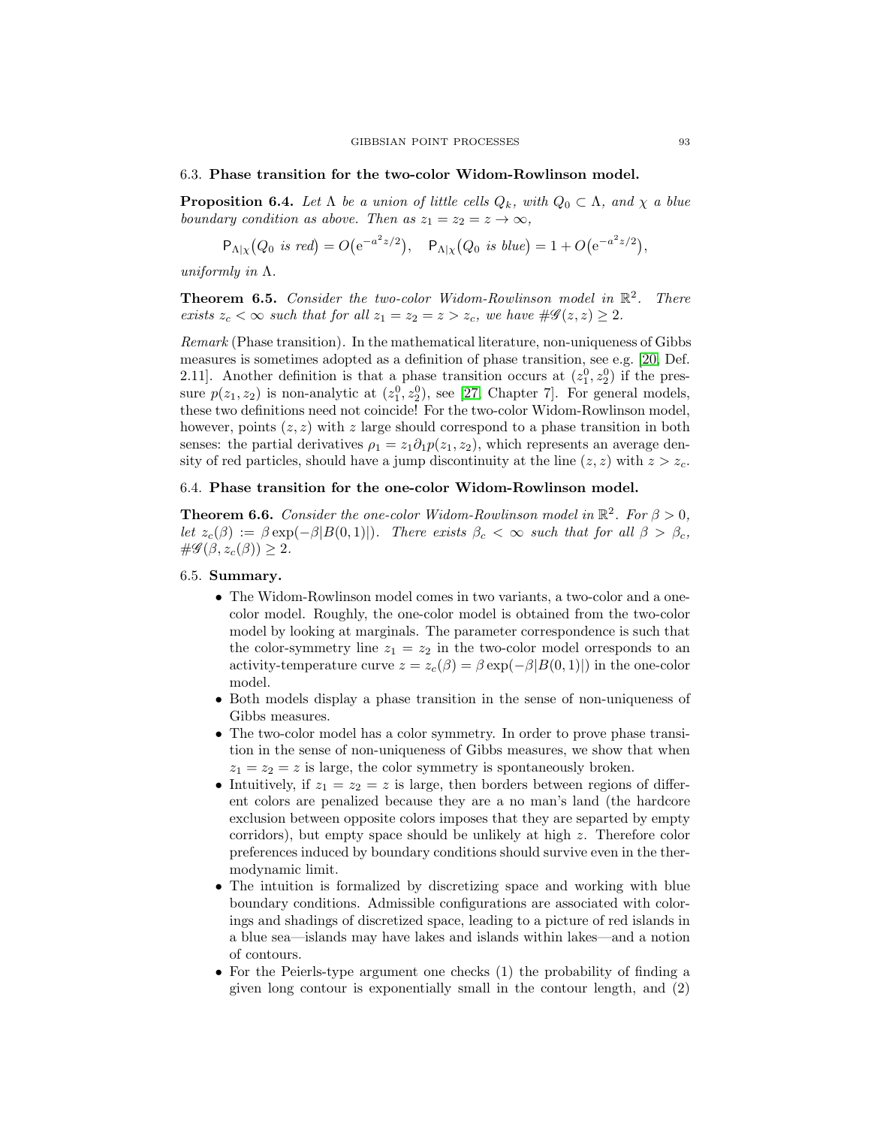#### 6.3. Phase transition for the two-color Widom-Rowlinson model.

**Proposition 6.4.** Let  $\Lambda$  be a union of little cells  $Q_k$ , with  $Q_0 \subset \Lambda$ , and  $\chi$  a blue boundary condition as above. Then as  $z_1 = z_2 = z \rightarrow \infty$ ,

$$
P_{\Lambda|\chi}(Q_0 \text{ is red}) = O(e^{-a^2z/2}), \quad P_{\Lambda|\chi}(Q_0 \text{ is blue}) = 1 + O(e^{-a^2z/2}),
$$

uniformly in  $\Lambda$ .

**Theorem 6.5.** Consider the two-color Widom-Rowlinson model in  $\mathbb{R}^2$ . There exists  $z_c < \infty$  such that for all  $z_1 = z_2 = z > z_c$ , we have  $\#\mathscr{G}(z, z) \geq 2$ .

Remark (Phase transition). In the mathematical literature, non-uniqueness of Gibbs measures is sometimes adopted as a definition of phase transition, see e.g. [\[20,](#page-103-4) Def. 2.11. Another definition is that a phase transition occurs at  $(z_1^0, z_2^0)$  if the pressure  $p(z_1, z_2)$  is non-analytic at  $(z_1^0, z_2^0)$ , see [\[27,](#page-104-4) Chapter 7]. For general models, these two definitions need not coincide! For the two-color Widom-Rowlinson model, however, points  $(z, z)$  with z large should correspond to a phase transition in both senses: the partial derivatives  $\rho_1 = z_1 \partial_1 p(z_1, z_2)$ , which represents an average density of red particles, should have a jump discontinuity at the line  $(z, z)$  with  $z > z_c$ .

## 6.4. Phase transition for the one-color Widom-Rowlinson model.

**Theorem 6.6.** Consider the one-color Widom-Rowlinson model in  $\mathbb{R}^2$ . For  $\beta > 0$ , let  $z_c(\beta) := \beta \exp(-\beta |B(0,1)|)$ . There exists  $\beta_c < \infty$  such that for all  $\beta > \beta_c$ ,  $\#\mathscr{G}(\beta,z_c(\beta))\geq 2.$ 

## 6.5. Summary.

- The Widom-Rowlinson model comes in two variants, a two-color and a onecolor model. Roughly, the one-color model is obtained from the two-color model by looking at marginals. The parameter correspondence is such that the color-symmetry line  $z_1 = z_2$  in the two-color model orresponds to an activity-temperature curve  $z = z_c(\beta) = \beta \exp(-\beta |B(0, 1)|)$  in the one-color model.
- Both models display a phase transition in the sense of non-uniqueness of Gibbs measures.
- The two-color model has a color symmetry. In order to prove phase transition in the sense of non-uniqueness of Gibbs measures, we show that when  $z_1 = z_2 = z$  is large, the color symmetry is spontaneously broken.
- Intuitively, if  $z_1 = z_2 = z$  is large, then borders between regions of different colors are penalized because they are a no man's land (the hardcore exclusion between opposite colors imposes that they are separted by empty corridors), but empty space should be unlikely at high z. Therefore color preferences induced by boundary conditions should survive even in the thermodynamic limit.
- The intuition is formalized by discretizing space and working with blue boundary conditions. Admissible configurations are associated with colorings and shadings of discretized space, leading to a picture of red islands in a blue sea—islands may have lakes and islands within lakes—and a notion of contours.
- For the Peierls-type argument one checks (1) the probability of finding a given long contour is exponentially small in the contour length, and (2)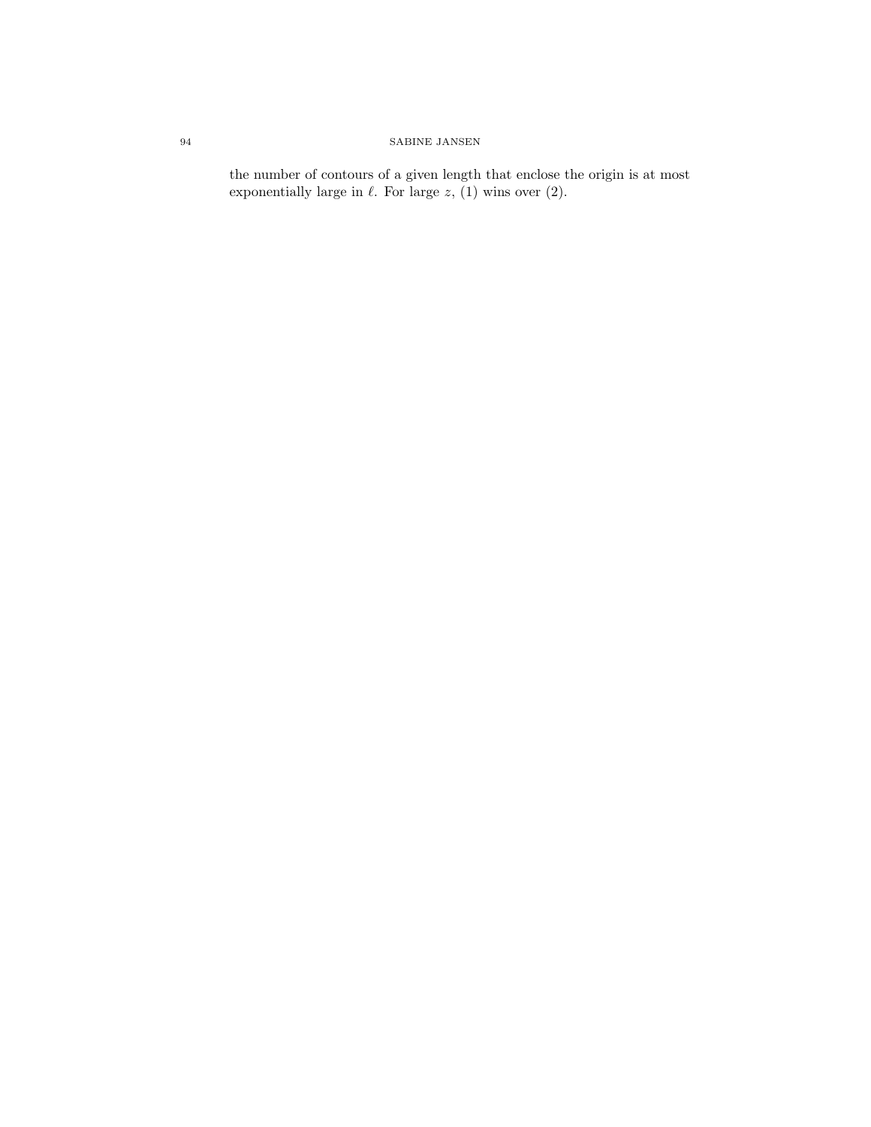# 94 SABINE JANSEN

the number of contours of a given length that enclose the origin is at most exponentially large in  $\ell$ . For large z, (1) wins over (2).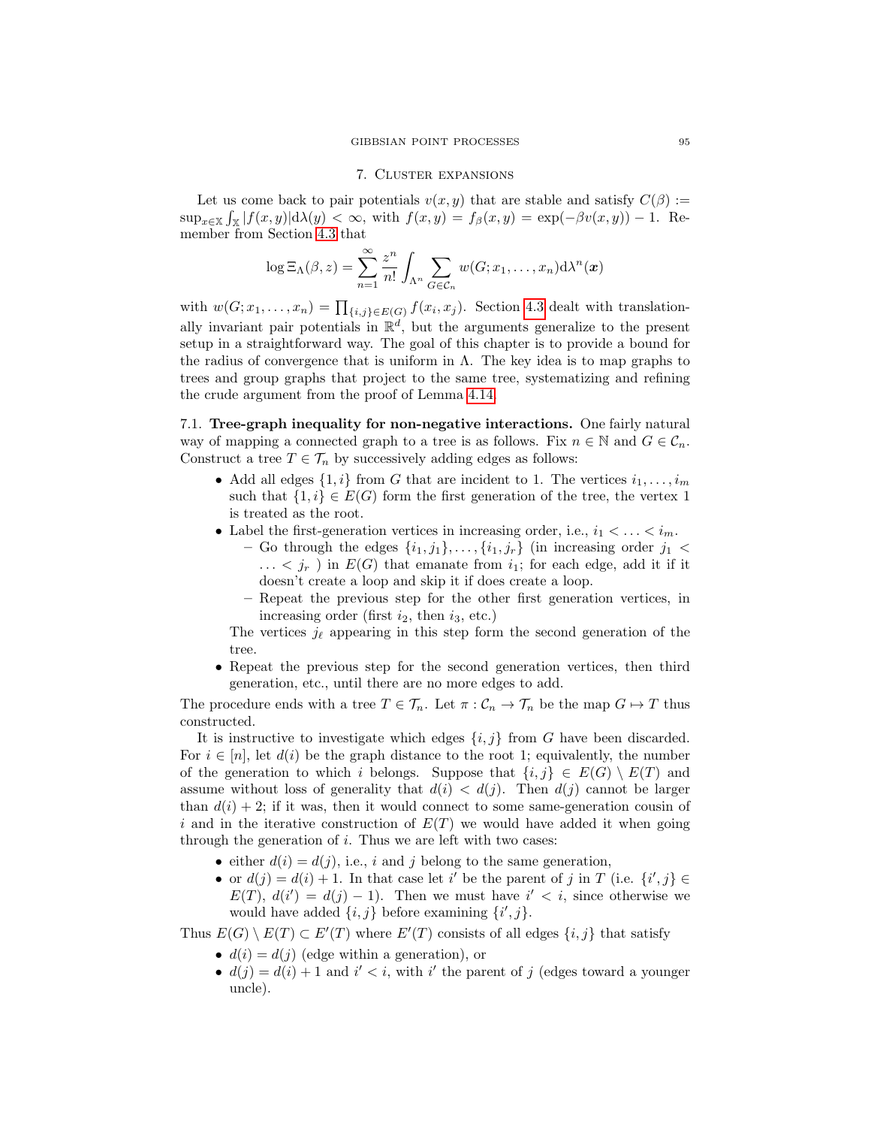#### 7. Cluster expansions

Let us come back to pair potentials  $v(x, y)$  that are stable and satisfy  $C(\beta) :=$  $\sup_{x\in\mathbb{X}}\int_{\mathbb{X}}|f(x,y)|d\lambda(y)<\infty$ , with  $f(x,y)=f_{\beta}(x,y)=\exp(-\beta v(x,y))-1$ . Remember from Section [4.3](#page-62-0) that

$$
\log \Xi_{\Lambda}(\beta, z) = \sum_{n=1}^{\infty} \frac{z^n}{n!} \int_{\Lambda^n} \sum_{G \in \mathcal{C}_n} w(G; x_1, \dots, x_n) d\lambda^n(\boldsymbol{x})
$$

with  $w(G; x_1, \ldots, x_n) = \prod_{\{i,j\} \in E(G)} f(x_i, x_j)$ . Section [4.3](#page-62-0) dealt with translationally invariant pair potentials in  $\mathbb{R}^d$ , but the arguments generalize to the present setup in a straightforward way. The goal of this chapter is to provide a bound for the radius of convergence that is uniform in  $\Lambda$ . The key idea is to map graphs to trees and group graphs that project to the same tree, systematizing and refining the crude argument from the proof of Lemma [4.14.](#page-66-0)

7.1. Tree-graph inequality for non-negative interactions. One fairly natural way of mapping a connected graph to a tree is as follows. Fix  $n \in \mathbb{N}$  and  $G \in \mathcal{C}_n$ . Construct a tree  $T \in \mathcal{T}_n$  by successively adding edges as follows:

- Add all edges  $\{1, i\}$  from G that are incident to 1. The vertices  $i_1, \ldots, i_m$ such that  $\{1, i\} \in E(G)$  form the first generation of the tree, the vertex 1 is treated as the root.
- Label the first-generation vertices in increasing order, i.e.,  $i_1 < \ldots < i_m$ .
	- Go through the edges  $\{i_1, j_1\}, \ldots, \{i_1, j_r\}$  (in increasing order  $j_1$  <  $\ldots < j_r$ ) in  $E(G)$  that emanate from  $i_1$ ; for each edge, add it if it doesn't create a loop and skip it if does create a loop.
	- Repeat the previous step for the other first generation vertices, in increasing order (first  $i_2$ , then  $i_3$ , etc.)

The vertices  $j_{\ell}$  appearing in this step form the second generation of the tree.

• Repeat the previous step for the second generation vertices, then third generation, etc., until there are no more edges to add.

The procedure ends with a tree  $T \in \mathcal{T}_n$ . Let  $\pi : \mathcal{C}_n \to \mathcal{T}_n$  be the map  $G \mapsto T$  thus constructed.

It is instructive to investigate which edges  $\{i, j\}$  from G have been discarded. For  $i \in [n]$ , let  $d(i)$  be the graph distance to the root 1; equivalently, the number of the generation to which i belongs. Suppose that  $\{i, j\} \in E(G) \setminus E(T)$  and assume without loss of generality that  $d(i) < d(j)$ . Then  $d(j)$  cannot be larger than  $d(i) + 2$ ; if it was, then it would connect to some same-generation cousin of i and in the iterative construction of  $E(T)$  we would have added it when going through the generation of  $i$ . Thus we are left with two cases:

- either  $d(i) = d(j)$ , i.e., i and j belong to the same generation,
- or  $d(j) = d(i) + 1$ . In that case let i' be the parent of j in T (i.e.  $\{i', j\} \in$  $E(T)$ ,  $d(i') = d(j) - 1$ . Then we must have  $i' < i$ , since otherwise we would have added  $\{i, j\}$  before examining  $\{i', j\}$ .

Thus  $E(G) \setminus E(T) \subset E'(T)$  where  $E'(T)$  consists of all edges  $\{i, j\}$  that satisfy

- $d(i) = d(j)$  (edge within a generation), or
- $d(j) = d(i) + 1$  and  $i' < i$ , with i' the parent of j (edges toward a younger uncle).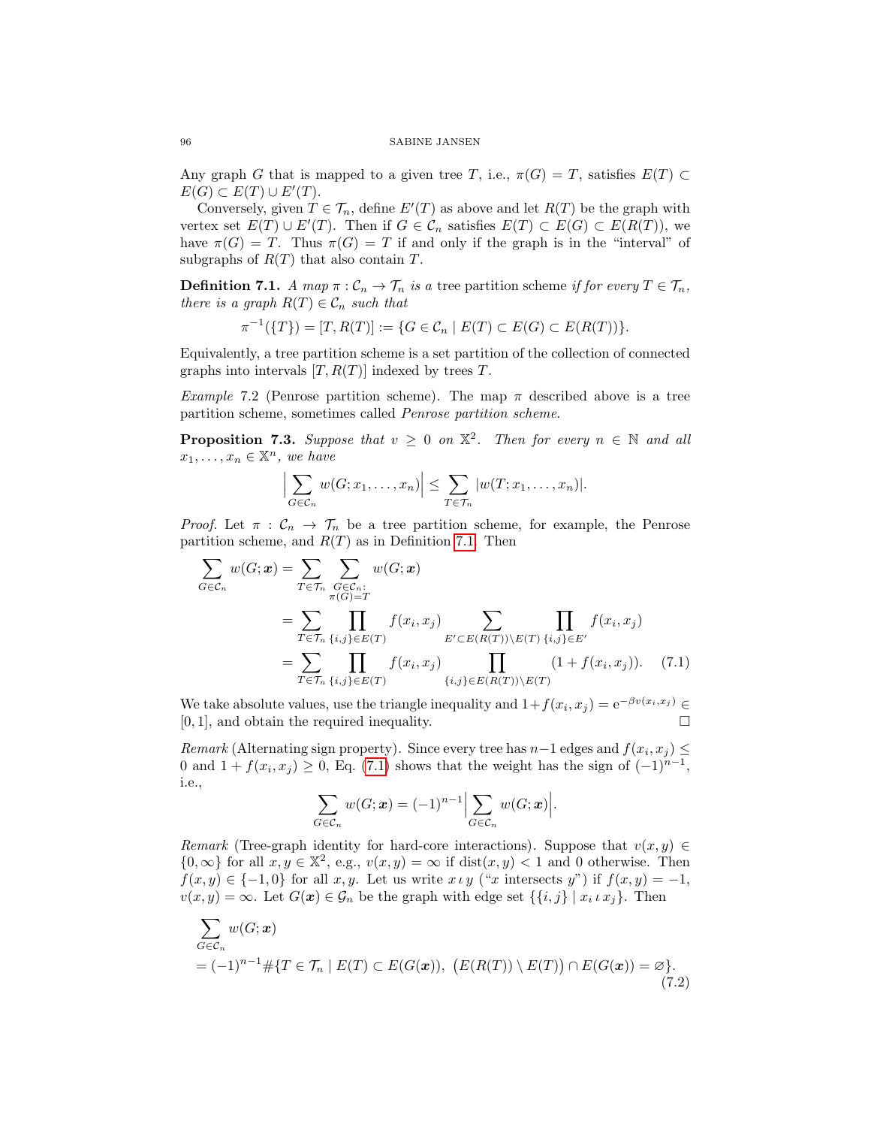Any graph G that is mapped to a given tree T, i.e.,  $\pi(G) = T$ , satisfies  $E(T) \subset$  $E(G) \subset E(T) \cup E'(T)$ .

Conversely, given  $T \in \mathcal{T}_n$ , define  $E'(T)$  as above and let  $R(T)$  be the graph with vertex set  $E(T) \cup E'(T)$ . Then if  $G \in \mathcal{C}_n$  satisfies  $E(T) \subset E(G) \subset E(R(T))$ , we have  $\pi(G) = T$ . Thus  $\pi(G) = T$  if and only if the graph is in the "interval" of subgraphs of  $R(T)$  that also contain T.

<span id="page-95-0"></span>**Definition 7.1.** A map  $\pi : \mathcal{C}_n \to \mathcal{T}_n$  is a tree partition scheme if for every  $T \in \mathcal{T}_n$ , there is a graph  $R(T) \in \mathcal{C}_n$  such that

$$
\pi^{-1}(\{T\}) = [T, R(T)] := \{G \in \mathcal{C}_n \mid E(T) \subset E(G) \subset E(R(T))\}.
$$

Equivalently, a tree partition scheme is a set partition of the collection of connected graphs into intervals  $[T, R(T)]$  indexed by trees T.

Example 7.2 (Penrose partition scheme). The map  $\pi$  described above is a tree partition scheme, sometimes called Penrose partition scheme.

**Proposition 7.3.** Suppose that  $v \geq 0$  on  $\mathbb{X}^2$ . Then for every  $n \in \mathbb{N}$  and all  $x_1, \ldots, x_n \in \mathbb{X}^n$ , we have

$$
\left|\sum_{G\in\mathcal{C}_n} w(G; x_1,\ldots,x_n)\right| \leq \sum_{T\in\mathcal{T}_n} |w(T; x_1,\ldots,x_n)|.
$$

*Proof.* Let  $\pi$  :  $\mathcal{C}_n \to \mathcal{T}_n$  be a tree partition scheme, for example, the Penrose partition scheme, and  $R(T)$  as in Definition [7.1.](#page-95-0) Then

$$
\sum_{G \in \mathcal{C}_n} w(G; \mathbf{x}) = \sum_{T \in \mathcal{T}_n} \sum_{\substack{G \in \mathcal{C}_n : \\ \pi(G) = T}} w(G; \mathbf{x})
$$
\n
$$
= \sum_{T \in \mathcal{T}_n} \prod_{\{i,j\} \in E(T)} f(x_i, x_j) \sum_{E' \subset E(R(T)) \setminus E(T)} \prod_{\{i,j\} \in E'} f(x_i, x_j)
$$
\n
$$
= \sum_{T \in \mathcal{T}_n} \prod_{\{i,j\} \in E(T)} f(x_i, x_j) \prod_{\{i,j\} \in E(R(T)) \setminus E(T)} (1 + f(x_i, x_j)). \quad (7.1)
$$

We take absolute values, use the triangle inequality and  $1+f(x_i, x_j) = e^{-\beta v(x_i, x_j)} \in$  $[0, 1]$ , and obtain the required inequality.

Remark (Alternating sign property). Since every tree has  $n-1$  edges and  $f(x_i, x_j) \leq$ 0 and  $1 + f(x_i, x_j) \ge 0$ , Eq. [\(7.1\)](#page-95-1) shows that the weight has the sign of  $(-1)^{n-1}$ , i.e.,

<span id="page-95-2"></span><span id="page-95-1"></span>
$$
\sum_{G \in \mathcal{C}_n} w(G; \boldsymbol{x}) = (-1)^{n-1} \Big| \sum_{G \in \mathcal{C}_n} w(G; \boldsymbol{x}) \Big|.
$$

Remark (Tree-graph identity for hard-core interactions). Suppose that  $v(x, y) \in$  $\{0,\infty\}$  for all  $x,y \in \mathbb{X}^2$ , e.g.,  $v(x,y) = \infty$  if  $dist(x,y) < 1$  and 0 otherwise. Then  $f(x, y) \in \{-1, 0\}$  for all  $x, y$ . Let us write  $x \iota y$  ("x intersects y") if  $f(x, y) = -1$ ,  $v(x, y) = \infty$ . Let  $G(x) \in \mathcal{G}_n$  be the graph with edge set  $\{\{i, j\} \mid x_i \iota x_j\}$ . Then

$$
\sum_{G \in \mathcal{C}_n} w(G; \mathbf{x})
$$
\n
$$
= (-1)^{n-1} \# \{ T \in \mathcal{T}_n \mid E(T) \subset E(G(\mathbf{x})), \ (E(R(T)) \setminus E(T)) \cap E(G(\mathbf{x})) = \varnothing \}.
$$
\n(7.2)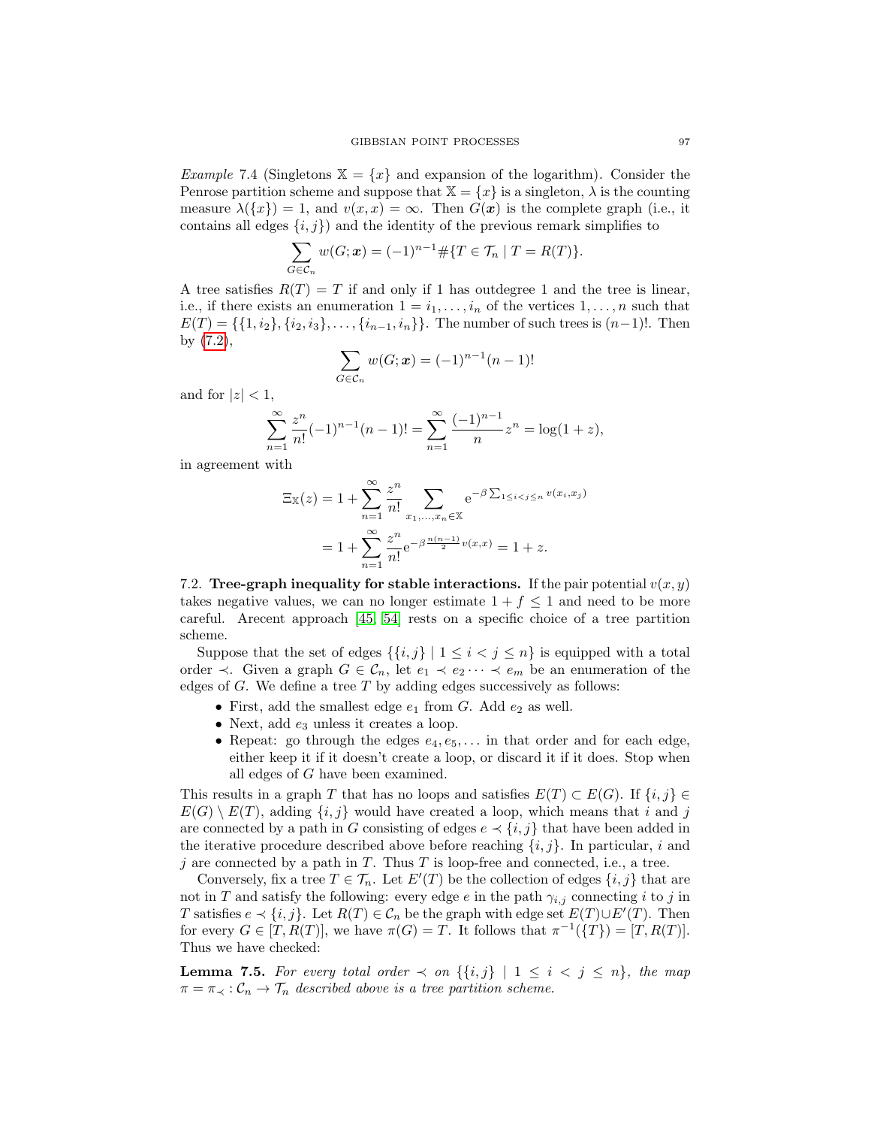Example 7.4 (Singletons  $X = \{x\}$  and expansion of the logarithm). Consider the Penrose partition scheme and suppose that  $X = \{x\}$  is a singleton,  $\lambda$  is the counting measure  $\lambda({x}) = 1$ , and  $v(x, x) = \infty$ . Then  $G(x)$  is the complete graph (i.e., it contains all edges  $\{i, j\}$  and the identity of the previous remark simplifies to

$$
\sum_{G \in \mathcal{C}_n} w(G; \mathbf{x}) = (-1)^{n-1} \# \{ T \in \mathcal{T}_n \mid T = R(T) \}.
$$

A tree satisfies  $R(T) = T$  if and only if 1 has outdegree 1 and the tree is linear, i.e., if there exists an enumeration  $1 = i_1, \ldots, i_n$  of the vertices  $1, \ldots, n$  such that  $E(T) = \{\{1, i_2\}, \{i_2, i_3\}, \ldots, \{i_{n-1}, i_n\}\}.$  The number of such trees is  $(n-1)!$ . Then by [\(7.2\)](#page-95-2),

$$
\sum_{G \in \mathcal{C}_n} w(G; \mathbf{x}) = (-1)^{n-1}(n-1)!
$$

and for  $|z| < 1$ ,

$$
\sum_{n=1}^{\infty} \frac{z^n}{n!} (-1)^{n-1} (n-1)! = \sum_{n=1}^{\infty} \frac{(-1)^{n-1}}{n} z^n = \log(1+z),
$$

in agreement with

$$
\Xi_{\mathbb{X}}(z) = 1 + \sum_{n=1}^{\infty} \frac{z^n}{n!} \sum_{x_1, \dots, x_n \in \mathbb{X}} e^{-\beta \sum_{1 \le i < j \le n} v(x_i, x_j)}
$$
\n
$$
= 1 + \sum_{n=1}^{\infty} \frac{z^n}{n!} e^{-\beta \frac{n(n-1)}{2} v(x, x)} = 1 + z.
$$

7.2. Tree-graph inequality for stable interactions. If the pair potential  $v(x, y)$ takes negative values, we can no longer estimate  $1 + f \leq 1$  and need to be more careful. Arecent approach [\[45,](#page-104-5) [54\]](#page-104-6) rests on a specific choice of a tree partition scheme.

Suppose that the set of edges  $\{\{i, j\} \mid 1 \leq i < j \leq n\}$  is equipped with a total order  $\prec$ . Given a graph  $G \in \mathcal{C}_n$ , let  $e_1 \prec e_2 \cdots \prec e_m$  be an enumeration of the edges of  $G$ . We define a tree  $T$  by adding edges successively as follows:

- First, add the smallest edge  $e_1$  from G. Add  $e_2$  as well.
- Next, add  $e_3$  unless it creates a loop.
- Repeat: go through the edges  $e_4, e_5, \ldots$  in that order and for each edge, either keep it if it doesn't create a loop, or discard it if it does. Stop when all edges of G have been examined.

This results in a graph T that has no loops and satisfies  $E(T) \subset E(G)$ . If  $\{i, j\} \in$  $E(G) \setminus E(T)$ , adding  $\{i, j\}$  would have created a loop, which means that i and j are connected by a path in G consisting of edges  $e \prec \{i, j\}$  that have been added in the iterative procedure described above before reaching  $\{i, j\}$ . In particular, i and j are connected by a path in  $T$ . Thus  $T$  is loop-free and connected, i.e., a tree.

Conversely, fix a tree  $T \in \mathcal{T}_n$ . Let  $E'(T)$  be the collection of edges  $\{i, j\}$  that are not in T and satisfy the following: every edge e in the path  $\gamma_{i,j}$  connecting i to j in T satisfies  $e \prec \{i, j\}$ . Let  $R(T) \in \mathcal{C}_n$  be the graph with edge set  $E(T) \cup E'(T)$ . Then for every  $G \in [T, R(T)]$ , we have  $\pi(G) = T$ . It follows that  $\pi^{-1}(\lbrace T \rbrace) = [T, R(T)]$ . Thus we have checked:

**Lemma 7.5.** For every total order  $\prec$  on  $\{\{i,j\} | 1 \leq i \leq j \leq n\}$ , the map  $\pi = \pi_{\prec} : C_n \to \mathcal{T}_n$  described above is a tree partition scheme.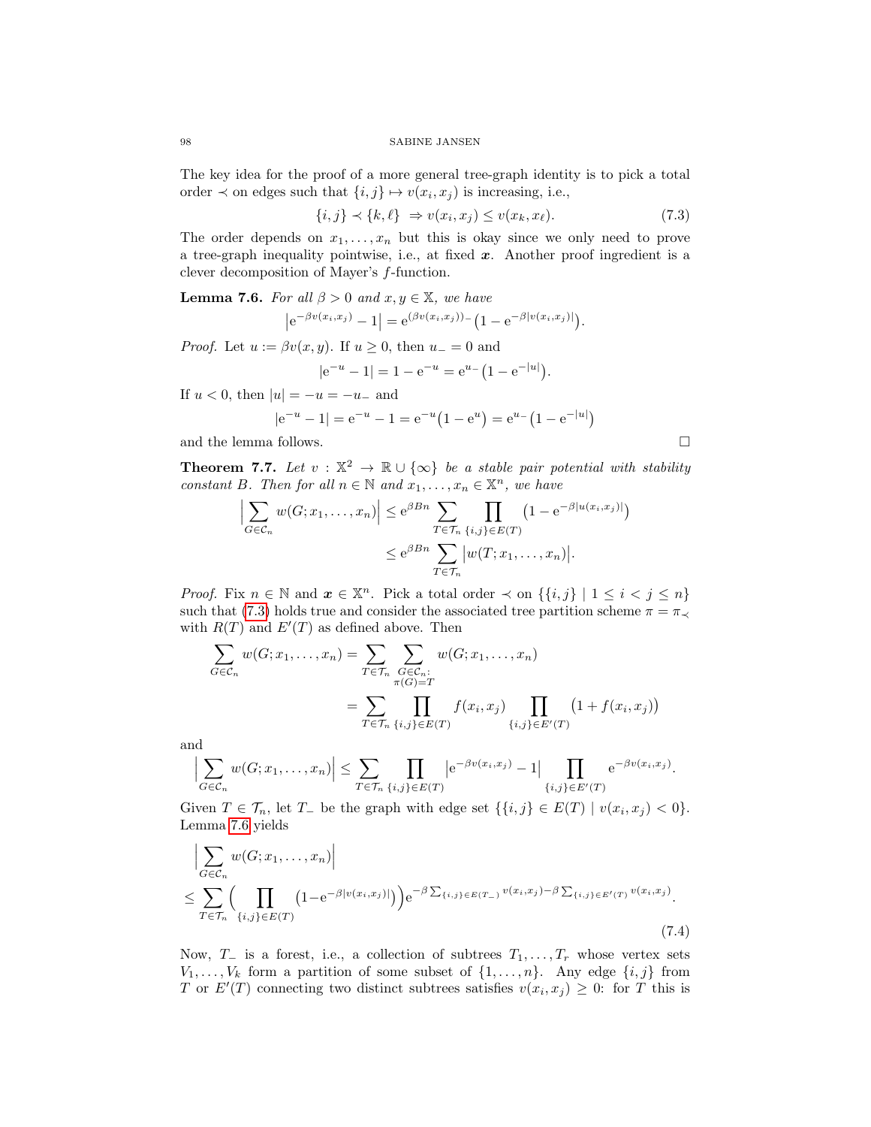The key idea for the proof of a more general tree-graph identity is to pick a total order  $\prec$  on edges such that  $\{i, j\} \mapsto v(x_i, x_j)$  is increasing, i.e.,

<span id="page-97-0"></span>
$$
\{i, j\} \prec \{k, \ell\} \Rightarrow v(x_i, x_j) \le v(x_k, x_\ell). \tag{7.3}
$$

.

The order depends on  $x_1, \ldots, x_n$  but this is okay since we only need to prove a tree-graph inequality pointwise, i.e., at fixed  $x$ . Another proof ingredient is a clever decomposition of Mayer's f-function.

<span id="page-97-1"></span>**Lemma 7.6.** For all  $\beta > 0$  and  $x, y \in \mathbb{X}$ , we have

$$
|e^{-\beta v(x_i, x_j)} - 1| = e^{(\beta v(x_i, x_j)) - (1 - e^{-\beta |v(x_i, x_j)|}).
$$

*Proof.* Let  $u := \beta v(x, y)$ . If  $u \ge 0$ , then  $u = 0$  and

$$
|e^{-u} - 1| = 1 - e^{-u} = e^{u} - (1 - e^{-|u|})
$$

If  $u < 0$ , then  $|u| = -u = -u_{-}$  and

$$
|e^{-u} - 1| = e^{-u} - 1 = e^{-u}(1 - e^{u}) = e^{u} - (1 - e^{-|u|})
$$

and the lemma follows.  $\Box$ 

<span id="page-97-3"></span>**Theorem 7.7.** Let  $v : \mathbb{X}^2 \to \mathbb{R} \cup \{\infty\}$  be a stable pair potential with stability constant B. Then for all  $n \in \mathbb{N}$  and  $x_1, \ldots, x_n \in \mathbb{X}^n$ , we have

$$
\left| \sum_{G \in \mathcal{C}_n} w(G; x_1, \dots, x_n) \right| \le e^{\beta B n} \sum_{T \in \mathcal{T}_n} \prod_{\{i,j\} \in E(T)} \left( 1 - e^{-\beta |u(x_i, x_j)|} \right)
$$

$$
\le e^{\beta B n} \sum_{T \in \mathcal{T}_n} |w(T; x_1, \dots, x_n)|.
$$

*Proof.* Fix  $n \in \mathbb{N}$  and  $\boldsymbol{x} \in \mathbb{X}^n$ . Pick a total order  $\prec$  on  $\{\{i, j\} \mid 1 \leq i < j \leq n\}$ such that [\(7.3\)](#page-97-0) holds true and consider the associated tree partition scheme  $\pi = \pi_{\prec}$ with  $R(T)$  and  $E'(T)$  as defined above. Then

$$
\sum_{G \in \mathcal{C}_n} w(G; x_1, \dots, x_n) = \sum_{T \in \mathcal{T}_n} \sum_{\substack{G \in \mathcal{C}_n : \\ \pi(G) = T}} w(G; x_1, \dots, x_n)
$$
\n
$$
= \sum_{T \in \mathcal{T}_n} \prod_{\{i,j\} \in E(T)} f(x_i, x_j) \prod_{\{i,j\} \in E'(T)} (1 + f(x_i, x_j))
$$

and

$$
\left|\sum_{G\in\mathcal{C}_n} w(G; x_1,\ldots,x_n)\right| \leq \sum_{T\in\mathcal{T}_n} \prod_{\{i,j\}\in E(T)} \left|e^{-\beta v(x_i,x_j)}-1\right| \prod_{\{i,j\}\in E'(T)} e^{-\beta v(x_i,x_j)}.
$$

Given  $T \in \mathcal{T}_n$ , let  $T_-\,$  be the graph with edge set  $\{\{i,j\} \in E(T) \mid v(x_i, x_j) < 0\}.$ Lemma [7.6](#page-97-1) yields

$$
\left| \sum_{G \in \mathcal{C}_n} w(G; x_1, \dots, x_n) \right|
$$
  
\n
$$
\leq \sum_{T \in \mathcal{T}_n} \left( \prod_{\{i,j\} \in E(T)} \left( 1 - e^{-\beta |v(x_i, x_j)|} \right) \right) e^{-\beta \sum_{\{i,j\} \in E(T_-)} v(x_i, x_j) - \beta \sum_{\{i,j\} \in E'(T)} v(x_i, x_j)}.
$$
\n(7.4)

<span id="page-97-2"></span>Now,  $T_$  is a forest, i.e., a collection of subtrees  $T_1, \ldots, T_r$  whose vertex sets  $V_1, \ldots, V_k$  form a partition of some subset of  $\{1, \ldots, n\}$ . Any edge  $\{i, j\}$  from T or  $E'(T)$  connecting two distinct subtrees satisfies  $v(x_i, x_j) \geq 0$ : for T this is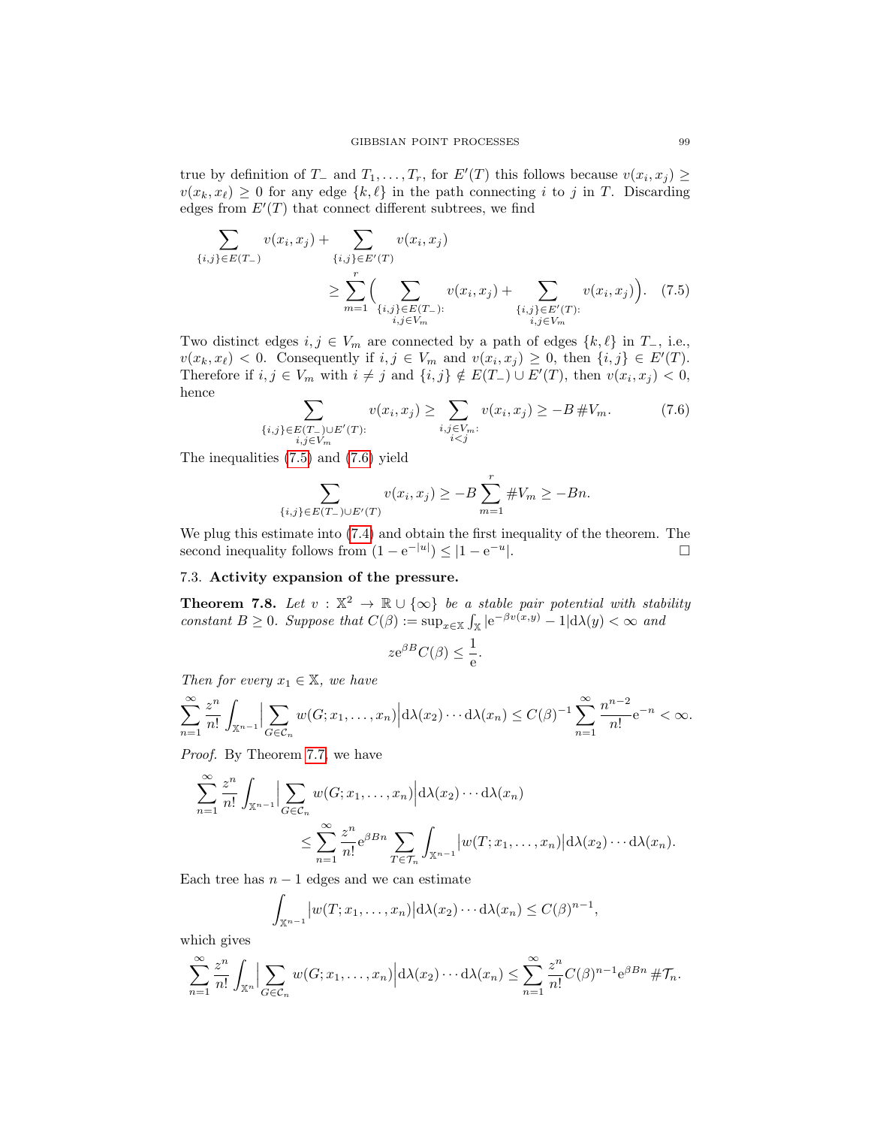true by definition of T<sub>−</sub> and  $T_1, \ldots, T_r$ , for  $E'(T)$  this follows because  $v(x_i, x_j) \geq$  $v(x_k, x_\ell) \geq 0$  for any edge  $\{k, \ell\}$  in the path connecting i to j in T. Discarding edges from  $E'(T)$  that connect different subtrees, we find

$$
\sum_{\{i,j\} \in E(T_-)} v(x_i, x_j) + \sum_{\{i,j\} \in E'(T)} v(x_i, x_j)
$$
\n
$$
\geq \sum_{m=1}^r \Biggl(\sum_{\substack{\{i,j\} \in E(T_-):\\i,j \in V_m}} v(x_i, x_j) + \sum_{\substack{\{i,j\} \in E'(T):\\i,j \in V_m}} v(x_i, x_j)\Biggr). \tag{7.5}
$$

Two distinct edges  $i, j \in V_m$  are connected by a path of edges  $\{k, \ell\}$  in  $T_-,$  i.e.,  $v(x_k, x_\ell) < 0$ . Consequently if  $i, j \in V_m$  and  $v(x_i, x_j) \geq 0$ , then  $\{i, j\} \in E'(T)$ . Therefore if  $i, j \in V_m$  with  $i \neq j$  and  $\{i, j\} \notin E(T_-) \cup E'(T)$ , then  $v(x_i, x_j) < 0$ , hence

<span id="page-98-1"></span><span id="page-98-0"></span>
$$
\sum_{\{i,j\} \in E(T_-) \cup E'(T): \atop i,j \in V_m} v(x_i, x_j) \ge \sum_{\substack{i,j \in V_m: \atop i < j}} v(x_i, x_j) \ge -B \# V_m. \tag{7.6}
$$

The inequalities [\(7.5\)](#page-98-0) and [\(7.6\)](#page-98-1) yield

$$
\sum_{\{i,j\} \in E(T-)\cup E'(T)} v(x_i, x_j) \ge -B \sum_{m=1}^r \# V_m \ge -Bn.
$$

We plug this estimate into [\(7.4\)](#page-97-2) and obtain the first inequality of the theorem. The second inequality follows from  $(1 - e^{-|u|}) \leq |1 - e^{-u}|$ |.

## 7.3. Activity expansion of the pressure.

<span id="page-98-2"></span>**Theorem 7.8.** Let  $v : \mathbb{X}^2 \to \mathbb{R} \cup \{\infty\}$  be a stable pair potential with stability constant  $B \geq 0$ . Suppose that  $C(\beta) := \sup_{x \in \mathbb{X}} \int_{\mathbb{X}} |e^{-\beta v(x,y)} - 1| d\lambda(y) < \infty$  and

$$
ze^{\beta B}C(\beta) \le \frac{1}{e}.
$$

Then for every  $x_1 \in \mathbb{X}$ , we have

$$
\sum_{n=1}^{\infty} \frac{z^n}{n!} \int_{\mathbb{X}^{n-1}} \left| \sum_{G \in \mathcal{C}_n} w(G; x_1, \dots, x_n) \right| d\lambda(x_2) \cdots d\lambda(x_n) \le C(\beta)^{-1} \sum_{n=1}^{\infty} \frac{n^{n-2}}{n!} e^{-n} < \infty.
$$

Proof. By Theorem [7.7,](#page-97-3) we have

$$
\sum_{n=1}^{\infty} \frac{z^n}{n!} \int_{\mathbb{X}^{n-1}} \left| \sum_{G \in \mathcal{C}_n} w(G; x_1, \dots, x_n) \right| d\lambda(x_2) \cdots d\lambda(x_n)
$$
  

$$
\leq \sum_{n=1}^{\infty} \frac{z^n}{n!} e^{\beta B n} \sum_{T \in \mathcal{T}_n} \int_{\mathbb{X}^{n-1}} \left| w(T; x_1, \dots, x_n) \right| d\lambda(x_2) \cdots d\lambda(x_n).
$$

Each tree has  $n - 1$  edges and we can estimate

$$
\int_{\mathbb{X}^{n-1}} |w(T; x_1, \dots, x_n)| d\lambda(x_2) \cdots d\lambda(x_n) \le C(\beta)^{n-1},
$$

which gives

$$
\sum_{n=1}^{\infty} \frac{z^n}{n!} \int_{\mathbb{X}^n} \Big| \sum_{G \in \mathcal{C}_n} w(G; x_1, \dots, x_n) \Big| d\lambda(x_2) \cdots d\lambda(x_n) \leq \sum_{n=1}^{\infty} \frac{z^n}{n!} C(\beta)^{n-1} e^{\beta Bn} \, \# \mathcal{T}_n.
$$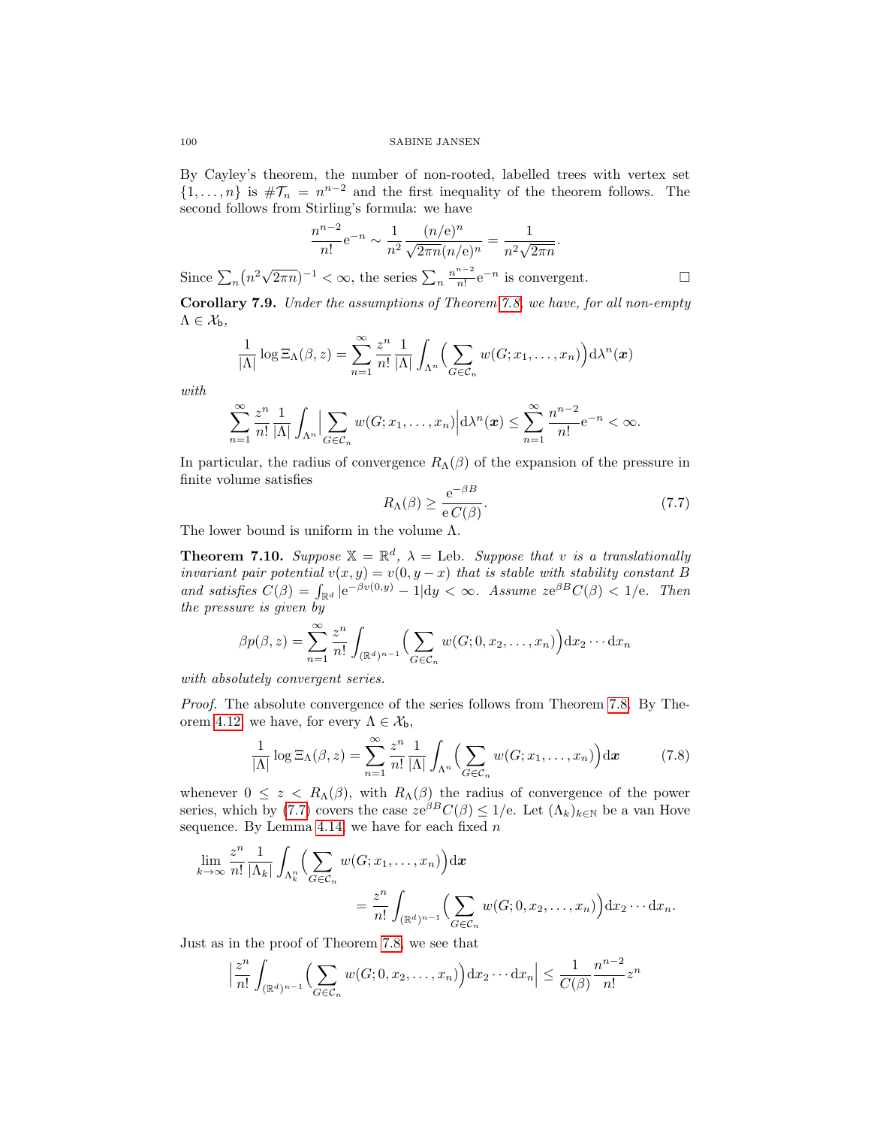By Cayley's theorem, the number of non-rooted, labelled trees with vertex set  $\{1,\ldots,n\}$  is  $\#\mathcal{T}_n = n^{n-2}$  and the first inequality of the theorem follows. The second follows from Stirling's formula: we have

$$
\frac{n^{n-2}}{n!}e^{-n} \sim \frac{1}{n^2} \frac{(n/e)^n}{\sqrt{2\pi n}(n/e)^n} = \frac{1}{n^2\sqrt{2\pi n}}.
$$

Since  $\sum_n (n^2 \sqrt{ } )$  $(\overline{2\pi n})^{-1} < \infty$ , the series  $\sum_{n} \frac{n^{n-2}}{n!}$  $\frac{n-2}{n!}e^{-n}$  is convergent.

Corollary 7.9. Under the assumptions of Theorem [7.8,](#page-98-2) we have, for all non-empty  $\Lambda \in \mathcal{X}_\mathsf{b},$ 

$$
\frac{1}{|\Lambda|} \log \Xi_{\Lambda}(\beta, z) = \sum_{n=1}^{\infty} \frac{z^n}{n!} \frac{1}{|\Lambda|} \int_{\Lambda^n} \Big( \sum_{G \in \mathcal{C}_n} w(G; x_1, \dots, x_n) \Big) d\lambda^n(\boldsymbol{x})
$$

with

$$
\sum_{n=1}^{\infty} \frac{z^n}{n!} \frac{1}{|\Lambda|} \int_{\Lambda^n} \Big| \sum_{G \in \mathcal{C}_n} w(G; x_1, \dots, x_n) \Big| d\lambda^n(\boldsymbol{x}) \leq \sum_{n=1}^{\infty} \frac{n^{n-2}}{n!} e^{-n} < \infty.
$$

In particular, the radius of convergence  $R_\Lambda(\beta)$  of the expansion of the pressure in finite volume satisfies

<span id="page-99-0"></span>
$$
R_{\Lambda}(\beta) \ge \frac{e^{-\beta B}}{e C(\beta)}.
$$
\n(7.7)

The lower bound is uniform in the volume  $\Lambda$ .

**Theorem 7.10.** Suppose  $X = \mathbb{R}^d$ ,  $\lambda =$  Leb. Suppose that v is a translationally invariant pair potential  $v(x, y) = v(0, y - x)$  that is stable with stability constant B and satisfies  $C(\beta) = \int_{\mathbb{R}^d} |e^{-\beta v(0,y)} - 1| dy < \infty$ . Assume  $ze^{\beta B}C(\beta) < 1/e$ . Then the pressure is given by

$$
\beta p(\beta, z) = \sum_{n=1}^{\infty} \frac{z^n}{n!} \int_{(\mathbb{R}^d)^{n-1}} \Big(\sum_{G \in \mathcal{C}_n} w(G; 0, x_2, \dots, x_n)\Big) \mathrm{d}x_2 \cdots \mathrm{d}x_n
$$

with absolutely convergent series.

Proof. The absolute convergence of the series follows from Theorem [7.8.](#page-98-2) By The-orem [4.12,](#page-63-0) we have, for every  $\Lambda \in \mathcal{X}_{\mathsf{b}}$ ,

<span id="page-99-1"></span>
$$
\frac{1}{|\Lambda|} \log \Xi_{\Lambda}(\beta, z) = \sum_{n=1}^{\infty} \frac{z^n}{n!} \frac{1}{|\Lambda|} \int_{\Lambda^n} \Big( \sum_{G \in \mathcal{C}_n} w(G; x_1, \dots, x_n) \Big) dx \tag{7.8}
$$

whenever  $0 \leq z \leq R_{\Lambda}(\beta)$ , with  $R_{\Lambda}(\beta)$  the radius of convergence of the power series, which by [\(7.7\)](#page-99-0) covers the case  $ze^{\beta B}C(\beta) \leq 1/e$ . Let  $(\Lambda_k)_{k\in\mathbb{N}}$  be a van Hove sequence. By Lemma [4.14,](#page-66-0) we have for each fixed  $n$ 

$$
\lim_{k \to \infty} \frac{z^n}{n!} \frac{1}{|\Lambda_k|} \int_{\Lambda_k^n} \Biggl(\sum_{G \in \mathcal{C}_n} w(G; x_1, \dots, x_n)\Biggr) dx
$$
  
= 
$$
\frac{z^n}{n!} \int_{(\mathbb{R}^d)^{n-1}} \Biggl(\sum_{G \in \mathcal{C}_n} w(G; 0, x_2, \dots, x_n)\Biggr) dx_2 \cdots dx_n.
$$

Just as in the proof of Theorem [7.8,](#page-98-2) we see that

$$
\left|\frac{z^n}{n!}\int_{(\mathbb{R}^d)^{n-1}}\left(\sum_{G\in\mathcal{C}_n}w(G;0,x_2,\ldots,x_n)\right)\mathrm{d}x_2\cdots\mathrm{d}x_n\right|\leq\frac{1}{C(\beta)}\frac{n^{n-2}}{n!}z^n
$$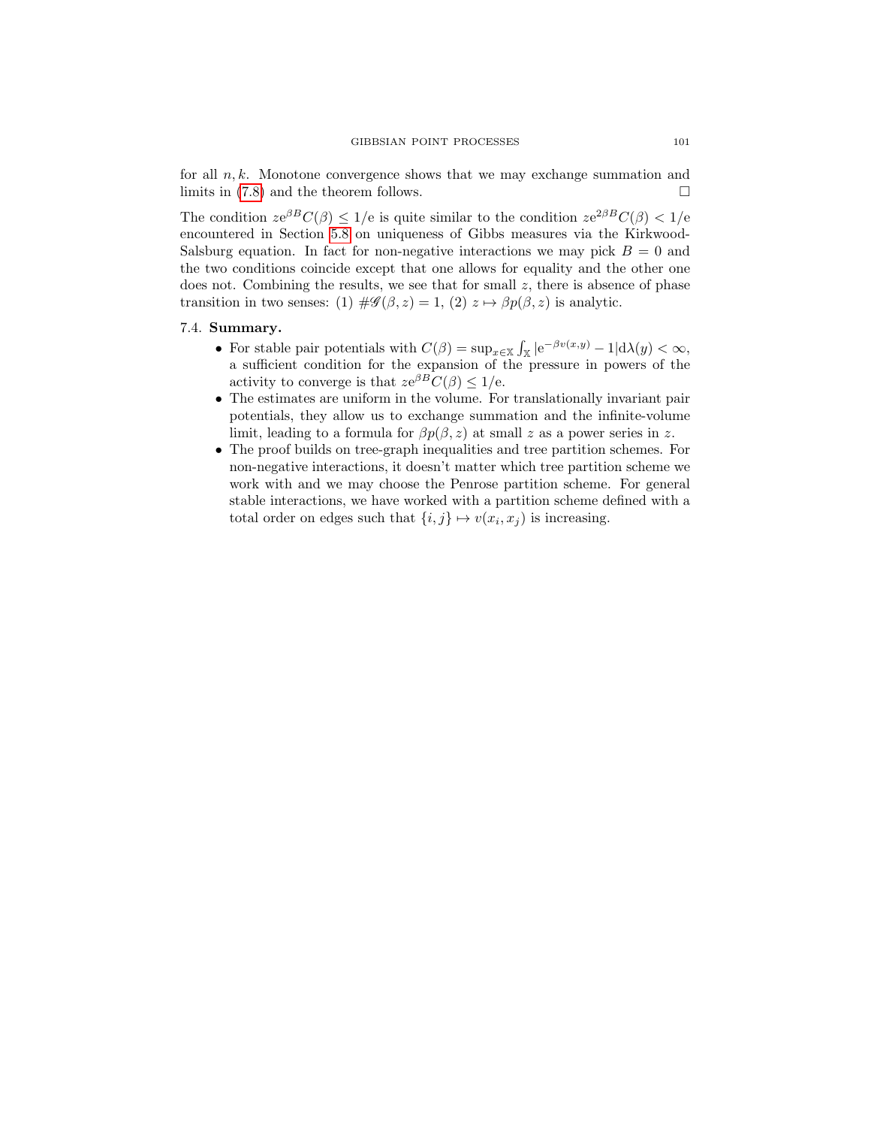for all  $n, k$ . Monotone convergence shows that we may exchange summation and limits in  $(7.8)$  and the theorem follows.

The condition  $ze^{\beta B}C(\beta) \leq 1/e$  is quite similar to the condition  $ze^{2\beta B}C(\beta) < 1/e$ encountered in Section [5.8](#page-83-5) on uniqueness of Gibbs measures via the Kirkwood-Salsburg equation. In fact for non-negative interactions we may pick  $B = 0$  and the two conditions coincide except that one allows for equality and the other one does not. Combining the results, we see that for small  $z$ , there is absence of phase transition in two senses: (1)  $\#\mathscr{G}(\beta, z) = 1$ , (2)  $z \mapsto \beta p(\beta, z)$  is analytic.

## 7.4. Summary.

- For stable pair potentials with  $C(\beta) = \sup_{x \in \mathbb{X}} \int_{\mathbb{X}} |e^{-\beta v(x,y)} 1| d\lambda(y) < \infty$ , a sufficient condition for the expansion of the pressure in powers of the activity to converge is that  $ze^{\beta B}C(\beta) \leq 1/e$ .
- The estimates are uniform in the volume. For translationally invariant pair potentials, they allow us to exchange summation and the infinite-volume limit, leading to a formula for  $\beta p(\beta, z)$  at small z as a power series in z.
- The proof builds on tree-graph inequalities and tree partition schemes. For non-negative interactions, it doesn't matter which tree partition scheme we work with and we may choose the Penrose partition scheme. For general stable interactions, we have worked with a partition scheme defined with a total order on edges such that  $\{i, j\} \mapsto v(x_i, x_j)$  is increasing.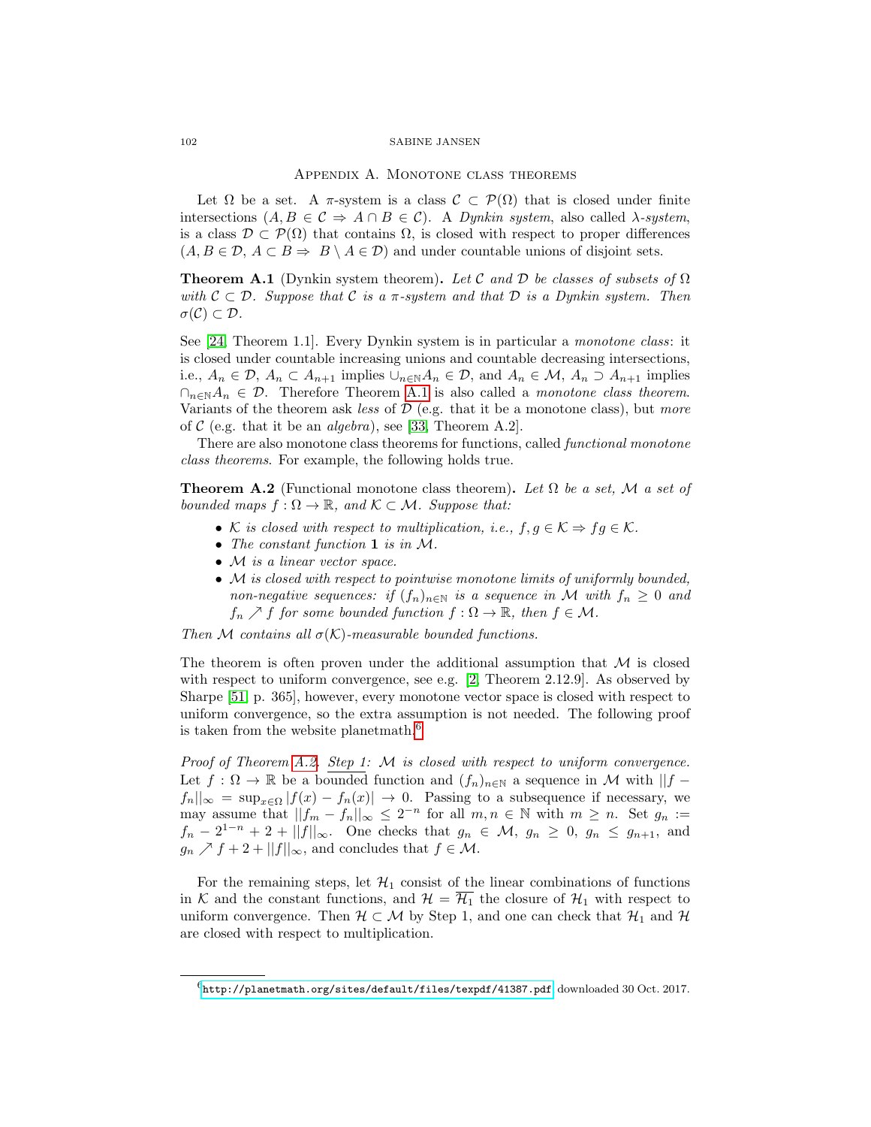#### 102 SABINE JANSEN

Appendix A. Monotone class theorems

Let  $\Omega$  be a set. A  $\pi$ -system is a class  $\mathcal{C} \subset \mathcal{P}(\Omega)$  that is closed under finite intersections  $(A, B \in \mathcal{C} \Rightarrow A \cap B \in \mathcal{C})$ . A Dynkin system, also called  $\lambda$ -system, is a class  $\mathcal{D} \subset \mathcal{P}(\Omega)$  that contains  $\Omega$ , is closed with respect to proper differences  $(A, B \in \mathcal{D}, A \subset B \Rightarrow B \setminus A \in \mathcal{D})$  and under countable unions of disjoint sets.

<span id="page-101-0"></span>**Theorem A.1** (Dynkin system theorem). Let C and D be classes of subsets of  $\Omega$ with  $C \subset \mathcal{D}$ . Suppose that C is a  $\pi$ -system and that D is a Dynkin system. Then  $\sigma(\mathcal{C}) \subset \mathcal{D}$ .

See [\[24,](#page-103-5) Theorem 1.1]. Every Dynkin system is in particular a monotone class: it is closed under countable increasing unions and countable decreasing intersections, i.e.,  $A_n \in \mathcal{D}, A_n \subset A_{n+1}$  implies  $\cup_{n \in \mathbb{N}} A_n \in \mathcal{D}$ , and  $A_n \in \mathcal{M}, A_n \supset A_{n+1}$  implies  $\cap_{n\in\mathbb{N}}A_n\in\mathcal{D}$ . Therefore Theorem [A.1](#page-101-0) is also called a monotone class theorem. Variants of the theorem ask *less* of  $D$  (e.g. that it be a monotone class), but more of  $C$  (e.g. that it be an *algebra*), see [\[33,](#page-104-7) Theorem A.2].

There are also monotone class theorems for functions, called *functional monotone* class theorems. For example, the following holds true.

<span id="page-101-2"></span>**Theorem A.2** (Functional monotone class theorem). Let  $\Omega$  be a set, M a set of bounded maps  $f : \Omega \to \mathbb{R}$ , and  $\mathcal{K} \subset \mathcal{M}$ . Suppose that:

- K is closed with respect to multiplication, i.e.,  $f, g \in \mathcal{K} \Rightarrow fg \in \mathcal{K}$ .
- The constant function  $1$  is in  $M$ .
- M is a linear vector space.
- M is closed with respect to pointwise monotone limits of uniformly bounded, non-negative sequences: if  $(f_n)_{n\in\mathbb{N}}$  is a sequence in M with  $f_n \geq 0$  and  $f_n \nearrow f$  for some bounded function  $f : \Omega \to \mathbb{R}$ , then  $f \in \mathcal{M}$ .

Then M contains all  $\sigma(\mathcal{K})$ -measurable bounded functions.

The theorem is often proven under the additional assumption that  $\mathcal M$  is closed with respect to uniform convergence, see e.g. [\[2,](#page-103-6) Theorem 2.12.9]. As observed by Sharpe [\[51,](#page-104-8) p. 365], however, every monotone vector space is closed with respect to uniform convergence, so the extra assumption is not needed. The following proof is taken from the website planetmath.[6](#page-101-1)

Proof of Theorem [A.2.](#page-101-2) Step 1: M is closed with respect to uniform convergence. Let  $f : \Omega \to \mathbb{R}$  be a bounded function and  $(f_n)_{n \in \mathbb{N}}$  a sequence in M with  $||f ||f_n||_{\infty} = \sup_{x \in \Omega} |f(x) - f_n(x)| \to 0$ . Passing to a subsequence if necessary, we may assume that  $||f_m - f_n||_{\infty} \leq 2^{-n}$  for all  $m, n \in \mathbb{N}$  with  $m \geq n$ . Set  $g_n :=$  $f_n - 2^{1-n} + 2 + ||f||_{\infty}$ . One checks that  $g_n \in \mathcal{M}, g_n \geq 0, g_n \leq g_{n+1}$ , and  $g_n \nearrow f + 2 + ||f||_{\infty}$ , and concludes that  $f \in \mathcal{M}$ .

For the remaining steps, let  $\mathcal{H}_1$  consist of the linear combinations of functions in K and the constant functions, and  $\mathcal{H} = \overline{\mathcal{H}_1}$  the closure of  $\mathcal{H}_1$  with respect to uniform convergence. Then  $H \subset \mathcal{M}$  by Step 1, and one can check that  $\mathcal{H}_1$  and  $\mathcal{H}$ are closed with respect to multiplication.

<span id="page-101-1"></span> $^{6}$ <http://planetmath.org/sites/default/files/texpdf/41387.pdf>,downloaded 30 Oct. 2017.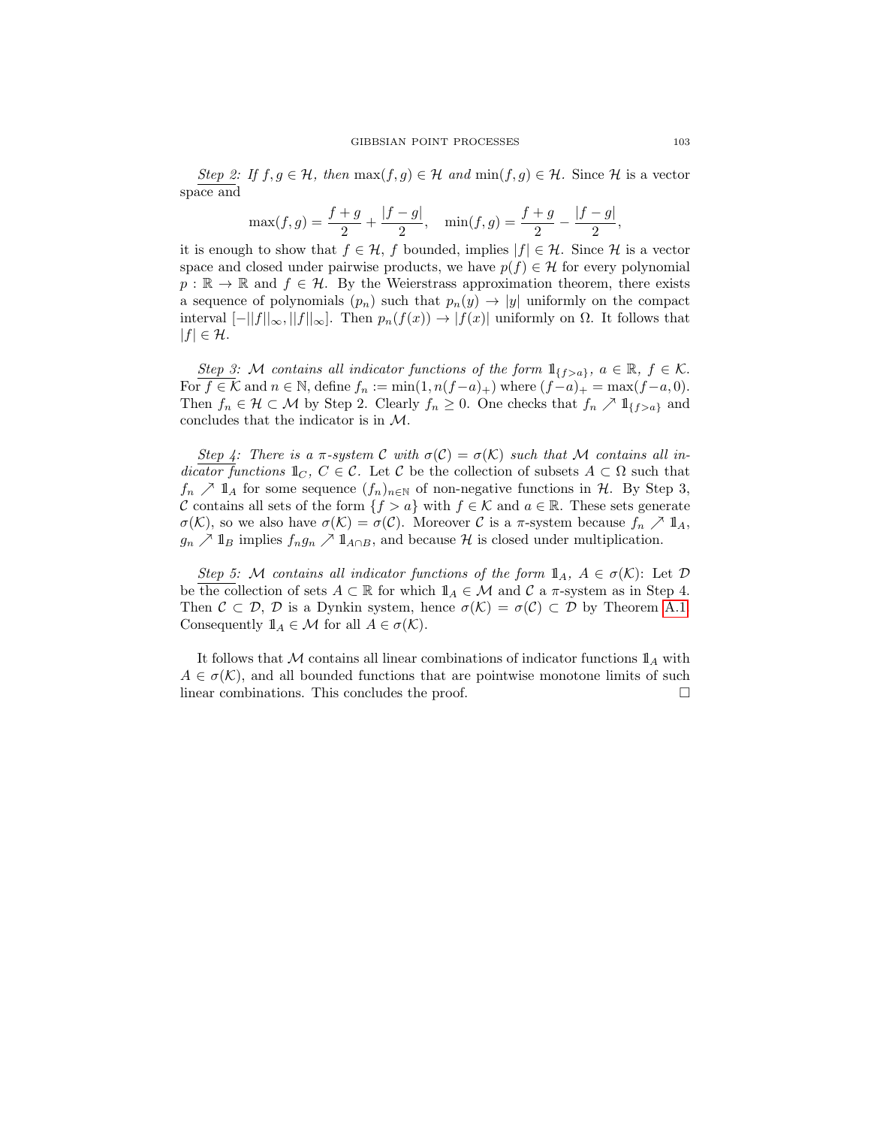Step 2: If  $f, g \in \mathcal{H}$ , then  $\max(f, g) \in \mathcal{H}$  and  $\min(f, g) \in \mathcal{H}$ . Since H is a vector space and

$$
\max(f,g) = \frac{f+g}{2} + \frac{|f-g|}{2}, \quad \min(f,g) = \frac{f+g}{2} - \frac{|f-g|}{2},
$$

it is enough to show that  $f \in \mathcal{H}$ , f bounded, implies  $|f| \in \mathcal{H}$ . Since H is a vector space and closed under pairwise products, we have  $p(f) \in \mathcal{H}$  for every polynomial  $p : \mathbb{R} \to \mathbb{R}$  and  $f \in \mathcal{H}$ . By the Weierstrass approximation theorem, there exists a sequence of polynomials  $(p_n)$  such that  $p_n(y) \to |y|$  uniformly on the compact interval  $[-||f||_{\infty}, ||f||_{\infty}]$ . Then  $p_n(f(x)) \to |f(x)|$  uniformly on  $\Omega$ . It follows that  $|f| \in \mathcal{H}.$ 

Step 3: M contains all indicator functions of the form  $\mathbb{1}_{\{f>a\}}$ ,  $a \in \mathbb{R}$ ,  $f \in \mathcal{K}$ . For  $f \in \mathcal{K}$  and  $n \in \mathbb{N}$ , define  $f_n := \min(1, n(f-a)_+)$  where  $(f-a)_+ = \max(f-a, 0)$ . Then  $f_n \in \mathcal{H} \subset \mathcal{M}$  by Step 2. Clearly  $f_n \geq 0$ . One checks that  $f_n \nearrow \mathbb{1}_{\{f > a\}}$  and concludes that the indicator is in M.

Step 4: There is a  $\pi$ -system C with  $\sigma(C) = \sigma(K)$  such that M contains all indicator functions  $\mathbb{1}_C, C \in \mathcal{C}$ . Let C be the collection of subsets  $A \subset \Omega$  such that  $f_n \nearrow \mathbb{1}_A$  for some sequence  $(f_n)_{n \in \mathbb{N}}$  of non-negative functions in H. By Step 3, C contains all sets of the form  $\{f > a\}$  with  $f \in \mathcal{K}$  and  $a \in \mathbb{R}$ . These sets generate  $\sigma(\mathcal{K})$ , so we also have  $\sigma(\mathcal{K}) = \sigma(\mathcal{C})$ . Moreover C is a  $\pi$ -system because  $f_n \nearrow \mathbb{1}_A$ ,  $g_n \nearrow \mathbb{1}_B$  implies  $f_n g_n \nearrow \mathbb{1}_{A \cap B}$ , and because H is closed under multiplication.

Step 5: M contains all indicator functions of the form  $\mathbb{1}_A$ ,  $A \in \sigma(\mathcal{K})$ : Let  $\mathcal D$ be the collection of sets  $A \subset \mathbb{R}$  for which  $1\!\!1_A \in \mathcal{M}$  and C a  $\pi$ -system as in Step 4. Then  $\mathcal{C} \subset \mathcal{D}, \mathcal{D}$  is a Dynkin system, hence  $\sigma(\mathcal{K}) = \sigma(\mathcal{C}) \subset \mathcal{D}$  by Theorem [A.1.](#page-101-0) Consequently  $\mathbb{1}_A \in \mathcal{M}$  for all  $A \in \sigma(\mathcal{K})$ .

It follows that M contains all linear combinations of indicator functions  $\mathbb{1}_A$  with  $A \in \sigma(\mathcal{K})$ , and all bounded functions that are pointwise monotone limits of such linear combinations. This concludes the proof.  $\square$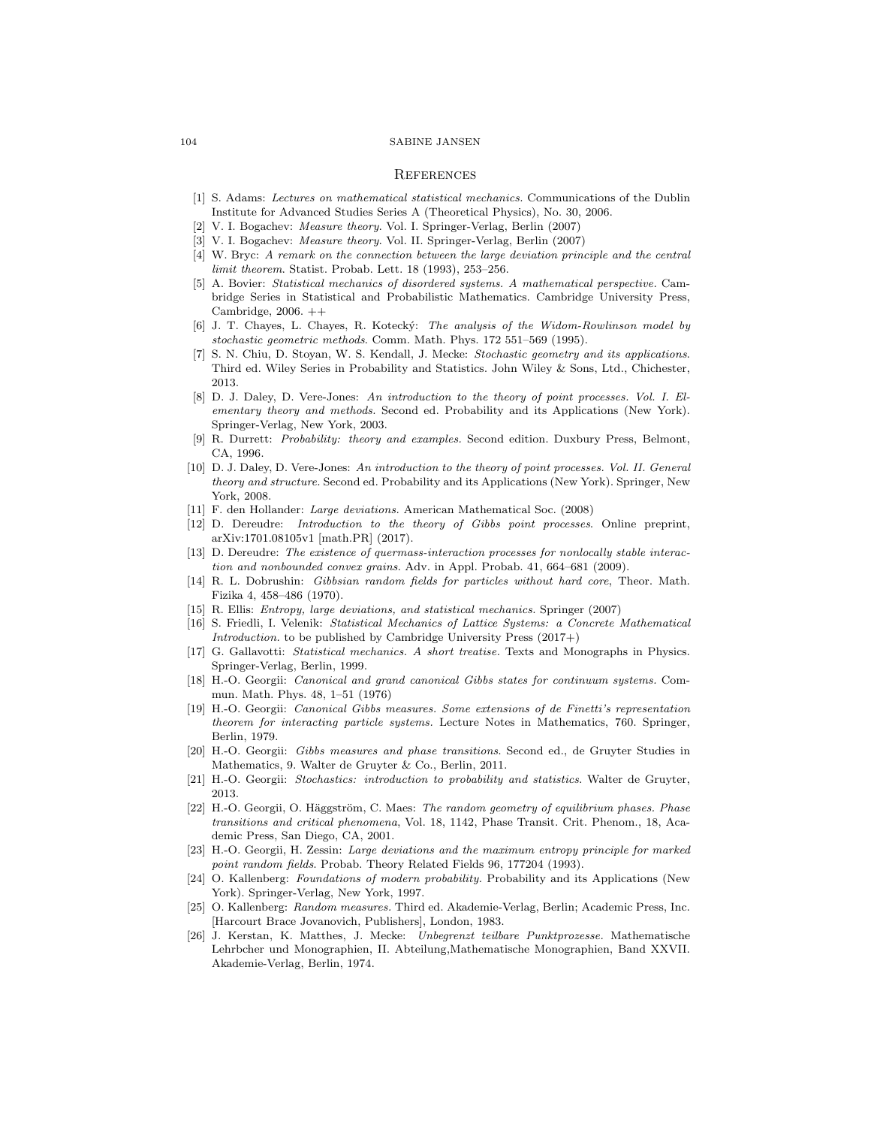#### 104 SABINE JANSEN

#### **REFERENCES**

- [1] S. Adams: Lectures on mathematical statistical mechanics. Communications of the Dublin Institute for Advanced Studies Series A (Theoretical Physics), No. 30, 2006.
- <span id="page-103-6"></span>[2] V. I. Bogachev: Measure theory. Vol. I. Springer-Verlag, Berlin (2007)
- V. I. Bogachev: Measure theory. Vol. II. Springer-Verlag, Berlin (2007)
- [4] W. Bryc: A remark on the connection between the large deviation principle and the central limit theorem. Statist. Probab. Lett. 18 (1993), 253–256.
- [5] A. Bovier: Statistical mechanics of disordered systems. A mathematical perspective. Cambridge Series in Statistical and Probabilistic Mathematics. Cambridge University Press, Cambridge,  $2006. ++$
- <span id="page-103-2"></span>[6] J. T. Chayes, L. Chayes, R. Kotecký: The analysis of the Widom-Rowlinson model by stochastic geometric methods. Comm. Math. Phys. 172 551–569 (1995).
- [7] S. N. Chiu, D. Stoyan, W. S. Kendall, J. Mecke: Stochastic geometry and its applications. Third ed. Wiley Series in Probability and Statistics. John Wiley & Sons, Ltd., Chichester, 2013.
- [8] D. J. Daley, D. Vere-Jones: An introduction to the theory of point processes. Vol. I. Elementary theory and methods. Second ed. Probability and its Applications (New York). Springer-Verlag, New York, 2003.
- [9] R. Durrett: Probability: theory and examples. Second edition. Duxbury Press, Belmont, CA, 1996.
- [10] D. J. Daley, D. Vere-Jones: An introduction to the theory of point processes. Vol. II. General theory and structure. Second ed. Probability and its Applications (New York). Springer, New York, 2008.
- [11] F. den Hollander: Large deviations. American Mathematical Soc. (2008)
- [12] D. Dereudre: Introduction to the theory of Gibbs point processes. Online preprint, arXiv:1701.08105v1 [math.PR] (2017).
- [13] D. Dereudre: The existence of quermass-interaction processes for nonlocally stable interaction and nonbounded convex grains. Adv. in Appl. Probab. 41, 664–681 (2009).
- [14] R. L. Dobrushin: Gibbsian random fields for particles without hard core, Theor. Math. Fizika 4, 458–486 (1970).
- [15] R. Ellis: Entropy, large deviations, and statistical mechanics. Springer (2007)
- <span id="page-103-1"></span>[16] S. Friedli, I. Velenik: Statistical Mechanics of Lattice Systems: a Concrete Mathematical Introduction. to be published by Cambridge University Press (2017+)
- [17] G. Gallavotti: Statistical mechanics. A short treatise. Texts and Monographs in Physics. Springer-Verlag, Berlin, 1999.
- <span id="page-103-0"></span>[18] H.-O. Georgii: Canonical and grand canonical Gibbs states for continuum systems. Commun. Math. Phys. 48, 1–51 (1976)
- [19] H.-O. Georgii: Canonical Gibbs measures. Some extensions of de Finetti's representation theorem for interacting particle systems. Lecture Notes in Mathematics, 760. Springer, Berlin, 1979.
- <span id="page-103-4"></span>[20] H.-O. Georgii: Gibbs measures and phase transitions. Second ed., de Gruyter Studies in Mathematics, 9. Walter de Gruyter & Co., Berlin, 2011.
- [21] H.-O. Georgii: Stochastics: introduction to probability and statistics. Walter de Gruyter, 2013.
- <span id="page-103-3"></span>[22] H.-O. Georgii, O. Häggström, C. Maes: The random geometry of equilibrium phases. Phase transitions and critical phenomena, Vol. 18, 1142, Phase Transit. Crit. Phenom., 18, Academic Press, San Diego, CA, 2001.
- [23] H.-O. Georgii, H. Zessin: Large deviations and the maximum entropy principle for marked point random fields. Probab. Theory Related Fields 96, 177204 (1993).
- <span id="page-103-5"></span>[24] O. Kallenberg: Foundations of modern probability. Probability and its Applications (New York). Springer-Verlag, New York, 1997.
- [25] O. Kallenberg: Random measures. Third ed. Akademie-Verlag, Berlin; Academic Press, Inc. [Harcourt Brace Jovanovich, Publishers], London, 1983.
- [26] J. Kerstan, K. Matthes, J. Mecke: Unbegrenzt teilbare Punktprozesse. Mathematische Lehrbcher und Monographien, II. Abteilung,Mathematische Monographien, Band XXVII. Akademie-Verlag, Berlin, 1974.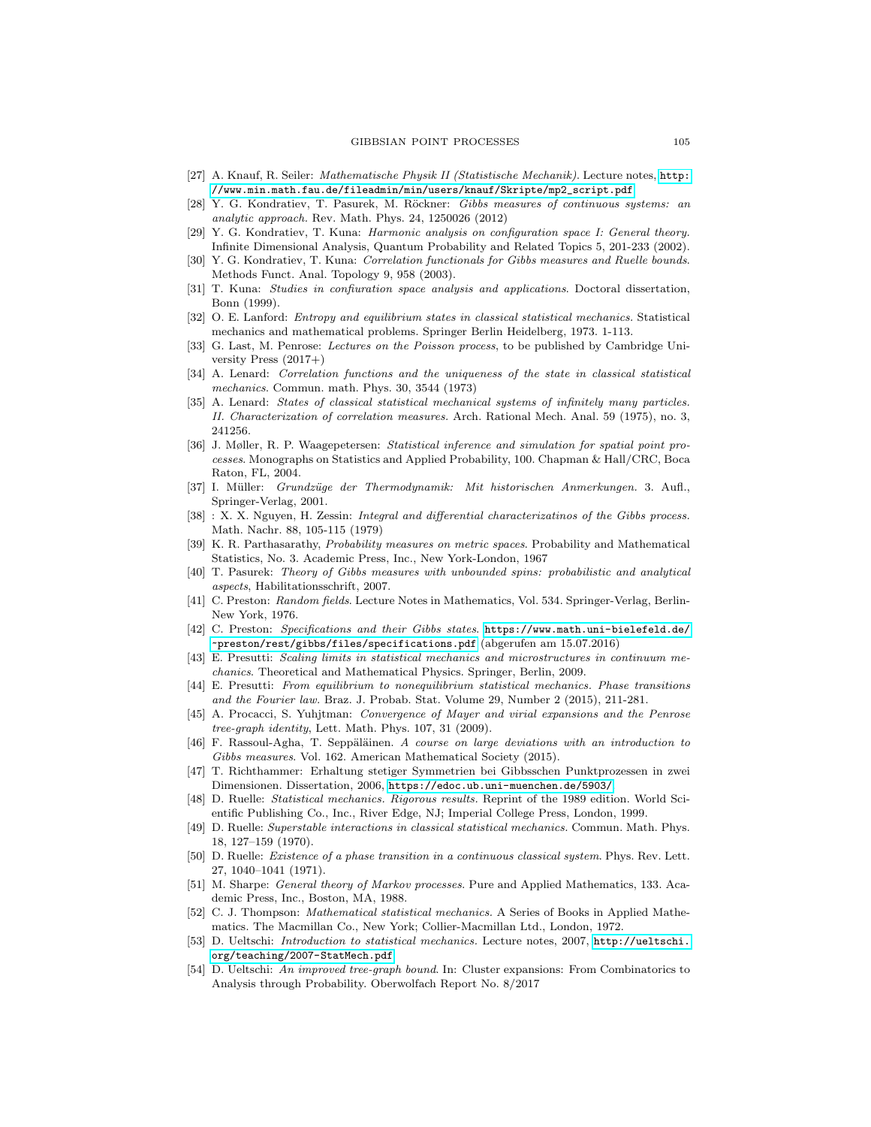- <span id="page-104-4"></span>[27] A. Knauf, R. Seiler: Mathematische Physik II (Statistische Mechanik). Lecture notes, [http:](http://www.min.math.fau.de/fileadmin/min/users/knauf/Skripte/mp2_script.pdf) [//www.min.math.fau.de/fileadmin/min/users/knauf/Skripte/mp2\\_script.pdf](http://www.min.math.fau.de/fileadmin/min/users/knauf/Skripte/mp2_script.pdf)
- [28] Y. G. Kondratiev, T. Pasurek, M. Röckner: Gibbs measures of continuous systems: an analytic approach. Rev. Math. Phys. 24, 1250026 (2012)
- [29] Y. G. Kondratiev, T. Kuna: Harmonic analysis on configuration space I: General theory. Infinite Dimensional Analysis, Quantum Probability and Related Topics 5, 201-233 (2002).
- [30] Y. G. Kondratiev, T. Kuna: Correlation functionals for Gibbs measures and Ruelle bounds. Methods Funct. Anal. Topology 9, 958 (2003).
- <span id="page-104-1"></span>[31] T. Kuna: Studies in confiuration space analysis and applications. Doctoral dissertation, Bonn (1999).
- [32] O. E. Lanford: Entropy and equilibrium states in classical statistical mechanics. Statistical mechanics and mathematical problems. Springer Berlin Heidelberg, 1973. 1-113.
- <span id="page-104-7"></span>[33] G. Last, M. Penrose: Lectures on the Poisson process, to be published by Cambridge University Press (2017+)
- [34] A. Lenard: Correlation functions and the uniqueness of the state in classical statistical mechanics. Commun. math. Phys. 30, 3544 (1973)
- [35] A. Lenard: States of classical statistical mechanical systems of infinitely many particles. II. Characterization of correlation measures. Arch. Rational Mech. Anal. 59 (1975), no. 3, 241256.
- [36] J. Møller, R. P. Waagepetersen: Statistical inference and simulation for spatial point processes. Monographs on Statistics and Applied Probability, 100. Chapman & Hall/CRC, Boca Raton, FL, 2004.
- [37] I. Müller: Grundzüge der Thermodynamik: Mit historischen Anmerkungen. 3. Aufl., Springer-Verlag, 2001.
- <span id="page-104-2"></span>[38] : X. X. Nguyen, H. Zessin: Integral and differential characterizatinos of the Gibbs process. Math. Nachr. 88, 105-115 (1979)
- [39] K. R. Parthasarathy, *Probability measures on metric spaces*. Probability and Mathematical Statistics, No. 3. Academic Press, Inc., New York-London, 1967
- [40] T. Pasurek: Theory of Gibbs measures with unbounded spins: probabilistic and analytical aspects, Habilitationsschrift, 2007.
- [41] C. Preston: Random fields. Lecture Notes in Mathematics, Vol. 534. Springer-Verlag, Berlin-New York, 1976.
- [42] C. Preston: Specifications and their Gibbs states. [https://www.math.uni-bielefeld.de/](https://www.math.uni-bielefeld.de/~preston/rest/gibbs/files/specifications.pdf) [~preston/rest/gibbs/files/specifications.pdf](https://www.math.uni-bielefeld.de/~preston/rest/gibbs/files/specifications.pdf) (abgerufen am 15.07.2016)
- [43] E. Presutti: Scaling limits in statistical mechanics and microstructures in continuum mechanics. Theoretical and Mathematical Physics. Springer, Berlin, 2009.
- [44] E. Presutti: From equilibrium to nonequilibrium statistical mechanics. Phase transitions and the Fourier law. Braz. J. Probab. Stat. Volume 29, Number 2 (2015), 211-281.
- <span id="page-104-5"></span>[45] A. Procacci, S. Yuhjtman: Convergence of Mayer and virial expansions and the Penrose tree-graph identity, Lett. Math. Phys. 107, 31 (2009).
- [46] F. Rassoul-Agha, T. Seppäläinen. A course on large deviations with an introduction to Gibbs measures. Vol. 162. American Mathematical Society (2015).
- [47] T. Richthammer: Erhaltung stetiger Symmetrien bei Gibbsschen Punktprozessen in zwei Dimensionen. Dissertation, 2006, <https://edoc.ub.uni-muenchen.de/5903/>.
- [48] D. Ruelle: Statistical mechanics. Rigorous results. Reprint of the 1989 edition. World Scientific Publishing Co., Inc., River Edge, NJ; Imperial College Press, London, 1999.
- <span id="page-104-0"></span>[49] D. Ruelle: Superstable interactions in classical statistical mechanics. Commun. Math. Phys. 18, 127–159 (1970).
- <span id="page-104-3"></span>[50] D. Ruelle: Existence of a phase transition in a continuous classical system. Phys. Rev. Lett. 27, 1040–1041 (1971).
- <span id="page-104-8"></span>[51] M. Sharpe: *General theory of Markov processes*. Pure and Applied Mathematics, 133. Academic Press, Inc., Boston, MA, 1988.
- [52] C. J. Thompson: *Mathematical statistical mechanics*. A Series of Books in Applied Mathematics. The Macmillan Co., New York; Collier-Macmillan Ltd., London, 1972.
- [53] D. Ueltschi: Introduction to statistical mechanics. Lecture notes, 2007, [http://ueltschi.](http://ueltschi.org/teaching/2007-StatMech.pdf) [org/teaching/2007-StatMech.pdf](http://ueltschi.org/teaching/2007-StatMech.pdf)
- <span id="page-104-6"></span>[54] D. Ueltschi: An improved tree-graph bound. In: Cluster expansions: From Combinatorics to Analysis through Probability. Oberwolfach Report No. 8/2017